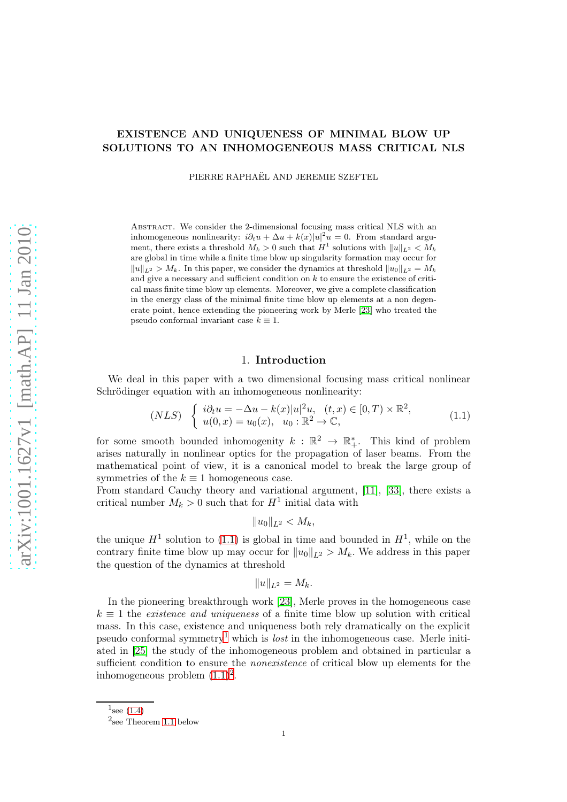# EXISTENCE AND UNIQUENESS OF MINIMAL BLOW UP SOLUTIONS TO AN INHOMOGENEOUS MASS CRITICAL NLS

PIERRE RAPHAËL AND JEREMIE SZEFTEL

Abstract. We consider the 2-dimensional focusing mass critical NLS with an inhomogeneous nonlinearity:  $i\partial_t u + \Delta u + k(x)|u|^2 u = 0$ . From standard argument, there exists a threshold  $M_k > 0$  such that  $H^1$  solutions with  $||u||_{L^2} < M_k$ are global in time while a finite time blow up singularity formation may occur for  $||u||_{L^2} > M_k$ . In this paper, we consider the dynamics at threshold  $||u_0||_{L^2} = M_k$ and give a necessary and sufficient condition on  $k$  to ensure the existence of critical mass finite time blow up elements. Moreover, we give a complete classification in the energy class of the minimal finite time blow up elements at a non degenerate point, hence extending the pioneering work by Merle [\[23\]](#page-72-0) who treated the pseudo conformal invariant case  $k \equiv 1$ .

### 1. Introduction

We deal in this paper with a two dimensional focusing mass critical nonlinear Schrödinger equation with an inhomogeneous nonlinearity:

<span id="page-0-0"></span>
$$
(NLS) \begin{cases} i\partial_t u = -\Delta u - k(x)|u|^2 u, & (t, x) \in [0, T) \times \mathbb{R}^2, \\ u(0, x) = u_0(x), & u_0 : \mathbb{R}^2 \to \mathbb{C}, \end{cases}
$$
(1.1)

for some smooth bounded inhomogenity  $k : \mathbb{R}^2 \to \mathbb{R}^*$ . This kind of problem arises naturally in nonlinear optics for the propagation of laser beams. From the mathematical point of view, it is a canonical model to break the large group of symmetries of the  $k \equiv 1$  homogeneous case.

From standard Cauchy theory and variational argument, [\[11\]](#page-72-1), [\[33\]](#page-73-0), there exists a critical number  $M_k > 0$  such that for  $H^1$  initial data with

$$
||u_0||_{L^2} < M_k,
$$

the unique  $H^1$  solution to [\(1.1\)](#page-0-0) is global in time and bounded in  $H^1$ , while on the contrary finite time blow up may occur for  $||u_0||_{L^2} > M_k$ . We address in this paper the question of the dynamics at threshold

$$
||u||_{L^2}=M_k.
$$

In the pioneering breakthrough work [\[23\]](#page-72-0), Merle proves in the homogeneous case  $k \equiv 1$  the existence and uniqueness of a finite time blow up solution with critical mass. In this case, existence and uniqueness both rely dramatically on the explicit pseudo conformal symmetry<sup>[1](#page-0-1)</sup> which is *lost* in the inhomogeneous case. Merle initiated in [\[25\]](#page-72-2) the study of the inhomogeneous problem and obtained in particular a sufficient condition to ensure the *nonexistence* of critical blow up elements for the inhomogeneous problem  $(1.1)^2$  $(1.1)^2$ .

 $1_{\text{see (1.4)}}$  $1_{\text{see (1.4)}}$  $1_{\text{see (1.4)}}$ 

<span id="page-0-2"></span><span id="page-0-1"></span><sup>2</sup> see Theorem [1.1](#page-2-0) below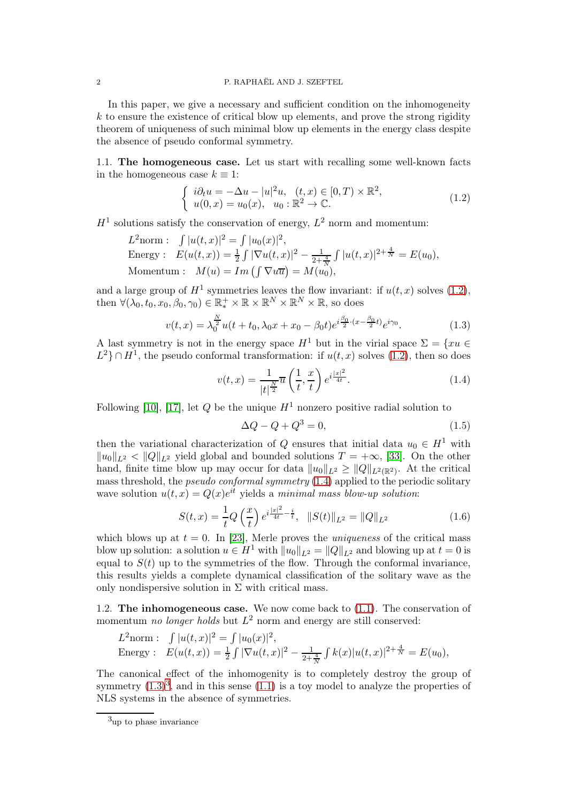In this paper, we give a necessary and sufficient condition on the inhomogeneity  $k$  to ensure the existence of critical blow up elements, and prove the strong rigidity theorem of uniqueness of such minimal blow up elements in the energy class despite the absence of pseudo conformal symmetry.

1.1. The homogeneous case. Let us start with recalling some well-known facts in the homogeneous case  $k \equiv 1$ :

<span id="page-1-1"></span>
$$
\begin{cases}\ni\partial_t u = -\Delta u - |u|^2 u, & (t, x) \in [0, T) \times \mathbb{R}^2, \\
u(0, x) = u_0(x), & u_0 : \mathbb{R}^2 \to \mathbb{C}.\n\end{cases}
$$
\n(1.2)

 $H<sup>1</sup>$  solutions satisfy the conservation of energy,  $L<sup>2</sup>$  norm and momentum:

$$
L^{2} \text{norm}: \quad \int |u(t,x)|^{2} = \int |u_{0}(x)|^{2},
$$
\n
$$
\text{Energy}: \quad E(u(t,x)) = \frac{1}{2} \int |\nabla u(t,x)|^{2} - \frac{1}{2 + \frac{4}{N}} \int |u(t,x)|^{2 + \frac{4}{N}} = E(u_{0}),
$$
\n
$$
\text{Momentum}: \quad M(u) = Im \left( \int \nabla u \overline{u} \right) = M(u_{0}),
$$

and a large group of  $H^1$  symmetries leaves the flow invariant: if  $u(t, x)$  solves  $(1.2)$ , then  $\forall (\lambda_0, t_0, x_0, \beta_0, \gamma_0) \in \mathbb{R}_*^+ \times \mathbb{R} \times \mathbb{R}^N \times \mathbb{R}^N \times \mathbb{R}$ , so does

<span id="page-1-2"></span>
$$
v(t,x) = \lambda_0^{\frac{N}{2}} u(t+t_0, \lambda_0 x + x_0 - \beta_0 t) e^{i\frac{\beta_0}{2} \cdot (x - \frac{\beta_0}{2}t)} e^{i\gamma_0}.
$$
 (1.3)

A last symmetry is not in the energy space  $H^1$  but in the virial space  $\Sigma = \{xu \in$  $L^2$ } ∩  $H^1$ , the pseudo conformal transformation: if  $u(t, x)$  solves [\(1.2\)](#page-1-1), then so does

<span id="page-1-0"></span>
$$
v(t,x) = \frac{1}{|t|^{\frac{N}{2}}} \overline{u}\left(\frac{1}{t}, \frac{x}{t}\right) e^{i\frac{|x|^2}{4t}}.
$$
 (1.4)

Following [\[10\]](#page-72-3), [\[17\]](#page-72-4), let Q be the unique  $H^1$  nonzero positive radial solution to

<span id="page-1-4"></span>
$$
\Delta Q - Q + Q^3 = 0,\tag{1.5}
$$

then the variational characterization of Q ensures that initial data  $u_0 \in H^1$  with  $||u_0||_{L^2} < ||Q||_{L^2}$  yield global and bounded solutions  $T = +\infty$ , [\[33\]](#page-73-0). On the other hand, finite time blow up may occur for data  $||u_0||_{L^2} \ge ||Q||_{L^2(\mathbb{R}^2)}$ . At the critical mass threshold, the pseudo conformal symmetry [\(1.4\)](#page-1-0) applied to the periodic solitary wave solution  $u(t, x) = Q(x)e^{it}$  yields a minimal mass blow-up solution:

<span id="page-1-5"></span>
$$
S(t,x) = \frac{1}{t}Q\left(\frac{x}{t}\right)e^{i\frac{|x|^2}{4t} - \frac{i}{t}}, \quad ||S(t)||_{L^2} = ||Q||_{L^2}
$$
\n(1.6)

which blows up at  $t = 0$ . In [\[23\]](#page-72-0), Merle proves the *uniqueness* of the critical mass blow up solution: a solution  $u \in H^1$  with  $||u_0||_{L^2} = ||Q||_{L^2}$  and blowing up at  $t = 0$  is equal to  $S(t)$  up to the symmetries of the flow. Through the conformal invariance, this results yields a complete dynamical classification of the solitary wave as the only nondispersive solution in  $\Sigma$  with critical mass.

1.2. The inhomogeneous case. We now come back to [\(1.1\)](#page-0-0). The conservation of momentum *no longer holds* but  $L^2$  norm and energy are still conserved:

$$
L^{2} \text{norm}: \quad \int |u(t,x)|^{2} = \int |u_{0}(x)|^{2},
$$
\n
$$
\text{Energy}: \quad E(u(t,x)) = \frac{1}{2} \int |\nabla u(t,x)|^{2} - \frac{1}{2 + \frac{4}{N}} \int k(x)|u(t,x)|^{2 + \frac{4}{N}} = E(u_{0}),
$$

The canonical effect of the inhomogenity is to completely destroy the group of symmetry  $(1.3)^3$  $(1.3)^3$  $(1.3)^3$ , and in this sense  $(1.1)$  is a toy model to analyze the properties of NLS systems in the absence of symmetries.

<span id="page-1-3"></span><sup>3</sup>up to phase invariance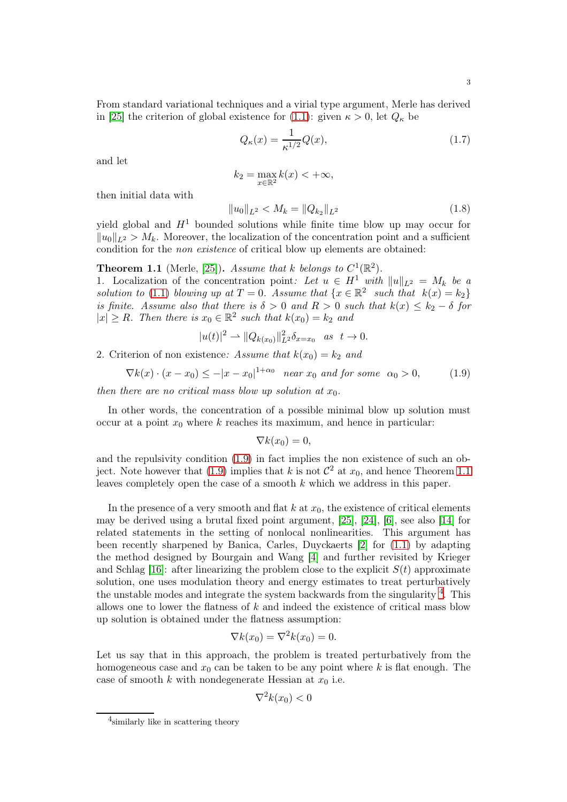From standard variational techniques and a virial type argument, Merle has derived in [\[25\]](#page-72-2) the criterion of global existence for [\(1.1\)](#page-0-0): given  $\kappa > 0$ , let  $Q_{\kappa}$  be

<span id="page-2-3"></span>
$$
Q_{\kappa}(x) = \frac{1}{\kappa^{1/2}} Q(x),\tag{1.7}
$$

and let

$$
k_2 = \max_{x \in \mathbb{R}^2} k(x) < +\infty,
$$

then initial data with

<span id="page-2-4"></span>
$$
||u_0||_{L^2} < M_k = ||Q_{k_2}||_{L^2}
$$
\n(1.8)

yield global and  $H<sup>1</sup>$  bounded solutions while finite time blow up may occur for  $||u_0||_{L^2} > M_k$ . Moreover, the localization of the concentration point and a sufficient condition for the non existence of critical blow up elements are obtained:

<span id="page-2-0"></span>**Theorem 1.1** (Merle, [\[25\]](#page-72-2)). Assume that k belongs to  $C^1(\mathbb{R}^2)$ .

1. Localization of the concentration point: Let  $u \in H^1$  with  $||u||_{L^2} = M_k$  be a solution to [\(1.1\)](#page-0-0) blowing up at  $T = 0$ . Assume that  $\{x \in \mathbb{R}^2 \text{ such that } k(x) = k_2\}$ is finite. Assume also that there is  $\delta > 0$  and  $R > 0$  such that  $k(x) \leq k_2 - \delta$  for  $|x| \ge R$ . Then there is  $x_0 \in \mathbb{R}^2$  such that  $k(x_0) = k_2$  and

$$
|u(t)|^2 \rightharpoonup \|Q_{k(x_0)}\|_{L^2}^2 \delta_{x=x_0} \quad as \quad t \to 0.
$$

2. Criterion of non existence: Assume that  $k(x_0) = k_2$  and

<span id="page-2-1"></span>
$$
\nabla k(x) \cdot (x - x_0) \le -|x - x_0|^{1 + \alpha_0} \quad near \ x_0 \ and \ for \ some \ \alpha_0 > 0,\tag{1.9}
$$

then there are no critical mass blow up solution at  $x_0$ .

In other words, the concentration of a possible minimal blow up solution must occur at a point  $x_0$  where k reaches its maximum, and hence in particular:

$$
\nabla k(x_0)=0,
$$

and the repulsivity condition [\(1.9\)](#page-2-1) in fact implies the non existence of such an ob-ject. Note however that [\(1.9\)](#page-2-1) implies that k is not  $\mathcal{C}^2$  at  $x_0$ , and hence Theorem [1.1](#page-2-0) leaves completely open the case of a smooth  $k$  which we address in this paper.

In the presence of a very smooth and flat  $k$  at  $x<sub>0</sub>$ , the existence of critical elements may be derived using a brutal fixed point argument, [\[25\]](#page-72-2), [\[24\]](#page-72-5), [\[6\]](#page-72-6), see also [\[14\]](#page-72-7) for related statements in the setting of nonlocal nonlinearities. This argument has been recently sharpened by Banica, Carles, Duyckaerts [\[2\]](#page-71-0) for [\(1.1\)](#page-0-0) by adapting the method designed by Bourgain and Wang [\[4\]](#page-72-8) and further revisited by Krieger and Schlag [\[16\]](#page-72-9): after linearizing the problem close to the explicit  $S(t)$  approximate solution, one uses modulation theory and energy estimates to treat perturbatively the unstable modes and integrate the system backwards from the singularity <sup>[4](#page-2-2)</sup>. This allows one to lower the flatness of k and indeed the existence of critical mass blow up solution is obtained under the flatness assumption:

$$
\nabla k(x_0) = \nabla^2 k(x_0) = 0.
$$

Let us say that in this approach, the problem is treated perturbatively from the homogeneous case and  $x_0$  can be taken to be any point where k is flat enough. The case of smooth k with nondegenerate Hessian at  $x_0$  i.e.

$$
\nabla^2 k(x_0) < 0
$$

<span id="page-2-2"></span><sup>4</sup> similarly like in scattering theory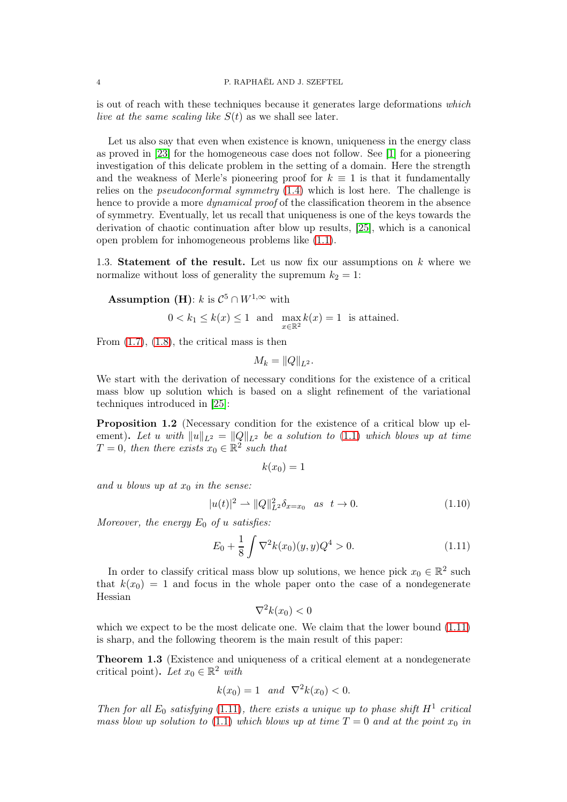is out of reach with these techniques because it generates large deformations which live at the same scaling like  $S(t)$  as we shall see later.

Let us also say that even when existence is known, uniqueness in the energy class as proved in [\[23\]](#page-72-0) for the homogeneous case does not follow. See [\[1\]](#page-71-1) for a pioneering investigation of this delicate problem in the setting of a domain. Here the strength and the weakness of Merle's pioneering proof for  $k \equiv 1$  is that it fundamentally relies on the *pseudoconformal symmetry*  $(1.4)$  which is lost here. The challenge is hence to provide a more *dynamical proof* of the classification theorem in the absence of symmetry. Eventually, let us recall that uniqueness is one of the keys towards the derivation of chaotic continuation after blow up results, [\[25\]](#page-72-2), which is a canonical open problem for inhomogeneous problems like [\(1.1\)](#page-0-0).

1.3. Statement of the result. Let us now fix our assumptions on k where we normalize without loss of generality the supremum  $k_2 = 1$ :

**Assumption** (**H**):  $k$  is  $\mathcal{C}^5 \cap W^{1,\infty}$  with

$$
0 < k_1 \le k(x) \le 1 \quad \text{and} \quad \max_{x \in \mathbb{R}^2} k(x) = 1 \quad \text{is attained.}
$$

From  $(1.7)$ ,  $(1.8)$ , the critical mass is then

$$
M_k = ||Q||_{L^2}.
$$

We start with the derivation of necessary conditions for the existence of a critical mass blow up solution which is based on a slight refinement of the variational techniques introduced in [\[25\]](#page-72-2):

Proposition 1.2 (Necessary condition for the existence of a critical blow up element). Let u with  $||u||_{L^2} = ||Q||_{L^2}$  be a solution to [\(1.1\)](#page-0-0) which blows up at time  $T = 0$ , then there exists  $x_0 \in \mathbb{R}^2$  such that

$$
k(x_0)=1
$$

and u blows up at  $x_0$  in the sense:

<span id="page-3-1"></span>
$$
|u(t)|^2 \rightharpoonup ||Q||_{L^2}^2 \delta_{x=x_0} \quad \text{as} \quad t \to 0. \tag{1.10}
$$

Moreover, the energy  $E_0$  of u satisfies:

<span id="page-3-0"></span>
$$
E_0 + \frac{1}{8} \int \nabla^2 k(x_0)(y, y) Q^4 > 0.
$$
 (1.11)

In order to classify critical mass blow up solutions, we hence pick  $x_0 \in \mathbb{R}^2$  such that  $k(x_0) = 1$  and focus in the whole paper onto the case of a nondegenerate Hessian

$$
\nabla^2 k(x_0) < 0
$$

which we expect to be the most delicate one. We claim that the lower bound  $(1.11)$ is sharp, and the following theorem is the main result of this paper:

<span id="page-3-2"></span>Theorem 1.3 (Existence and uniqueness of a critical element at a nondegenerate critical point). Let  $x_0 \in \mathbb{R}^2$  with

$$
k(x_0) = 1
$$
 and  $\nabla^2 k(x_0) < 0$ .

Then for all  $E_0$  satisfying [\(1.11\)](#page-3-0), there exists a unique up to phase shift  $H^1$  critical mass blow up solution to [\(1.1\)](#page-0-0) which blows up at time  $T = 0$  and at the point  $x_0$  in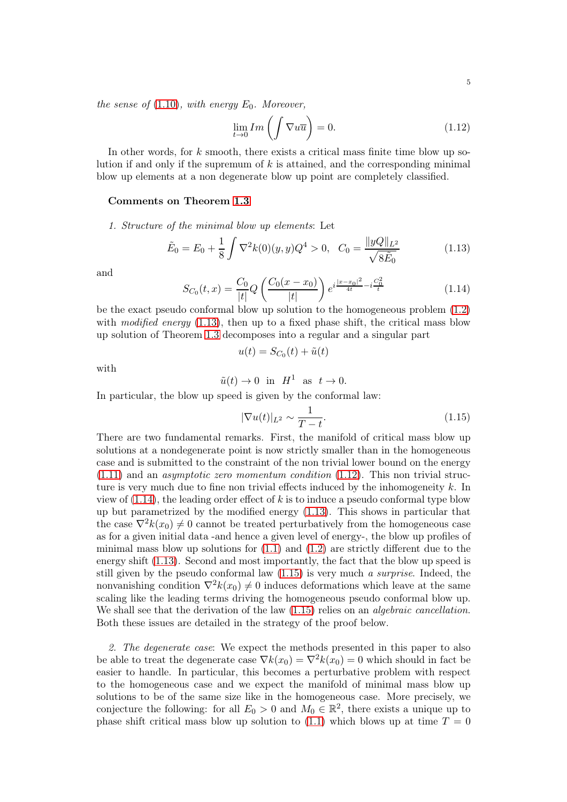the sense of  $(1.10)$ , with energy  $E_0$ . Moreover,

<span id="page-4-1"></span>
$$
\lim_{t \to 0} Im\left(\int \nabla u \overline{u}\right) = 0. \tag{1.12}
$$

In other words, for  $k$  smooth, there exists a critical mass finite time blow up solution if and only if the supremum of  $k$  is attained, and the corresponding minimal blow up elements at a non degenerate blow up point are completely classified.

#### Comments on Theorem [1.3](#page-3-2)

1. Structure of the minimal blow up elements: Let

<span id="page-4-0"></span>
$$
\tilde{E}_0 = E_0 + \frac{1}{8} \int \nabla^2 k(0)(y, y) Q^4 > 0, \quad C_0 = \frac{\|yQ\|_{L^2}}{\sqrt{8\tilde{E}_0}}
$$
\n(1.13)

and

<span id="page-4-2"></span>
$$
S_{C_0}(t,x) = \frac{C_0}{|t|} Q\left(\frac{C_0(x-x_0)}{|t|}\right) e^{i\frac{|x-x_0|^2}{4t} - i\frac{C_0^2}{t}}
$$
(1.14)

be the exact pseudo conformal blow up solution to the homogeneous problem [\(1.2\)](#page-1-1) with modified energy  $(1.13)$ , then up to a fixed phase shift, the critical mass blow up solution of Theorem [1.3](#page-3-2) decomposes into a regular and a singular part

$$
u(t) = S_{C_0}(t) + \tilde{u}(t)
$$

with

$$
\tilde{u}(t) \to 0
$$
 in  $H^1$  as  $t \to 0$ .

In particular, the blow up speed is given by the conformal law:

<span id="page-4-3"></span>
$$
|\nabla u(t)|_{L^2} \sim \frac{1}{T-t}.\tag{1.15}
$$

There are two fundamental remarks. First, the manifold of critical mass blow up solutions at a nondegenerate point is now strictly smaller than in the homogeneous case and is submitted to the constraint of the non trivial lower bound on the energy  $(1.11)$  and an *asymptotic zero momentum condition*  $(1.12)$ . This non trivial structure is very much due to fine non trivial effects induced by the inhomogeneity k. In view of  $(1.14)$ , the leading order effect of k is to induce a pseudo conformal type blow up but parametrized by the modified energy [\(1.13\)](#page-4-0). This shows in particular that the case  $\nabla^2 k(x_0) \neq 0$  cannot be treated perturbatively from the homogeneous case as for a given initial data -and hence a given level of energy-, the blow up profiles of minimal mass blow up solutions for  $(1.1)$  and  $(1.2)$  are strictly different due to the energy shift [\(1.13\)](#page-4-0). Second and most importantly, the fact that the blow up speed is still given by the pseudo conformal law  $(1.15)$  is very much a surprise. Indeed, the nonvanishing condition  $\nabla^2 k(x_0) \neq 0$  induces deformations which leave at the same scaling like the leading terms driving the homogeneous pseudo conformal blow up. We shall see that the derivation of the law  $(1.15)$  relies on an *algebraic cancellation*. Both these issues are detailed in the strategy of the proof below.

2. The degenerate case: We expect the methods presented in this paper to also be able to treat the degenerate case  $\nabla k(x_0) = \nabla^2 k(x_0) = 0$  which should in fact be easier to handle. In particular, this becomes a perturbative problem with respect to the homogeneous case and we expect the manifold of minimal mass blow up solutions to be of the same size like in the homogeneous case. More precisely, we conjecture the following: for all  $E_0 > 0$  and  $M_0 \in \mathbb{R}^2$ , there exists a unique up to phase shift critical mass blow up solution to [\(1.1\)](#page-0-0) which blows up at time  $T = 0$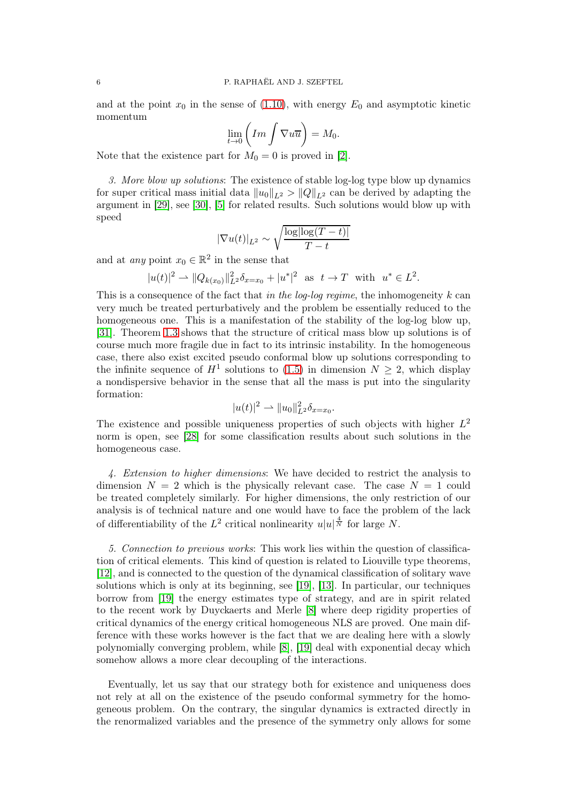and at the point  $x_0$  in the sense of [\(1.10\)](#page-3-1), with energy  $E_0$  and asymptotic kinetic momentum

$$
\lim_{t \to 0} \left( Im \int \nabla u \overline{u} \right) = M_0.
$$

Note that the existence part for  $M_0 = 0$  is proved in [\[2\]](#page-71-0).

3. More blow up solutions: The existence of stable log-log type blow up dynamics for super critical mass initial data  $||u_0||_{L^2} > ||Q||_{L^2}$  can be derived by adapting the argument in [\[29\]](#page-72-10), see [\[30\]](#page-72-11), [\[5\]](#page-72-12) for related results. Such solutions would blow up with speed

$$
|\nabla u(t)|_{L^2} \sim \sqrt{\frac{\log|\log(T-t)|}{T-t}}
$$

and at *any* point  $x_0 \in \mathbb{R}^2$  in the sense that

$$
|u(t)|^2 \rightharpoonup \|Q_{k(x_0)}\|_{L^2}^2 \delta_{x=x_0} + |u^*|^2 \text{ as } t \to T \text{ with } u^* \in L^2.
$$

This is a consequence of the fact that in the log-log regime, the inhomogeneity  $k$  can very much be treated perturbatively and the problem be essentially reduced to the homogeneous one. This is a manifestation of the stability of the log-log blow up, [\[31\]](#page-72-13). Theorem [1.3](#page-3-2) shows that the structure of critical mass blow up solutions is of course much more fragile due in fact to its intrinsic instability. In the homogeneous case, there also exist excited pseudo conformal blow up solutions corresponding to the infinite sequence of  $H^1$  solutions to [\(1.5\)](#page-1-4) in dimension  $N \geq 2$ , which display a nondispersive behavior in the sense that all the mass is put into the singularity formation:

$$
|u(t)|^2 \rightharpoonup \|u_0\|_{L^2}^2 \delta_{x=x_0}.
$$

The existence and possible uniqueness properties of such objects with higher  $L^2$ norm is open, see [\[28\]](#page-72-14) for some classification results about such solutions in the homogeneous case.

4. Extension to higher dimensions: We have decided to restrict the analysis to dimension  $N = 2$  which is the physically relevant case. The case  $N = 1$  could be treated completely similarly. For higher dimensions, the only restriction of our analysis is of technical nature and one would have to face the problem of the lack of differentiability of the  $L^2$  critical nonlinearity  $u|u|^{\frac{4}{N}}$  for large N.

5. Connection to previous works: This work lies within the question of classification of critical elements. This kind of question is related to Liouville type theorems, [\[12\]](#page-72-15), and is connected to the question of the dynamical classification of solitary wave solutions which is only at its beginning, see [\[19\]](#page-72-16), [\[13\]](#page-72-17). In particular, our techniques borrow from [\[19\]](#page-72-16) the energy estimates type of strategy, and are in spirit related to the recent work by Duyckaerts and Merle [\[8\]](#page-72-18) where deep rigidity properties of critical dynamics of the energy critical homogeneous NLS are proved. One main difference with these works however is the fact that we are dealing here with a slowly polynomially converging problem, while [\[8\]](#page-72-18), [\[19\]](#page-72-16) deal with exponential decay which somehow allows a more clear decoupling of the interactions.

Eventually, let us say that our strategy both for existence and uniqueness does not rely at all on the existence of the pseudo conformal symmetry for the homogeneous problem. On the contrary, the singular dynamics is extracted directly in the renormalized variables and the presence of the symmetry only allows for some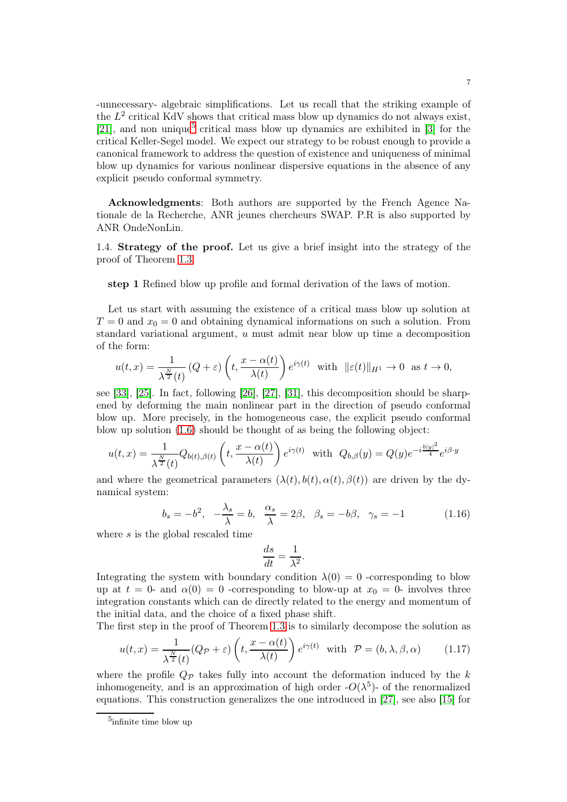-unnecessary- algebraic simplifications. Let us recall that the striking example of the  $L^2$  critical KdV shows that critical mass blow up dynamics do not always exist, [\[21\]](#page-72-19), and non unique<sup>[5](#page-6-0)</sup> critical mass blow up dynamics are exhibited in  $[3]$  for the critical Keller-Segel model. We expect our strategy to be robust enough to provide a canonical framework to address the question of existence and uniqueness of minimal blow up dynamics for various nonlinear dispersive equations in the absence of any explicit pseudo conformal symmetry.

Acknowledgments: Both authors are supported by the French Agence Nationale de la Recherche, ANR jeunes chercheurs SWAP. P.R is also supported by ANR OndeNonLin.

1.4. Strategy of the proof. Let us give a brief insight into the strategy of the proof of Theorem [1.3.](#page-3-2)

step 1 Refined blow up profile and formal derivation of the laws of motion.

Let us start with assuming the existence of a critical mass blow up solution at  $T = 0$  and  $x_0 = 0$  and obtaining dynamical informations on such a solution. From standard variational argument, u must admit near blow up time a decomposition of the form:

$$
u(t,x) = \frac{1}{\lambda^{\frac{N}{2}}(t)} (Q+\varepsilon) \left( t, \frac{x-\alpha(t)}{\lambda(t)} \right) e^{i\gamma(t)} \quad \text{with} \quad ||\varepsilon(t)||_{H^1} \to 0 \quad \text{as } t \to 0,
$$

see [\[33\]](#page-73-0), [\[25\]](#page-72-2). In fact, following [\[26\]](#page-72-20), [\[27\]](#page-72-21), [\[31\]](#page-72-13), this decomposition should be sharpened by deforming the main nonlinear part in the direction of pseudo conformal blow up. More precisely, in the homogeneous case, the explicit pseudo conformal blow up solution [\(1.6\)](#page-1-5) should be thought of as being the following object:

$$
u(t,x) = \frac{1}{\lambda^{\frac{N}{2}}(t)} Q_{b(t),\beta(t)} \left( t, \frac{x - \alpha(t)}{\lambda(t)} \right) e^{i\gamma(t)} \text{ with } Q_{b,\beta}(y) = Q(y) e^{-i\frac{b|y|^2}{4}} e^{i\beta \cdot y}
$$

and where the geometrical parameters  $(\lambda(t), b(t), \alpha(t), \beta(t))$  are driven by the dynamical system:

$$
b_s = -b^2, \quad -\frac{\lambda_s}{\lambda} = b, \quad \frac{\alpha_s}{\lambda} = 2\beta, \quad \beta_s = -b\beta, \quad \gamma_s = -1 \tag{1.16}
$$

where s is the global rescaled time

$$
\frac{ds}{dt} = \frac{1}{\lambda^2}.
$$

Integrating the system with boundary condition  $\lambda(0) = 0$  -corresponding to blow up at  $t = 0$ - and  $\alpha(0) = 0$ -corresponding to blow-up at  $x_0 = 0$ - involves three integration constants which can de directly related to the energy and momentum of the initial data, and the choice of a fixed phase shift.

The first step in the proof of Theorem [1.3](#page-3-2) is to similarly decompose the solution as

<span id="page-6-1"></span>
$$
u(t,x) = \frac{1}{\lambda^{\frac{N}{2}}(t)}(Q_{\mathcal{P}} + \varepsilon) \left(t, \frac{x - \alpha(t)}{\lambda(t)}\right) e^{i\gamma(t)} \quad \text{with} \quad \mathcal{P} = (b, \lambda, \beta, \alpha) \tag{1.17}
$$

where the profile  $Q_{\mathcal{P}}$  takes fully into account the deformation induced by the k inhomogeneity, and is an approximation of high order  $-O(\lambda^5)$ - of the renormalized equations. This construction generalizes the one introduced in [\[27\]](#page-72-21), see also [\[15\]](#page-72-22) for

<span id="page-6-0"></span><sup>5</sup> infinite time blow up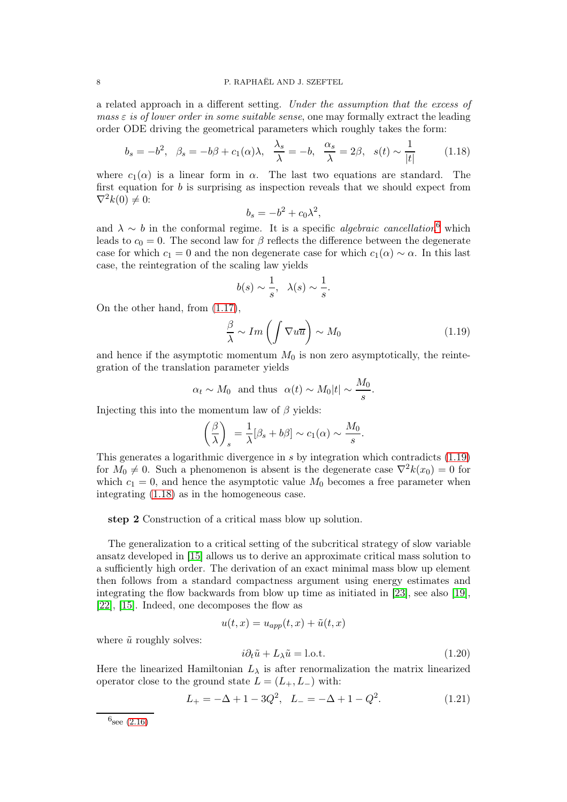a related approach in a different setting. Under the assumption that the excess of mass  $\varepsilon$  is of lower order in some suitable sense, one may formally extract the leading order ODE driving the geometrical parameters which roughly takes the form:

<span id="page-7-2"></span>
$$
b_s = -b^2, \quad \beta_s = -b\beta + c_1(\alpha)\lambda, \quad \frac{\lambda_s}{\lambda} = -b, \quad \frac{\alpha_s}{\lambda} = 2\beta, \quad s(t) \sim \frac{1}{|t|} \tag{1.18}
$$

where  $c_1(\alpha)$  is a linear form in  $\alpha$ . The last two equations are standard. The first equation for  $b$  is surprising as inspection reveals that we should expect from  $\nabla^2 k(0) \neq 0$ :

$$
b_s = -b^2 + c_0 \lambda^2,
$$

and  $\lambda \sim b$  in the conformal regime. It is a specific *algebraic cancellation*<sup>[6](#page-7-0)</sup> which leads to  $c_0 = 0$ . The second law for  $\beta$  reflects the difference between the degenerate case for which  $c_1 = 0$  and the non degenerate case for which  $c_1(\alpha) \sim \alpha$ . In this last case, the reintegration of the scaling law yields

$$
b(s) \sim \frac{1}{s}, \lambda(s) \sim \frac{1}{s}.
$$

On the other hand, from [\(1.17\)](#page-6-1),

<span id="page-7-1"></span>
$$
\frac{\beta}{\lambda} \sim Im\left(\int \nabla u \overline{u}\right) \sim M_0\tag{1.19}
$$

and hence if the asymptotic momentum  $M_0$  is non zero asymptotically, the reintegration of the translation parameter yields

$$
\alpha_t \sim M_0
$$
 and thus  $\alpha(t) \sim M_0|t| \sim \frac{M_0}{s}$ .

Injecting this into the momentum law of  $\beta$  yields:

$$
\left(\frac{\beta}{\lambda}\right)_s = \frac{1}{\lambda} [\beta_s + b\beta] \sim c_1(\alpha) \sim \frac{M_0}{s}.
$$

This generates a logarithmic divergence in s by integration which contradicts [\(1.19\)](#page-7-1) for  $M_0 \neq 0$ . Such a phenomenon is absent is the degenerate case  $\nabla^2 k(x_0) = 0$  for which  $c_1 = 0$ , and hence the asymptotic value  $M_0$  becomes a free parameter when integrating [\(1.18\)](#page-7-2) as in the homogeneous case.

step 2 Construction of a critical mass blow up solution.

The generalization to a critical setting of the subcritical strategy of slow variable ansatz developed in [\[15\]](#page-72-22) allows us to derive an approximate critical mass solution to a sufficiently high order. The derivation of an exact minimal mass blow up element then follows from a standard compactness argument using energy estimates and integrating the flow backwards from blow up time as initiated in [\[23\]](#page-72-0), see also [\[19\]](#page-72-16), [\[22\]](#page-72-23), [\[15\]](#page-72-22). Indeed, one decomposes the flow as

$$
u(t,x) = u_{app}(t,x) + \tilde{u}(t,x)
$$

where  $\tilde{u}$  roughly solves:

<span id="page-7-3"></span>
$$
i\partial_t \tilde{u} + L_\lambda \tilde{u} = \text{l.o.t.} \tag{1.20}
$$

Here the linearized Hamiltonian  $L_{\lambda}$  is after renormalization the matrix linearized operator close to the ground state  $L = (L_+, L_-)$  with:

<span id="page-7-4"></span>
$$
L_{+} = -\Delta + 1 - 3Q^{2}, \quad L_{-} = -\Delta + 1 - Q^{2}.
$$
 (1.21)

<span id="page-7-0"></span> $6_{\text{see}} (2.16)$  $6_{\text{see}} (2.16)$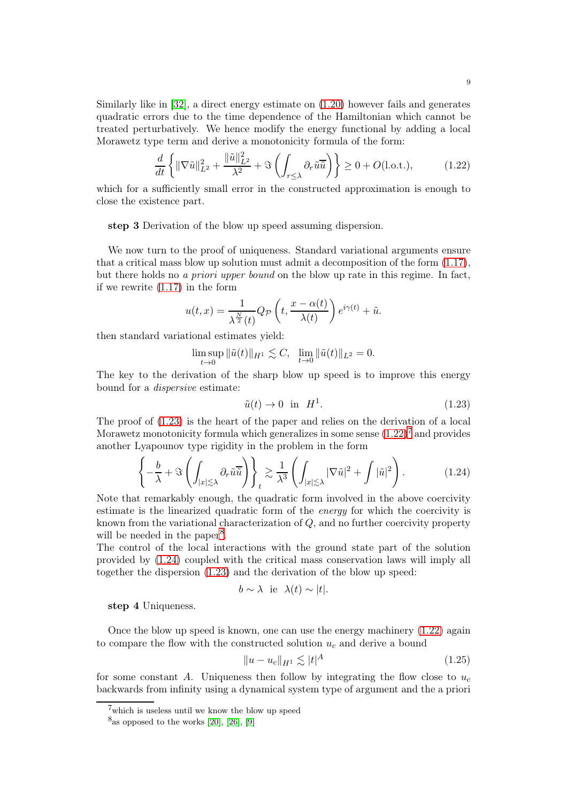Similarly like in [\[32\]](#page-73-1), a direct energy estimate on [\(1.20\)](#page-7-3) however fails and generates quadratic errors due to the time dependence of the Hamiltonian which cannot be treated perturbatively. We hence modify the energy functional by adding a local Morawetz type term and derive a monotonicity formula of the form:

<span id="page-8-1"></span>
$$
\frac{d}{dt}\left\{\|\nabla\tilde{u}\|_{L^2}^2 + \frac{\|\tilde{u}\|_{L^2}^2}{\lambda^2} + \Im\left(\int_{r\leq \lambda} \partial_r \tilde{u}\overline{\tilde{u}}\right)\right\} \geq 0 + O(\text{l.o.t.}),\tag{1.22}
$$

which for a sufficiently small error in the constructed approximation is enough to close the existence part.

step 3 Derivation of the blow up speed assuming dispersion.

We now turn to the proof of uniqueness. Standard variational arguments ensure that a critical mass blow up solution must admit a decomposition of the form [\(1.17\)](#page-6-1), but there holds no a priori upper bound on the blow up rate in this regime. In fact, if we rewrite [\(1.17\)](#page-6-1) in the form

$$
u(t,x) = \frac{1}{\lambda^{\frac{N}{2}}(t)} Q_{\mathcal{P}}\left(t, \frac{x - \alpha(t)}{\lambda(t)}\right) e^{i\gamma(t)} + \tilde{u}.
$$

then standard variational estimates yield:

$$
\limsup_{t \to 0} \|\tilde{u}(t)\|_{H^1} \lesssim C, \ \ \lim_{t \to 0} \|\tilde{u}(t)\|_{L^2} = 0.
$$

The key to the derivation of the sharp blow up speed is to improve this energy bound for a dispersive estimate:

<span id="page-8-0"></span>
$$
\tilde{u}(t) \to 0 \quad \text{in} \quad H^1. \tag{1.23}
$$

The proof of [\(1.23\)](#page-8-0) is the heart of the paper and relies on the derivation of a local Morawetz monotonicity formula which generalizes in some sense  $(1.22)^7$  $(1.22)^7$  $(1.22)^7$  and provides another Lyapounov type rigidity in the problem in the form

<span id="page-8-4"></span>
$$
\left\{-\frac{b}{\lambda} + \Im\left(\int_{|x|\lesssim \lambda} \partial_r \tilde{u}\overline{\tilde{u}}\right)\right\}_t \gtrsim \frac{1}{\lambda^3} \left(\int_{|x|\lesssim \lambda} |\nabla \tilde{u}|^2 + \int |\tilde{u}|^2\right). \tag{1.24}
$$

Note that remarkably enough, the quadratic form involved in the above coercivity estimate is the linearized quadratic form of the *energy* for which the coercivity is known from the variational characterization of Q, and no further coercivity property will be needed in the paper<sup>[8](#page-8-3)</sup>.

The control of the local interactions with the ground state part of the solution provided by [\(1.24\)](#page-8-4) coupled with the critical mass conservation laws will imply all together the dispersion [\(1.23\)](#page-8-0) and the derivation of the blow up speed:

$$
b \sim \lambda
$$
 ie  $\lambda(t) \sim |t|$ .

step 4 Uniqueness.

Once the blow up speed is known, one can use the energy machinery [\(1.22\)](#page-8-1) again to compare the flow with the constructed solution  $u_c$  and derive a bound

<span id="page-8-5"></span>
$$
||u - u_c||_{H^1} \lesssim |t|^A \tag{1.25}
$$

for some constant A. Uniqueness then follow by integrating the flow close to  $u_c$ backwards from infinity using a dynamical system type of argument and the a priori

<sup>7</sup>which is useless until we know the blow up speed

<span id="page-8-3"></span><span id="page-8-2"></span> $8_{\text{as opposed to the works} [20], [26], [9]$  $8_{\text{as opposed to the works} [20], [26], [9]$  $8_{\text{as opposed to the works} [20], [26], [9]$  $8_{\text{as opposed to the works} [20], [26], [9]$  $8_{\text{as opposed to the works} [20], [26], [9]$  $8_{\text{as opposed to the works} [20], [26], [9]$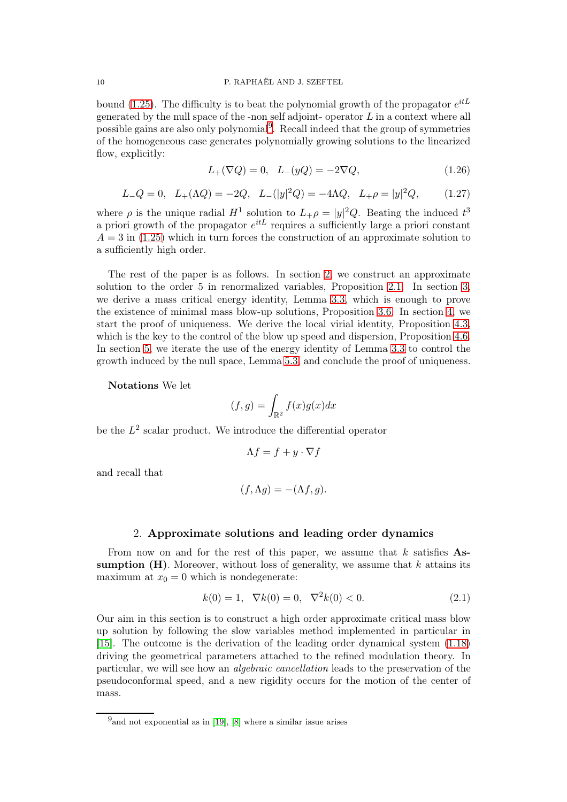bound [\(1.25\)](#page-8-5). The difficulty is to beat the polynomial growth of the propagator  $e^{itL}$ generated by the null space of the -non self adjoint- operator  $L$  in a context where all possible gains are also only polynomial[9](#page-9-0) . Recall indeed that the group of symmetries of the homogeneous case generates polynomially growing solutions to the linearized flow, explicitly:

<span id="page-9-2"></span>
$$
L_{+}(\nabla Q) = 0, \quad L_{-}(yQ) = -2\nabla Q, \tag{1.26}
$$

<span id="page-9-3"></span>
$$
L_{-}Q = 0, \quad L_{+}(\Lambda Q) = -2Q, \quad L_{-}(|y|^{2}Q) = -4\Lambda Q, \quad L_{+}\rho = |y|^{2}Q, \tag{1.27}
$$

where  $\rho$  is the unique radial  $H^1$  solution to  $L_+\rho = |y|^2 Q$ . Beating the induced  $t^3$ a priori growth of the propagator  $e^{itL}$  requires a sufficiently large a priori constant  $A = 3$  in [\(1.25\)](#page-8-5) which in turn forces the construction of an approximate solution to a sufficiently high order.

The rest of the paper is as follows. In section [2,](#page-9-1) we construct an approximate solution to the order 5 in renormalized variables, Proposition [2.1.](#page-11-0) In section [3,](#page-15-0) we derive a mass critical energy identity, Lemma [3.3,](#page-21-0) which is enough to prove the existence of minimal mass blow-up solutions, Proposition [3.6.](#page-30-0) In section [4,](#page-33-0) we start the proof of uniqueness. We derive the local virial identity, Proposition [4.3,](#page-37-0) which is the key to the control of the blow up speed and dispersion, Proposition [4.6.](#page-45-0) In section [5,](#page-49-0) we iterate the use of the energy identity of Lemma [3.3](#page-21-0) to control the growth induced by the null space, Lemma [5.3,](#page-54-0) and conclude the proof of uniqueness.

Notations We let

$$
(f,g)=\int_{\mathbb{R}^2}f(x)g(x)dx
$$

be the  $L^2$  scalar product. We introduce the differential operator

$$
\Lambda f = f + y \cdot \nabla f
$$

and recall that

$$
(f, \Lambda g) = -(\Lambda f, g).
$$

#### 2. Approximate solutions and leading order dynamics

<span id="page-9-1"></span>From now on and for the rest of this paper, we assume that  $k$  satisfies Assumption  $(H)$ . Moreover, without loss of generality, we assume that k attains its maximum at  $x_0 = 0$  which is nondegenerate:

<span id="page-9-4"></span>
$$
k(0) = 1, \ \nabla k(0) = 0, \ \nabla^2 k(0) < 0. \tag{2.1}
$$

Our aim in this section is to construct a high order approximate critical mass blow up solution by following the slow variables method implemented in particular in [\[15\]](#page-72-22). The outcome is the derivation of the leading order dynamical system [\(1.18\)](#page-7-2) driving the geometrical parameters attached to the refined modulation theory. In particular, we will see how an algebraic cancellation leads to the preservation of the pseudoconformal speed, and a new rigidity occurs for the motion of the center of mass.

<span id="page-9-0"></span> $^{9}$  and not exponential as in [\[19\]](#page-72-16), [\[8\]](#page-72-18) where a similar issue arises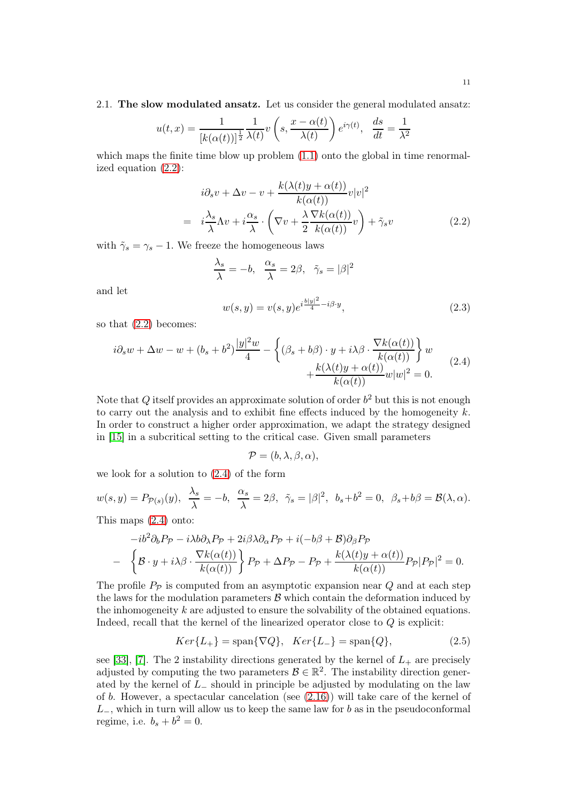$$
u(t,x) = \frac{1}{[k(\alpha(t))]^{\frac{1}{2}}}\frac{1}{\lambda(t)}v\left(s, \frac{x - \alpha(t)}{\lambda(t)}\right)e^{i\gamma(t)}, \frac{ds}{dt} = \frac{1}{\lambda^2}
$$

which maps the finite time blow up problem  $(1.1)$  onto the global in time renormalized equation [\(2.2\)](#page-10-0):

<span id="page-10-0"></span>
$$
i\partial_s v + \Delta v - v + \frac{k(\lambda(t)y + \alpha(t))}{k(\alpha(t))}v|v|^2
$$
  
= 
$$
i\frac{\lambda_s}{\lambda}\Lambda v + i\frac{\alpha_s}{\lambda} \cdot \left(\nabla v + \frac{\lambda \nabla k(\alpha(t))}{2k(\alpha(t))}v\right) + \tilde{\gamma}_s v
$$
 (2.2)

with  $\tilde{\gamma}_s = \gamma_s - 1$ . We freeze the homogeneous laws

$$
\frac{\lambda_s}{\lambda} = -b, \quad \frac{\alpha_s}{\lambda} = 2\beta, \quad \tilde{\gamma}_s = |\beta|^2
$$

and let

<span id="page-10-3"></span>
$$
w(s,y) = v(s,y)e^{i\frac{b|y|^2}{4} - i\beta \cdot y},
$$
\n(2.3)

so that [\(2.2\)](#page-10-0) becomes:

<span id="page-10-1"></span>
$$
i\partial_s w + \Delta w - w + (b_s + b^2) \frac{|y|^2 w}{4} - \left\{ (\beta_s + b\beta) \cdot y + i\lambda \beta \cdot \frac{\nabla k(\alpha(t))}{k(\alpha(t))} \right\} w + \frac{k(\lambda(t)y + \alpha(t))}{k(\alpha(t))} w|w|^2 = 0.
$$
\n(2.4)

Note that Q itself provides an approximate solution of order  $b<sup>2</sup>$  but this is not enough to carry out the analysis and to exhibit fine effects induced by the homogeneity  $k$ . In order to construct a higher order approximation, we adapt the strategy designed in [\[15\]](#page-72-22) in a subcritical setting to the critical case. Given small parameters

$$
\mathcal{P}=(b,\lambda,\beta,\alpha),
$$

we look for a solution to [\(2.4\)](#page-10-1) of the form

$$
w(s,y) = P_{\mathcal{P}(s)}(y), \quad \frac{\lambda_s}{\lambda} = -b, \quad \frac{\alpha_s}{\lambda} = 2\beta, \quad \tilde{\gamma}_s = |\beta|^2, \quad b_s + b^2 = 0, \quad \beta_s + b\beta = \mathcal{B}(\lambda, \alpha).
$$

This maps [\(2.4\)](#page-10-1) onto:

$$
-ib^{2}\partial_{b}P_{\mathcal{P}} - i\lambda b\partial_{\lambda}P_{\mathcal{P}} + 2i\beta\lambda\partial_{\alpha}P_{\mathcal{P}} + i(-b\beta + \mathcal{B})\partial_{\beta}P_{\mathcal{P}}
$$

$$
- \left\{\mathcal{B} \cdot y + i\lambda\beta \cdot \frac{\nabla k(\alpha(t))}{k(\alpha(t))}\right\} P_{\mathcal{P}} + \Delta P_{\mathcal{P}} - P_{\mathcal{P}} + \frac{k(\lambda(t)y + \alpha(t))}{k(\alpha(t))} P_{\mathcal{P}} |P_{\mathcal{P}}|^{2} = 0.
$$

The profile  $P_{\mathcal{P}}$  is computed from an asymptotic expansion near Q and at each step the laws for the modulation parameters  $\beta$  which contain the deformation induced by the inhomogeneity  $k$  are adjusted to ensure the solvability of the obtained equations. Indeed, recall that the kernel of the linearized operator close to Q is explicit:

<span id="page-10-2"></span>
$$
Ker\{L_{+}\} = \text{span}\{\nabla Q\}, \quad Ker\{L_{-}\} = \text{span}\{Q\},\tag{2.5}
$$

see [\[33\]](#page-73-0), [\[7\]](#page-72-26). The 2 instability directions generated by the kernel of  $L_{+}$  are precisely adjusted by computing the two parameters  $\mathcal{B} \in \mathbb{R}^2$ . The instability direction generated by the kernel of  $L_-\$  should in principle be adjusted by modulating on the law of b. However, a spectacular cancelation (see [\(2.16\)](#page-12-0)) will take care of the kernel of  $L_$ , which in turn will allow us to keep the same law for b as in the pseudoconformal regime, i.e.  $b_s + b^2 = 0$ .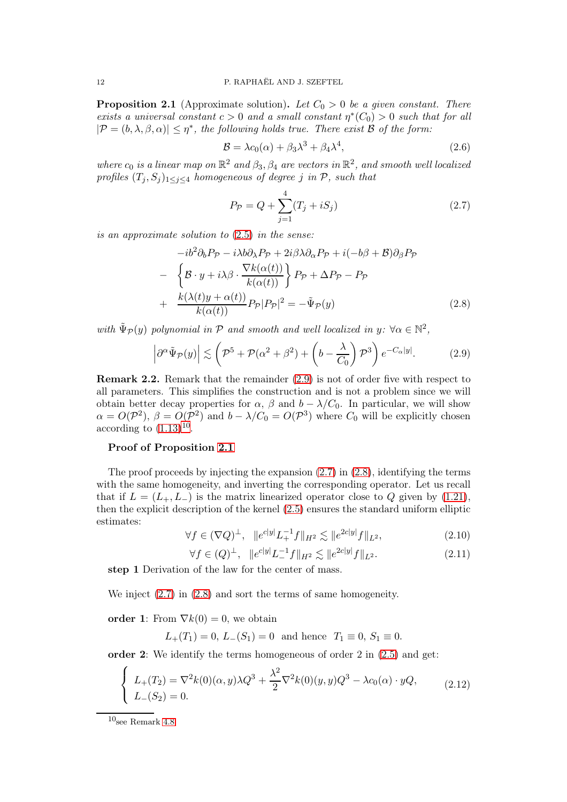<span id="page-11-0"></span>**Proposition 2.1** (Approximate solution). Let  $C_0 > 0$  be a given constant. There exists a universal constant  $c > 0$  and a small constant  $\eta^*(C_0) > 0$  such that for all  $|\mathcal{P}=(b,\lambda,\beta,\alpha)|\leq \eta^*$ , the following holds true. There exist **B** of the form:

$$
\mathcal{B} = \lambda c_0(\alpha) + \beta_3 \lambda^3 + \beta_4 \lambda^4,\tag{2.6}
$$

where  $c_0$  is a linear map on  $\mathbb{R}^2$  and  $\beta_3$ ,  $\beta_4$  are vectors in  $\mathbb{R}^2$ , and smooth well localized profiles  $(T_i, S_j)_{1 \leq i \leq 4}$  homogeneous of degree j in P, such that

<span id="page-11-3"></span>
$$
P_{\mathcal{P}} = Q + \sum_{j=1}^{4} (T_j + iS_j)
$$
\n(2.7)

is an approximate solution to [\(2.5\)](#page-10-2) in the sense:

<span id="page-11-4"></span>
$$
-ib^{2}\partial_{b}P_{\mathcal{P}} - i\lambda b\partial_{\lambda}P_{\mathcal{P}} + 2i\beta\lambda\partial_{\alpha}P_{\mathcal{P}} + i(-b\beta + \mathcal{B})\partial_{\beta}P_{\mathcal{P}}
$$

$$
- \left\{\mathcal{B} \cdot y + i\lambda\beta \cdot \frac{\nabla k(\alpha(t))}{k(\alpha(t))}\right\} P_{\mathcal{P}} + \Delta P_{\mathcal{P}} - P_{\mathcal{P}}
$$

$$
+ \frac{k(\lambda(t)y + \alpha(t))}{k(\alpha(t))} P_{\mathcal{P}} |P_{\mathcal{P}}|^{2} = -\tilde{\Psi}_{\mathcal{P}}(y) \qquad (2.8)
$$

with  $\tilde{\Psi}_{\mathcal{P}}(y)$  polynomial in  $\mathcal P$  and smooth and well localized in  $y: \forall \alpha \in \mathbb{N}^2$ ,

<span id="page-11-1"></span>
$$
\left| \partial^{\alpha} \tilde{\Psi}_{\mathcal{P}}(y) \right| \lesssim \left( \mathcal{P}^{5} + \mathcal{P}(\alpha^{2} + \beta^{2}) + \left( b - \frac{\lambda}{C_{0}} \right) \mathcal{P}^{3} \right) e^{-C_{\alpha}|y|}.
$$
 (2.9)

Remark 2.2. Remark that the remainder [\(2.9\)](#page-11-1) is not of order five with respect to all parameters. This simplifies the construction and is not a problem since we will obtain better decay properties for  $\alpha$ ,  $\beta$  and  $b - \lambda/C_0$ . In particular, we will show  $\alpha = O(\mathcal{P}^2)$ ,  $\beta = O(\mathcal{P}^2)$  and  $b - \lambda/C_0 = O(\mathcal{P}^3)$  where  $C_0$  will be explicitly chosen according to  $(1.13)^{10}$  $(1.13)^{10}$  $(1.13)^{10}$  $(1.13)^{10}$ .

### Proof of Proposition [2.1](#page-11-0)

The proof proceeds by injecting the expansion  $(2.7)$  in  $(2.8)$ , identifying the terms with the same homogeneity, and inverting the corresponding operator. Let us recall that if  $L = (L_+, L_-)$  is the matrix linearized operator close to Q given by [\(1.21\)](#page-7-4), then the explicit description of the kernel [\(2.5\)](#page-10-2) ensures the standard uniform elliptic estimates:

<span id="page-11-6"></span>
$$
\forall f \in (\nabla Q)^{\perp}, \quad \|e^{c|y|} L_+^{-1} f\|_{H^2} \lesssim \|e^{2c|y|} f\|_{L^2},\tag{2.10}
$$

<span id="page-11-7"></span>
$$
\forall f \in (Q)^{\perp}, \quad \|e^{c|y|}L^{-1}_{-}f\|_{H^2} \lesssim \|e^{2c|y|}f\|_{L^2}.
$$
 (2.11)

step 1 Derivation of the law for the center of mass.

We inject [\(2.7\)](#page-11-3) in [\(2.8\)](#page-11-4) and sort the terms of same homogeneity.

order 1: From  $\nabla k(0) = 0$ , we obtain

 $L_{+}(T_1) = 0, L_{-}(S_1) = 0$  and hence  $T_1 \equiv 0, S_1 \equiv 0$ .

order 2: We identify the terms homogeneous of order 2 in [\(2.5\)](#page-10-2) and get:

<span id="page-11-5"></span>
$$
\begin{cases}\nL_{+}(T_{2}) = \nabla^{2}k(0)(\alpha, y)\lambda Q^{3} + \frac{\lambda^{2}}{2}\nabla^{2}k(0)(y, y)Q^{3} - \lambda c_{0}(\alpha) \cdot yQ, \\
L_{-}(S_{2}) = 0.\n\end{cases}
$$
\n(2.12)

<span id="page-11-2"></span> $10_{\mbox{\scriptsize{see Remark 4.8}}}$  $10_{\mbox{\scriptsize{see Remark 4.8}}}$  $10_{\mbox{\scriptsize{see Remark 4.8}}}$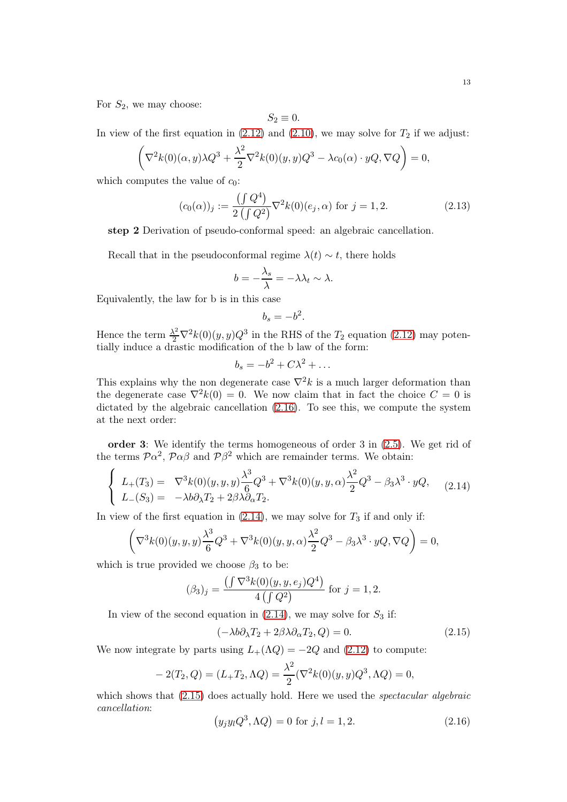For  $S_2$ , we may choose:

$$
S_2\equiv 0.
$$

In view of the first equation in  $(2.12)$  and  $(2.10)$ , we may solve for  $T_2$  if we adjust:

$$
\left(\nabla^2 k(0)(\alpha, y)\lambda Q^3 + \frac{\lambda^2}{2}\nabla^2 k(0)(y, y)Q^3 - \lambda c_0(\alpha) \cdot yQ, \nabla Q\right) = 0,
$$

which computes the value of  $c_0$ :

$$
(c_0(\alpha))_j := \frac{\left(\int Q^4\right)}{2\left(\int Q^2\right)} \nabla^2 k(0)(e_j, \alpha) \text{ for } j = 1, 2. \tag{2.13}
$$

step 2 Derivation of pseudo-conformal speed: an algebraic cancellation.

Recall that in the pseudoconformal regime  $\lambda(t) \sim t$ , there holds

$$
b = -\frac{\lambda_s}{\lambda} = -\lambda \lambda_t \sim \lambda.
$$

Equivalently, the law for b is in this case

$$
b_s=-b^2.
$$

Hence the term  $\frac{\lambda^2}{2} \nabla^2 k(0)(y, y) Q^3$  in the RHS of the  $T_2$  equation [\(2.12\)](#page-11-5) may potentially induce a drastic modification of the b law of the form:

$$
b_s = -b^2 + C\lambda^2 + \dots
$$

This explains why the non degenerate case  $\nabla^2 k$  is a much larger deformation than the degenerate case  $\nabla^2 k(0) = 0$ . We now claim that in fact the choice  $C = 0$  is dictated by the algebraic cancellation [\(2.16\)](#page-12-0). To see this, we compute the system at the next order:

order 3: We identify the terms homogeneous of order 3 in [\(2.5\)](#page-10-2). We get rid of the terms  $\mathcal{P}\alpha^2$ ,  $\mathcal{P}\alpha\beta$  and  $\mathcal{P}\beta^2$  which are remainder terms. We obtain:

<span id="page-12-1"></span>
$$
\begin{cases}\nL_{+}(T_3) = \nabla^3 k(0)(y, y, y) \frac{\lambda^3}{6} Q^3 + \nabla^3 k(0)(y, y, \alpha) \frac{\lambda^2}{2} Q^3 - \beta_3 \lambda^3 \cdot yQ, \\
L_{-}(S_3) = -\lambda b \partial_{\lambda} T_2 + 2\beta \lambda \partial_{\alpha} T_2.\n\end{cases} (2.14)
$$

In view of the first equation in  $(2.14)$ , we may solve for  $T_3$  if and only if:

$$
\left(\nabla^3 k(0)(y,y,y)\frac{\lambda^3}{6}Q^3 + \nabla^3 k(0)(y,y,\alpha)\frac{\lambda^2}{2}Q^3 - \beta_3\lambda^3 \cdot yQ, \nabla Q\right) = 0,
$$

which is true provided we choose  $\beta_3$  to be:

$$
(\beta_3)_j = \frac{\left(\int \nabla^3 k(0)(y, y, e_j) Q^4\right)}{4 \left(\int Q^2\right)} \text{ for } j = 1, 2.
$$

In view of the second equation in  $(2.14)$ , we may solve for  $S_3$  if:

<span id="page-12-2"></span>
$$
(-\lambda b \partial_{\lambda} T_2 + 2\beta \lambda \partial_{\alpha} T_2, Q) = 0. \qquad (2.15)
$$

We now integrate by parts using  $L_+(\Lambda Q) = -2Q$  and [\(2.12\)](#page-11-5) to compute:

$$
-2(T_2, Q) = (L_+T_2, \Lambda Q) = \frac{\lambda^2}{2} (\nabla^2 k(0)(y, y) Q^3, \Lambda Q) = 0,
$$

which shows that  $(2.15)$  does actually hold. Here we used the *spectacular algebraic* cancellation:

<span id="page-12-0"></span>
$$
(y_j y_l Q^3, \Lambda Q) = 0 \text{ for } j, l = 1, 2.
$$
 (2.16)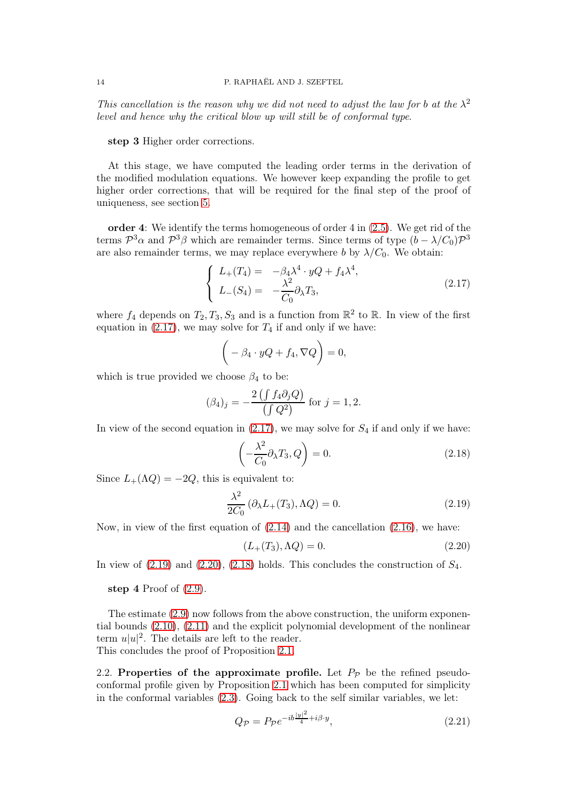This cancellation is the reason why we did not need to adjust the law for b at the  $\lambda^2$ level and hence why the critical blow up will still be of conformal type.

step 3 Higher order corrections.

At this stage, we have computed the leading order terms in the derivation of the modified modulation equations. We however keep expanding the profile to get higher order corrections, that will be required for the final step of the proof of uniqueness, see section [5.](#page-49-0)

order 4: We identify the terms homogeneous of order  $4$  in  $(2.5)$ . We get rid of the terms  $\mathcal{P}^3\alpha$  and  $\mathcal{P}^3\beta$  which are remainder terms. Since terms of type  $(b - \lambda/C_0)\mathcal{P}^3$ are also remainder terms, we may replace everywhere b by  $\lambda/C_0$ . We obtain:

<span id="page-13-0"></span>
$$
\begin{cases}\nL_{+}(T_{4}) = -\beta_{4}\lambda^{4} \cdot yQ + f_{4}\lambda^{4}, \\
L_{-}(S_{4}) = -\frac{\lambda^{2}}{C_{0}}\partial_{\lambda}T_{3},\n\end{cases}
$$
\n(2.17)

where  $f_4$  depends on  $T_2, T_3, S_3$  and is a function from  $\mathbb{R}^2$  to  $\mathbb{R}$ . In view of the first equation in  $(2.17)$ , we may solve for  $T_4$  if and only if we have:

$$
\bigg(-\beta_4 \cdot yQ + f_4, \nabla Q\bigg) = 0,
$$

which is true provided we choose  $\beta_4$  to be:

$$
(\beta_4)_j = -\frac{2(\int f_4 \partial_j Q)}{(\int Q^2)}
$$
 for  $j = 1, 2$ .

In view of the second equation in  $(2.17)$ , we may solve for  $S_4$  if and only if we have:

<span id="page-13-3"></span>
$$
\left(-\frac{\lambda^2}{C_0}\partial_\lambda T_3, Q\right) = 0. \tag{2.18}
$$

Since  $L_+(\Lambda Q) = -2Q$ , this is equivalent to:

<span id="page-13-1"></span>
$$
\frac{\lambda^2}{2C_0} \left( \partial_{\lambda} L_+(T_3), \Lambda Q \right) = 0. \tag{2.19}
$$

Now, in view of the first equation of  $(2.14)$  and the cancellation  $(2.16)$ , we have:

<span id="page-13-2"></span>
$$
(L_{+}(T_3), \Lambda Q) = 0. \t\t(2.20)
$$

In view of  $(2.19)$  and  $(2.20)$ ,  $(2.18)$  holds. This concludes the construction of  $S_4$ .

### step 4 Proof of  $(2.9)$ .

The estimate [\(2.9\)](#page-11-1) now follows from the above construction, the uniform exponential bounds [\(2.10\)](#page-11-6), [\(2.11\)](#page-11-7) and the explicit polynomial development of the nonlinear term  $u|u|^2$ . The details are left to the reader. This concludes the proof of Proposition [2.1.](#page-11-0)

2.2. Properties of the approximate profile. Let  $P_{\mathcal{P}}$  be the refined pseudoconformal profile given by Proposition [2.1](#page-11-0) which has been computed for simplicity in the conformal variables [\(2.3\)](#page-10-3). Going back to the self similar variables, we let:

<span id="page-13-4"></span>
$$
Q_{\mathcal{P}} = P_{\mathcal{P}} e^{-ib\frac{|y|^2}{4} + i\beta \cdot y},\tag{2.21}
$$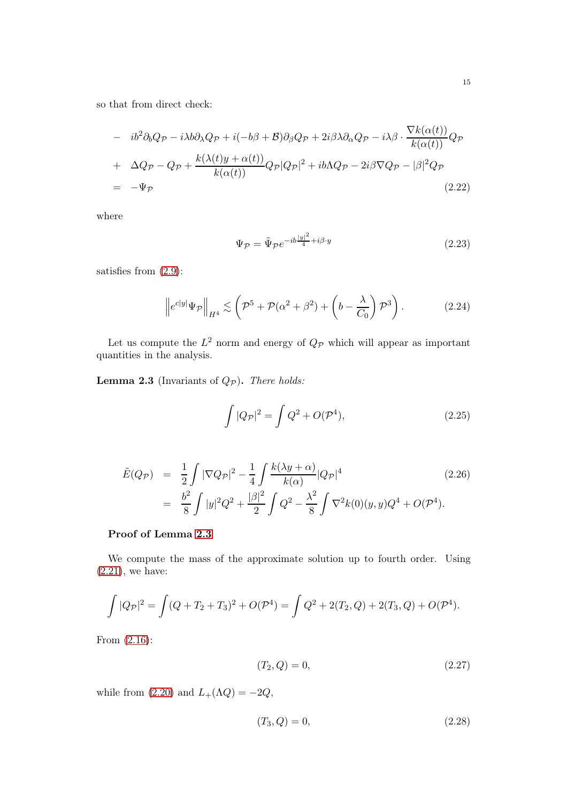so that from direct check:

<span id="page-14-7"></span>
$$
- ib2 \partial_b Q_{\mathcal{P}} - i \lambda b \partial_{\lambda} Q_{\mathcal{P}} + i(-b\beta + \mathcal{B}) \partial_{\beta} Q_{\mathcal{P}} + 2i\beta \lambda \partial_{\alpha} Q_{\mathcal{P}} - i\lambda \beta \cdot \frac{\nabla k(\alpha(t))}{k(\alpha(t))} Q_{\mathcal{P}}
$$
  
+ 
$$
\Delta Q_{\mathcal{P}} - Q_{\mathcal{P}} + \frac{k(\lambda(t)y + \alpha(t))}{k(\alpha(t))} Q_{\mathcal{P}} |Q_{\mathcal{P}}|^2 + ib\Lambda Q_{\mathcal{P}} - 2i\beta \nabla Q_{\mathcal{P}} - |\beta|^2 Q_{\mathcal{P}}
$$
  
= 
$$
-\Psi_{\mathcal{P}}
$$
(2.22)

where

<span id="page-14-5"></span>
$$
\Psi_{\mathcal{P}} = \tilde{\Psi}_{\mathcal{P}} e^{-ib\frac{|y|^2}{4} + i\beta \cdot y} \tag{2.23}
$$

satisfies from [\(2.9\)](#page-11-1):

<span id="page-14-6"></span>
$$
\left\|e^{c|y|}\Psi_{\mathcal{P}}\right\|_{H^4} \lesssim \left(\mathcal{P}^5 + \mathcal{P}(\alpha^2 + \beta^2) + \left(b - \frac{\lambda}{C_0}\right)\mathcal{P}^3\right). \tag{2.24}
$$

Let us compute the  $L^2$  norm and energy of  $Q_{\mathcal{P}}$  which will appear as important quantities in the analysis.

<span id="page-14-0"></span>**Lemma 2.3** (Invariants of  $Q_{\mathcal{P}}$ ). There holds:

<span id="page-14-1"></span>
$$
\int |Q_{\mathcal{P}}|^2 = \int Q^2 + O(\mathcal{P}^4),\tag{2.25}
$$

<span id="page-14-4"></span>
$$
\tilde{E}(Q_{\mathcal{P}}) = \frac{1}{2} \int |\nabla Q_{\mathcal{P}}|^2 - \frac{1}{4} \int \frac{k(\lambda y + \alpha)}{k(\alpha)} |Q_{\mathcal{P}}|^4
$$
\n
$$
= \frac{b^2}{8} \int |y|^2 Q^2 + \frac{|\beta|^2}{2} \int Q^2 - \frac{\lambda^2}{8} \int \nabla^2 k(0)(y, y) Q^4 + O(\mathcal{P}^4).
$$
\n(2.26)

## Proof of Lemma [2.3](#page-14-0)

We compute the mass of the approximate solution up to fourth order. Using [\(2.21\)](#page-13-4), we have:

$$
\int |Q_{\mathcal{P}}|^2 = \int (Q + T_2 + T_3)^2 + O(\mathcal{P}^4) = \int Q^2 + 2(T_2, Q) + 2(T_3, Q) + O(\mathcal{P}^4).
$$

From [\(2.16\)](#page-12-0):

<span id="page-14-2"></span>
$$
(T_2, Q) = 0,\t(2.27)
$$

while from [\(2.20\)](#page-13-2) and  $L_+(\Lambda Q) = -2Q$ ,

<span id="page-14-3"></span>
$$
(T_3, Q) = 0,\t(2.28)
$$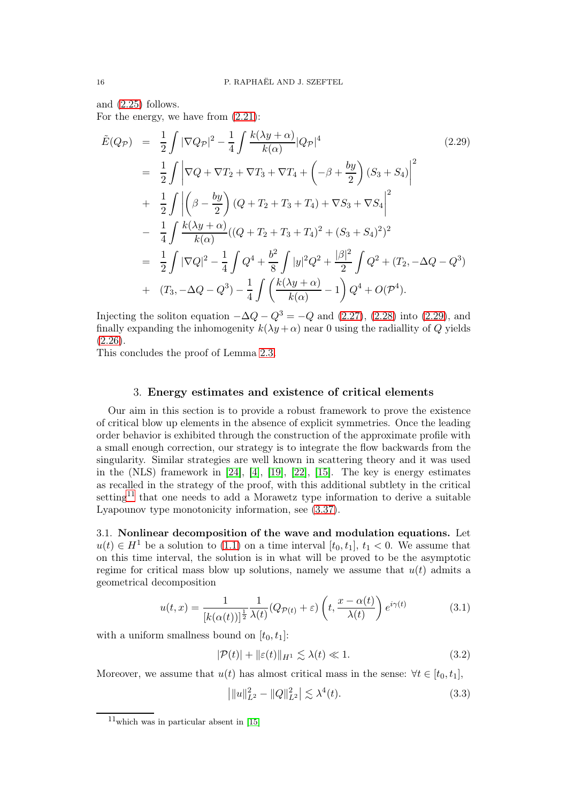and [\(2.25\)](#page-14-1) follows.

For the energy, we have from [\(2.21\)](#page-13-4):

<span id="page-15-1"></span>
$$
\tilde{E}(Q_{\mathcal{P}}) = \frac{1}{2} \int |\nabla Q_{\mathcal{P}}|^2 - \frac{1}{4} \int \frac{k(\lambda y + \alpha)}{k(\alpha)} |Q_{\mathcal{P}}|^4
$$
\n
$$
= \frac{1}{2} \int |\nabla Q + \nabla T_2 + \nabla T_3 + \nabla T_4 + \left( -\beta + \frac{by}{2} \right) (S_3 + S_4)|^2
$$
\n
$$
+ \frac{1}{2} \int \left| \left( \beta - \frac{by}{2} \right) (Q + T_2 + T_3 + T_4) + \nabla S_3 + \nabla S_4 \right|^2
$$
\n
$$
- \frac{1}{4} \int \frac{k(\lambda y + \alpha)}{k(\alpha)} ((Q + T_2 + T_3 + T_4)^2 + (S_3 + S_4)^2)^2
$$
\n
$$
= \frac{1}{2} \int |\nabla Q|^2 - \frac{1}{4} \int Q^4 + \frac{b^2}{8} \int |y|^2 Q^2 + \frac{|\beta|^2}{2} \int Q^2 + (T_2, -\Delta Q - Q^3)
$$
\n
$$
+ (T_3, -\Delta Q - Q^3) - \frac{1}{4} \int \left( \frac{k(\lambda y + \alpha)}{k(\alpha)} - 1 \right) Q^4 + O(\mathcal{P}^4).
$$
\n(2.29)

Injecting the soliton equation  $-\Delta Q - Q^3 = -Q$  and [\(2.27\)](#page-14-2), [\(2.28\)](#page-14-3) into [\(2.29\)](#page-15-1), and finally expanding the inhomogenity  $k(\lambda y + \alpha)$  near 0 using the radiallity of Q yields  $(2.26).$  $(2.26).$ 

<span id="page-15-0"></span>This concludes the proof of Lemma [2.3.](#page-14-0)

### 3. Energy estimates and existence of critical elements

Our aim in this section is to provide a robust framework to prove the existence of critical blow up elements in the absence of explicit symmetries. Once the leading order behavior is exhibited through the construction of the approximate profile with a small enough correction, our strategy is to integrate the flow backwards from the singularity. Similar strategies are well known in scattering theory and it was used in the  $(NLS)$  framework in [\[24\]](#page-72-5), [\[4\]](#page-72-8), [\[19\]](#page-72-16), [\[22\]](#page-72-23), [\[15\]](#page-72-22). The key is energy estimates as recalled in the strategy of the proof, with this additional subtlety in the critical setting<sup>[11](#page-15-2)</sup> that one needs to add a Morawetz type information to derive a suitable Lyapounov type monotonicity information, see [\(3.37\)](#page-21-1).

<span id="page-15-6"></span>3.1. Nonlinear decomposition of the wave and modulation equations. Let  $u(t) \in H<sup>1</sup>$  be a solution to [\(1.1\)](#page-0-0) on a time interval  $[t_0, t_1], t_1 < 0$ . We assume that on this time interval, the solution is in what will be proved to be the asymptotic regime for critical mass blow up solutions, namely we assume that  $u(t)$  admits a geometrical decomposition

<span id="page-15-3"></span>
$$
u(t,x) = \frac{1}{[k(\alpha(t))]^{\frac{1}{2}} \lambda(t)} (Q_{\mathcal{P}(t)} + \varepsilon) \left( t, \frac{x - \alpha(t)}{\lambda(t)} \right) e^{i\gamma(t)} \tag{3.1}
$$

with a uniform smallness bound on  $[t_0, t_1]$ :

<span id="page-15-5"></span>
$$
|\mathcal{P}(t)| + ||\varepsilon(t)||_{H^1} \lesssim \lambda(t) \ll 1.
$$
\n(3.2)

Moreover, we assume that  $u(t)$  has almost critical mass in the sense:  $\forall t \in [t_0, t_1]$ ,

<span id="page-15-4"></span>
$$
\left| \|u\|_{L^2}^2 - \|Q\|_{L^2}^2 \right| \lesssim \lambda^4(t). \tag{3.3}
$$

<span id="page-15-2"></span> $11$ which was in particular absent in [\[15\]](#page-72-22)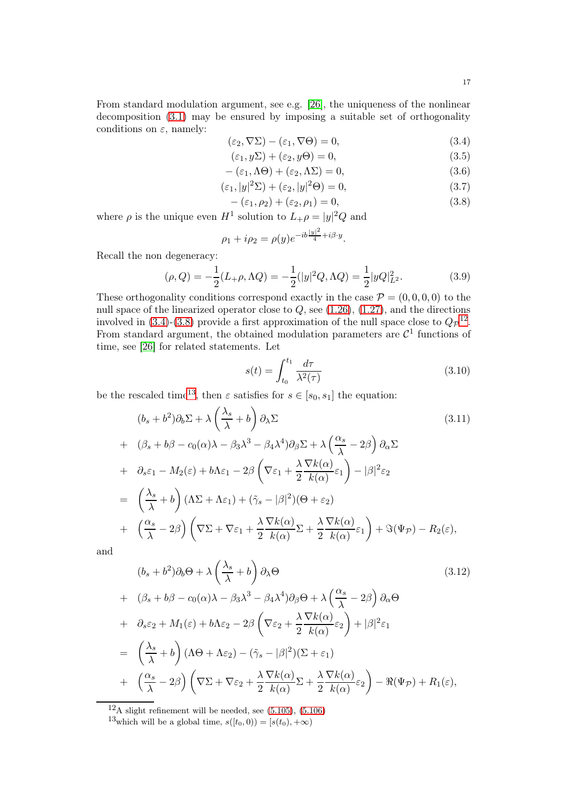From standard modulation argument, see e.g. [\[26\]](#page-72-20), the uniqueness of the nonlinear decomposition [\(3.1\)](#page-15-3) may be ensured by imposing a suitable set of orthogonality conditions on  $\varepsilon$ , namely:

<span id="page-16-0"></span>
$$
(\varepsilon_2, \nabla \Sigma) - (\varepsilon_1, \nabla \Theta) = 0,\tag{3.4}
$$

$$
(\varepsilon_1, y\Sigma) + (\varepsilon_2, y\Theta) = 0,\t\t(3.5)
$$

<span id="page-16-4"></span>
$$
-(\varepsilon_1, \Lambda \Theta) + (\varepsilon_2, \Lambda \Sigma) = 0,
$$
\n(3.6)

$$
(\varepsilon_1, |y|^2 \Sigma) + (\varepsilon_2, |y|^2 \Theta) = 0,
$$
\n(3.7)

<span id="page-16-1"></span>
$$
-(\varepsilon_1, \rho_2) + (\varepsilon_2, \rho_1) = 0,\tag{3.8}
$$

where  $\rho$  is the unique even  $H^1$  solution to  $L_+\rho = |y|^2 Q$  and

$$
\rho_1 + i\rho_2 = \rho(y)e^{-ib\frac{|y|^2}{4} + i\beta \cdot y}.
$$

Recall the non degeneracy:

<span id="page-16-7"></span>
$$
(\rho, Q) = -\frac{1}{2}(L_{+}\rho, \Lambda Q) = -\frac{1}{2}(|y|^2 Q, \Lambda Q) = \frac{1}{2}|yQ|_{L^2}^2.
$$
 (3.9)

These orthogonality conditions correspond exactly in the case  $\mathcal{P} = (0, 0, 0, 0)$  to the null space of the linearized operator close to  $Q$ , see  $(1.26)$ ,  $(1.27)$ , and the directions involved in [\(3.4\)](#page-16-0)-[\(3.8\)](#page-16-1) provide a first approximation of the null space close to  $Q_{\mathcal{P}}^{12}$  $Q_{\mathcal{P}}^{12}$  $Q_{\mathcal{P}}^{12}$ . From standard argument, the obtained modulation parameters are  $\mathcal{C}^1$  functions of time, see [\[26\]](#page-72-20) for related statements. Let

$$
s(t) = \int_{t_0}^{t_1} \frac{d\tau}{\lambda^2(\tau)}\tag{3.10}
$$

be the rescaled time<sup>[13](#page-16-3)</sup>, then  $\varepsilon$  satisfies for  $s \in [s_0, s_1]$  the equation:

<span id="page-16-5"></span>
$$
(b_s + b^2)\partial_b \Sigma + \lambda \left(\frac{\lambda_s}{\lambda} + b\right) \partial_\lambda \Sigma
$$
\n
$$
(3.11)
$$
\n
$$
+ \left(\beta_s + b\beta - c_0(\alpha)\lambda - \beta_3\lambda^3 - \beta_4\lambda^4\right) \partial_\beta \Sigma + \lambda \left(\frac{\alpha_s}{\lambda} - 2\beta\right) \partial_\alpha \Sigma
$$
\n
$$
+ \partial_s \varepsilon_1 - M_2(\varepsilon) + b\Lambda \varepsilon_1 - 2\beta \left(\nabla \varepsilon_1 + \frac{\lambda \nabla k(\alpha)}{2 k(\alpha)} \varepsilon_1\right) - |\beta|^2 \varepsilon_2
$$
\n
$$
= \left(\frac{\lambda_s}{\lambda} + b\right) (\Lambda \Sigma + \Lambda \varepsilon_1) + (\tilde{\gamma}_s - |\beta|^2)(\Theta + \varepsilon_2)
$$
\n
$$
+ \left(\frac{\alpha_s}{\lambda} - 2\beta\right) \left(\nabla \Sigma + \nabla \varepsilon_1 + \frac{\lambda \nabla k(\alpha)}{2 k(\alpha)} \Sigma + \frac{\lambda \nabla k(\alpha)}{2 k(\alpha)} \varepsilon_1\right) + \Im(\Psi \mathcal{P}) - R_2(\varepsilon),
$$
\n(3.11)

and

<span id="page-16-6"></span>
$$
(b_s + b^2)\partial_b \Theta + \lambda \left(\frac{\lambda_s}{\lambda} + b\right) \partial_\lambda \Theta
$$
\n
$$
+ \left(\beta_s + b\beta - c_0(\alpha)\lambda - \beta_3\lambda^3 - \beta_4\lambda^4\right) \partial_\beta \Theta + \lambda \left(\frac{\alpha_s}{\lambda} - 2\beta\right) \partial_\alpha \Theta
$$
\n
$$
+ \partial_s \varepsilon_2 + M_1(\varepsilon) + b\Lambda \varepsilon_2 - 2\beta \left(\nabla \varepsilon_2 + \frac{\lambda}{2} \frac{\nabla k(\alpha)}{k(\alpha)} \varepsilon_2\right) + |\beta|^2 \varepsilon_1
$$
\n
$$
= \left(\frac{\lambda_s}{\lambda} + b\right) (\Lambda \Theta + \Lambda \varepsilon_2) - (\tilde{\gamma}_s - |\beta|^2)(\Sigma + \varepsilon_1)
$$
\n
$$
+ \left(\frac{\alpha_s}{\lambda} - 2\beta\right) \left(\nabla \Sigma + \nabla \varepsilon_2 + \frac{\lambda}{2} \frac{\nabla k(\alpha)}{k(\alpha)} \Sigma + \frac{\lambda}{2} \frac{\nabla k(\alpha)}{k(\alpha)} \varepsilon_2\right) - \Re(\Psi \mathcal{P}) + R_1(\varepsilon),
$$
\n(3.12)

 $12_A$  slight refinement will be needed, see [\(5.105\)](#page-67-0), [\(5.106\)](#page-67-1)

<span id="page-16-3"></span><span id="page-16-2"></span><sup>13</sup>which will be a global time,  $s([t_0, 0)) = [s(t_0), +\infty)$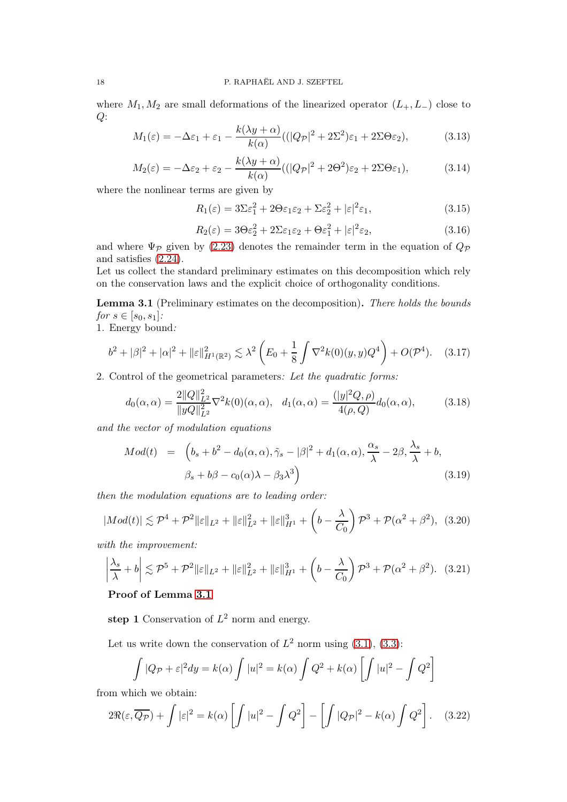where  $M_1, M_2$  are small deformations of the linearized operator  $(L_+, L_-)$  close to  $Q$ :

$$
M_1(\varepsilon) = -\Delta\varepsilon_1 + \varepsilon_1 - \frac{k(\lambda y + \alpha)}{k(\alpha)} \left( (|Q_{\mathcal{P}}|^2 + 2\Sigma^2)\varepsilon_1 + 2\Sigma\Theta\varepsilon_2 \right),\tag{3.13}
$$

$$
M_2(\varepsilon) = -\Delta\varepsilon_2 + \varepsilon_2 - \frac{k(\lambda y + \alpha)}{k(\alpha)}((|Q_{\mathcal{P}}|^2 + 2\Theta^2)\varepsilon_2 + 2\Sigma\Theta\varepsilon_1),\tag{3.14}
$$

where the nonlinear terms are given by

$$
R_1(\varepsilon) = 3\Sigma\varepsilon_1^2 + 2\Theta\varepsilon_1\varepsilon_2 + \Sigma\varepsilon_2^2 + |\varepsilon|^2\varepsilon_1,\tag{3.15}
$$

$$
R_2(\varepsilon) = 3\Theta\varepsilon_2^2 + 2\Sigma\varepsilon_1\varepsilon_2 + \Theta\varepsilon_1^2 + |\varepsilon|^2\varepsilon_2,\tag{3.16}
$$

and where  $\Psi_{\mathcal{P}}$  given by [\(2.23\)](#page-14-5) denotes the remainder term in the equation of  $Q_{\mathcal{P}}$ and satisfies [\(2.24\)](#page-14-6).

Let us collect the standard preliminary estimates on this decomposition which rely on the conservation laws and the explicit choice of orthogonality conditions.

<span id="page-17-0"></span>Lemma 3.1 (Preliminary estimates on the decomposition). There holds the bounds *for*  $s \in [s_0, s_1]$ :

1. Energy bound:

<span id="page-17-1"></span>
$$
b^2 + |\beta|^2 + |\alpha|^2 + ||\varepsilon||_{H^1(\mathbb{R}^2)}^2 \lesssim \lambda^2 \left( E_0 + \frac{1}{8} \int \nabla^2 k(0)(y, y) Q^4 \right) + O(\mathcal{P}^4). \tag{3.17}
$$

2. Control of the geometrical parameters: Let the quadratic forms:

<span id="page-17-5"></span>
$$
d_0(\alpha, \alpha) = \frac{2\|Q\|_{L^2}^2}{\|yQ\|_{L^2}^2} \nabla^2 k(0)(\alpha, \alpha), \quad d_1(\alpha, \alpha) = \frac{(|y|^2 Q, \rho)}{4(\rho, Q)} d_0(\alpha, \alpha), \tag{3.18}
$$

and the vector of modulation equations

$$
Mod(t) = \left(b_s + b^2 - d_0(\alpha, \alpha), \tilde{\gamma}_s - |\beta|^2 + d_1(\alpha, \alpha), \frac{\alpha_s}{\lambda} - 2\beta, \frac{\lambda_s}{\lambda} + b, \beta_s + b\beta - c_0(\alpha)\lambda - \beta_3\lambda^3\right)
$$
\n(3.19)

then the modulation equations are to leading order:

<span id="page-17-2"></span>
$$
|Mod(t)| \lesssim \mathcal{P}^4 + \mathcal{P}^2 ||\varepsilon||_{L^2} + ||\varepsilon||_{L^2}^2 + ||\varepsilon||_{H^1}^3 + \left(b - \frac{\lambda}{C_0}\right)\mathcal{P}^3 + \mathcal{P}(\alpha^2 + \beta^2), \tag{3.20}
$$

with the improvement:

<span id="page-17-3"></span>
$$
\left|\frac{\lambda_s}{\lambda} + b\right| \lesssim \mathcal{P}^5 + \mathcal{P}^2 \|\varepsilon\|_{L^2} + \|\varepsilon\|_{L^2}^2 + \|\varepsilon\|_{H^1}^3 + \left(b - \frac{\lambda}{C_0}\right)\mathcal{P}^3 + \mathcal{P}(\alpha^2 + \beta^2). \tag{3.21}
$$

## Proof of Lemma [3.1](#page-17-0)

step 1 Conservation of  $L^2$  norm and energy.

Let us write down the conservation of  $L^2$  norm using  $(3.1), (3.3)$  $(3.1), (3.3)$ :

$$
\int |Q_{\mathcal{P}} + \varepsilon|^2 dy = k(\alpha) \int |u|^2 = k(\alpha) \int Q^2 + k(\alpha) \left[ \int |u|^2 - \int Q^2 \right]
$$

from which we obtain:

<span id="page-17-4"></span>
$$
2\Re(\varepsilon,\overline{Q_{\mathcal{P}}}) + \int |\varepsilon|^2 = k(\alpha) \left[ \int |u|^2 - \int Q^2 \right] - \left[ \int |Q_{\mathcal{P}}|^2 - k(\alpha) \int Q^2 \right]. \tag{3.22}
$$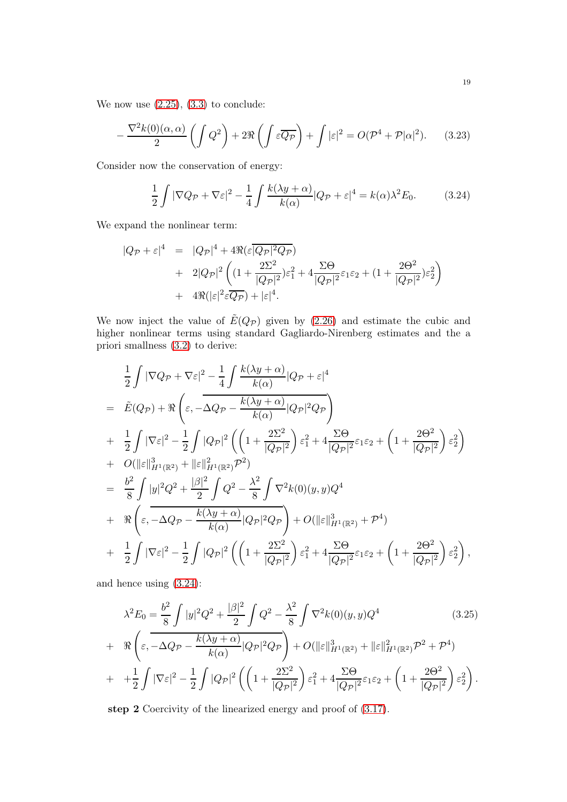We now use  $(2.25)$ ,  $(3.3)$  to conclude:

<span id="page-18-1"></span>
$$
-\frac{\nabla^2 k(0)(\alpha,\alpha)}{2}\left(\int Q^2\right) + 2\Re\left(\int \varepsilon \overline{Q_{\mathcal{P}}}\right) + \int |\varepsilon|^2 = O(\mathcal{P}^4 + \mathcal{P}|\alpha|^2). \tag{3.23}
$$

Consider now the conservation of energy:

<span id="page-18-0"></span>
$$
\frac{1}{2}\int |\nabla Q_{\mathcal{P}} + \nabla \varepsilon|^2 - \frac{1}{4}\int \frac{k(\lambda y + \alpha)}{k(\alpha)} |Q_{\mathcal{P}} + \varepsilon|^4 = k(\alpha)\lambda^2 E_0.
$$
 (3.24)

We expand the nonlinear term:

$$
|Q_{\mathcal{P}} + \varepsilon|^4 = |Q_{\mathcal{P}}|^4 + 4\Re(\varepsilon \overline{|Q_{\mathcal{P}}|^2 Q_{\mathcal{P}}})
$$
  
+  $2|Q_{\mathcal{P}}|^2 \left( (1 + \frac{2\Sigma^2}{|Q_{\mathcal{P}}|^2} \varepsilon_1^2 + 4 \frac{\Sigma \Theta}{|Q_{\mathcal{P}}|^2} \varepsilon_1 \varepsilon_2 + (1 + \frac{2\Theta^2}{|Q_{\mathcal{P}}|^2} \varepsilon_2^2) \right)$   
+  $4\Re(|\varepsilon|^2 \varepsilon \overline{Q_{\mathcal{P}}}) + |\varepsilon|^4.$ 

We now inject the value of  $E(Q_{\mathcal{P}})$  given by [\(2.26\)](#page-14-4) and estimate the cubic and higher nonlinear terms using standard Gagliardo-Nirenberg estimates and the a priori smallness [\(3.2\)](#page-15-5) to derive:

$$
\frac{1}{2}\int |\nabla Q_{\mathcal{P}} + \nabla \varepsilon|^2 - \frac{1}{4}\int \frac{k(\lambda y + \alpha)}{k(\alpha)}|Q_{\mathcal{P}} + \varepsilon|^4
$$
\n
$$
= \tilde{E}(Q_{\mathcal{P}}) + \Re\left(\varepsilon, -\Delta Q_{\mathcal{P}} - \frac{k(\lambda y + \alpha)}{k(\alpha)}|Q_{\mathcal{P}}|^2 Q_{\mathcal{P}}\right)
$$
\n
$$
+ \frac{1}{2}\int |\nabla \varepsilon|^2 - \frac{1}{2}\int |Q_{\mathcal{P}}|^2 \left(\left(1 + \frac{2\Sigma^2}{|Q_{\mathcal{P}}|^2}\right) \varepsilon_1^2 + 4\frac{\Sigma \Theta}{|Q_{\mathcal{P}}|^2} \varepsilon_1 \varepsilon_2 + \left(1 + \frac{2\Theta^2}{|Q_{\mathcal{P}}|^2}\right) \varepsilon_2^2\right)
$$
\n
$$
+ O(||\varepsilon||_{H^1(\mathbb{R}^2)}^3 + ||\varepsilon||_{H^1(\mathbb{R}^2)}^2 \mathcal{P}^2)
$$
\n
$$
= \frac{b^2}{8}\int |y|^2 Q^2 + \frac{|\beta|^2}{2}\int Q^2 - \frac{\lambda^2}{8}\int \nabla^2 k(0)(y, y) Q^4
$$
\n
$$
+ \Re\left(\varepsilon, -\Delta Q_{\mathcal{P}} - \frac{k(\lambda y + \alpha)}{k(\alpha)}|Q_{\mathcal{P}}|^2 Q_{\mathcal{P}}\right) + O(||\varepsilon||_{H^1(\mathbb{R}^2)}^3 + \mathcal{P}^4)
$$
\n
$$
+ \frac{1}{2}\int |\nabla \varepsilon|^2 - \frac{1}{2}\int |Q_{\mathcal{P}}|^2 \left(\left(1 + \frac{2\Sigma^2}{|Q_{\mathcal{P}}|^2}\right) \varepsilon_1^2 + 4\frac{\Sigma \Theta}{|Q_{\mathcal{P}}|^2 \varepsilon_1 \varepsilon_2 + \left(1 + \frac{2\Theta^2}{|Q_{\mathcal{P}}|^2}\right) \varepsilon_2^2\right),
$$

and hence using [\(3.24\)](#page-18-0):

<span id="page-18-2"></span>
$$
\lambda^{2} E_{0} = \frac{b^{2}}{8} \int |y|^{2} Q^{2} + \frac{|\beta|^{2}}{2} \int Q^{2} - \frac{\lambda^{2}}{8} \int \nabla^{2} k(0)(y, y) Q^{4}
$$
(3.25)  
+ 
$$
\Re \left( \varepsilon, -\Delta Q_{\mathcal{P}} - \frac{k(\lambda y + \alpha)}{k(\alpha)} |Q_{\mathcal{P}}|^{2} Q_{\mathcal{P}} \right) + O(\|\varepsilon\|_{H^{1}(\mathbb{R}^{2})}^{3} + \|\varepsilon\|_{H^{1}(\mathbb{R}^{2})}^{2} \mathcal{P}^{2} + \mathcal{P}^{4})
$$

$$
+ \frac{1}{2} \int |\nabla \varepsilon|^{2} - \frac{1}{2} \int |Q_{\mathcal{P}}|^{2} \left( \left( 1 + \frac{2\Sigma^{2}}{|Q_{\mathcal{P}}|^{2}} \right) \varepsilon_{1}^{2} + 4 \frac{\Sigma \Theta}{|Q_{\mathcal{P}}|^{2}} \varepsilon_{1} \varepsilon_{2} + \left( 1 + \frac{2\Theta^{2}}{|Q_{\mathcal{P}}|^{2}} \right) \varepsilon_{2}^{2} \right).
$$

step 2 Coercivity of the linearized energy and proof of [\(3.17\)](#page-17-1).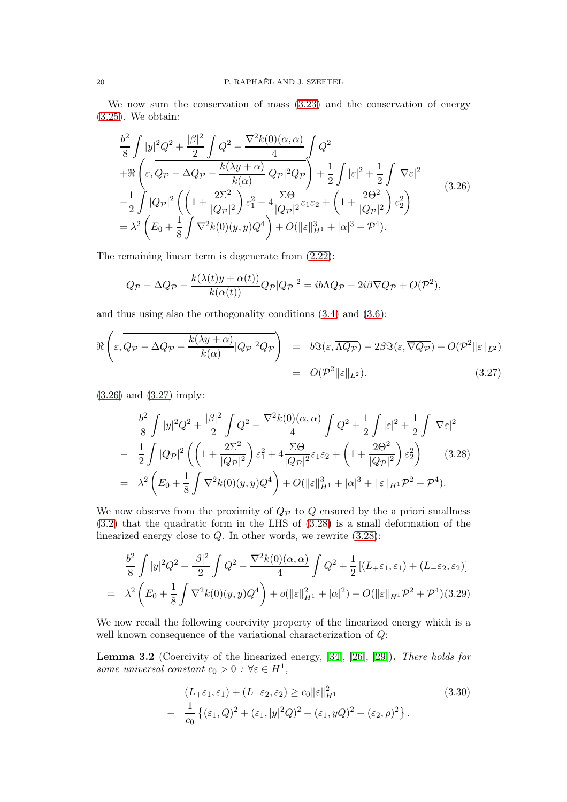We now sum the conservation of mass [\(3.23\)](#page-18-1) and the conservation of energy [\(3.25\)](#page-18-2). We obtain:

<span id="page-19-0"></span>
$$
\frac{b^2}{8} \int |y|^2 Q^2 + \frac{|\beta|^2}{2} \int Q^2 - \frac{\nabla^2 k(0)(\alpha, \alpha)}{4} \int Q^2 \n+ \Re \left( \varepsilon, Q_{\mathcal{P}} - \Delta Q_{\mathcal{P}} - \frac{k(\lambda y + \alpha)}{k(\alpha)} |Q_{\mathcal{P}}|^2 Q_{\mathcal{P}} \right) + \frac{1}{2} \int |\varepsilon|^2 + \frac{1}{2} \int |\nabla \varepsilon|^2 \n- \frac{1}{2} \int |Q_{\mathcal{P}}|^2 \left( \left( 1 + \frac{2\Sigma^2}{|Q_{\mathcal{P}}|^2} \right) \varepsilon_1^2 + 4 \frac{\Sigma \Theta}{|Q_{\mathcal{P}}|^2} \varepsilon_1 \varepsilon_2 + \left( 1 + \frac{2\Theta^2}{|Q_{\mathcal{P}}|^2} \right) \varepsilon_2^2 \right) \n= \lambda^2 \left( E_0 + \frac{1}{8} \int \nabla^2 k(0)(y, y) Q^4 \right) + O(\|\varepsilon\|_{H^1}^3 + |\alpha|^3 + \mathcal{P}^4).
$$
\n(3.26)

The remaining linear term is degenerate from [\(2.22\)](#page-14-7):

$$
Q_{\mathcal{P}} - \Delta Q_{\mathcal{P}} - \frac{k(\lambda(t)y + \alpha(t))}{k(\alpha(t))} Q_{\mathcal{P}} |Q_{\mathcal{P}}|^2 = ib\Lambda Q_{\mathcal{P}} - 2i\beta \nabla Q_{\mathcal{P}} + O(\mathcal{P}^2),
$$

and thus using also the orthogonality conditions [\(3.4\)](#page-16-0) and [\(3.6\)](#page-16-4):

<span id="page-19-1"></span>
$$
\Re\left(\varepsilon,\overline{Q_{\mathcal{P}}-\Delta Q_{\mathcal{P}}-\frac{k(\lambda y+\alpha)}{k(\alpha)}|Q_{\mathcal{P}}|^2Q_{\mathcal{P}}}\right) = b\Im(\varepsilon,\overline{\Lambda Q_{\mathcal{P}}}) - 2\beta\Im(\varepsilon,\overline{\nabla Q_{\mathcal{P}}}) + O(\mathcal{P}^2||\varepsilon||_{L^2})
$$
  
=  $O(\mathcal{P}^2||\varepsilon||_{L^2}).$  (3.27)

[\(3.26\)](#page-19-0) and [\(3.27\)](#page-19-1) imply:

<span id="page-19-2"></span>
$$
\frac{b^2}{8} \int |y|^2 Q^2 + \frac{|\beta|^2}{2} \int Q^2 - \frac{\nabla^2 k(0)(\alpha, \alpha)}{4} \int Q^2 + \frac{1}{2} \int |\varepsilon|^2 + \frac{1}{2} \int |\nabla \varepsilon|^2
$$
  
\n
$$
- \frac{1}{2} \int |Q_{\mathcal{P}}|^2 \left( \left( 1 + \frac{2\Sigma^2}{|Q_{\mathcal{P}}|^2} \right) \varepsilon_1^2 + 4 \frac{\Sigma \Theta}{|Q_{\mathcal{P}}|^2} \varepsilon_1 \varepsilon_2 + \left( 1 + \frac{2\Theta^2}{|Q_{\mathcal{P}}|^2} \right) \varepsilon_2^2 \right) \tag{3.28}
$$
  
\n
$$
= \lambda^2 \left( E_0 + \frac{1}{8} \int \nabla^2 k(0)(y, y) Q^4 \right) + O(\|\varepsilon\|_{H^1}^3 + |\alpha|^3 + \|\varepsilon\|_{H^1} \mathcal{P}^2 + \mathcal{P}^4).
$$

We now observe from the proximity of  $Q_{\mathcal{P}}$  to  $Q$  ensured by the a priori smallness [\(3.2\)](#page-15-5) that the quadratic form in the LHS of [\(3.28\)](#page-19-2) is a small deformation of the linearized energy close to  $Q$ . In other words, we rewrite  $(3.28)$ :

<span id="page-19-3"></span>
$$
\frac{b^2}{8} \int |y|^2 Q^2 + \frac{|\beta|^2}{2} \int Q^2 - \frac{\nabla^2 k(0)(\alpha, \alpha)}{4} \int Q^2 + \frac{1}{2} \left[ (L_+ \varepsilon_1, \varepsilon_1) + (L_- \varepsilon_2, \varepsilon_2) \right]
$$
  
=  $\lambda^2 \left( E_0 + \frac{1}{8} \int \nabla^2 k(0)(y, y) Q^4 \right) + o(\|\varepsilon\|_{H^1}^2 + |\alpha|^2) + O(\|\varepsilon\|_{H^1} \mathcal{P}^2 + \mathcal{P}^4)$ (3.29)

We now recall the following coercivity property of the linearized energy which is a well known consequence of the variational characterization of  $Q$ :

Lemma 3.2 (Coercivity of the linearized energy, [\[34\]](#page-73-2), [\[26\]](#page-72-20), [\[29\]](#page-72-10)). There holds for some universal constant  $c_0 > 0$ :  $\forall \varepsilon \in H^1$ ,

<span id="page-19-4"></span>
$$
(L_{+}\varepsilon_{1}, \varepsilon_{1}) + (L_{-}\varepsilon_{2}, \varepsilon_{2}) \ge c_{0} \|\varepsilon\|_{H^{1}}^{2}
$$
\n
$$
- \frac{1}{c_{0}} \left\{ (\varepsilon_{1}, Q)^{2} + (\varepsilon_{1}, |y|^{2} Q)^{2} + (\varepsilon_{1}, yQ)^{2} + (\varepsilon_{2}, \rho)^{2} \right\}.
$$
\n
$$
(3.30)
$$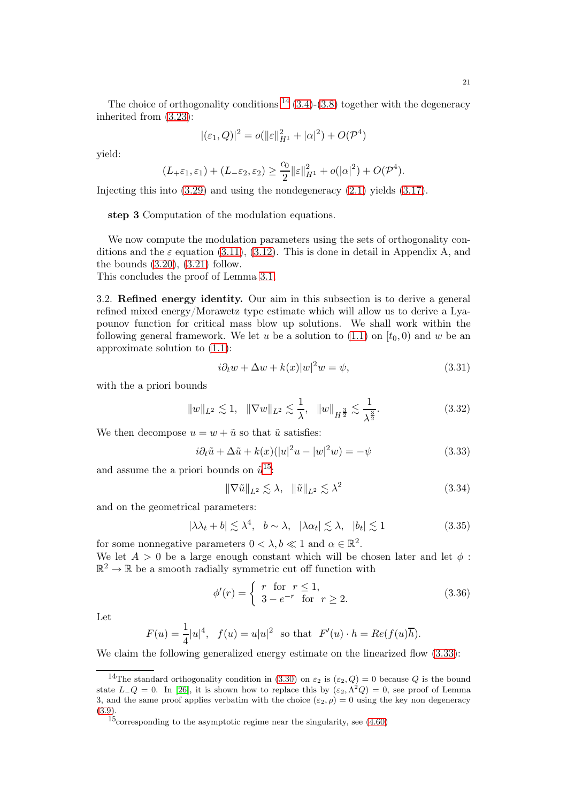The choice of orthogonality conditions  $^{14}$  $^{14}$  $^{14}$  [\(3.4\)](#page-16-0)-[\(3.8\)](#page-16-1) together with the degeneracy inherited from [\(3.23\)](#page-18-1):

$$
|(\varepsilon_1, Q)|^2 = o(||\varepsilon||_{H^1}^2 + |\alpha|^2) + O(\mathcal{P}^4)
$$

yield:

$$
(L_{+}\varepsilon_{1}, \varepsilon_{1}) + (L_{-}\varepsilon_{2}, \varepsilon_{2}) \geq \frac{c_{0}}{2} \|\varepsilon\|_{H^{1}}^{2} + o(|\alpha|^{2}) + O(\mathcal{P}^{4}).
$$

Injecting this into [\(3.29\)](#page-19-3) and using the nondegeneracy [\(2.1\)](#page-9-4) yields [\(3.17\)](#page-17-1).

step 3 Computation of the modulation equations.

We now compute the modulation parameters using the sets of orthogonality conditions and the  $\varepsilon$  equation [\(3.11\)](#page-16-5), [\(3.12\)](#page-16-6). This is done in detail in Appendix A, and the bounds  $(3.20)$ ,  $(3.21)$  follow.

This concludes the proof of Lemma [3.1.](#page-17-0)

3.2. Refined energy identity. Our aim in this subsection is to derive a general refined mixed energy/Morawetz type estimate which will allow us to derive a Lyapounov function for critical mass blow up solutions. We shall work within the following general framework. We let u be a solution to  $(1.1)$  on  $[t_0, 0)$  and w be an approximate solution to [\(1.1\)](#page-0-0):

<span id="page-20-6"></span>
$$
i\partial_t w + \Delta w + k(x)|w|^2 w = \psi,
$$
\n(3.31)

with the a priori bounds

<span id="page-20-4"></span>
$$
||w||_{L^{2}} \lesssim 1, \quad ||\nabla w||_{L^{2}} \lesssim \frac{1}{\lambda}, \quad ||w||_{H^{\frac{3}{2}}} \lesssim \frac{1}{\lambda^{\frac{3}{2}}}.\tag{3.32}
$$

We then decompose  $u = w + \tilde{u}$  so that  $\tilde{u}$  satisfies:

<span id="page-20-2"></span>
$$
i\partial_t \tilde{u} + \Delta \tilde{u} + k(x)(|u|^2 u - |w|^2 w) = -\psi \tag{3.33}
$$

and assume the a priori bounds on  $\tilde{u}^{15}$  $\tilde{u}^{15}$  $\tilde{u}^{15}$ :

<span id="page-20-5"></span>
$$
\|\nabla \tilde{u}\|_{L^2} \lesssim \lambda, \quad \|\tilde{u}\|_{L^2} \lesssim \lambda^2 \tag{3.34}
$$

and on the geometrical parameters:

<span id="page-20-3"></span>
$$
|\lambda \lambda_t + b| \lesssim \lambda^4, \quad b \sim \lambda, \quad |\lambda \alpha_t| \lesssim \lambda, \quad |b_t| \lesssim 1 \tag{3.35}
$$

for some nonnegative parameters  $0 < \lambda, b \ll 1$  and  $\alpha \in \mathbb{R}^2$ . We let  $A > 0$  be a large enough constant which will be chosen later and let  $\phi$ :  $\mathbb{R}^2 \to \mathbb{R}$  be a smooth radially symmetric cut off function with

$$
\phi'(r) = \begin{cases} r & \text{for } r \le 1, \\ 3 - e^{-r} & \text{for } r \ge 2. \end{cases}
$$
 (3.36)

Let

$$
F(u) = \frac{1}{4}|u|^4
$$
,  $f(u) = u|u|^2$  so that  $F'(u) \cdot h = Re(f(u)\overline{h})$ .

We claim the following generalized energy estimate on the linearized flow  $(3.33)$ :

<span id="page-20-0"></span><sup>&</sup>lt;sup>14</sup>The standard orthogonality condition in [\(3.30\)](#page-19-4) on  $\varepsilon_2$  is  $(\varepsilon_2, Q) = 0$  because Q is the bound state  $L-Q=0$ . In [\[26\]](#page-72-20), it is shown how to replace this by  $(\varepsilon_2, \Lambda^2 Q) = 0$ , see proof of Lemma 3, and the same proof applies verbatim with the choice  $(\varepsilon_2, \rho) = 0$  using the key non degeneracy [\(3.9\)](#page-16-7).

<span id="page-20-1"></span> $15$ corresponding to the asymptotic regime near the singularity, see  $(4.60)$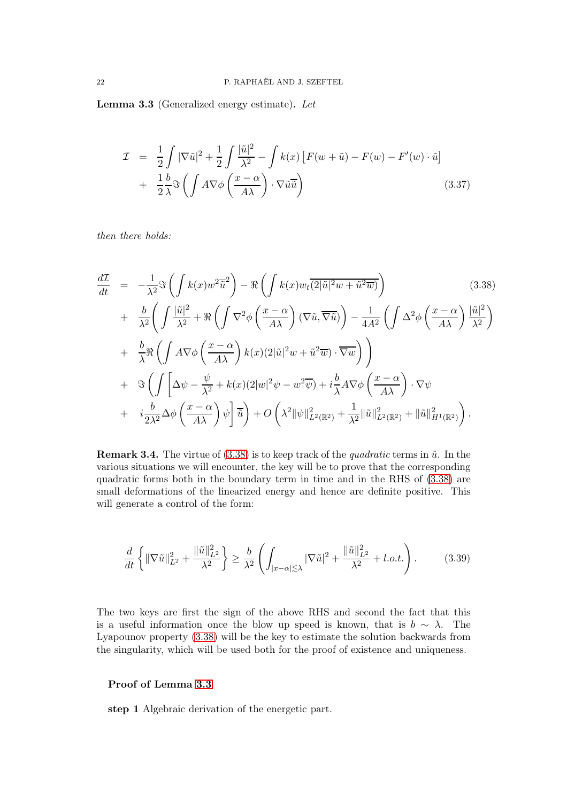<span id="page-21-0"></span>Lemma 3.3 (Generalized energy estimate). Let

<span id="page-21-1"></span>
$$
\mathcal{I} = \frac{1}{2} \int |\nabla \tilde{u}|^2 + \frac{1}{2} \int \frac{|\tilde{u}|^2}{\lambda^2} - \int k(x) \left[ F(w + \tilde{u}) - F(w) - F'(w) \cdot \tilde{u} \right] + \frac{1}{2} \frac{b}{\lambda} \Im \left( \int A \nabla \phi \left( \frac{x - \alpha}{A \lambda} \right) \cdot \nabla \tilde{u} \right)
$$
(3.37)

then there holds:

<span id="page-21-2"></span>
$$
\frac{d\mathcal{I}}{dt} = -\frac{1}{\lambda^2} \Im \left( \int k(x) w^2 \overline{\tilde{u}}^2 \right) - \Re \left( \int k(x) w_t \overline{(2|\tilde{u}|^2 w + \tilde{u}^2 \overline{w})} \right) \tag{3.38}
$$
\n
$$
+ \frac{b}{\lambda^2} \left( \int \frac{|\tilde{u}|^2}{\lambda^2} + \Re \left( \int \nabla^2 \phi \left( \frac{x - \alpha}{A\lambda} \right) (\nabla \tilde{u}, \nabla \tilde{u}) \right) - \frac{1}{4A^2} \left( \int \Delta^2 \phi \left( \frac{x - \alpha}{A\lambda} \right) \frac{|\tilde{u}|^2}{\lambda^2} \right) \right.
$$
\n
$$
+ \frac{b}{\lambda} \Re \left( \int A \nabla \phi \left( \frac{x - \alpha}{A\lambda} \right) k(x) (2|\tilde{u}|^2 w + \tilde{u}^2 \overline{w}) \cdot \nabla \overline{w} \right) \right)
$$
\n
$$
+ \Im \left( \int \left[ \Delta \psi - \frac{\psi}{\lambda^2} + k(x) (2|w|^2 \psi - w^2 \overline{\psi}) + i \frac{b}{\lambda} A \nabla \phi \left( \frac{x - \alpha}{A\lambda} \right) \cdot \nabla \psi \right.
$$
\n
$$
+ i \frac{b}{2\lambda^2} \Delta \phi \left( \frac{x - \alpha}{A\lambda} \right) \psi \right] \overline{\tilde{u}} + O \left( \lambda^2 \| \psi \|_{L^2(\mathbb{R}^2)}^2 + \frac{1}{\lambda^2} \| \tilde{u} \|_{L^2(\mathbb{R}^2)}^2 + \| \tilde{u} \|_{H^1(\mathbb{R}^2)}^2 \right).
$$
\n(3.38)

**Remark 3.4.** The virtue of  $(3.38)$  is to keep track of the *quadratic* terms in  $\tilde{u}$ . In the various situations we will encounter, the key will be to prove that the corresponding quadratic forms both in the boundary term in time and in the RHS of [\(3.38\)](#page-21-2) are small deformations of the linearized energy and hence are definite positive. This will generate a control of the form:

$$
\frac{d}{dt}\left\{\|\nabla\tilde{u}\|_{L^{2}}^{2} + \frac{\|\tilde{u}\|_{L^{2}}^{2}}{\lambda^{2}}\right\} \ge \frac{b}{\lambda^{2}}\left(\int_{|x-\alpha|\lesssim\lambda}|\nabla\tilde{u}|^{2} + \frac{\|\tilde{u}\|_{L^{2}}^{2}}{\lambda^{2}} + l.o.t.\right).
$$
 (3.39)

The two keys are first the sign of the above RHS and second the fact that this is a useful information once the blow up speed is known, that is  $b \sim \lambda$ . The Lyapounov property [\(3.38\)](#page-21-2) will be the key to estimate the solution backwards from the singularity, which will be used both for the proof of existence and uniqueness.

## Proof of Lemma [3.3](#page-21-0)

step 1 Algebraic derivation of the energetic part.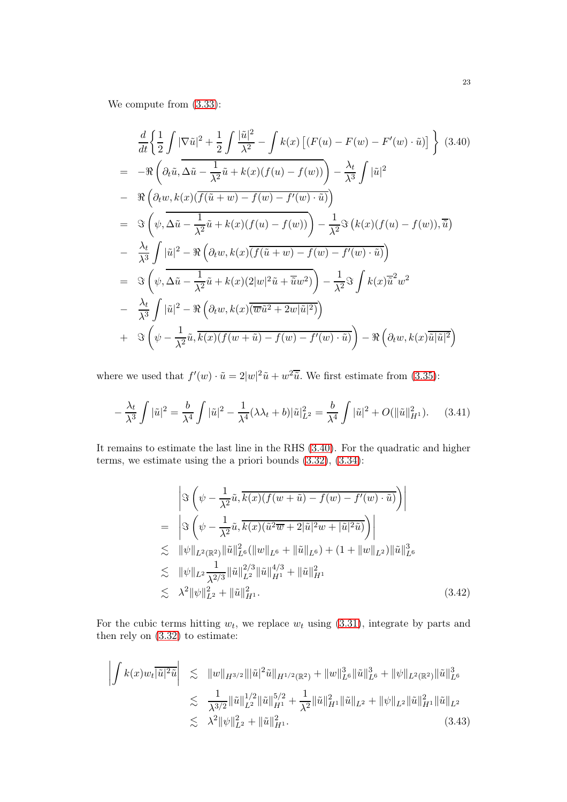We compute from [\(3.33\)](#page-20-2):

<span id="page-22-0"></span>
$$
\frac{d}{dt} \left\{ \frac{1}{2} \int |\nabla \tilde{u}|^2 + \frac{1}{2} \int \frac{|\tilde{u}|^2}{\lambda^2} - \int k(x) \left[ (F(u) - F(w) - F'(w) \cdot \tilde{u}) \right] \right\} (3.40)
$$
\n
$$
= -\Re \left( \partial_t \tilde{u}, \Delta \tilde{u} - \frac{1}{\lambda^2} \tilde{u} + k(x) (f(u) - f(w)) \right) - \frac{\lambda_t}{\lambda^3} \int |\tilde{u}|^2
$$
\n
$$
- \Re \left( \partial_t w, k(x) (\overline{f(\tilde{u} + w) - f(w) - f'(w) \cdot \tilde{u}}) \right)
$$
\n
$$
= \Im \left( \psi, \Delta \tilde{u} - \frac{1}{\lambda^2} \tilde{u} + k(x) (f(u) - f(w)) \right) - \frac{1}{\lambda^2} \Im \left( k(x) (f(u) - f(w)), \tilde{u} \right)
$$
\n
$$
- \frac{\lambda_t}{\lambda^3} \int |\tilde{u}|^2 - \Re \left( \partial_t w, k(x) (\overline{f(\tilde{u} + w) - f(w) - f'(w) \cdot \tilde{u}}) \right)
$$
\n
$$
= \Im \left( \psi, \Delta \tilde{u} - \frac{1}{\lambda^2} \tilde{u} + k(x) (2|w|^2 \tilde{u} + \tilde{u}w^2) \right) - \frac{1}{\lambda^2} \Im \int k(x) \overline{\tilde{u}}^2 w^2
$$
\n
$$
- \frac{\lambda_t}{\lambda^3} \int |\tilde{u}|^2 - \Re \left( \partial_t w, k(x) (\overline{w} \tilde{u}^2 + 2w | \tilde{u} |^2) \right)
$$
\n
$$
+ \Im \left( \psi - \frac{1}{\lambda^2} \tilde{u}, \overline{k(x) (f(w + \tilde{u}) - f(w) - f'(w) \cdot \tilde{u})} \right) - \Re \left( \partial_t w, k(x) \overline{\tilde{u} | \tilde{u} |^2} \right)
$$

where we used that  $f'(w) \cdot \tilde{u} = 2|w|^2 \tilde{u} + w^2 \tilde{u}$ . We first estimate from [\(3.35\)](#page-20-3):

<span id="page-22-1"></span>
$$
-\frac{\lambda_t}{\lambda^3} \int |\tilde{u}|^2 = \frac{b}{\lambda^4} \int |\tilde{u}|^2 - \frac{1}{\lambda^4} (\lambda \lambda_t + b) |\tilde{u}|^2_{L^2} = \frac{b}{\lambda^4} \int |\tilde{u}|^2 + O(\|\tilde{u}\|^2_{H^1}). \tag{3.41}
$$

It remains to estimate the last line in the RHS [\(3.40\)](#page-22-0). For the quadratic and higher terms, we estimate using the a priori bounds [\(3.32\)](#page-20-4), [\(3.34\)](#page-20-5):

<span id="page-22-2"></span>
$$
\left| \Im \left( \psi - \frac{1}{\lambda^2} \tilde{u}, \overline{k(x)} (f(w + \tilde{u}) - f(w) - f'(w) \cdot \tilde{u}) \right) \right|
$$
\n
$$
= \left| \Im \left( \psi - \frac{1}{\lambda^2} \tilde{u}, \overline{k(x)} (\tilde{u}^2 \overline{w} + 2 | \tilde{u} |^2 w + | \tilde{u} |^2 \tilde{u}) \right) \right|
$$
\n
$$
\lesssim \| \psi \|_{L^2(\mathbb{R}^2)} \| \tilde{u} \|_{L^6}^2 (\| w \|_{L^6} + \| \tilde{u} \|_{L^6}) + (1 + \| w \|_{L^2}) \| \tilde{u} \|_{L^6}^3
$$
\n
$$
\lesssim \| \psi \|_{L^2} \frac{1}{\lambda^{2/3}} \| \tilde{u} \|_{L^2}^{2/3} \| \tilde{u} \|_{H^1}^{4/3} + \| \tilde{u} \|_{H^1}^2
$$
\n
$$
\lesssim \lambda^2 \| \psi \|_{L^2}^2 + \| \tilde{u} \|_{H^1}^2. \tag{3.42}
$$

For the cubic terms hitting  $w_t$ , we replace  $w_t$  using [\(3.31\)](#page-20-6), integrate by parts and then rely on [\(3.32\)](#page-20-4) to estimate:

<span id="page-22-3"></span>
$$
\left| \int k(x) w_t \overline{|\tilde{u}|^2 \tilde{u}} \right| \leq \|w\|_{H^{3/2}} \|\tilde{u}|^2 \tilde{u}\|_{H^{1/2}(\mathbb{R}^2)} + \|w\|_{L^6}^3 \|\tilde{u}\|_{L^6}^3 + \|\psi\|_{L^2(\mathbb{R}^2)} \|\tilde{u}\|_{L^6}^3
$$
  

$$
\leq \frac{1}{\lambda^{3/2}} \|\tilde{u}\|_{L^2}^{1/2} \|\tilde{u}\|_{H^1}^{5/2} + \frac{1}{\lambda^2} \|\tilde{u}\|_{H^1}^2 \|\tilde{u}\|_{L^2} + \|\psi\|_{L^2} \|\tilde{u}\|_{H^1}^2 \|\tilde{u}\|_{L^2}
$$
  

$$
\leq \lambda^2 \|\psi\|_{L^2}^2 + \|\tilde{u}\|_{H^1}^2. \tag{3.43}
$$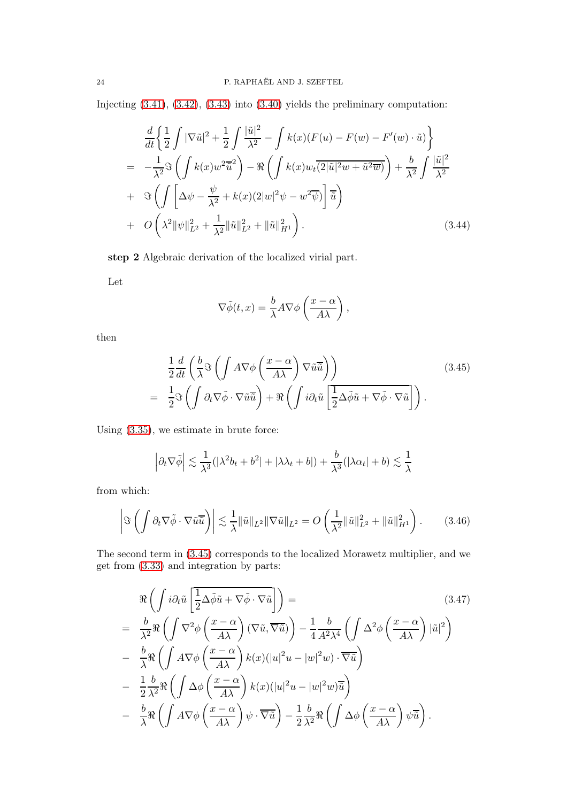Injecting [\(3.41\)](#page-22-1), [\(3.42\)](#page-22-2), [\(3.43\)](#page-22-3) into [\(3.40\)](#page-22-0) yields the preliminary computation:

<span id="page-23-2"></span>
$$
\frac{d}{dt}\left\{\frac{1}{2}\int |\nabla \tilde{u}|^2 + \frac{1}{2}\int \frac{|\tilde{u}|^2}{\lambda^2} - \int k(x)(F(u) - F(w) - F'(w) \cdot \tilde{u})\right\}
$$
\n
$$
= -\frac{1}{\lambda^2} \Im \left(\int k(x)w^2 \overline{\tilde{u}}^2\right) - \Re \left(\int k(x)w_t\overline{(2|\tilde{u}|^2w + \tilde{u}^2\overline{w})}\right) + \frac{b}{\lambda^2}\int \frac{|\tilde{u}|^2}{\lambda^2}
$$
\n
$$
+ \Im \left(\int \left[\Delta \psi - \frac{\psi}{\lambda^2} + k(x)(2|w|^2\psi - w^2\overline{\psi})\right] \overline{\tilde{u}}\right)
$$
\n
$$
+ O\left(\lambda^2 \|\psi\|_{L^2}^2 + \frac{1}{\lambda^2} \|\tilde{u}\|_{L^2}^2 + \|\tilde{u}\|_{H^1}^2\right).
$$
\n(3.44)

step 2 Algebraic derivation of the localized virial part.

Let

$$
\nabla \tilde{\phi}(t, x) = \frac{b}{\lambda} A \nabla \phi \left( \frac{x - \alpha}{A \lambda} \right),
$$

then

<span id="page-23-0"></span>
$$
\frac{1}{2}\frac{d}{dt}\left(\frac{b}{\lambda}\Im\left(\int A\nabla\phi\left(\frac{x-\alpha}{A\lambda}\right)\nabla\tilde{u}\overline{\tilde{u}}\right)\right) \n= \frac{1}{2}\Im\left(\int \partial_t\nabla\tilde{\phi}\cdot\nabla\tilde{u}\overline{\tilde{u}}\right) + \Re\left(\int i\partial_t\tilde{u}\left[\overline{\frac{1}{2}\Delta\tilde{\phi}\tilde{u}} + \nabla\tilde{\phi}\cdot\nabla\tilde{u}\right]\right).
$$
\n(3.45)

Using [\(3.35\)](#page-20-3), we estimate in brute force:

$$
\left|\partial_t\nabla\tilde{\phi}\right| \lesssim \frac{1}{\lambda^3}(|\lambda^2 b_t + b^2| + |\lambda\lambda_t + b|) + \frac{b}{\lambda^3}(|\lambda\alpha_t| + b) \lesssim \frac{1}{\lambda}
$$

from which:

<span id="page-23-3"></span>
$$
\left| \Im \left( \int \partial_t \nabla \tilde{\phi} \cdot \nabla \tilde{u} \overline{\tilde{u}} \right) \right| \lesssim \frac{1}{\lambda} \| \tilde{u} \|_{L^2} \| \nabla \tilde{u} \|_{L^2} = O \left( \frac{1}{\lambda^2} \| \tilde{u} \|_{L^2}^2 + \| \tilde{u} \|_{H^1}^2 \right). \tag{3.46}
$$

The second term in [\(3.45\)](#page-23-0) corresponds to the localized Morawetz multiplier, and we get from [\(3.33\)](#page-20-2) and integration by parts:

<span id="page-23-1"></span>
$$
\Re\left(\int i\partial_t \tilde{u} \left[\frac{1}{2}\Delta\tilde{\phi}\tilde{u} + \nabla\tilde{\phi}\cdot\nabla\tilde{u}\right]\right) =
$$
\n
$$
= \frac{b}{\lambda^2} \Re\left(\int \nabla^2 \phi \left(\frac{x-\alpha}{A\lambda}\right) (\nabla\tilde{u}, \overline{\nabla\tilde{u}})\right) - \frac{1}{4} \frac{b}{A^2 \lambda^4} \left(\int \Delta^2 \phi \left(\frac{x-\alpha}{A\lambda}\right) |\tilde{u}|^2\right)
$$
\n
$$
- \frac{b}{\lambda} \Re\left(\int A \nabla \phi \left(\frac{x-\alpha}{A\lambda}\right) k(x) (|u|^2 u - |w|^2 w) \cdot \overline{\nabla\tilde{u}}\right)
$$
\n
$$
- \frac{1}{2} \frac{b}{\lambda^2} \Re\left(\int \Delta \phi \left(\frac{x-\alpha}{A\lambda}\right) k(x) (|u|^2 u - |w|^2 w) \overline{\tilde{u}}\right)
$$
\n
$$
- \frac{b}{\lambda} \Re\left(\int A \nabla \phi \left(\frac{x-\alpha}{A\lambda}\right) \psi \cdot \overline{\nabla\tilde{u}}\right) - \frac{1}{2} \frac{b}{\lambda^2} \Re\left(\int \Delta \phi \left(\frac{x-\alpha}{A\lambda}\right) \psi \overline{\tilde{u}}\right).
$$
\n(3.47)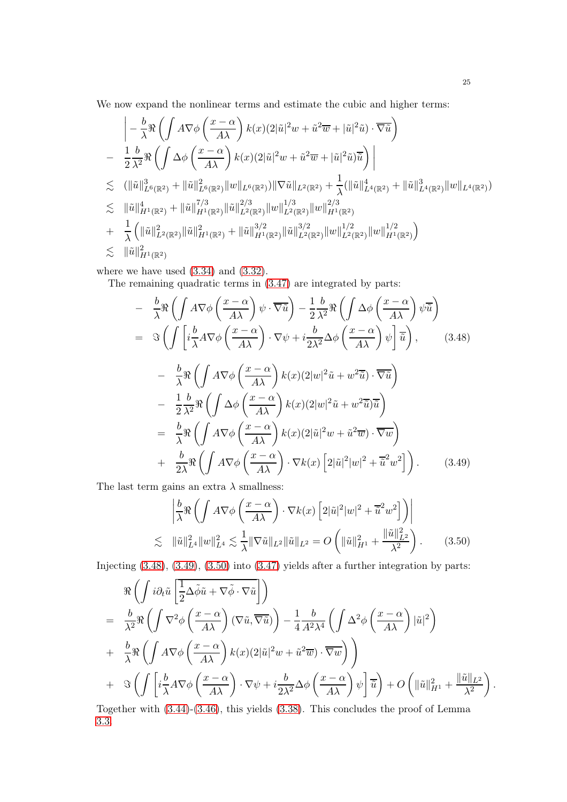We now expand the nonlinear terms and estimate the cubic and higher terms:

$$
\begin{split}\n&\left| -\frac{b}{\lambda} \Re \left( \int A \nabla \phi \left( \frac{x-\alpha}{A\lambda} \right) k(x) (2|\tilde{u}|^2 w + \tilde{u}^2 \overline{w} + |\tilde{u}|^2 \tilde{u}) \cdot \overline{\nabla \tilde{u}} \right) \right. \\
&\left. - \frac{1}{2} \frac{b}{\lambda^2} \Re \left( \int \Delta \phi \left( \frac{x-\alpha}{A\lambda} \right) k(x) (2|\tilde{u}|^2 w + \tilde{u}^2 \overline{w} + |\tilde{u}|^2 \tilde{u}) \overline{\tilde{u}} \right) \right| \\
&\lesssim (||\tilde{u}||_{L^6(\mathbb{R}^2)}^3 + ||\tilde{u}||_{L^6(\mathbb{R}^2)}^2 ||w||_{L^6(\mathbb{R}^2)}) ||\nabla \tilde{u}||_{L^2(\mathbb{R}^2)} + \frac{1}{\lambda} (||\tilde{u}||_{L^4(\mathbb{R}^2)}^4 + ||\tilde{u}||_{L^4(\mathbb{R}^2)}^3 ||w||_{L^4(\mathbb{R}^2)}^2) \\
&\lesssim ||\tilde{u}||_{H^1(\mathbb{R}^2)}^4 + ||\tilde{u}||_{H^1(\mathbb{R}^2)}^{7/3} ||\tilde{u}||_{L^2(\mathbb{R}^2)}^{2/3} ||w||_{L^2(\mathbb{R}^2)}^{1/3} ||w||_{H^1(\mathbb{R}^2)}^{2/3} \\
&+ \frac{1}{\lambda} (||\tilde{u}||_{L^2(\mathbb{R}^2)}^2 ||\tilde{u}||_{H^1(\mathbb{R}^2)}^3 + ||\tilde{u}||_{H^1(\mathbb{R}^2)}^{3/2} ||\tilde{u}||_{L^2(\mathbb{R}^2)}^{3/2} ||w||_{L^2(\mathbb{R}^2)}^{1/2} ||w||_{H^1(\mathbb{R}^2)}^{1/2} ) \\
&\lesssim ||\tilde{u}||_{H^1(\mathbb{R}^2)}^2 \\
&\lesssim ||\tilde{u}||_{H^1(\mathbb{R}^2)}^2\nonumber \end{split}
$$

where we have used  $(3.34)$  and  $(3.32)$ .

The remaining quadratic terms in [\(3.47\)](#page-23-1) are integrated by parts:

<span id="page-24-1"></span><span id="page-24-0"></span>
$$
- \frac{b}{\lambda} \Re \left( \int A \nabla \phi \left( \frac{x - \alpha}{A\lambda} \right) \psi \cdot \overline{\nabla \tilde{u}} \right) - \frac{1}{2} \frac{b}{\lambda^2} \Re \left( \int \Delta \phi \left( \frac{x - \alpha}{A\lambda} \right) \psi \overline{\tilde{u}} \right)
$$
  
\n
$$
= \Im \left( \int \left[ i \frac{b}{\lambda} A \nabla \phi \left( \frac{x - \alpha}{A\lambda} \right) \cdot \nabla \psi + i \frac{b}{2\lambda^2} \Delta \phi \left( \frac{x - \alpha}{A\lambda} \right) \psi \right] \overline{\tilde{u}} \right), \qquad (3.48)
$$
  
\n
$$
- \frac{b}{\lambda} \Re \left( \int A \nabla \phi \left( \frac{x - \alpha}{A\lambda} \right) k(x) (2|w|^2 \tilde{u} + w^2 \overline{\tilde{u}}) \cdot \overline{\nabla \tilde{u}} \right)
$$
  
\n
$$
- \frac{1}{2} \frac{b}{\lambda^2} \Re \left( \int \Delta \phi \left( \frac{x - \alpha}{A\lambda} \right) k(x) (2|w|^2 \tilde{u} + w^2 \overline{\tilde{u}}) \overline{\tilde{u}} \right)
$$
  
\n
$$
= \frac{b}{\lambda} \Re \left( \int A \nabla \phi \left( \frac{x - \alpha}{A\lambda} \right) k(x) (2|\tilde{u}|^2 w + \tilde{u}^2 \overline{w}) \cdot \overline{\nabla w} \right)
$$
  
\n
$$
+ \frac{b}{2\lambda} \Re \left( \int A \nabla \phi \left( \frac{x - \alpha}{A\lambda} \right) \cdot \nabla k(x) \left[ 2|\tilde{u}|^2 |w|^2 + \overline{\tilde{u}}^2 w^2 \right] \right).
$$
 (3.49)

The last term gains an extra  $\lambda$  smallness:

<span id="page-24-2"></span>
$$
\left| \frac{b}{\lambda} \Re \left( \int A \nabla \phi \left( \frac{x - \alpha}{A \lambda} \right) \cdot \nabla k(x) \left[ 2|\tilde{u}|^2 |w|^2 + \overline{\tilde{u}}^2 w^2 \right] \right) \right|
$$
  
\n
$$
\lesssim \|\tilde{u}\|_{L^4}^2 \|w\|_{L^4}^2 \lesssim \frac{1}{\lambda} \|\nabla \tilde{u}\|_{L^2} \|\tilde{u}\|_{L^2} = O\left( \|\tilde{u}\|_{H^1}^2 + \frac{\|\tilde{u}\|_{L^2}^2}{\lambda^2} \right). \tag{3.50}
$$

Injecting [\(3.48\)](#page-24-0), [\(3.49\)](#page-24-1), [\(3.50\)](#page-24-2) into [\(3.47\)](#page-23-1) yields after a further integration by parts:

$$
\mathcal{R}\left(\int i\partial_t \tilde{u} \left[\frac{1}{2}\Delta\tilde{\phi}\tilde{u} + \nabla\tilde{\phi}\cdot\nabla\tilde{u}\right]\right) \n= \frac{b}{\lambda^2} \mathcal{R}\left(\int \nabla^2 \phi \left(\frac{x-\alpha}{A\lambda}\right) (\nabla\tilde{u}, \overline{\nabla\tilde{u}})\right) - \frac{1}{4} \frac{b}{A^2 \lambda^4} \left(\int \Delta^2 \phi \left(\frac{x-\alpha}{A\lambda}\right) |\tilde{u}|^2\right) \n+ \frac{b}{\lambda} \mathcal{R}\left(\int A \nabla \phi \left(\frac{x-\alpha}{A\lambda}\right) k(x) (2|\tilde{u}|^2 w + \tilde{u}^2 \overline{w}) \cdot \overline{\nabla w}\right)\right) \n+ \mathcal{R}\left(\int \left[i\frac{b}{\lambda} A \nabla \phi \left(\frac{x-\alpha}{A\lambda}\right) \cdot \nabla \psi + i\frac{b}{2\lambda^2} \Delta \phi \left(\frac{x-\alpha}{A\lambda}\right) \psi\right] \overline{\tilde{u}}\right) + O\left(\|\tilde{u}\|_{H^1}^2 + \frac{\|\tilde{u}\|_{L^2}}{\lambda^2}\right).
$$

Together with [\(3.44\)](#page-23-2)-[\(3.46\)](#page-23-3), this yields [\(3.38\)](#page-21-2). This concludes the proof of Lemma [3.3.](#page-21-0)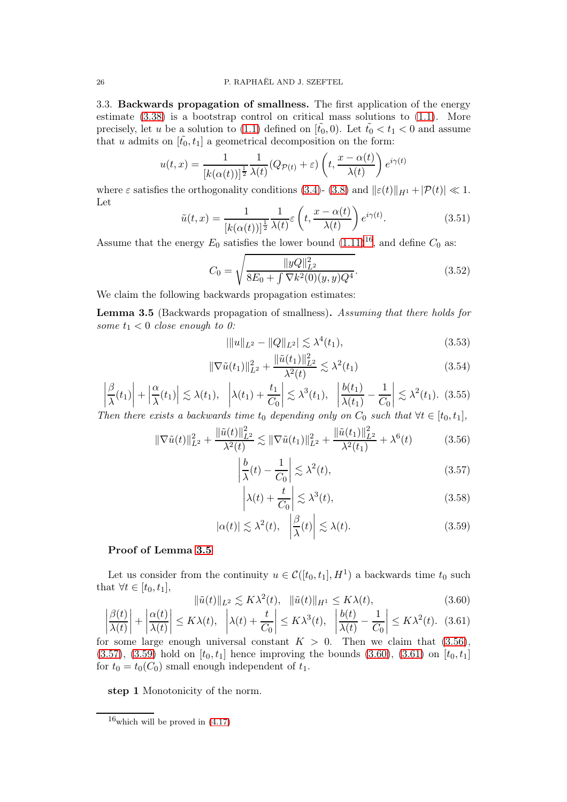3.3. Backwards propagation of smallness. The first application of the energy estimate  $(3.38)$  is a bootstrap control on critical mass solutions to  $(1.1)$ . More precisely, let u be a solution to [\(1.1\)](#page-0-0) defined on  $[\tilde{t}_0, 0]$ . Let  $\tilde{t}_0 < t_1 < 0$  and assume that u admits on  $[\tilde{t}_0, t_1]$  a geometrical decomposition on the form:

$$
u(t,x) = \frac{1}{[k(\alpha(t))]^{\frac{1}{2}}}\frac{1}{\lambda(t)}(Q_{\mathcal{P}(t)} + \varepsilon)\left(t, \frac{x - \alpha(t)}{\lambda(t)}\right)e^{i\gamma(t)}
$$

where  $\varepsilon$  satisfies the orthogonality conditions [\(3.4\)](#page-16-0)- [\(3.8\)](#page-16-1) and  $\|\varepsilon(t)\|_{H^1} + |\mathcal{P}(t)| \ll 1$ . Let

$$
\tilde{u}(t,x) = \frac{1}{[k(\alpha(t))]^{\frac{1}{2}}} \frac{1}{\lambda(t)} \varepsilon \left( t, \frac{x - \alpha(t)}{\lambda(t)} \right) e^{i\gamma(t)}.
$$
\n(3.51)

Assume that the energy  $E_0$  satisfies the lower bound  $(1.11)^{16}$  $(1.11)^{16}$  $(1.11)^{16}$ , and define  $C_0$  as:

<span id="page-25-10"></span>
$$
C_0 = \sqrt{\frac{\|yQ\|_{L^2}^2}{8E_0 + \int \nabla k^2(0)(y, y)Q^4}}.
$$
\n(3.52)

We claim the following backwards propagation estimates:

<span id="page-25-1"></span>Lemma 3.5 (Backwards propagation of smallness). Assuming that there holds for some  $t_1 < 0$  close enough to 0:

<span id="page-25-7"></span>
$$
|\|u\|_{L^2} - \|Q\|_{L^2}| \lesssim \lambda^4(t_1),\tag{3.53}
$$

<span id="page-25-8"></span>
$$
\|\nabla \tilde{u}(t_1)\|_{L^2}^2 + \frac{\|\tilde{u}(t_1)\|_{L^2}^2}{\lambda^2(t)} \lesssim \lambda^2(t_1)
$$
\n(3.54)

<span id="page-25-9"></span>
$$
\left|\frac{\beta}{\lambda}(t_1)\right| + \left|\frac{\alpha}{\lambda}(t_1)\right| \lesssim \lambda(t_1), \quad \left|\lambda(t_1) + \frac{t_1}{C_0}\right| \lesssim \lambda^3(t_1), \quad \left|\frac{b(t_1)}{\lambda(t_1)} - \frac{1}{C_0}\right| \lesssim \lambda^2(t_1). \tag{3.55}
$$

Then there exists a backwards time  $t_0$  depending only on  $C_0$  such that  $\forall t \in [t_0, t_1]$ ,

<span id="page-25-2"></span>
$$
\|\nabla \tilde{u}(t)\|_{L^2}^2 + \frac{\|\tilde{u}(t)\|_{L^2}^2}{\lambda^2(t)} \lesssim \|\nabla \tilde{u}(t_1)\|_{L^2}^2 + \frac{\|\tilde{u}(t_1)\|_{L^2}^2}{\lambda^2(t_1)} + \lambda^6(t) \tag{3.56}
$$

<span id="page-25-3"></span>
$$
\left|\frac{b}{\lambda}(t) - \frac{1}{C_0}\right| \lesssim \lambda^2(t),\tag{3.57}
$$

<span id="page-25-11"></span>
$$
\left|\lambda(t) + \frac{t}{C_0}\right| \lesssim \lambda^3(t),\tag{3.58}
$$

<span id="page-25-4"></span>
$$
|\alpha(t)| \lesssim \lambda^2(t), \quad \left| \frac{\beta}{\lambda}(t) \right| \lesssim \lambda(t). \tag{3.59}
$$

### Proof of Lemma [3.5](#page-25-1)

Let us consider from the continuity  $u \in \mathcal{C}([t_0, t_1], H^1)$  a backwards time  $t_0$  such that  $\forall t \in [t_0, t_1],$ 

<span id="page-25-5"></span>
$$
\|\tilde{u}(t)\|_{L^2} \lesssim K\lambda^2(t), \quad \|\tilde{u}(t)\|_{H^1} \leq K\lambda(t),\tag{3.60}
$$

<span id="page-25-6"></span>
$$
\left|\frac{\beta(t)}{\lambda(t)}\right| + \left|\frac{\alpha(t)}{\lambda(t)}\right| \le K\lambda(t), \quad \left|\lambda(t) + \frac{t}{C_0}\right| \le K\lambda^3(t), \quad \left|\frac{b(t)}{\lambda(t)} - \frac{1}{C_0}\right| \le K\lambda^2(t). \quad (3.61)
$$

for some large enough universal constant  $K > 0$ . Then we claim that  $(3.56)$ ,  $(3.57), (3.59)$  $(3.57), (3.59)$  $(3.57), (3.59)$  hold on  $[t_0, t_1]$  hence improving the bounds  $(3.60), (3.61)$  $(3.60), (3.61)$  on  $[t_0, t_1]$ for  $t_0 = t_0(C_0)$  small enough independent of  $t_1$ .

step 1 Monotonicity of the norm.

<span id="page-25-0"></span> $16$ which will be proved in  $(4.17)$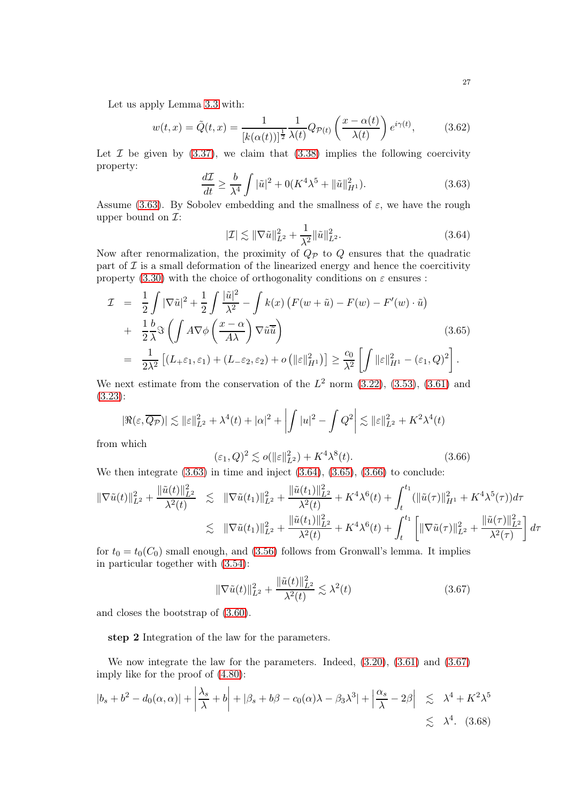Let us apply Lemma [3.3](#page-21-0) with:

<span id="page-26-6"></span>
$$
w(t,x) = \tilde{Q}(t,x) = \frac{1}{[k(\alpha(t))]^{\frac{1}{2}}}\frac{1}{\lambda(t)}Q_{\mathcal{P}(t)}\left(\frac{x-\alpha(t)}{\lambda(t)}\right)e^{i\gamma(t)},\tag{3.62}
$$

Let  $\mathcal I$  be given by [\(3.37\)](#page-21-1), we claim that [\(3.38\)](#page-21-2) implies the following coercivity property:

<span id="page-26-0"></span>
$$
\frac{d\mathcal{I}}{dt} \ge \frac{b}{\lambda^4} \int |\tilde{u}|^2 + 0(K^4 \lambda^5 + ||\tilde{u}||_{H^1}^2). \tag{3.63}
$$

Assume [\(3.63\)](#page-26-0). By Sobolev embedding and the smallness of  $\varepsilon$ , we have the rough upper bound on  $\mathcal{I}:$ 

<span id="page-26-1"></span>
$$
|\mathcal{I}| \lesssim \|\nabla \tilde{u}\|_{L^2}^2 + \frac{1}{\lambda^2} \|\tilde{u}\|_{L^2}^2.
$$
 (3.64)

Now after renormalization, the proximity of  $Q_{\mathcal{P}}$  to  $Q$  ensures that the quadratic part of  $\mathcal I$  is a small deformation of the linearized energy and hence the coercitivity property [\(3.30\)](#page-19-4) with the choice of orthogonality conditions on  $\varepsilon$  ensures :

<span id="page-26-2"></span>
$$
\mathcal{I} = \frac{1}{2} \int |\nabla \tilde{u}|^2 + \frac{1}{2} \int \frac{|\tilde{u}|^2}{\lambda^2} - \int k(x) \left( F(w + \tilde{u}) - F(w) - F'(w) \cdot \tilde{u} \right) \n+ \frac{1}{2} \frac{b}{\lambda} \Im \left( \int A \nabla \phi \left( \frac{x - \alpha}{A \lambda} \right) \nabla \tilde{u} \tilde{u} \right) \n= \frac{1}{2\lambda^2} \left[ (L_{+} \varepsilon_1, \varepsilon_1) + (L_{-} \varepsilon_2, \varepsilon_2) + o \left( ||\varepsilon||_{H^1}^2 \right) \right] \ge \frac{c_0}{\lambda^2} \left[ \int ||\varepsilon||_{H^1}^2 - (\varepsilon_1, Q)^2 \right].
$$
\n(3.65)

We next estimate from the conservation of the  $L^2$  norm  $(3.22)$ ,  $(3.53)$ ,  $(3.61)$  and [\(3.23\)](#page-18-1):

$$
|\Re(\varepsilon,\overline{Q_{\mathcal{P}}})| \lesssim ||\varepsilon||_{L^2}^2 + \lambda^4(t) + |\alpha|^2 + \left| \int |u|^2 - \int Q^2 \right| \lesssim ||\varepsilon||_{L^2}^2 + K^2 \lambda^4(t)
$$

from which

<span id="page-26-3"></span>
$$
(\varepsilon_1, Q)^2 \lesssim o(\|\varepsilon\|_{L^2}^2) + K^4 \lambda^8(t). \tag{3.66}
$$

We then integrate  $(3.63)$  in time and inject  $(3.64)$ ,  $(3.65)$ ,  $(3.66)$  to conclude:

$$
\begin{array}{rcl}\|\nabla \tilde{u}(t)\|_{L^{2}}^{2} + \frac{\|\tilde{u}(t)\|_{L^{2}}^{2}}{\lambda^{2}(t)} & \lesssim & \|\nabla \tilde{u}(t_{1})\|_{L^{2}}^{2} + \frac{\|\tilde{u}(t_{1})\|_{L^{2}}^{2}}{\lambda^{2}(t)} + K^{4}\lambda^{6}(t) + \int_{t}^{t_{1}} (\|\tilde{u}(\tau)\|_{H^{1}}^{2} + K^{4}\lambda^{5}(\tau))d\tau \\
& \lesssim & \|\nabla \tilde{u}(t_{1})\|_{L^{2}}^{2} + \frac{\|\tilde{u}(t_{1})\|_{L^{2}}^{2}}{\lambda^{2}(t)} + K^{4}\lambda^{6}(t) + \int_{t}^{t_{1}} \left[\|\nabla \tilde{u}(\tau)\|_{L^{2}}^{2} + \frac{\|\tilde{u}(\tau)\|_{L^{2}}^{2}}{\lambda^{2}(\tau)}\right]d\tau\n\end{array}
$$

for  $t_0 = t_0(C_0)$  small enough, and [\(3.56\)](#page-25-2) follows from Gronwall's lemma. It implies in particular together with [\(3.54\)](#page-25-8):

<span id="page-26-4"></span>
$$
\|\nabla \tilde{u}(t)\|_{L^2}^2 + \frac{\|\tilde{u}(t)\|_{L^2}^2}{\lambda^2(t)} \lesssim \lambda^2(t) \tag{3.67}
$$

and closes the bootstrap of [\(3.60\)](#page-25-5).

step 2 Integration of the law for the parameters.

We now integrate the law for the parameters. Indeed, [\(3.20\)](#page-17-2), [\(3.61\)](#page-25-6) and [\(3.67\)](#page-26-4) imply like for the proof of [\(4.80\)](#page-48-1):

<span id="page-26-5"></span>
$$
|b_s + b^2 - d_0(\alpha, \alpha)| + \left| \frac{\lambda_s}{\lambda} + b \right| + |\beta_s + b\beta - c_0(\alpha)\lambda - \beta_3\lambda^3| + \left| \frac{\alpha_s}{\lambda} - 2\beta \right| \leq \lambda^4 + K^2\lambda^5
$$
  
\$\leq \lambda^4. (3.68)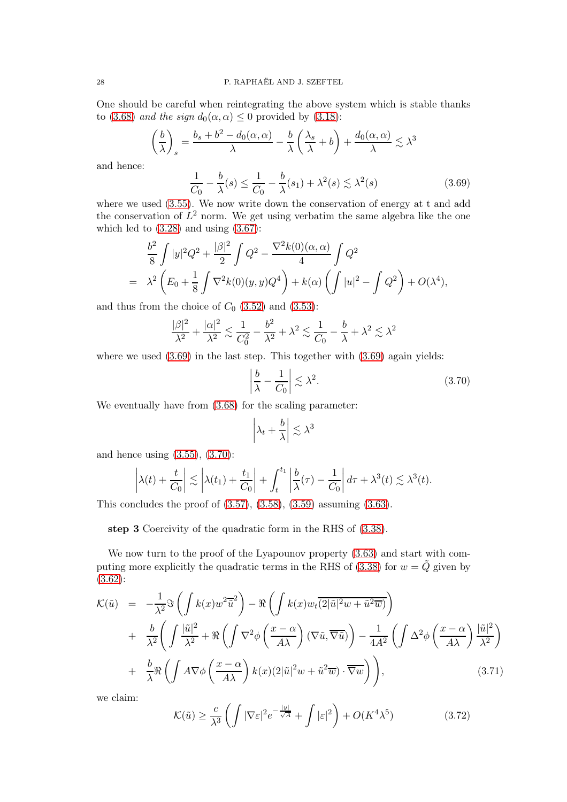One should be careful when reintegrating the above system which is stable thanks to [\(3.68\)](#page-26-5) and the sign  $d_0(\alpha, \alpha) \leq 0$  provided by [\(3.18\)](#page-17-5):

$$
\left(\frac{b}{\lambda}\right)_s = \frac{b_s + b^2 - d_0(\alpha, \alpha)}{\lambda} - \frac{b}{\lambda} \left(\frac{\lambda_s}{\lambda} + b\right) + \frac{d_0(\alpha, \alpha)}{\lambda} \lesssim \lambda^3
$$

and hence:

<span id="page-27-0"></span>
$$
\frac{1}{C_0} - \frac{b}{\lambda}(s) \le \frac{1}{C_0} - \frac{b}{\lambda}(s_1) + \lambda^2(s) \lesssim \lambda^2(s)
$$
\n(3.69)

where we used [\(3.55\)](#page-25-9). We now write down the conservation of energy at t and add the conservation of  $L^2$  norm. We get using verbatim the same algebra like the one which led to  $(3.28)$  and using  $(3.67)$ :

$$
\frac{b^2}{8} \int |y|^2 Q^2 + \frac{|\beta|^2}{2} \int Q^2 - \frac{\nabla^2 k(0)(\alpha, \alpha)}{4} \int Q^2
$$
  
=  $\lambda^2 \left( E_0 + \frac{1}{8} \int \nabla^2 k(0)(y, y) Q^4 \right) + k(\alpha) \left( \int |u|^2 - \int Q^2 \right) + O(\lambda^4),$ 

and thus from the choice of  $C_0$  [\(3.52\)](#page-25-10) and [\(3.53\)](#page-25-7):

$$
\frac{|\beta|^2}{\lambda^2} + \frac{|\alpha|^2}{\lambda^2} \lesssim \frac{1}{C_0^2} - \frac{b^2}{\lambda^2} + \lambda^2 \lesssim \frac{1}{C_0} - \frac{b}{\lambda} + \lambda^2 \lesssim \lambda^2
$$

where we used  $(3.69)$  in the last step. This together with  $(3.69)$  again yields:

<span id="page-27-1"></span>
$$
\left|\frac{b}{\lambda} - \frac{1}{C_0}\right| \lesssim \lambda^2. \tag{3.70}
$$

We eventually have from [\(3.68\)](#page-26-5) for the scaling parameter:

$$
\left|\lambda_t + \frac{b}{\lambda}\right| \lesssim \lambda^3
$$

and hence using [\(3.55\)](#page-25-9), [\(3.70\)](#page-27-1):

$$
\left|\lambda(t) + \frac{t}{C_0}\right| \lesssim \left|\lambda(t_1) + \frac{t_1}{C_0}\right| + \int_t^{t_1} \left|\frac{b}{\lambda}(\tau) - \frac{1}{C_0}\right| d\tau + \lambda^3(t) \lesssim \lambda^3(t).
$$

This concludes the proof of  $(3.57)$ ,  $(3.58)$ ,  $(3.59)$  assuming  $(3.63)$ .

step 3 Coercivity of the quadratic form in the RHS of [\(3.38\)](#page-21-2).

We now turn to the proof of the Lyapounov property [\(3.63\)](#page-26-0) and start with com-puting more explicitly the quadratic terms in the RHS of [\(3.38\)](#page-21-2) for  $w = \tilde{Q}$  given by [\(3.62\)](#page-26-6):

<span id="page-27-2"></span>
$$
\mathcal{K}(\tilde{u}) = -\frac{1}{\lambda^2} \Im \left( \int k(x) w^2 \overline{\tilde{u}}^2 \right) - \Re \left( \int k(x) w_t \overline{(2|\tilde{u}|^2 w + \tilde{u}^2 \overline{w})} \right) \n+ \frac{b}{\lambda^2} \left( \int \frac{|\tilde{u}|^2}{\lambda^2} + \Re \left( \int \nabla^2 \phi \left( \frac{x - \alpha}{A\lambda} \right) (\nabla \tilde{u}, \overline{\nabla \tilde{u}}) \right) - \frac{1}{4A^2} \left( \int \Delta^2 \phi \left( \frac{x - \alpha}{A\lambda} \right) \frac{|\tilde{u}|^2}{\lambda^2} \right) \n+ \frac{b}{\lambda} \Re \left( \int A \nabla \phi \left( \frac{x - \alpha}{A\lambda} \right) k(x) (2|\tilde{u}|^2 w + \tilde{u}^2 \overline{w}) \cdot \overline{\nabla w} \right) \right),
$$
\n(3.71)

we claim:

<span id="page-27-3"></span>
$$
\mathcal{K}(\tilde{u}) \ge \frac{c}{\lambda^3} \left( \int |\nabla \varepsilon|^2 e^{-\frac{|y|}{\sqrt{A}}} + \int |\varepsilon|^2 \right) + O(K^4 \lambda^5)
$$
(3.72)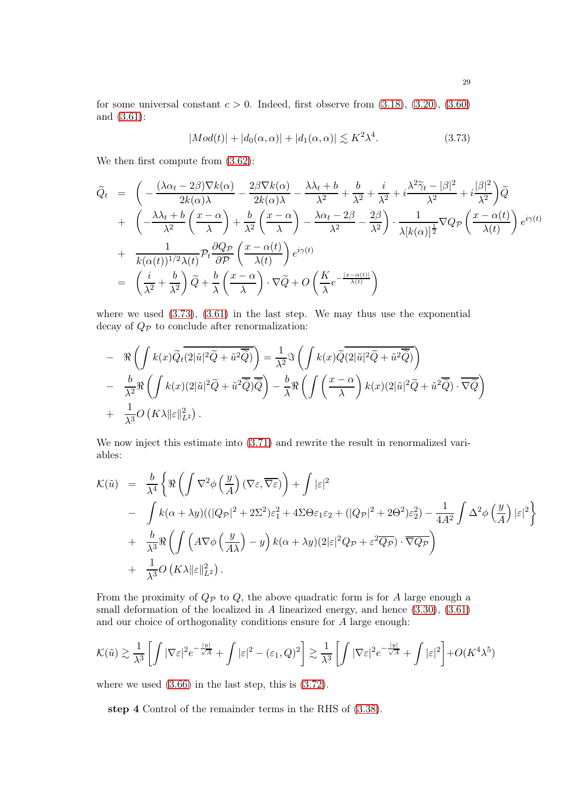for some universal constant  $c > 0$ . Indeed, first observe from  $(3.18)$ ,  $(3.20)$ ,  $(3.60)$ and [\(3.61\)](#page-25-6):

<span id="page-28-0"></span>
$$
|Mod(t)| + |d_0(\alpha, \alpha)| + |d_1(\alpha, \alpha)| \lesssim K^2 \lambda^4. \tag{3.73}
$$

We then first compute from [\(3.62\)](#page-26-6):

$$
\begin{split}\n\widetilde{Q}_{t} &= \left( -\frac{(\lambda\alpha_{t} - 2\beta)\nabla k(\alpha)}{2k(\alpha)\lambda} - \frac{2\beta\nabla k(\alpha)}{2k(\alpha)\lambda} - \frac{\lambda\lambda_{t} + b}{\lambda^{2}} + \frac{b}{\lambda^{2}} + i\frac{\lambda^{2}\widetilde{\gamma}_{t} - |\beta|^{2}}{\lambda^{2}} + i\frac{|\beta|^{2}}{\lambda^{2}} \right) \widetilde{Q} \\
&+ \left( -\frac{\lambda\lambda_{t} + b}{\lambda^{2}} \left( \frac{x - \alpha}{\lambda} \right) + \frac{b}{\lambda^{2}} \left( \frac{x - \alpha}{\lambda} \right) - \frac{\lambda\alpha_{t} - 2\beta}{\lambda^{2}} - \frac{2\beta}{\lambda^{2}} \right) \cdot \frac{1}{\lambda[k(\alpha)]^{\frac{1}{2}}} \nabla Q_{\mathcal{P}} \left( \frac{x - \alpha(t)}{\lambda(t)} \right) e^{i\gamma(t)} \\
&+ \frac{1}{k(\alpha(t))^{1/2}\lambda(t)} \mathcal{P}_{t} \frac{\partial Q_{\mathcal{P}}}{\partial \mathcal{P}} \left( \frac{x - \alpha(t)}{\lambda(t)} \right) e^{i\gamma(t)} \\
&= \left( \frac{i}{\lambda^{2}} + \frac{b}{\lambda^{2}} \right) \widetilde{Q} + \frac{b}{\lambda} \left( \frac{x - \alpha}{\lambda} \right) \cdot \nabla \widetilde{Q} + O \left( \frac{K}{\lambda} e^{-\frac{|x - \alpha(t)|}{\lambda(t)}} \right)\n\end{split}
$$

where we used [\(3.73\)](#page-28-0), [\(3.61\)](#page-25-6) in the last step. We may thus use the exponential decay of  $Q_{\mathcal{P}}$  to conclude after renormalization:

$$
- \Re \left( \int k(x) \widetilde{Q}_t \overline{(2|\tilde{u}|^2 \widetilde{Q} + \tilde{u}^2 \widetilde{\widetilde{Q}})} \right) = \frac{1}{\lambda^2} \Im \left( \int k(x) \widetilde{Q} \overline{(2|\tilde{u}|^2 \widetilde{Q} + \tilde{u}^2 \widetilde{\widetilde{Q}})} \right)
$$
  

$$
- \frac{b}{\lambda^2} \Re \left( \int k(x) (2|\tilde{u}|^2 \widetilde{Q} + \tilde{u}^2 \widetilde{\widetilde{Q}}) \overline{\widetilde{Q}} \right) - \frac{b}{\lambda} \Re \left( \int \left( \frac{x - \alpha}{\lambda} \right) k(x) (2|\tilde{u}|^2 \widetilde{Q} + \tilde{u}^2 \overline{\widetilde{Q}}) \cdot \overline{\nabla \widetilde{Q}} \right)
$$
  

$$
+ \frac{1}{\lambda^3} O \left( K \lambda ||\varepsilon||_{L^2}^2 \right).
$$

We now inject this estimate into  $(3.71)$  and rewrite the result in renormalized variables:

$$
\mathcal{K}(\tilde{u}) = \frac{b}{\lambda^4} \left\{ \Re \left( \int \nabla^2 \phi \left( \frac{y}{A} \right) (\nabla \varepsilon, \overline{\nabla \varepsilon}) \right) + \int |\varepsilon|^2 \right.\n- \int k(\alpha + \lambda y) ((|\mathbf{Q}_{\mathcal{P}}|^2 + 2\Sigma^2) \varepsilon_1^2 + 4\Sigma \Theta \varepsilon_1 \varepsilon_2 + (|\mathbf{Q}_{\mathcal{P}}|^2 + 2\Theta^2) \varepsilon_2^2) - \frac{1}{4A^2} \int \Delta^2 \phi \left( \frac{y}{A} \right) |\varepsilon|^2 \right\}\n+ \frac{b}{\lambda^3} \Re \left( \int \left( A \nabla \phi \left( \frac{y}{A\lambda} \right) - y \right) k(\alpha + \lambda y) (2|\varepsilon|^2 \mathbf{Q}_{\mathcal{P}} + \varepsilon^2 \overline{\mathbf{Q}_{\mathcal{P}}} ) \cdot \overline{\nabla \mathbf{Q}_{\mathcal{P}}} \right)\n+ \frac{1}{\lambda^3} O\left( K \lambda \|\varepsilon\|_{L^2}^2 \right).
$$

From the proximity of  $Q_{\mathcal{P}}$  to  $Q$ , the above quadratic form is for A large enough a small deformation of the localized in  $A$  linearized energy, and hence  $(3.30)$ ,  $(3.61)$ and our choice of orthogonality conditions ensure for A large enough:

$$
\mathcal{K}(\tilde{u}) \gtrsim \frac{1}{\lambda^3} \left[ \int |\nabla \varepsilon|^2 e^{-\frac{|y|}{\sqrt{A}}} + \int |\varepsilon|^2 - (\varepsilon_1, Q)^2 \right] \gtrsim \frac{1}{\lambda^3} \left[ \int |\nabla \varepsilon|^2 e^{-\frac{|y|}{\sqrt{A}}} + \int |\varepsilon|^2 \right] + O(K^4 \lambda^5)
$$

where we used [\(3.66\)](#page-26-3) in the last step, this is [\(3.72\)](#page-27-3).

step 4 Control of the remainder terms in the RHS of [\(3.38\)](#page-21-2).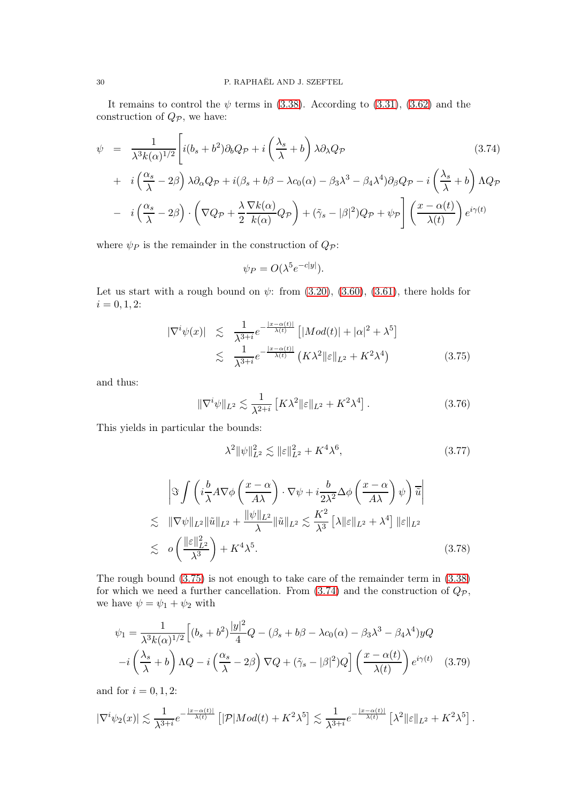It remains to control the  $\psi$  terms in [\(3.38\)](#page-21-2). According to [\(3.31\)](#page-20-6), [\(3.62\)](#page-26-6) and the construction of  $Q_{\mathcal{P}}$ , we have:

<span id="page-29-1"></span>
$$
\psi = \frac{1}{\lambda^3 k(\alpha)^{1/2}} \left[ i(b_s + b^2) \partial_b Q_{\mathcal{P}} + i \left( \frac{\lambda_s}{\lambda} + b \right) \lambda \partial_\lambda Q_{\mathcal{P}} \right]
$$
\n
$$
+ i \left( \frac{\alpha_s}{\lambda} - 2\beta \right) \lambda \partial_\alpha Q_{\mathcal{P}} + i(\beta_s + b\beta - \lambda c_0(\alpha) - \beta_3 \lambda^3 - \beta_4 \lambda^4) \partial_\beta Q_{\mathcal{P}} - i \left( \frac{\lambda_s}{\lambda} + b \right) \Lambda Q_{\mathcal{P}}
$$
\n
$$
- i \left( \frac{\alpha_s}{\lambda} - 2\beta \right) \cdot \left( \nabla Q_{\mathcal{P}} + \frac{\lambda}{2} \frac{\nabla k(\alpha)}{k(\alpha)} Q_{\mathcal{P}} \right) + (\tilde{\gamma}_s - |\beta|^2) Q_{\mathcal{P}} + \psi_{\mathcal{P}} \left[ \left( \frac{x - \alpha(t)}{\lambda(t)} \right) e^{i\gamma(t)} \right]
$$
\n(3.74)

where  $\psi_P$  is the remainder in the construction of  $Q_P$ :

$$
\psi_P = O(\lambda^5 e^{-c|y|}).
$$

Let us start with a rough bound on  $\psi$ : from [\(3.20\)](#page-17-2), [\(3.60\)](#page-25-5), [\(3.61\)](#page-25-6), there holds for  $i = 0, 1, 2:$ 

<span id="page-29-0"></span>
$$
|\nabla^{i}\psi(x)| \leq \frac{1}{\lambda^{3+i}}e^{-\frac{|x-\alpha(t)|}{\lambda(t)}} \left[|Mod(t)| + |\alpha|^{2} + \lambda^{5}\right]
$$
  

$$
\leq \frac{1}{\lambda^{3+i}}e^{-\frac{|x-\alpha(t)|}{\lambda(t)}} \left(K\lambda^{2}\|\varepsilon\|_{L^{2}} + K^{2}\lambda^{4}\right)
$$
(3.75)

and thus:

$$
\|\nabla^i \psi\|_{L^2} \lesssim \frac{1}{\lambda^{2+i}} \left[ K\lambda^2 \|\varepsilon\|_{L^2} + K^2 \lambda^4 \right]. \tag{3.76}
$$

This yields in particular the bounds:

<span id="page-29-2"></span>
$$
\lambda^2 \|\psi\|_{L^2}^2 \lesssim \|\varepsilon\|_{L^2}^2 + K^4 \lambda^6,\tag{3.77}
$$

<span id="page-29-3"></span>
$$
\left| \Im \int \left( i \frac{b}{\lambda} A \nabla \phi \left( \frac{x - \alpha}{A \lambda} \right) \cdot \nabla \psi + i \frac{b}{2\lambda^2} \Delta \phi \left( \frac{x - \alpha}{A \lambda} \right) \psi \right) \overline{\tilde{u}} \right|
$$
  
\n
$$
\lesssim \| \nabla \psi \|_{L^2} \| \tilde{u} \|_{L^2} + \frac{\| \psi \|_{L^2}}{\lambda} \| \tilde{u} \|_{L^2} \lesssim \frac{K^2}{\lambda^3} \left[ \lambda \| \varepsilon \|_{L^2} + \lambda^4 \right] \| \varepsilon \|_{L^2}
$$
  
\n
$$
\lesssim o \left( \frac{\| \varepsilon \|_{L^2}^2}{\lambda^3} \right) + K^4 \lambda^5.
$$
\n(3.78)

The rough bound [\(3.75\)](#page-29-0) is not enough to take care of the remainder term in [\(3.38\)](#page-21-2) for which we need a further cancellation. From  $(3.74)$  and the construction of  $Q_{\mathcal{P}}$ , we have  $\psi = \psi_1 + \psi_2$  with

$$
\psi_1 = \frac{1}{\lambda^3 k(\alpha)^{1/2}} \Big[ (b_s + b^2) \frac{|y|^2}{4} Q - (\beta_s + b\beta - \lambda c_0(\alpha) - \beta_3 \lambda^3 - \beta_4 \lambda^4) y Q
$$

$$
-i \left( \frac{\lambda_s}{\lambda} + b \right) \Lambda Q - i \left( \frac{\alpha_s}{\lambda} - 2\beta \right) \nabla Q + (\tilde{\gamma}_s - |\beta|^2) Q \Big] \left( \frac{x - \alpha(t)}{\lambda(t)} \right) e^{i\gamma(t)} \quad (3.79)
$$

and for  $i = 0, 1, 2$ :

$$
|\nabla^i\psi_2(x)|\lesssim \frac{1}{\lambda^{3+i}}e^{-\frac{|x-\alpha(t)|}{\lambda(t)}}\left[|\mathcal{P}|Mod(t)+K^2\lambda^5\right]\lesssim \frac{1}{\lambda^{3+i}}e^{-\frac{|x-\alpha(t)|}{\lambda(t)}}\left[\lambda^2\|\varepsilon\|_{L^2}+K^2\lambda^5\right].
$$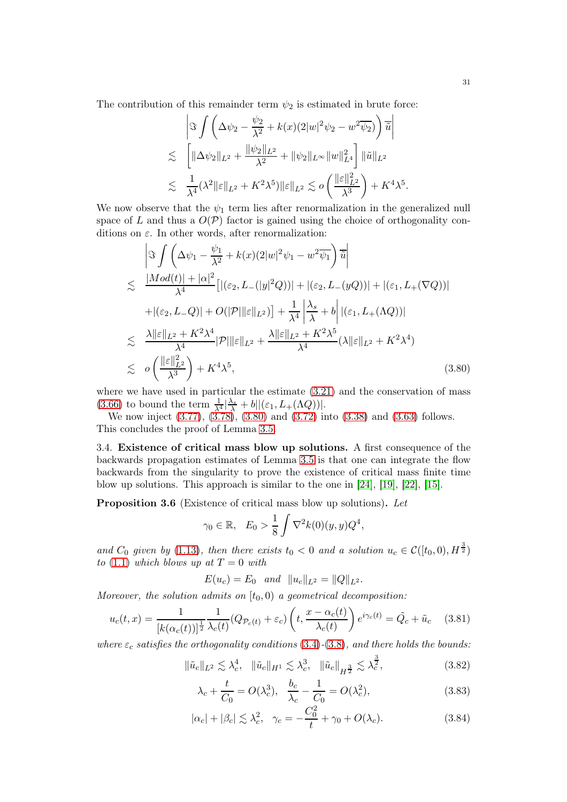The contribution of this remainder term  $\psi_2$  is estimated in brute force:

$$
\left| \Im \int \left( \Delta \psi_2 - \frac{\psi_2}{\lambda^2} + k(x)(2|w|^2 \psi_2 - w^2 \overline{\psi_2}) \right) \overline{\tilde{u}} \right|
$$
  

$$
\lesssim \left[ \| \Delta \psi_2 \|_{L^2} + \frac{\|\psi_2\|_{L^2}}{\lambda^2} + \|\psi_2\|_{L^\infty} \|w\|_{L^4}^2 \right] \| \tilde{u} \|_{L^2}
$$
  

$$
\lesssim \frac{1}{\lambda^4} (\lambda^2 \|\varepsilon\|_{L^2} + K^2 \lambda^5) \|\varepsilon\|_{L^2} \lesssim o \left( \frac{\|\varepsilon\|_{L^2}^2}{\lambda^3} \right) + K^4 \lambda^5.
$$

We now observe that the  $\psi_1$  term lies after renormalization in the generalized null space of L and thus a  $O(\mathcal{P})$  factor is gained using the choice of orthogonality conditions on  $\varepsilon$ . In other words, after renormalization:

<span id="page-30-1"></span>
$$
\begin{split}\n&\left|\Im \int \left(\Delta \psi_1 - \frac{\psi_1}{\lambda^2} + k(x)(2|w|^2 \psi_1 - w^2 \overline{\psi_1}\right) \overline{\tilde{u}}\right| \\
&\lesssim \frac{|Mod(t)| + |\alpha|^2}{\lambda^4} \left[ |(\varepsilon_2, L_-(|y|^2 Q))| + |(\varepsilon_2, L_-(yQ))| + |(\varepsilon_1, L_+(\nabla Q))| \right. \\
&\left. + |(\varepsilon_2, L_-Q)| + O(|\mathcal{P}| ||\varepsilon||_{L^2})\right] + \frac{1}{\lambda^4} \left| \frac{\lambda_s}{\lambda} + b \right| |(\varepsilon_1, L_+(\Lambda Q))| \\
&\lesssim \frac{\lambda ||\varepsilon||_{L^2} + K^2 \lambda^4}{\lambda^4} |\mathcal{P}| ||\varepsilon||_{L^2} + \frac{\lambda ||\varepsilon||_{L^2} + K^2 \lambda^5}{\lambda^4} (\lambda ||\varepsilon||_{L^2} + K^2 \lambda^4) \\
&\lesssim o\left(\frac{||\varepsilon||_{L^2}^2}{\lambda^3}\right) + K^4 \lambda^5,\n\end{split} \tag{3.80}
$$

where we have used in particular the estimate [\(3.21\)](#page-17-3) and the conservation of mass [\(3.66\)](#page-26-3) to bound the term  $\frac{1}{\lambda^4} \left| \frac{\lambda_s}{\lambda} + b \right| \left| (\varepsilon_1, L_+(\Lambda Q)) \right|$ .

We now inject [\(3.77\)](#page-29-2), [\(3.78\)](#page-29-3), [\(3.80\)](#page-30-1) and [\(3.72\)](#page-27-3) into [\(3.38\)](#page-21-2) and [\(3.63\)](#page-26-0) follows. This concludes the proof of Lemma [3.5.](#page-25-1)

3.4. Existence of critical mass blow up solutions. A first consequence of the backwards propagation estimates of Lemma [3.5](#page-25-1) is that one can integrate the flow backwards from the singularity to prove the existence of critical mass finite time blow up solutions. This approach is similar to the one in [\[24\]](#page-72-5), [\[19\]](#page-72-16), [\[22\]](#page-72-23), [\[15\]](#page-72-22).

<span id="page-30-0"></span>Proposition 3.6 (Existence of critical mass blow up solutions). Let

$$
\gamma_0 \in \mathbb{R}, \quad E_0 > \frac{1}{8} \int \nabla^2 k(0)(y, y) Q^4,
$$

and  $C_0$  given by [\(1.13\)](#page-4-0), then there exists  $t_0 < 0$  and a solution  $u_c \in \mathcal{C}([t_0, 0), H^{\frac{3}{2}})$ to [\(1.1\)](#page-0-0) which blows up at  $T=0$  with

$$
E(u_c) = E_0
$$
 and  $||u_c||_{L^2} = ||Q||_{L^2}$ .

Moreover, the solution admits on  $[t_0, 0)$  a geometrical decomposition:

<span id="page-30-2"></span>
$$
u_c(t,x) = \frac{1}{\left[k(\alpha_c(t))\right]^{\frac{1}{2}}} \frac{1}{\lambda_c(t)} (Q_{\mathcal{P}_c(t)} + \varepsilon_c) \left(t, \frac{x - \alpha_c(t)}{\lambda_c(t)}\right) e^{i\gamma_c(t)} = \tilde{Q}_c + \tilde{u}_c \quad (3.81)
$$

where  $\varepsilon_c$  satisfies the orthogonality conditions [\(3.4\)](#page-16-0)-[\(3.8\)](#page-16-1), and there holds the bounds:

<span id="page-30-3"></span>
$$
\|\tilde{u}_c\|_{L^2} \lesssim \lambda_c^4, \quad \|\tilde{u}_c\|_{H^1} \lesssim \lambda_c^3, \quad \|\tilde{u}_c\|_{H^{\frac{3}{2}}} \lesssim \lambda_c^{\frac{3}{2}}, \tag{3.82}
$$

<span id="page-30-4"></span>
$$
\lambda_c + \frac{t}{C_0} = O(\lambda_c^3), \quad \frac{b_c}{\lambda_c} - \frac{1}{C_0} = O(\lambda_c^2), \tag{3.83}
$$

<span id="page-30-5"></span>
$$
|\alpha_c| + |\beta_c| \lesssim \lambda_c^2, \quad \gamma_c = -\frac{C_0^2}{t} + \gamma_0 + O(\lambda_c). \tag{3.84}
$$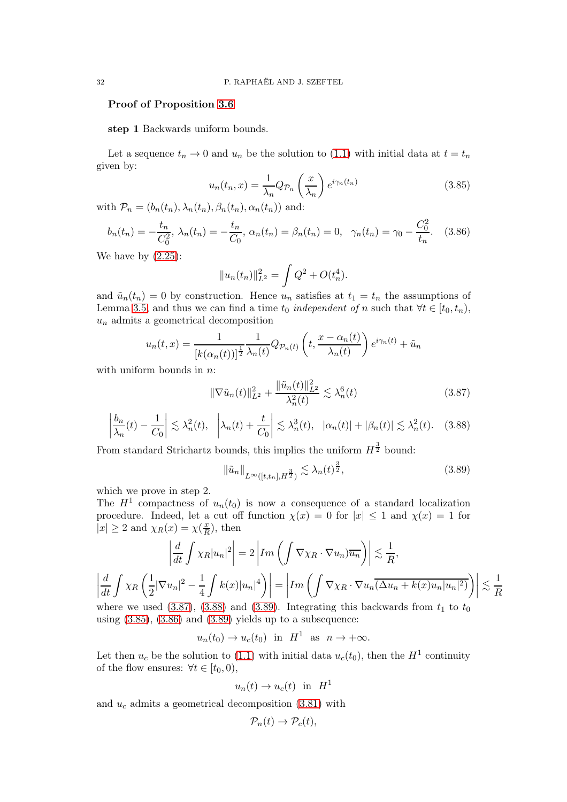### Proof of Proposition [3.6](#page-30-0)

step 1 Backwards uniform bounds.

Let a sequence  $t_n \to 0$  and  $u_n$  be the solution to [\(1.1\)](#page-0-0) with initial data at  $t = t_n$ given by:

<span id="page-31-3"></span>
$$
u_n(t_n, x) = \frac{1}{\lambda_n} Q_{\mathcal{P}_n} \left(\frac{x}{\lambda_n}\right) e^{i\gamma_n(t_n)}
$$
(3.85)

with  $\mathcal{P}_n = (b_n(t_n), \lambda_n(t_n), \beta_n(t_n), \alpha_n(t_n))$  and:

<span id="page-31-4"></span>
$$
b_n(t_n) = -\frac{t_n}{C_0^2}, \ \lambda_n(t_n) = -\frac{t_n}{C_0}, \ \alpha_n(t_n) = \beta_n(t_n) = 0, \quad \gamma_n(t_n) = \gamma_0 - \frac{C_0^2}{t_n}.
$$
 (3.86)

We have by  $(2.25)$ :

$$
||u_n(t_n)||_{L^2}^2 = \int Q^2 + O(t_n^4).
$$

and  $\tilde{u}_n(t_n) = 0$  by construction. Hence  $u_n$  satisfies at  $t_1 = t_n$  the assumptions of Lemma [3.5,](#page-25-1) and thus we can find a time  $t_0$  independent of n such that  $\forall t \in [t_0, t_n)$ ,  $u_n$  admits a geometrical decomposition

$$
u_n(t,x) = \frac{1}{[k(\alpha_n(t))]^{\frac{1}{2}}} \frac{1}{\lambda_n(t)} Q_{\mathcal{P}_n(t)} \left( t, \frac{x - \alpha_n(t)}{\lambda_n(t)} \right) e^{i\gamma_n(t)} + \tilde{u}_n
$$

with uniform bounds in  $n$ :

<span id="page-31-0"></span>
$$
\|\nabla \tilde{u}_n(t)\|_{L^2}^2 + \frac{\|\tilde{u}_n(t)\|_{L^2}^2}{\lambda_n^2(t)} \lesssim \lambda_n^6(t)
$$
\n(3.87)

<span id="page-31-1"></span>
$$
\left|\frac{b_n}{\lambda_n}(t) - \frac{1}{C_0}\right| \lesssim \lambda_n^2(t), \quad \left|\lambda_n(t) + \frac{t}{C_0}\right| \lesssim \lambda_n^3(t), \quad |\alpha_n(t)| + |\beta_n(t)| \lesssim \lambda_n^2(t). \quad (3.88)
$$

From standard Strichartz bounds, this implies the uniform  $H^{\frac{3}{2}}$  bound:

<span id="page-31-2"></span>
$$
\|\tilde{u}_n\|_{L^{\infty}([t,t_n],H^{\frac{3}{2}})} \lesssim \lambda_n(t)^{\frac{3}{2}},\tag{3.89}
$$

which we prove in step 2.

The  $H^1$  compactness of  $u_n(t_0)$  is now a consequence of a standard localization procedure. Indeed, let a cut off function  $\chi(x) = 0$  for  $|x| \leq 1$  and  $\chi(x) = 1$  for  $|x| \ge 2$  and  $\chi_R(x) = \chi(\frac{x}{R})$  $\frac{x}{R}$ , then

$$
\left| \frac{d}{dt} \int \chi_R |u_n|^2 \right| = 2 \left| Im \left( \int \nabla \chi_R \cdot \nabla u_n \right) \overline{u_n} \right| \right| \lesssim \frac{1}{R},
$$
  

$$
\left| \frac{d}{dt} \int \chi_R \left( \frac{1}{2} |\nabla u_n|^2 - \frac{1}{4} \int k(x) |u_n|^4 \right) \right| = \left| Im \left( \int \nabla \chi_R \cdot \nabla u_n (\Delta u_n + k(x) u_n |u_n|^2) \right) \right| \lesssim \frac{1}{R}
$$
  
where we used (3.87), (3.88) and (3.89). Integrating this backwards from  $t_1$  to  $t_0$ 

where we used  $(3.87)$ ,  $(3.88)$  and  $(3.89)$ . Integrating this backwards from  $t_1$  to  $t_0$ using  $(3.85)$ ,  $(3.86)$  and  $(3.89)$  yields up to a subsequence:

 $u_n(t_0) \to u_c(t_0)$  in  $H^1$  as  $n \to +\infty$ .

Let then  $u_c$  be the solution to [\(1.1\)](#page-0-0) with initial data  $u_c(t_0)$ , then the  $H<sup>1</sup>$  continuity of the flow ensures:  $\forall t \in [t_0, 0)$ ,

$$
u_n(t) \to u_c(t)
$$
 in  $H^1$ 

and  $u_c$  admits a geometrical decomposition [\(3.81\)](#page-30-2) with

$$
\mathcal{P}_n(t) \to \mathcal{P}_c(t),
$$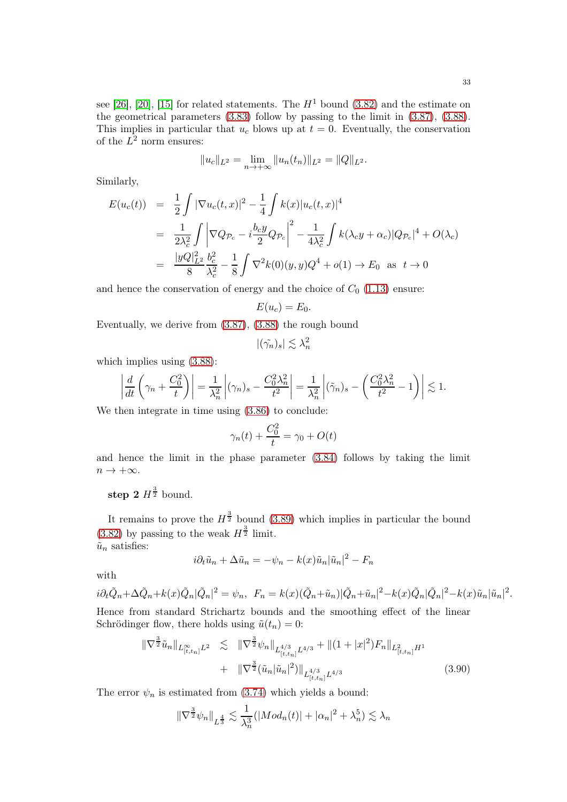see [\[26\]](#page-72-20), [\[20\]](#page-72-24), [\[15\]](#page-72-22) for related statements. The  $H<sup>1</sup>$  bound [\(3.82\)](#page-30-3) and the estimate on the geometrical parameters [\(3.83\)](#page-30-4) follow by passing to the limit in [\(3.87\)](#page-31-0), [\(3.88\)](#page-31-1). This implies in particular that  $u_c$  blows up at  $t = 0$ . Eventually, the conservation of the  $L^2$  norm ensures:

$$
||u_c||_{L^2} = \lim_{n \to +\infty} ||u_n(t_n)||_{L^2} = ||Q||_{L^2}.
$$

Similarly,

$$
E(u_c(t)) = \frac{1}{2} \int |\nabla u_c(t, x)|^2 - \frac{1}{4} \int k(x) |u_c(t, x)|^4
$$
  
\n
$$
= \frac{1}{2\lambda_c^2} \int \left| \nabla Q_{\mathcal{P}_c} - i \frac{b_c y}{2} Q_{\mathcal{P}_c} \right|^2 - \frac{1}{4\lambda_c^2} \int k(\lambda_c y + \alpha_c) |Q_{\mathcal{P}_c}|^4 + O(\lambda_c)
$$
  
\n
$$
= \frac{|yQ|_{L^2}^2}{8} \frac{b_c^2}{\lambda_c^2} - \frac{1}{8} \int \nabla^2 k(0)(y, y) Q^4 + o(1) \to E_0 \text{ as } t \to 0
$$

and hence the conservation of energy and the choice of  $C_0$  [\(1.13\)](#page-4-0) ensure:

$$
E(u_c)=E_0.
$$

Eventually, we derive from [\(3.87\)](#page-31-0), [\(3.88\)](#page-31-1) the rough bound

$$
|(\tilde{\gamma_n})_s| \lesssim \lambda_n^2
$$

which implies using [\(3.88\)](#page-31-1):

$$
\left|\frac{d}{dt}\left(\gamma_n + \frac{C_0^2}{t}\right)\right| = \frac{1}{\lambda_n^2} \left|(\gamma_n)_s - \frac{C_0^2 \lambda_n^2}{t^2}\right| = \frac{1}{\lambda_n^2} \left|(\tilde{\gamma}_n)_s - \left(\frac{C_0^2 \lambda_n^2}{t^2} - 1\right)\right| \lesssim 1.
$$

We then integrate in time using [\(3.86\)](#page-31-4) to conclude:

$$
\gamma_n(t) + \frac{C_0^2}{t} = \gamma_0 + O(t)
$$

and hence the limit in the phase parameter [\(3.84\)](#page-30-5) follows by taking the limit  $n \to +\infty$ .

step 2  $H^{\frac{3}{2}}$  bound.

It remains to prove the  $H^{\frac{3}{2}}$  bound [\(3.89\)](#page-31-2) which implies in particular the bound  $(3.82)$  by passing to the weak  $H^{\frac{3}{2}}$  limit.  $\tilde{u}_n$  satisfies:

$$
i\partial_t \tilde{u}_n + \Delta \tilde{u}_n = -\psi_n - k(x)\tilde{u}_n |\tilde{u}_n|^2 - F_n
$$

with

$$
i\partial_t \tilde{Q}_n + \Delta \tilde{Q}_n + k(x)\tilde{Q}_n|\tilde{Q}_n|^2 = \psi_n, \ \ F_n = k(x)(\tilde{Q}_n + \tilde{u}_n)|\tilde{Q}_n + \tilde{u}_n|^2 - k(x)\tilde{Q}_n|\tilde{Q}_n|^2 - k(x)\tilde{u}_n|\tilde{u}_n|^2.
$$
  
Hence from standard Strichertz bounds and the smoothing effect of the linear

Hence from standard Strichartz bounds and the smoothing effect of the linear Schrödinger flow, there holds using  $\tilde{u}(t_n) = 0$ :

<span id="page-32-0"></span>
$$
\|\nabla^{\frac{3}{2}}\tilde{u}_{n}\|_{L_{[t,t_{n}]}^{\infty}L^{2}} \lesssim \|\nabla^{\frac{3}{2}}\psi_{n}\|_{L_{[t,t_{n}]}^{4/3}L^{4/3}} + \|(1+|x|^{2})F_{n}\|_{L_{[t,t_{n}]}^{2}H^{1}} + \|\nabla^{\frac{3}{2}}(\tilde{u}_{n}|\tilde{u}_{n}|^{2})\|_{L_{[t,t_{n}]}^{4/3}L^{4/3}} \tag{3.90}
$$

The error  $\psi_n$  is estimated from [\(3.74\)](#page-29-1) which yields a bound:

$$
\|\nabla^{\frac{3}{2}}\psi_n\|_{L^{\frac{4}{3}}} \lesssim \frac{1}{\lambda_n^3}(|Mod_n(t)| + |\alpha_n|^2 + \lambda_n^5) \lesssim \lambda_n
$$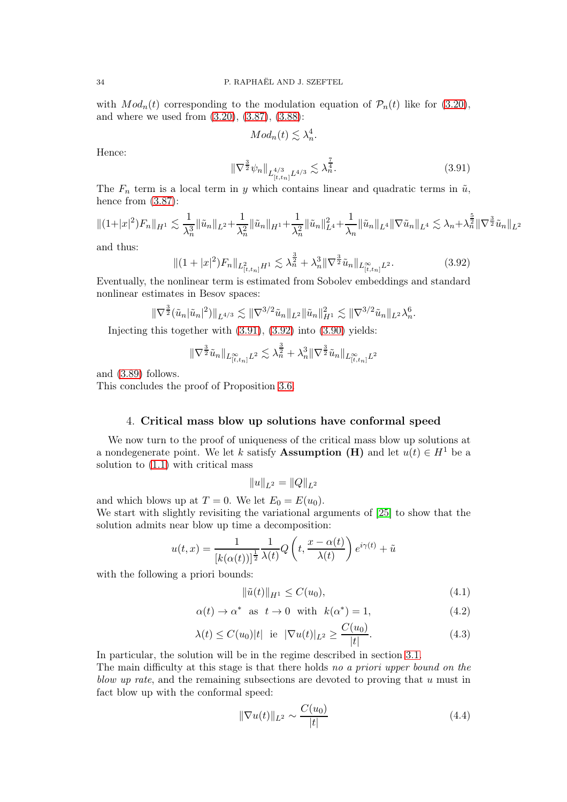with  $Mod_n(t)$  corresponding to the modulation equation of  $\mathcal{P}_n(t)$  like for [\(3.20\)](#page-17-2), and where we used from [\(3.20\)](#page-17-2), [\(3.87\)](#page-31-0), [\(3.88\)](#page-31-1):

$$
Mod_n(t) \lesssim \lambda_n^4.
$$

Hence:

<span id="page-33-1"></span>
$$
\|\nabla^{\frac{3}{2}}\psi_n\|_{L^{4/3}_{[t,t_n]}L^{4/3}} \lesssim \lambda_n^{\frac{7}{4}}.\tag{3.91}
$$

The  $F_n$  term is a local term in y which contains linear and quadratic terms in  $\tilde{u}$ , hence from  $(3.87)$ :

$$
\|(1+|x|^2)F_n\|_{H^1} \lesssim \frac{1}{\lambda_n^3} \|\tilde{u}_n\|_{L^2} + \frac{1}{\lambda_n^2} \|\tilde{u}_n\|_{H^1} + \frac{1}{\lambda_n^2} \|\tilde{u}_n\|_{L^4}^2 + \frac{1}{\lambda_n} \|\tilde{u}_n\|_{L^4} \|\nabla \tilde{u}_n\|_{L^4} \lesssim \lambda_n + \lambda_n^{\frac{5}{2}} \|\nabla^{\frac{3}{2}} \tilde{u}_n\|_{L^2}
$$

and thus:

<span id="page-33-2"></span>
$$
\|(1+|x|^2)F_n\|_{L^2_{[t,t_n]}H^1} \lesssim \lambda_n^{\frac{3}{2}} + \lambda_n^3 \|\nabla^{\frac{3}{2}}\tilde{u}_n\|_{L^\infty_{[t,t_n]}L^2}.\tag{3.92}
$$

Eventually, the nonlinear term is estimated from Sobolev embeddings and standard nonlinear estimates in Besov spaces:

$$
\|\nabla^{\frac{3}{2}}(\tilde{u}_n|\tilde{u}_n|^2)\|_{L^{4/3}} \lesssim \|\nabla^{3/2}\tilde{u}_n\|_{L^2} \|\tilde{u}_n\|_{H^1}^2 \lesssim \|\nabla^{3/2}\tilde{u}_n\|_{L^2} \lambda_n^6.
$$

Injecting this together with [\(3.91\)](#page-33-1), [\(3.92\)](#page-33-2) into [\(3.90\)](#page-32-0) yields:

$$
\|\nabla^{\frac{3}{2}}\tilde{u}_n\|_{L_{[t,t_n]}^\infty L^2}\lesssim \lambda_n^{\frac{3}{2}}+\lambda_n^3\|\nabla^{\frac{3}{2}}\tilde{u}_n\|_{L_{[t,t_n]}^\infty L^2}
$$

and [\(3.89\)](#page-31-2) follows.

<span id="page-33-0"></span>This concludes the proof of Proposition [3.6.](#page-30-0)

### 4. Critical mass blow up solutions have conformal speed

We now turn to the proof of uniqueness of the critical mass blow up solutions at a nondegenerate point. We let k satisfy **Assumption (H)** and let  $u(t) \in H^1$  be a solution to [\(1.1\)](#page-0-0) with critical mass

 $||u||_{L^2} = ||Q||_{L^2}$ 

and which blows up at  $T = 0$ . We let  $E_0 = E(u_0)$ .

We start with slightly revisiting the variational arguments of [\[25\]](#page-72-2) to show that the solution admits near blow up time a decomposition:

$$
u(t,x) = \frac{1}{[k(\alpha(t))]^{\frac{1}{2}}} \frac{1}{\lambda(t)} Q\left(t, \frac{x - \alpha(t)}{\lambda(t)}\right) e^{i\gamma(t)} + \tilde{u}
$$

with the following a priori bounds:

<span id="page-33-3"></span>
$$
\|\tilde{u}(t)\|_{H^1} \le C(u_0),\tag{4.1}
$$

$$
\alpha(t) \to \alpha^* \quad \text{as} \quad t \to 0 \quad \text{with} \quad k(\alpha^*) = 1,\tag{4.2}
$$

$$
\lambda(t) \le C(u_0)|t| \text{ ie } |\nabla u(t)|_{L^2} \ge \frac{C(u_0)}{|t|}.
$$
\n(4.3)

In particular, the solution will be in the regime described in section [3.1.](#page-15-6)

The main difficulty at this stage is that there holds no a priori upper bound on the blow up rate, and the remaining subsections are devoted to proving that u must in fact blow up with the conformal speed:

$$
\|\nabla u(t)\|_{L^2} \sim \frac{C(u_0)}{|t|} \tag{4.4}
$$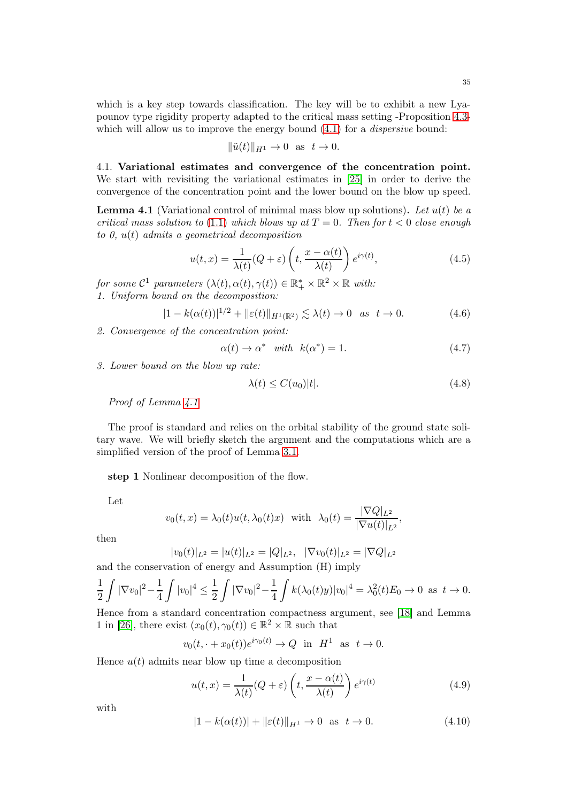which is a key step towards classification. The key will be to exhibit a new Lyapounov type rigidity property adapted to the critical mass setting -Proposition [4.3](#page-37-0) which will allow us to improve the energy bound  $(4.1)$  for a *dispersive* bound:

$$
\|\tilde{u}(t)\|_{H^1} \to 0 \text{ as } t \to 0.
$$

4.1. Variational estimates and convergence of the concentration point. We start with revisiting the variational estimates in [\[25\]](#page-72-2) in order to derive the convergence of the concentration point and the lower bound on the blow up speed.

<span id="page-34-0"></span>**Lemma 4.1** (Variational control of minimal mass blow up solutions). Let  $u(t)$  be a critical mass solution to [\(1.1\)](#page-0-0) which blows up at  $T = 0$ . Then for  $t < 0$  close enough to 0,  $u(t)$  admits a geometrical decomposition

$$
u(t,x) = \frac{1}{\lambda(t)}(Q+\varepsilon)\left(t, \frac{x-\alpha(t)}{\lambda(t)}\right)e^{i\gamma(t)},
$$
\n(4.5)

for some  $C^1$  parameters  $(\lambda(t), \alpha(t), \gamma(t)) \in \mathbb{R}_+^* \times \mathbb{R}^2 \times \mathbb{R}$  with: 1. Uniform bound on the decomposition:

$$
|1 - k(\alpha(t))|^{1/2} + ||\varepsilon(t)||_{H^1(\mathbb{R}^2)} \lesssim \lambda(t) \to 0 \quad \text{as} \quad t \to 0. \tag{4.6}
$$

2. Convergence of the concentration point:

$$
\alpha(t) \to \alpha^* \quad with \quad k(\alpha^*) = 1. \tag{4.7}
$$

3. Lower bound on the blow up rate:

$$
\lambda(t) \le C(u_0)|t|.\tag{4.8}
$$

Proof of Lemma  $\angle 4.1$  $\angle 4.1$ 

The proof is standard and relies on the orbital stability of the ground state solitary wave. We will briefly sketch the argument and the computations which are a simplified version of the proof of Lemma [3.1.](#page-17-0)

step 1 Nonlinear decomposition of the flow.

Let

$$
v_0(t,x) = \lambda_0(t)u(t,\lambda_0(t)x)
$$
 with  $\lambda_0(t) = \frac{|\nabla Q|_{L^2}}{|\nabla u(t)|_{L^2}}$ ,

then

$$
|v_0(t)|_{L^2} = |u(t)|_{L^2} = |Q|_{L^2}, \quad |\nabla v_0(t)|_{L^2} = |\nabla Q|_{L^2}
$$

and the conservation of energy and Assumption (H) imply

$$
\frac{1}{2}\int |\nabla v_0|^2 - \frac{1}{4}\int |v_0|^4 \le \frac{1}{2}\int |\nabla v_0|^2 - \frac{1}{4}\int k(\lambda_0(t)y)|v_0|^4 = \lambda_0^2(t)E_0 \to 0 \text{ as } t \to 0.
$$

Hence from a standard concentration compactness argument, see [\[18\]](#page-72-27) and Lemma 1 in [\[26\]](#page-72-20), there exist  $(x_0(t), \gamma_0(t)) \in \mathbb{R}^2 \times \mathbb{R}$  such that

$$
v_0(t, \cdot + x_0(t))e^{i\gamma_0(t)} \to Q
$$
 in  $H^1$  as  $t \to 0$ .

Hence  $u(t)$  admits near blow up time a decomposition

<span id="page-34-2"></span>
$$
u(t,x) = \frac{1}{\lambda(t)}(Q+\varepsilon)\left(t, \frac{x-\alpha(t)}{\lambda(t)}\right)e^{i\gamma(t)}
$$
(4.9)

with

<span id="page-34-1"></span>
$$
|1 - k(\alpha(t))| + ||\varepsilon(t)||_{H^1} \to 0 \text{ as } t \to 0.
$$
 (4.10)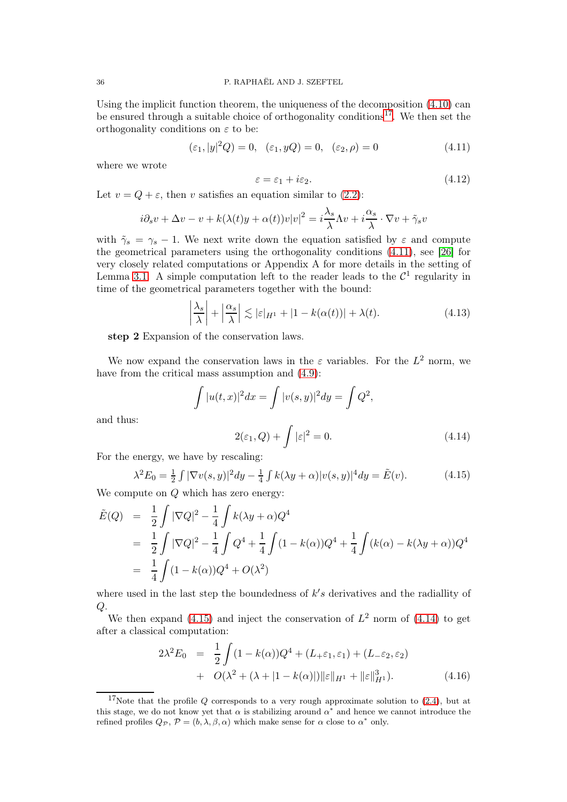Using the implicit function theorem, the uniqueness of the decomposition [\(4.10\)](#page-34-1) can be ensured through a suitable choice of orthogonality conditions<sup>[17](#page-35-0)</sup>. We then set the orthogonality conditions on  $\varepsilon$  to be:

<span id="page-35-1"></span>
$$
(\varepsilon_1, |y|^2 Q) = 0, \quad (\varepsilon_1, yQ) = 0, \quad (\varepsilon_2, \rho) = 0 \tag{4.11}
$$

where we wrote

$$
\varepsilon = \varepsilon_1 + i\varepsilon_2. \tag{4.12}
$$

Let  $v = Q + \varepsilon$ , then v satisfies an equation similar to [\(2.2\)](#page-10-0):

$$
i\partial_s v + \Delta v - v + k(\lambda(t)y + \alpha(t))v|v|^2 = i\frac{\lambda_s}{\lambda}\Lambda v + i\frac{\alpha_s}{\lambda}\cdot\nabla v + \tilde{\gamma}_s v
$$

with  $\tilde{\gamma}_s = \gamma_s - 1$ . We next write down the equation satisfied by  $\varepsilon$  and compute the geometrical parameters using the orthogonality conditions [\(4.11\)](#page-35-1), see [\[26\]](#page-72-20) for very closely related computations or Appendix A for more details in the setting of Lemma [3.1.](#page-17-0) A simple computation left to the reader leads to the  $\mathcal{C}^1$  regularity in time of the geometrical parameters together with the bound:

$$
\left|\frac{\lambda_s}{\lambda}\right| + \left|\frac{\alpha_s}{\lambda}\right| \lesssim |\varepsilon|_{H^1} + |1 - k(\alpha(t))| + \lambda(t). \tag{4.13}
$$

step 2 Expansion of the conservation laws.

We now expand the conservation laws in the  $\varepsilon$  variables. For the  $L^2$  norm, we have from the critical mass assumption and  $(4.9)$ :

$$
\int |u(t,x)|^2 dx = \int |v(s,y)|^2 dy = \int Q^2,
$$
  

$$
2(\varepsilon_1, Q) + \int |\varepsilon|^2 = 0.
$$
 (4.14)

and thus:

<span id="page-35-3"></span>
$$
2(\varepsilon_1, Q) + \int |\varepsilon|^2 = 0. \tag{4.1}
$$

For the energy, we have by rescaling:

<span id="page-35-2"></span>
$$
\lambda^{2} E_{0} = \frac{1}{2} \int |\nabla v(s, y)|^{2} dy - \frac{1}{4} \int k(\lambda y + \alpha) |v(s, y)|^{4} dy = \tilde{E}(v).
$$
 (4.15)

We compute on  $Q$  which has zero energy:

$$
\tilde{E}(Q) = \frac{1}{2} \int |\nabla Q|^2 - \frac{1}{4} \int k(\lambda y + \alpha) Q^4
$$
  
= 
$$
\frac{1}{2} \int |\nabla Q|^2 - \frac{1}{4} \int Q^4 + \frac{1}{4} \int (1 - k(\alpha)) Q^4 + \frac{1}{4} \int (k(\alpha) - k(\lambda y + \alpha)) Q^4
$$
  
= 
$$
\frac{1}{4} \int (1 - k(\alpha)) Q^4 + O(\lambda^2)
$$

where used in the last step the boundedness of  $k's$  derivatives and the radiallity of  $Q$ .

We then expand [\(4.15\)](#page-35-2) and inject the conservation of  $L^2$  norm of [\(4.14\)](#page-35-3) to get after a classical computation:

$$
2\lambda^{2} E_{0} = \frac{1}{2} \int (1 - k(\alpha))Q^{4} + (L_{+} \varepsilon_{1}, \varepsilon_{1}) + (L_{-} \varepsilon_{2}, \varepsilon_{2})
$$
  
+  $O(\lambda^{2} + (\lambda + |1 - k(\alpha)|) ||\varepsilon||_{H^{1}} + ||\varepsilon||_{H^{1}}^{3}).$  (4.16)

<span id="page-35-0"></span><sup>&</sup>lt;sup>17</sup>Note that the profile  $Q$  corresponds to a very rough approximate solution to [\(2.4\)](#page-10-1), but at this stage, we do not know yet that  $\alpha$  is stabilizing around  $\alpha^*$  and hence we cannot introduce the refined profiles  $Q_{\mathcal{P}}$ ,  $\mathcal{P} = (b, \lambda, \beta, \alpha)$  which make sense for  $\alpha$  close to  $\alpha^*$  only.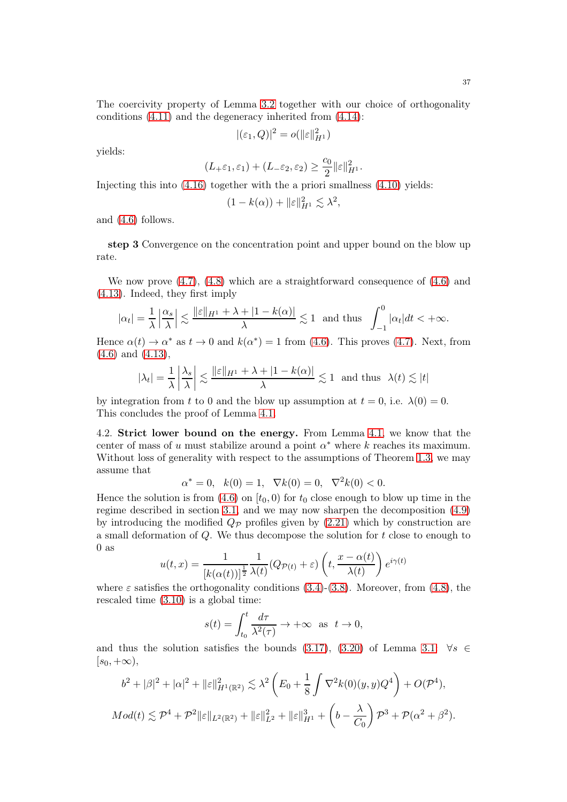The coercivity property of Lemma [3.2](#page-19-0) together with our choice of orthogonality conditions [\(4.11\)](#page-35-0) and the degeneracy inherited from [\(4.14\)](#page-35-1):

$$
|(\varepsilon_1, Q)|^2 = o(||\varepsilon||_{H^1}^2)
$$

yields:

$$
(L_{+}\varepsilon_{1}, \varepsilon_{1})+(L_{-}\varepsilon_{2}, \varepsilon_{2})\geq \frac{c_{0}}{2}\|\varepsilon\|_{H^{1}}^{2}.
$$

Injecting this into [\(4.16\)](#page-35-2) together with the a priori smallness [\(4.10\)](#page-34-0) yields:

$$
(1 - k(\alpha)) + ||\varepsilon||_{H^1}^2 \lesssim \lambda^2,
$$

and [\(4.6\)](#page-34-1) follows.

step 3 Convergence on the concentration point and upper bound on the blow up rate.

We now prove  $(4.7)$ ,  $(4.8)$  which are a straightforward consequence of  $(4.6)$  and [\(4.13\)](#page-35-3). Indeed, they first imply

$$
|\alpha_t| = \frac{1}{\lambda} \left| \frac{\alpha_s}{\lambda} \right| \lesssim \frac{\|\varepsilon\|_{H^1} + \lambda + |1 - k(\alpha)|}{\lambda} \lesssim 1 \text{ and thus } \int_{-1}^0 |\alpha_t| dt < +\infty.
$$

Hence  $\alpha(t) \to \alpha^*$  as  $t \to 0$  and  $k(\alpha^*) = 1$  from [\(4.6\)](#page-34-1). This proves [\(4.7\)](#page-34-2). Next, from [\(4.6\)](#page-34-1) and [\(4.13\)](#page-35-3),

$$
|\lambda_t| = \frac{1}{\lambda} \left| \frac{\lambda_s}{\lambda} \right| \lesssim \frac{\|\varepsilon\|_{H^1} + \lambda + |1 - k(\alpha)|}{\lambda} \lesssim 1 \text{ and thus } \lambda(t) \lesssim |t|
$$

by integration from t to 0 and the blow up assumption at  $t = 0$ , i.e.  $\lambda(0) = 0$ . This concludes the proof of Lemma [4.1.](#page-34-4)

4.2. Strict lower bound on the energy. From Lemma [4.1,](#page-34-4) we know that the center of mass of u must stabilize around a point  $\alpha^*$  where k reaches its maximum. Without loss of generality with respect to the assumptions of Theorem [1.3,](#page-3-0) we may assume that

$$
\alpha^* = 0, \quad k(0) = 1, \quad \nabla k(0) = 0, \quad \nabla^2 k(0) < 0.
$$

Hence the solution is from [\(4.6\)](#page-34-1) on  $[t_0, 0)$  for  $t_0$  close enough to blow up time in the regime described in section [3.1,](#page-15-0) and we may now sharpen the decomposition [\(4.9\)](#page-34-5) by introducing the modified  $Q_{\mathcal{P}}$  profiles given by [\(2.21\)](#page-13-0) which by construction are a small deformation of  $Q$ . We thus decompose the solution for  $t$  close to enough to 0 as

$$
u(t,x) = \frac{1}{[k(\alpha(t))]^{\frac{1}{2}}}\frac{1}{\lambda(t)}(Q_{\mathcal{P}(t)} + \varepsilon)\left(t, \frac{x - \alpha(t)}{\lambda(t)}\right)e^{i\gamma(t)}
$$

where  $\varepsilon$  satisfies the orthogonality conditions [\(3.4\)](#page-16-0)-[\(3.8\)](#page-16-1). Moreover, from [\(4.8\)](#page-34-3), the rescaled time [\(3.10\)](#page-16-2) is a global time:

$$
s(t) = \int_{t_0}^t \frac{d\tau}{\lambda^2(\tau)} \to +\infty \text{ as } t \to 0,
$$

and thus the solution satisfies the bounds [\(3.17\)](#page-17-0), [\(3.20\)](#page-17-1) of Lemma [3.1:](#page-17-2)  $\forall s \in$  $[s_0, +\infty),$ 

$$
b^2 + |\beta|^2 + |\alpha|^2 + ||\varepsilon||_{H^1(\mathbb{R}^2)}^2 \lesssim \lambda^2 \left( E_0 + \frac{1}{8} \int \nabla^2 k(0)(y, y) Q^4 \right) + O(\mathcal{P}^4),
$$
  

$$
Mod(t) \lesssim \mathcal{P}^4 + \mathcal{P}^2 ||\varepsilon||_{L^2(\mathbb{R}^2)} + ||\varepsilon||_{L^2}^2 + ||\varepsilon||_{H^1}^3 + \left( b - \frac{\lambda}{C_0} \right) \mathcal{P}^3 + \mathcal{P}(\alpha^2 + \beta^2).
$$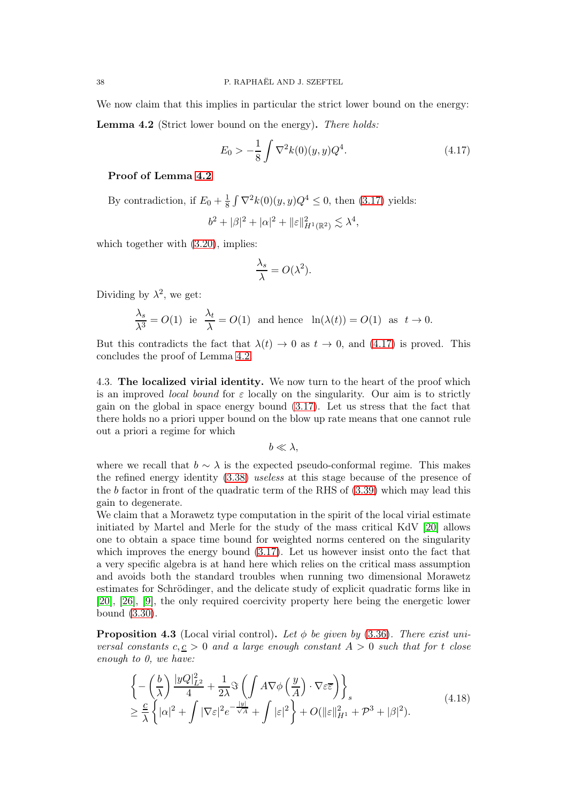We now claim that this implies in particular the strict lower bound on the energy:

<span id="page-37-0"></span>Lemma 4.2 (Strict lower bound on the energy). There holds:

<span id="page-37-1"></span>
$$
E_0 > -\frac{1}{8} \int \nabla^2 k(0)(y, y) Q^4.
$$
 (4.17)

## Proof of Lemma [4.2](#page-37-0)

By contradiction, if  $E_0 + \frac{1}{8}$  $\frac{1}{8} \int \nabla^2 k(0)(y, y) Q^4 \le 0$ , then [\(3.17\)](#page-17-0) yields:

$$
b^2+|\beta|^2+|\alpha|^2+\|\varepsilon\|_{H^1(\mathbb{R}^2)}^2\lesssim \lambda^4,
$$

which together with  $(3.20)$ , implies:

$$
\frac{\lambda_s}{\lambda} = O(\lambda^2).
$$

Dividing by  $\lambda^2$ , we get:

$$
\frac{\lambda_s}{\lambda^3} = O(1) \text{ ie } \frac{\lambda_t}{\lambda} = O(1) \text{ and hence } \ln(\lambda(t)) = O(1) \text{ as } t \to 0.
$$

But this contradicts the fact that  $\lambda(t) \to 0$  as  $t \to 0$ , and [\(4.17\)](#page-37-1) is proved. This concludes the proof of Lemma [4.2.](#page-37-0)

4.3. The localized virial identity. We now turn to the heart of the proof which is an improved *local bound* for  $\varepsilon$  locally on the singularity. Our aim is to strictly gain on the global in space energy bound [\(3.17\)](#page-17-0). Let us stress that the fact that there holds no a priori upper bound on the blow up rate means that one cannot rule out a priori a regime for which

 $b \ll \lambda$ .

where we recall that  $b \sim \lambda$  is the expected pseudo-conformal regime. This makes the refined energy identity [\(3.38\)](#page-21-0) useless at this stage because of the presence of the b factor in front of the quadratic term of the RHS of [\(3.39\)](#page-21-1) which may lead this gain to degenerate.

We claim that a Morawetz type computation in the spirit of the local virial estimate initiated by Martel and Merle for the study of the mass critical KdV [\[20\]](#page-72-0) allows one to obtain a space time bound for weighted norms centered on the singularity which improves the energy bound  $(3.17)$ . Let us however insist onto the fact that a very specific algebra is at hand here which relies on the critical mass assumption and avoids both the standard troubles when running two dimensional Morawetz estimates for Schrödinger, and the delicate study of explicit quadratic forms like in [\[20\]](#page-72-0), [\[26\]](#page-72-1), [\[9\]](#page-72-2), the only required coercivity property here being the energetic lower bound [\(3.30\)](#page-19-1).

<span id="page-37-3"></span>**Proposition 4.3** (Local virial control). Let  $\phi$  be given by [\(3.36\)](#page-20-0). There exist universal constants  $c, c > 0$  and a large enough constant  $A > 0$  such that for t close enough to 0, we have:

<span id="page-37-2"></span>
$$
\begin{split} &\left\{-\left(\frac{b}{\lambda}\right)\frac{|yQ|_{L^{2}}^{2}}{4}+\frac{1}{2\lambda}\Im\left(\int A\nabla\phi\left(\frac{y}{A}\right)\cdot\nabla\varepsilon\overline{\varepsilon}\right)\right\}_{s} \\ &\geq\frac{c}{\lambda}\left\{|\alpha|^{2}+\int|\nabla\varepsilon|^{2}e^{-\frac{|y|}{\sqrt{A}}}+\int|\varepsilon|^{2}\right\}+O(\|\varepsilon\|_{H^{1}}^{2}+P^{3}+|\beta|^{2}).\end{split} \tag{4.18}
$$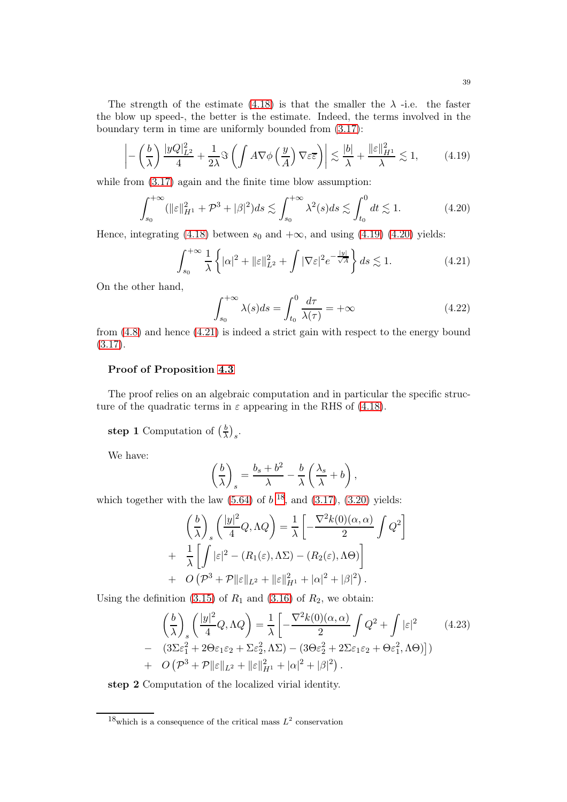The strength of the estimate [\(4.18\)](#page-37-2) is that the smaller the  $\lambda$  -i.e. the faster the blow up speed-, the better is the estimate. Indeed, the terms involved in the boundary term in time are uniformly bounded from [\(3.17\)](#page-17-0):

<span id="page-38-0"></span>
$$
\left| -\left(\frac{b}{\lambda}\right) \frac{|yQ|_{L^2}^2}{4} + \frac{1}{2\lambda} \Im \left( \int A \nabla \phi \left( \frac{y}{A} \right) \nabla \varepsilon \overline{\varepsilon} \right) \right| \lesssim \frac{|b|}{\lambda} + \frac{\|\varepsilon\|_{H^1}^2}{\lambda} \lesssim 1, \tag{4.19}
$$

while from  $(3.17)$  again and the finite time blow assumption:

<span id="page-38-1"></span>
$$
\int_{s_0}^{+\infty} (\|\varepsilon\|_{H^1}^2 + \mathcal{P}^3 + |\beta|^2) ds \lesssim \int_{s_0}^{+\infty} \lambda^2(s) ds \lesssim \int_{t_0}^0 dt \lesssim 1. \tag{4.20}
$$

Hence, integrating [\(4.18\)](#page-37-2) between  $s_0$  and  $+\infty$ , and using [\(4.19\)](#page-38-0) [\(4.20\)](#page-38-1) yields:

<span id="page-38-2"></span>
$$
\int_{s_0}^{+\infty} \frac{1}{\lambda} \left\{ |\alpha|^2 + ||\varepsilon||_{L^2}^2 + \int |\nabla \varepsilon|^2 e^{-\frac{|y|}{\sqrt{A}}} \right\} ds \lesssim 1. \tag{4.21}
$$

On the other hand,

$$
\int_{s_0}^{+\infty} \lambda(s)ds = \int_{t_0}^{0} \frac{d\tau}{\lambda(\tau)} = +\infty
$$
 (4.22)

from [\(4.8\)](#page-34-3) and hence [\(4.21\)](#page-38-2) is indeed a strict gain with respect to the energy bound  $(3.17).$  $(3.17).$ 

## Proof of Proposition [4.3](#page-37-3)

The proof relies on an algebraic computation and in particular the specific structure of the quadratic terms in  $\varepsilon$  appearing in the RHS of [\(4.18\)](#page-37-2).

step 1 Computation of  $(\frac{b}{\lambda})$  $\frac{b}{\lambda}$ )<sub>s</sub>.

We have:

$$
\left(\frac{b}{\lambda}\right)_s = \frac{b_s + b^2}{\lambda} - \frac{b}{\lambda} \left(\frac{\lambda_s}{\lambda} + b\right),
$$

which together with the law  $(5.64)$  of  $b^{18}$  $b^{18}$  $b^{18}$ , and  $(3.17)$ ,  $(3.20)$  yields:

$$
\left(\frac{b}{\lambda}\right)_s \left(\frac{|y|^2}{4}Q, \Lambda Q\right) = \frac{1}{\lambda} \left[-\frac{\nabla^2 k(0)(\alpha, \alpha)}{2} \int Q^2\right] \n+ \frac{1}{\lambda} \left[\int |\varepsilon|^2 - (R_1(\varepsilon), \Lambda \Sigma) - (R_2(\varepsilon), \Lambda \Theta)\right] \n+ O\left(\mathcal{P}^3 + \mathcal{P}\|\varepsilon\|_{L^2} + \|\varepsilon\|_{H^1}^2 + |\alpha|^2 + |\beta|^2\right).
$$

Using the definition [\(3.15\)](#page-17-3) of  $R_1$  and [\(3.16\)](#page-17-4) of  $R_2$ , we obtain:

<span id="page-38-4"></span>
$$
\left(\frac{b}{\lambda}\right)_{s} \left(\frac{|y|^{2}}{4}Q, \Lambda Q\right) = \frac{1}{\lambda} \left[-\frac{\nabla^{2}k(0)(\alpha, \alpha)}{2} \int Q^{2} + \int |\varepsilon|^{2} \qquad (4.23)
$$
\n
$$
- \left(3\Sigma\varepsilon_{1}^{2} + 2\Theta\varepsilon_{1}\varepsilon_{2} + \Sigma\varepsilon_{2}^{2}, \Lambda\Sigma\right) - \left(3\Theta\varepsilon_{2}^{2} + 2\Sigma\varepsilon_{1}\varepsilon_{2} + \Theta\varepsilon_{1}^{2}, \Lambda\Theta\right)\right] \qquad (4.24)
$$
\n
$$
+ O\left(\mathcal{P}^{3} + \mathcal{P}\|\varepsilon\|_{L^{2}} + \|\varepsilon\|_{H^{1}}^{2} + |\alpha|^{2} + |\beta|^{2}\right).
$$

step 2 Computation of the localized virial identity.

<span id="page-38-3"></span><sup>&</sup>lt;sup>18</sup>which is a consequence of the critical mass  $L^2$  conservation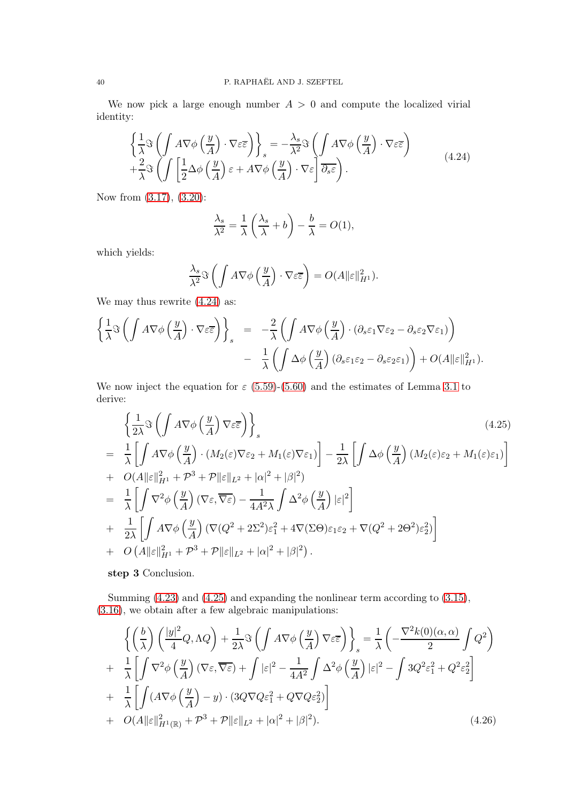We now pick a large enough number  $A > 0$  and compute the localized virial identity:

<span id="page-39-0"></span>
$$
\begin{aligned}\n\left\{\frac{1}{\lambda}\Im\left(\int A\nabla\phi\left(\frac{y}{A}\right)\cdot\nabla\varepsilon\overline{\varepsilon}\right)\right\}_{s} &= -\frac{\lambda_{s}}{\lambda^{2}}\Im\left(\int A\nabla\phi\left(\frac{y}{A}\right)\cdot\nabla\varepsilon\overline{\varepsilon}\right) \\
&+ \frac{2}{\lambda}\Im\left(\int \left[\frac{1}{2}\Delta\phi\left(\frac{y}{A}\right)\varepsilon + A\nabla\phi\left(\frac{y}{A}\right)\cdot\nabla\varepsilon\right]\overline{\partial_{s}\varepsilon}\right).\n\end{aligned} \tag{4.24}
$$

Now from [\(3.17\)](#page-17-0), [\(3.20\)](#page-17-1):

$$
\frac{\lambda_s}{\lambda^2} = \frac{1}{\lambda} \left( \frac{\lambda_s}{\lambda} + b \right) - \frac{b}{\lambda} = O(1),
$$

which yields:

$$
\frac{\lambda_s}{\lambda^2} \Im \left( \int A \nabla \phi \left( \frac{y}{A} \right) \cdot \nabla \varepsilon \overline{\varepsilon} \right) = O(A \| \varepsilon \|_{H^1}^2).
$$

We may thus rewrite  $(4.24)$  as:

$$
\begin{aligned}\n\left\{\frac{1}{\lambda}\Im\left(\int A\nabla\phi\left(\frac{y}{A}\right)\cdot\nabla\varepsilon\overline{\varepsilon}\right)\right\}_{s} &= -\frac{2}{\lambda}\left(\int A\nabla\phi\left(\frac{y}{A}\right)\cdot(\partial_{s}\varepsilon_{1}\nabla\varepsilon_{2}-\partial_{s}\varepsilon_{2}\nabla\varepsilon_{1})\right) \\
&- \frac{1}{\lambda}\left(\int \Delta\phi\left(\frac{y}{A}\right)(\partial_{s}\varepsilon_{1}\varepsilon_{2}-\partial_{s}\varepsilon_{2}\varepsilon_{1})\right) + O(A\|\varepsilon\|_{H^{1}}^{2}).\n\end{aligned}
$$

We now inject the equation for  $\varepsilon$  [\(5.59\)](#page-60-1)-[\(5.60\)](#page-60-2) and the estimates of Lemma [3.1](#page-17-2) to derive:

<span id="page-39-1"></span>
$$
\begin{split}\n&\left\{\frac{1}{2\lambda}\Im\left(\int A\nabla\phi\left(\frac{y}{A}\right)\nabla\varepsilon\overline{\varepsilon}\right)\right\}_{s}.\n\end{split}
$$
\n
$$
= \frac{1}{\lambda}\left[\int A\nabla\phi\left(\frac{y}{A}\right)\cdot(M_{2}(\varepsilon)\nabla\varepsilon_{2} + M_{1}(\varepsilon)\nabla\varepsilon_{1})\right] - \frac{1}{2\lambda}\left[\int \Delta\phi\left(\frac{y}{A}\right)(M_{2}(\varepsilon)\varepsilon_{2} + M_{1}(\varepsilon)\varepsilon_{1})\right] \\
+ O(A||\varepsilon||_{H^{1}}^{2} + \mathcal{P}^{3} + \mathcal{P}||\varepsilon||_{L^{2}} + |\alpha|^{2} + |\beta|^{2}) \\
= \frac{1}{\lambda}\left[\int \nabla^{2}\phi\left(\frac{y}{A}\right)(\nabla\varepsilon,\overline{\nabla\varepsilon}) - \frac{1}{4A^{2}\lambda}\int \Delta^{2}\phi\left(\frac{y}{A}\right)|\varepsilon|^{2}\right] \\
+ \frac{1}{2\lambda}\left[\int A\nabla\phi\left(\frac{y}{A}\right)(\nabla(Q^{2} + 2\Sigma^{2})\varepsilon_{1}^{2} + 4\nabla(\Sigma\Theta)\varepsilon_{1}\varepsilon_{2} + \nabla(Q^{2} + 2\Theta^{2})\varepsilon_{2}^{2})\right] \\
+ O\left(A||\varepsilon||_{H^{1}}^{2} + \mathcal{P}^{3} + \mathcal{P}||\varepsilon||_{L^{2}} + |\alpha|^{2} + |\beta|^{2}\right).\n\end{split}
$$
\n(4.25)

## step 3 Conclusion.

Summing [\(4.23\)](#page-38-4) and [\(4.25\)](#page-39-1) and expanding the nonlinear term according to [\(3.15\)](#page-17-3), [\(3.16\)](#page-17-4), we obtain after a few algebraic manipulations:

<span id="page-39-2"></span>
$$
\left\{ \left( \frac{b}{\lambda} \right) \left( \frac{|y|^2}{4} Q, \Lambda Q \right) + \frac{1}{2\lambda} \Im \left( \int A \nabla \phi \left( \frac{y}{A} \right) \nabla \varepsilon \overline{\varepsilon} \right) \right\}_s = \frac{1}{\lambda} \left( -\frac{\nabla^2 k(0)(\alpha, \alpha)}{2} \int Q^2 \right) + \frac{1}{\lambda} \left[ \int \nabla^2 \phi \left( \frac{y}{A} \right) (\nabla \varepsilon, \overline{\nabla \varepsilon}) + \int |\varepsilon|^2 - \frac{1}{4A^2} \int \Delta^2 \phi \left( \frac{y}{A} \right) |\varepsilon|^2 - \int 3Q^2 \varepsilon_1^2 + Q^2 \varepsilon_2^2 \right] + \frac{1}{\lambda} \left[ \int (A \nabla \phi \left( \frac{y}{A} \right) - y) \cdot (3Q \nabla Q \varepsilon_1^2 + Q \nabla Q \varepsilon_2^2) \right] + O(A ||\varepsilon||_{H^1(\mathbb{R})}^2 + \mathcal{P}^3 + \mathcal{P} ||\varepsilon||_{L^2} + |\alpha|^2 + |\beta|^2).
$$
(4.26)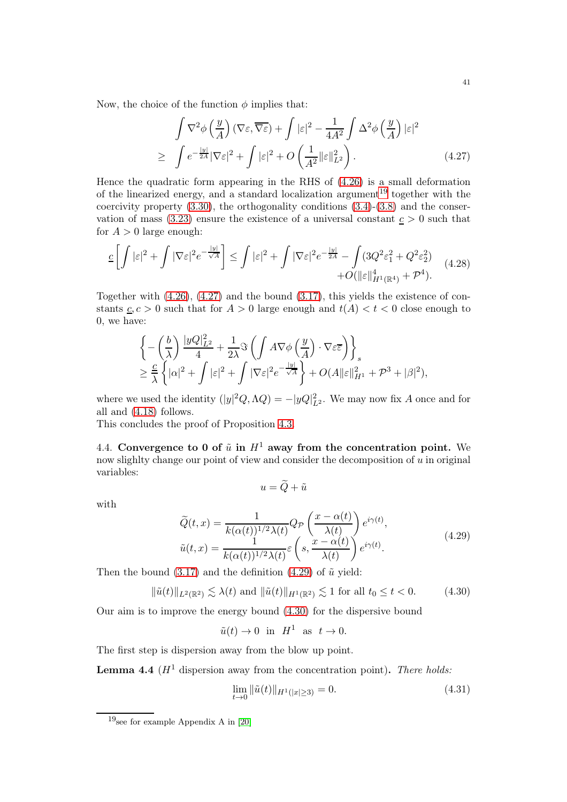Now, the choice of the function  $\phi$  implies that:

<span id="page-40-1"></span>
$$
\int \nabla^2 \phi \left( \frac{y}{A} \right) (\nabla \varepsilon, \overline{\nabla \varepsilon}) + \int |\varepsilon|^2 - \frac{1}{4A^2} \int \Delta^2 \phi \left( \frac{y}{A} \right) |\varepsilon|^2
$$
\n
$$
\geq \int e^{-\frac{|y|}{2A}} |\nabla \varepsilon|^2 + \int |\varepsilon|^2 + O\left( \frac{1}{A^2} ||\varepsilon||_{L^2}^2 \right). \tag{4.27}
$$

Hence the quadratic form appearing in the RHS of [\(4.26\)](#page-39-2) is a small deformation of the linearized energy, and a standard localization argument<sup>[19](#page-40-0)</sup> together with the coercivity property [\(3.30\)](#page-19-1), the orthogonality conditions [\(3.4\)](#page-16-0)-[\(3.8\)](#page-16-1) and the conservation of mass  $(3.23)$  ensure the existence of a universal constant  $c > 0$  such that for  $A > 0$  large enough:

$$
\underline{c}\left[\int|\varepsilon|^2 + \int|\nabla\varepsilon|^2 e^{-\frac{|y|}{\sqrt{A}}}\right] \leq \int|\varepsilon|^2 + \int|\nabla\varepsilon|^2 e^{-\frac{|y|}{2A}} - \int(3Q^2\varepsilon_1^2 + Q^2\varepsilon_2^2) + O(\|\varepsilon\|_{H^1(\mathbb{R}^4)}^4 + \mathcal{P}^4).
$$
\n(4.28)

Together with  $(4.26)$ ,  $(4.27)$  and the bound  $(3.17)$ , this yields the existence of constants  $c, c > 0$  such that for  $A > 0$  large enough and  $t(A) < t < 0$  close enough to 0, we have:

$$
\begin{aligned} &\left\{ -\left(\frac{b}{\lambda}\right) \frac{|yQ|_{L^2}^2}{4} + \frac{1}{2\lambda} \Im \left( \int A \nabla \phi \left( \frac{y}{A} \right) \cdot \nabla \varepsilon \overline{\varepsilon} \right) \right\}_s \\ &\geq \frac{c}{\lambda} \left\{ |\alpha|^2 + \int |\varepsilon|^2 + \int |\nabla \varepsilon|^2 e^{-\frac{|y|}{\sqrt{A}}} \right\} + O(A \|\varepsilon\|_{H^1}^2 + \mathcal{P}^3 + |\beta|^2), \end{aligned}
$$

where we used the identity  $(|y|^2 Q, \Lambda Q) = -|yQ|_{L^2}^2$ . We may now fix A once and for all and [\(4.18\)](#page-37-2) follows.

This concludes the proof of Proposition [4.3.](#page-37-3)

4.4. Convergence to 0 of  $\tilde{u}$  in  $H^1$  away from the concentration point. We now slighlty change our point of view and consider the decomposition of  $\hat{u}$  in original variables:  $u = \widetilde{Q} + \tilde{u}$ 

with

<span id="page-40-2"></span>
$$
\widetilde{Q}(t,x) = \frac{1}{k(\alpha(t))^{1/2} \lambda(t)} Q_{\mathcal{P}}\left(\frac{x - \alpha(t)}{\lambda(t)}\right) e^{i\gamma(t)},
$$
\n
$$
\widetilde{u}(t,x) = \frac{1}{k(\alpha(t))^{1/2} \lambda(t)} \varepsilon\left(s, \frac{x - \alpha(t)}{\lambda(t)}\right) e^{i\gamma(t)}.
$$
\n(4.29)

Then the bound  $(3.17)$  and the definition  $(4.29)$  of  $\tilde{u}$  yield:

<span id="page-40-3"></span>
$$
\|\tilde{u}(t)\|_{L^2(\mathbb{R}^2)} \lesssim \lambda(t) \text{ and } \|\tilde{u}(t)\|_{H^1(\mathbb{R}^2)} \lesssim 1 \text{ for all } t_0 \le t < 0. \tag{4.30}
$$

Our aim is to improve the energy bound [\(4.30\)](#page-40-3) for the dispersive bound

$$
\tilde{u}(t) \to 0
$$
 in  $H^1$  as  $t \to 0$ .

The first step is dispersion away from the blow up point.

<span id="page-40-4"></span>**Lemma 4.4** ( $H^1$  dispersion away from the concentration point). There holds:

<span id="page-40-5"></span>
$$
\lim_{t \to 0} \|\tilde{u}(t)\|_{H^1(|x| \ge 3)} = 0. \tag{4.31}
$$

<span id="page-40-0"></span> $19$ see for example Appendix A in [\[20\]](#page-72-0)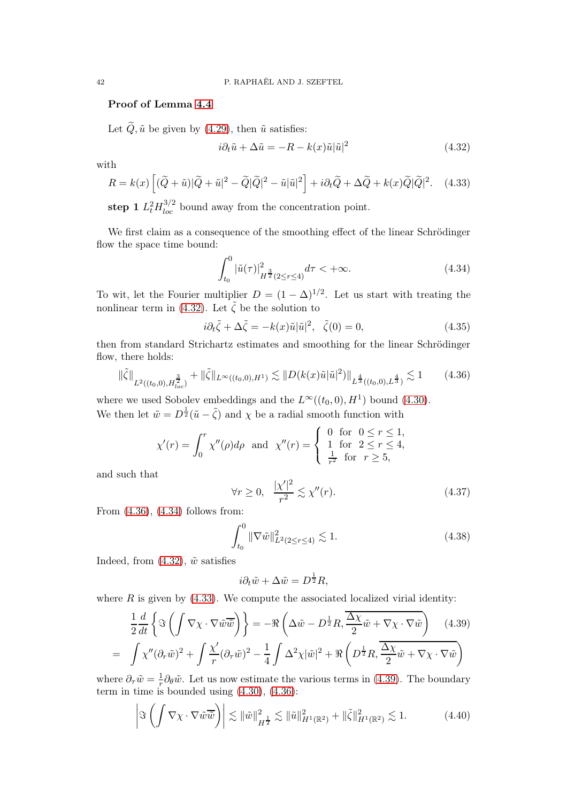## Proof of Lemma [4.4](#page-40-4)

Let  $\tilde{Q}$ ,  $\tilde{u}$  be given by [\(4.29\)](#page-40-2), then  $\tilde{u}$  satisfies:

<span id="page-41-0"></span>
$$
i\partial_t \tilde{u} + \Delta \tilde{u} = -R - k(x)\tilde{u}|\tilde{u}|^2 \tag{4.32}
$$

with

<span id="page-41-3"></span>
$$
R = k(x) \left[ (\tilde{Q} + \tilde{u}) |\tilde{Q} + \tilde{u}|^2 - \tilde{Q} |\tilde{Q}|^2 - \tilde{u} |\tilde{u}|^2 \right] + i \partial_t \tilde{Q} + \Delta \tilde{Q} + k(x) \tilde{Q} |\tilde{Q}|^2.
$$
 (4.33)

step 1  $L_t^2 H_{loc}^{3/2}$  bound away from the concentration point.

We first claim as a consequence of the smoothing effect of the linear Schrödinger flow the space time bound:

<span id="page-41-2"></span>
$$
\int_{t_0}^0 |\tilde{u}(\tau)|_{H^{\frac{3}{2}}(2\leq r\leq 4)}^2 d\tau < +\infty.
$$
\n(4.34)

To wit, let the Fourier multiplier  $D = (1 - \Delta)^{1/2}$ . Let us start with treating the nonlinear term in [\(4.32\)](#page-41-0). Let  $\tilde{\zeta}$  be the solution to

$$
i\partial_t \tilde{\zeta} + \Delta \tilde{\zeta} = -k(x)\tilde{u}|\tilde{u}|^2, \quad \tilde{\zeta}(0) = 0,
$$
\n(4.35)

then from standard Strichartz estimates and smoothing for the linear Schrödinger flow, there holds:

<span id="page-41-1"></span>
$$
\|\tilde{\zeta}\|_{L^2((t_0,0),H_{loc}^{\frac{3}{2}})} + \|\tilde{\zeta}\|_{L^\infty((t_0,0),H^1)} \lesssim \|D(k(x)\tilde{u}|\tilde{u}|^2)\|_{L^{\frac{4}{3}}((t_0,0),L^{\frac{4}{3}})} \lesssim 1\tag{4.36}
$$

where we used Sobolev embeddings and the  $L^{\infty}((t_0,0), H^1)$  bound [\(4.30\)](#page-40-3). We then let  $\tilde{w} = D^{\frac{1}{2}}(\tilde{u} - \tilde{\zeta})$  and  $\chi$  be a radial smooth function with

$$
\chi'(r) = \int_0^r \chi''(\rho) d\rho \text{ and } \chi''(r) = \begin{cases} 0 \text{ for } 0 \le r \le 1, \\ 1 \text{ for } 2 \le r \le 4, \\ \frac{1}{r^2} \text{ for } r \ge 5, \end{cases}
$$

and such that

<span id="page-41-5"></span>
$$
\forall r \ge 0, \quad \frac{|\chi'|^2}{r^2} \lesssim \chi''(r). \tag{4.37}
$$

From [\(4.36\)](#page-41-1), [\(4.34\)](#page-41-2) follows from:

<span id="page-41-7"></span>
$$
\int_{t_0}^0 \|\nabla \tilde{w}\|_{L^2(2\le r\le 4)}^2 \lesssim 1.
$$
\n(4.38)

Indeed, from  $(4.32)$ ,  $\tilde{w}$  satisfies

$$
i\partial_t \tilde{w} + \Delta \tilde{w} = D^{\frac{1}{2}} R,
$$

where  $R$  is given by  $(4.33)$ . We compute the associated localized virial identity:

<span id="page-41-4"></span>
$$
\frac{1}{2}\frac{d}{dt}\left\{\Im\left(\int \nabla\chi\cdot\nabla\tilde{w}\overline{\tilde{w}}\right)\right\} = -\Re\left(\Delta\tilde{w} - D^{\frac{1}{2}}R, \frac{\Delta\chi}{2}\tilde{w} + \nabla\chi\cdot\nabla\tilde{w}\right) \quad (4.39)
$$

$$
= \int \chi''(\partial_r\tilde{w})^2 + \int \frac{\chi'}{r}(\partial_r\tilde{w})^2 - \frac{1}{4}\int \Delta^2\chi|\tilde{w}|^2 + \Re\left(D^{\frac{1}{2}}R, \frac{\Delta\chi}{2}\tilde{w} + \nabla\chi\cdot\nabla\tilde{w}\right)
$$

where  $\partial_{\tau}\tilde{w} = \frac{1}{r}$  $\frac{1}{r}\partial_{\theta}\tilde{w}$ . Let us now estimate the various terms in [\(4.39\)](#page-41-4). The boundary term in time is bounded using [\(4.30\)](#page-40-3), [\(4.36\)](#page-41-1):

<span id="page-41-6"></span>
$$
\left|\Im\left(\int \nabla\chi\cdot\nabla\tilde{w}\overline{\tilde{w}}\right)\right| \lesssim \|\tilde{w}\|_{H^{\frac{1}{2}}}^2 \lesssim \|\tilde{u}\|_{H^1(\mathbb{R}^2)}^2 + \|\tilde{\zeta}\|_{H^1(\mathbb{R}^2)}^2 \lesssim 1. \tag{4.40}
$$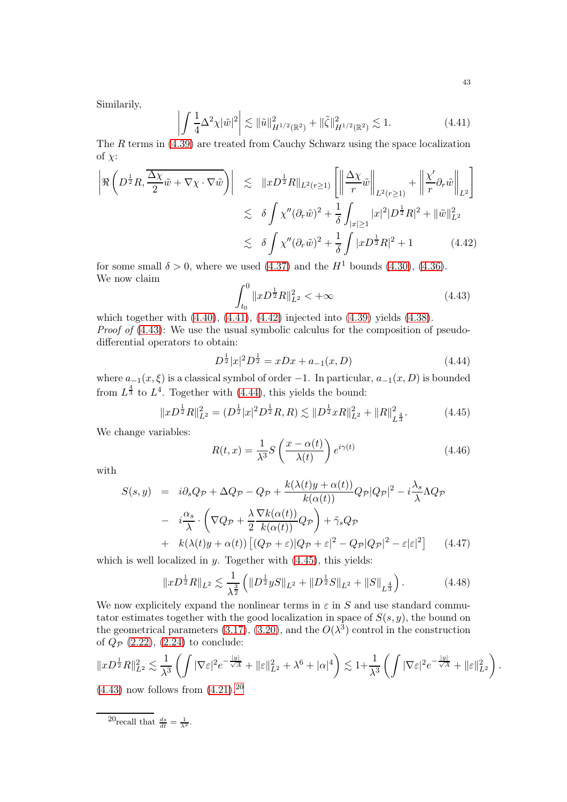Similarily,

<span id="page-42-0"></span> $\overline{\phantom{a}}$ I  $\overline{\phantom{a}}$  $\mathsf{l}$ 

$$
\int \frac{1}{4} \Delta^2 \chi |\tilde{w}|^2 \leq ||\tilde{u}||_{H^{1/2}(\mathbb{R}^2)}^2 + ||\tilde{\zeta}||_{H^{1/2}(\mathbb{R}^2)}^2 \lesssim 1.
$$
 (4.41)

The  $R$  terms in [\(4.39\)](#page-41-4) are treated from Cauchy Schwarz using the space localization of  $\chi$ :

<span id="page-42-1"></span>
$$
\left| \Re \left( D^{\frac{1}{2}} R, \frac{\overline{\Delta \chi}}{2} \tilde{w} + \nabla \chi \cdot \nabla \tilde{w} \right) \right| \leq \| x D^{\frac{1}{2}} R \|_{L^{2}(r \geq 1)} \left[ \left\| \frac{\Delta \chi}{r} \tilde{w} \right\|_{L^{2}(r \geq 1)} + \left\| \frac{\chi'}{r} \partial_r \tilde{w} \right\|_{L^2} \right]
$$
  

$$
\lesssim \delta \int \chi'' (\partial_r \tilde{w})^2 + \frac{1}{\delta} \int_{|x| \geq 1} |x|^2 |D^{\frac{1}{2}} R|^2 + \|\tilde{w}\|_{L^2}^2
$$
  

$$
\lesssim \delta \int \chi'' (\partial_r \tilde{w})^2 + \frac{1}{\delta} \int |x D^{\frac{1}{2}} R|^2 + 1 \qquad (4.42)
$$

for some small  $\delta > 0$ , where we used [\(4.37\)](#page-41-5) and the  $H^1$  bounds [\(4.30\)](#page-40-3), [\(4.36\)](#page-41-1). We now claim

<span id="page-42-2"></span>
$$
\int_{t_0}^{0} \|xD^{\frac{1}{2}}R\|_{L^2}^2 < +\infty
$$
\n(4.43)

which together with [\(4.40\)](#page-41-6), [\(4.41\)](#page-42-0), [\(4.42\)](#page-42-1) injected into [\(4.39\)](#page-41-4) yields [\(4.38\)](#page-41-7). Proof of  $(4.43)$ : We use the usual symbolic calculus for the composition of pseudodifferential operators to obtain:

<span id="page-42-3"></span>
$$
D^{\frac{1}{2}}|x|^2D^{\frac{1}{2}} = xDx + a_{-1}(x,D)
$$
\n(4.44)

where  $a_{-1}(x, \xi)$  is a classical symbol of order -1. In particular,  $a_{-1}(x, D)$  is bounded from  $L^{\frac{4}{3}}$  to  $L^4$ . Together with [\(4.44\)](#page-42-3), this yields the bound:

<span id="page-42-4"></span>
$$
||xD^{\frac{1}{2}}R||_{L^{2}}^{2} = (D^{\frac{1}{2}}|x|^{2}D^{\frac{1}{2}}R,R) \lesssim ||D^{\frac{1}{2}}xR||_{L^{2}}^{2} + ||R||_{L^{\frac{4}{3}}}^{2}.
$$
 (4.45)

We change variables:

<span id="page-42-6"></span>
$$
R(t,x) = \frac{1}{\lambda^3} S\left(\frac{x - \alpha(t)}{\lambda(t)}\right) e^{i\gamma(t)}
$$
\n(4.46)

with

<span id="page-42-7"></span>
$$
S(s,y) = i\partial_s Q_{\mathcal{P}} + \Delta Q_{\mathcal{P}} - Q_{\mathcal{P}} + \frac{k(\lambda(t)y + \alpha(t))}{k(\alpha(t))} Q_{\mathcal{P}} |Q_{\mathcal{P}}|^2 - i\frac{\lambda_s}{\lambda} \Lambda Q_{\mathcal{P}}
$$

$$
- i\frac{\alpha_s}{\lambda} \cdot \left( \nabla Q_{\mathcal{P}} + \frac{\lambda}{2} \frac{\nabla k(\alpha(t))}{k(\alpha(t))} Q_{\mathcal{P}} \right) + \tilde{\gamma}_s Q_{\mathcal{P}}
$$

$$
+ k(\lambda(t)y + \alpha(t)) \left[ (Q_{\mathcal{P}} + \varepsilon) |Q_{\mathcal{P}} + \varepsilon|^2 - Q_{\mathcal{P}} |Q_{\mathcal{P}}|^2 - \varepsilon |\varepsilon|^2 \right] \tag{4.47}
$$

which is well localized in  $y$ . Together with  $(4.45)$ , this yields:

$$
||xD^{\frac{1}{2}}R||_{L^{2}} \lesssim \frac{1}{\lambda^{\frac{3}{2}}} \left( ||D^{\frac{1}{2}}yS||_{L^{2}} + ||D^{\frac{1}{2}}S||_{L^{2}} + ||S||_{L^{\frac{4}{3}}} \right). \tag{4.48}
$$

We now explicitely expand the nonlinear terms in  $\varepsilon$  in S and use standard commutator estimates together with the good localization in space of  $S(s, y)$ , the bound on the geometrical parameters [\(3.17\)](#page-17-0), [\(3.20\)](#page-17-1), and the  $O(\lambda^3)$  control in the construction of  $Q_{\mathcal{P}}$  [\(2.22\)](#page-14-0), [\(2.24\)](#page-14-1) to conclude:

$$
||xD^{\frac{1}{2}}R||_{L^2}^2 \lesssim \frac{1}{\lambda^3} \left( \int |\nabla \varepsilon|^2 e^{-\frac{|y|}{\sqrt{A}}} + ||\varepsilon||_{L^2}^2 + \lambda^6 + |\alpha|^4 \right) \lesssim 1 + \frac{1}{\lambda^3} \left( \int |\nabla \varepsilon|^2 e^{-\frac{|y|}{\sqrt{A}}} + ||\varepsilon||_{L^2}^2 \right)
$$
\n
$$
(4.43)
$$
 now follows from (4.21)  $^{20}$ 

 $(4.43)$  now follows from  $(4.21)$ .

<span id="page-42-5"></span><sup>20</sup>recall that  $\frac{ds}{dt} = \frac{1}{\lambda^2}$ .

.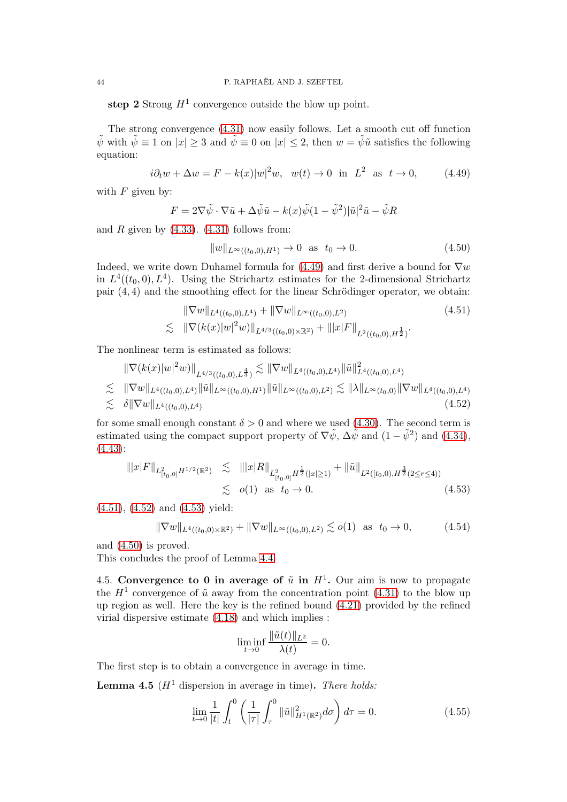step 2 Strong  $H^1$  convergence outside the blow up point.

The strong convergence [\(4.31\)](#page-40-5) now easily follows. Let a smooth cut off function  $\tilde{\psi}$  with  $\tilde{\psi} \equiv 1$  on  $|x| > 3$  and  $\tilde{\psi} \equiv 0$  on  $|x| \leq 2$ , then  $w = \tilde{\psi} \tilde{u}$  satisfies the following equation:

<span id="page-43-0"></span>
$$
i\partial_t w + \Delta w = F - k(x)|w|^2 w, \quad w(t) \to 0 \text{ in } L^2 \text{ as } t \to 0,
$$
 (4.49)

with  $F$  given by:

$$
F = 2\nabla \tilde{\psi} \cdot \nabla \tilde{u} + \Delta \tilde{\psi} \tilde{u} - k(x)\tilde{\psi}(1 - \tilde{\psi}^2)|\tilde{u}|^2\tilde{u} - \tilde{\psi}R
$$

and R given by  $(4.33)$ .  $(4.31)$  follows from:

<span id="page-43-4"></span>
$$
||w||_{L^{\infty}((t_0,0),H^1)} \to 0 \text{ as } t_0 \to 0. \tag{4.50}
$$

Indeed, we write down Duhamel formula for [\(4.49\)](#page-43-0) and first derive a bound for  $\nabla w$ in  $L^4((t_0,0), L^4)$ . Using the Strichartz estimates for the 2-dimensional Strichartz pair  $(4, 4)$  and the smoothing effect for the linear Schrödinger operator, we obtain:

<span id="page-43-1"></span>
$$
\|\nabla w\|_{L^{4}((t_{0},0),L^{4})} + \|\nabla w\|_{L^{\infty}((t_{0},0),L^{2})}
$$
\n
$$
\lesssim \|\nabla (k(x)|w|^{2}w)\|_{L^{4/3}((t_{0},0)\times\mathbb{R}^{2})} + \| |x|F \|_{L^{2}((t_{0},0),H^{\frac{1}{2}})}.
$$
\n(4.51)

The nonlinear term is estimated as follows:

<span id="page-43-2"></span>
$$
\|\nabla(k(x)|w|^2w)\|_{L^{4/3}((t_0,0),L^{\frac{4}{3}})} \lesssim \|\nabla w\|_{L^4((t_0,0),L^4)} \|\tilde{u}\|_{L^4((t_0,0),L^4)}^2
$$
  
\n
$$
\lesssim \|\nabla w\|_{L^4((t_0,0),L^4)} \|\tilde{u}\|_{L^{\infty}((t_0,0),H^1)} \|\tilde{u}\|_{L^{\infty}((t_0,0),L^2)} \lesssim \|\lambda\|_{L^{\infty}(t_0,0)} \|\nabla w\|_{L^4((t_0,0),L^4)}
$$
  
\n
$$
\lesssim \delta \|\nabla w\|_{L^4((t_0,0),L^4)}
$$
\n(4.52)

for some small enough constant  $\delta > 0$  and where we used [\(4.30\)](#page-40-3). The second term is estimated using the compact support property of  $\nabla \tilde{\psi}$ ,  $\Delta \tilde{\psi}$  and  $(1 - \tilde{\psi}^2)$  and  $(4.34)$ ,  $(4.43):$  $(4.43):$ 

<span id="page-43-3"></span>
$$
\| |x| F \|_{L_{[t_0,0]}^2 H^{1/2}(\mathbb{R}^2)} \lesssim \| |x| R \|_{L_{[t_0,0]}^2 H^{\frac{1}{2}}(|x| \ge 1)} + \| \tilde{u} \|_{L^2([t_0,0), H^{\frac{3}{2}}(2 \le r \le 4))}
$$
  

$$
\lesssim o(1) \text{ as } t_0 \to 0.
$$
 (4.53)

[\(4.51\)](#page-43-1), [\(4.52\)](#page-43-2) and [\(4.53\)](#page-43-3) yield:

$$
\|\nabla w\|_{L^{4}((t_{0},0)\times\mathbb{R}^{2})} + \|\nabla w\|_{L^{\infty}((t_{0},0),L^{2})} \lesssim o(1) \text{ as } t_{0} \to 0,
$$
 (4.54)

and [\(4.50\)](#page-43-4) is proved.

This concludes the proof of Lemma [4.4.](#page-40-4)

4.5. Convergence to 0 in average of  $\tilde{u}$  in  $H^1$ . Our aim is now to propagate the  $H^1$  convergence of  $\tilde{u}$  away from the concentration point [\(4.31\)](#page-40-5) to the blow up up region as well. Here the key is the refined bound [\(4.21\)](#page-38-2) provided by the refined virial dispersive estimate [\(4.18\)](#page-37-2) and which implies :

$$
\liminf_{t \to 0} \frac{\|\tilde{u}(t)\|_{L^2}}{\lambda(t)} = 0.
$$

The first step is to obtain a convergence in average in time.

<span id="page-43-5"></span>**Lemma 4.5** ( $H^1$  dispersion in average in time). There holds:

<span id="page-43-6"></span>
$$
\lim_{t \to 0} \frac{1}{|t|} \int_{t}^{0} \left( \frac{1}{|\tau|} \int_{\tau}^{0} \|\tilde{u}\|_{H^{1}(\mathbb{R}^{2})}^{2} d\sigma \right) d\tau = 0.
$$
 (4.55)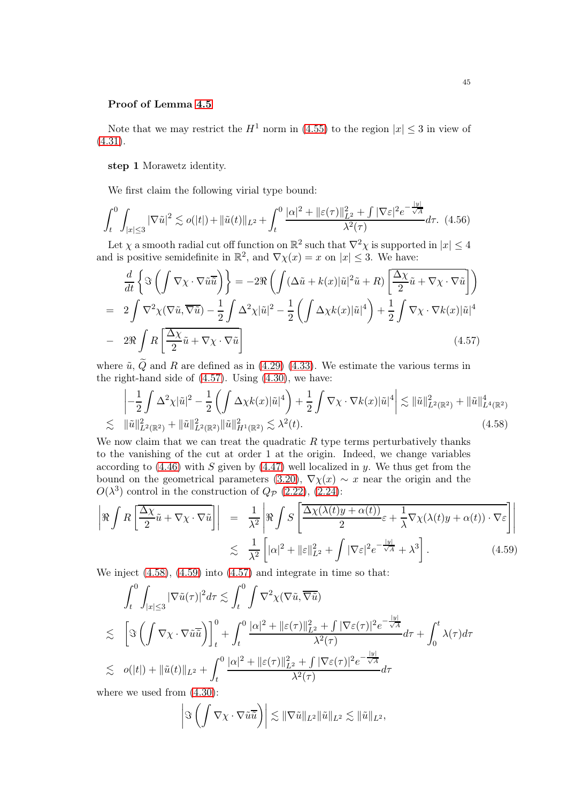## Proof of Lemma [4.5](#page-43-5)

Note that we may restrict the  $H^1$  norm in [\(4.55\)](#page-43-6) to the region  $|x| \leq 3$  in view of [\(4.31\)](#page-40-5).

step 1 Morawetz identity.

We first claim the following virial type bound:

<span id="page-44-3"></span>
$$
\int_{t}^{0} \int_{|x| \leq 3} |\nabla \tilde{u}|^{2} \lesssim o(|t|) + \|\tilde{u}(t)\|_{L^{2}} + \int_{t}^{0} \frac{|\alpha|^{2} + \|\varepsilon(\tau)\|_{L^{2}}^{2} + \int |\nabla \varepsilon|^{2} e^{-\frac{|y|}{\sqrt{A}}} d\tau. \tag{4.56}
$$

Let  $\chi$  a smooth radial cut off function on  $\mathbb{R}^2$  such that  $\nabla^2 \chi$  is supported in  $|x| \leq 4$ and is positive semidefinite in  $\mathbb{R}^2$ , and  $\nabla \chi(x) = x$  on  $|x| \leq 3$ . We have:

<span id="page-44-0"></span>
$$
\frac{d}{dt}\left\{\Im\left(\int \nabla\chi\cdot\nabla\tilde{u}\overline{\tilde{u}}\right)\right\} = -2\Re\left(\int(\Delta\tilde{u} + k(x)|\tilde{u}|^2\tilde{u} + R)\left[\frac{\Delta\chi}{2}\tilde{u} + \nabla\chi\cdot\nabla\tilde{u}\right]\right)
$$
\n
$$
= 2\int \nabla^2\chi(\nabla\tilde{u}, \overline{\nabla\tilde{u}}) - \frac{1}{2}\int \Delta^2\chi|\tilde{u}|^2 - \frac{1}{2}\left(\int \Delta\chi k(x)|\tilde{u}|^4\right) + \frac{1}{2}\int \nabla\chi\cdot\nabla k(x)|\tilde{u}|^4
$$
\n
$$
- 2\Re\int R\left[\frac{\Delta\chi}{2}\tilde{u} + \nabla\chi\cdot\nabla\tilde{u}\right]
$$
\n(4.57)

where  $\tilde{u}$ , Q and R are defined as in [\(4.29\)](#page-40-2) [\(4.33\)](#page-41-3). We estimate the various terms in the right-hand side of [\(4.57\)](#page-44-0). Using [\(4.30\)](#page-40-3), we have:

<span id="page-44-1"></span>
$$
\begin{split}\n&\left|-\frac{1}{2}\int \Delta^{2}\chi|\tilde{u}|^{2}-\frac{1}{2}\left(\int \Delta\chi k(x)|\tilde{u}|^{4}\right)+\frac{1}{2}\int \nabla\chi\cdot\nabla k(x)|\tilde{u}|^{4}\right|\lesssim \|\tilde{u}\|_{L^{2}(\mathbb{R}^{2})}^{2}+\|\tilde{u}\|_{L^{4}(\mathbb{R}^{2})}^{4} \\
&\lesssim \|\tilde{u}\|_{L^{2}(\mathbb{R}^{2})}^{2}+\|\tilde{u}\|_{L^{2}(\mathbb{R}^{2})}^{2}\|\tilde{u}\|_{H^{1}(\mathbb{R}^{2})}^{2} \lesssim \lambda^{2}(t).\n\end{split} \tag{4.58}
$$

We now claim that we can treat the quadratic  $R$  type terms perturbatively thanks to the vanishing of the cut at order 1 at the origin. Indeed, we change variables according to  $(4.46)$  with S given by  $(4.47)$  well localized in y. We thus get from the bound on the geometrical parameters [\(3.20\)](#page-17-1),  $\nabla \chi(x) \sim x$  near the origin and the  $O(\lambda^3)$  control in the construction of  $Q_{\mathcal{P}}$  [\(2.22\)](#page-14-0), [\(2.24\)](#page-14-1):

<span id="page-44-2"></span>
$$
\left| \Re \int R \left[ \frac{\Delta \chi}{2} \tilde{u} + \nabla \chi \cdot \nabla \tilde{u} \right] \right| = \frac{1}{\lambda^2} \left| \Re \int S \left[ \frac{\Delta \chi(\lambda(t)y + \alpha(t))}{2} \varepsilon + \frac{1}{\lambda} \nabla \chi(\lambda(t)y + \alpha(t)) \cdot \nabla \varepsilon \right] \right|
$$
  

$$
\lesssim \frac{1}{\lambda^2} \left[ |\alpha|^2 + ||\varepsilon||_{L^2}^2 + \int |\nabla \varepsilon|^2 e^{-\frac{|y|}{\sqrt{A}}} + \lambda^3 \right].
$$
 (4.59)

We inject [\(4.58\)](#page-44-1), [\(4.59\)](#page-44-2) into [\(4.57\)](#page-44-0) and integrate in time so that:

$$
\int_{t}^{0} \int_{|x| \leq 3} |\nabla \tilde{u}(\tau)|^{2} d\tau \lesssim \int_{t}^{0} \int_{\nabla} \nabla^{2} \chi(\nabla \tilde{u}, \overline{\nabla \tilde{u}})
$$
\n
$$
\lesssim \left[ \Im \left( \int_{-\infty}^{\infty} \nabla \chi \cdot \nabla \tilde{u} \overline{\tilde{u}} \right) \right]_{t}^{0} + \int_{t}^{0} \frac{|\alpha|^{2} + |\epsilon(\tau)|_{L^{2}}^{2} + \int_{\sqrt{2\tau}}^{2} |\nabla \varepsilon(\tau)|^{2} e^{-\frac{|y|}{\sqrt{A}}} d\tau + \int_{0}^{t} \lambda(\tau) d\tau
$$
\n
$$
\lesssim \left[ \sigma(|t|) + \|\tilde{u}(t)\|_{L^{2}} + \int_{t}^{0} \frac{|\alpha|^{2} + |\epsilon(\tau)|_{L^{2}}^{2} + \int_{\sqrt{2\tau}}^{2} |\nabla \varepsilon(\tau)|^{2} e^{-\frac{|y|}{\sqrt{A}}} d\tau + \int_{0}^{t} \lambda(\tau) d\tau + \int_{0}^{t} \frac{|\alpha|^{2} + |\epsilon(\tau)|_{L^{2}}^{2} + \int_{\sqrt{2\tau}}^{2} |\nabla \varepsilon(\tau)|^{2} e^{-\frac{|y|}{\sqrt{A}}} d\tau + \int_{0}^{t} \frac{|\alpha|^{2} + |\epsilon(\tau)|_{L^{2}}^{2}}{\lambda^{2}(\tau)} d\tau + \int_{0}^{t} \frac{|\alpha|^{2} + |\epsilon(\tau)|^{2}}{\lambda^{2}(\tau)} d\tau + \int_{0}^{t} \frac{|\alpha|^{2} + |\epsilon(\tau)|^{2}}{\lambda^{2}(\tau)} d\tau + \int_{0}^{t} \frac{|\alpha|^{2} + |\epsilon(\tau)|^{2}}{\lambda^{2}(\tau)} d\tau + \int_{0}^{t} \frac{|\alpha|^{2} + |\epsilon(\tau)|^{2}}{\lambda^{2}(\tau)} d\tau + \int_{0}^{t} \frac{|\alpha|^{2} + |\epsilon(\tau)|^{2}}{\lambda^{2}(\tau)} d\tau + \int_{0}^{t} \frac{|\alpha|^{2} + |\epsilon(\tau)|^{2}}{\lambda^{2}(\tau)} d\tau + \int_{0}^{t} \frac{|\alpha|^{2} + |\epsilon(\tau)|^{2
$$

where we used from [\(4.30\)](#page-40-3):

$$
\left|\Im\left(\int \nabla \chi\cdot\nabla\tilde{u}\overline{\tilde{u}}\right)\right|\lesssim \|\nabla\tilde{u}\|_{L^2}\|\tilde{u}\|_{L^2}\lesssim \|\tilde{u}\|_{L^2},
$$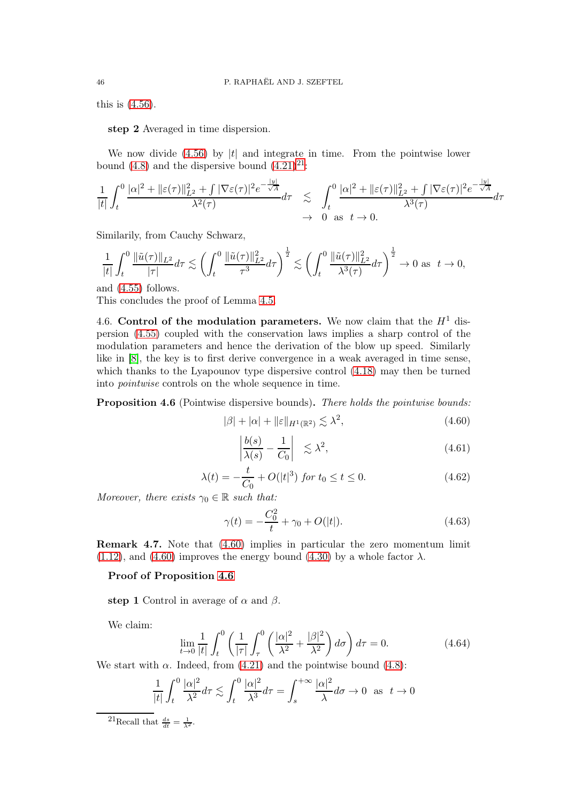this is [\(4.56\)](#page-44-3).

step 2 Averaged in time dispersion.

We now divide  $(4.56)$  by |t| and integrate in time. From the pointwise lower bound [\(4.8\)](#page-34-3) and the dispersive bound  $(4.21)^{21}$  $(4.21)^{21}$  $(4.21)^{21}$ :

$$
\frac{1}{|t|} \int_t^0 \frac{|\alpha|^2 + \|\varepsilon(\tau)\|_{L^2}^2 + \int |\nabla \varepsilon(\tau)|^2 e^{-\frac{|y|}{\sqrt{A}}} d\tau}{\lambda^2(\tau)} \lesssim \int_t^0 \frac{|\alpha|^2 + \|\varepsilon(\tau)\|_{L^2}^2 + \int |\nabla \varepsilon(\tau)|^2 e^{-\frac{|y|}{\sqrt{A}}} d\tau}{\lambda^3(\tau)} d\tau
$$
  
 $\to 0 \text{ as } t \to 0.$ 

Similarily, from Cauchy Schwarz,

$$
\frac{1}{|t|} \int_t^0 \frac{\|\tilde{u}(\tau)\|_{L^2}}{|\tau|} d\tau \lesssim \left(\int_t^0 \frac{\|\tilde{u}(\tau)\|_{L^2}^2}{\tau^3} d\tau\right)^{\frac{1}{2}} \lesssim \left(\int_t^0 \frac{\|\tilde{u}(\tau)\|_{L^2}^2}{\lambda^3(\tau)} d\tau\right)^{\frac{1}{2}} \to 0 \text{ as } t \to 0,
$$

and [\(4.55\)](#page-43-6) follows.

This concludes the proof of Lemma [4.5.](#page-43-5)

4.6. Control of the modulation parameters. We now claim that the  $H<sup>1</sup>$  dispersion [\(4.55\)](#page-43-6) coupled with the conservation laws implies a sharp control of the modulation parameters and hence the derivation of the blow up speed. Similarly like in [\[8\]](#page-72-3), the key is to first derive convergence in a weak averaged in time sense, which thanks to the Lyapounov type dispersive control [\(4.18\)](#page-37-2) may then be turned into pointwise controls on the whole sequence in time.

<span id="page-45-2"></span>Proposition 4.6 (Pointwise dispersive bounds). There holds the pointwise bounds:

<span id="page-45-1"></span>
$$
|\beta| + |\alpha| + \|\varepsilon\|_{H^1(\mathbb{R}^2)} \lesssim \lambda^2,\tag{4.60}
$$

<span id="page-45-4"></span>
$$
\left| \frac{b(s)}{\lambda(s)} - \frac{1}{C_0} \right| \lesssim \lambda^2,
$$
\n(4.61)

<span id="page-45-5"></span>
$$
\lambda(t) = -\frac{t}{C_0} + O(|t|^3) \text{ for } t_0 \le t \le 0.
$$
 (4.62)

Moreover, there exists  $\gamma_0 \in \mathbb{R}$  such that:

<span id="page-45-6"></span>
$$
\gamma(t) = -\frac{C_0^2}{t} + \gamma_0 + O(|t|). \tag{4.63}
$$

Remark 4.7. Note that [\(4.60\)](#page-45-1) implies in particular the zero momentum limit  $(1.12)$ , and  $(4.60)$  improves the energy bound  $(4.30)$  by a whole factor  $\lambda$ .

#### Proof of Proposition [4.6](#page-45-2)

step 1 Control in average of  $\alpha$  and  $\beta$ .

We claim:

<span id="page-45-3"></span>
$$
\lim_{t \to 0} \frac{1}{|t|} \int_{t}^{0} \left( \frac{1}{|\tau|} \int_{\tau}^{0} \left( \frac{|\alpha|^2}{\lambda^2} + \frac{|\beta|^2}{\lambda^2} \right) d\sigma \right) d\tau = 0. \tag{4.64}
$$

We start with  $\alpha$ . Indeed, from [\(4.21\)](#page-38-2) and the pointwise bound [\(4.8\)](#page-34-3):

$$
\frac{1}{|t|} \int_t^0 \frac{|\alpha|^2}{\lambda^2} d\tau \lesssim \int_t^0 \frac{|\alpha|^2}{\lambda^3} d\tau = \int_s^{+\infty} \frac{|\alpha|^2}{\lambda} d\sigma \to 0 \text{ as } t \to 0
$$

<span id="page-45-0"></span><sup>21</sup>Recall that  $\frac{ds}{dt} = \frac{1}{\lambda^2}$ .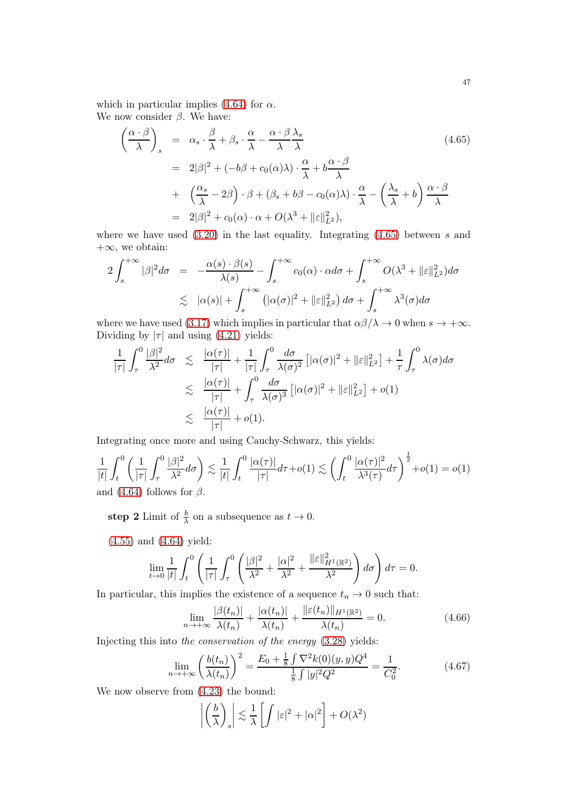which in particular implies [\(4.64\)](#page-45-3) for  $\alpha$ . We now consider  $\beta$ . We have:

<span id="page-46-0"></span>
$$
\begin{split}\n\left(\frac{\alpha \cdot \beta}{\lambda}\right)_{s} &= \alpha_{s} \cdot \frac{\beta}{\lambda} + \beta_{s} \cdot \frac{\alpha}{\lambda} - \frac{\alpha \cdot \beta}{\lambda} \frac{\lambda_{s}}{\lambda} \\
&= 2|\beta|^{2} + (-b\beta + c_{0}(\alpha)\lambda) \cdot \frac{\alpha}{\lambda} + b\frac{\alpha \cdot \beta}{\lambda} \\
&+ \left(\frac{\alpha_{s}}{\lambda} - 2\beta\right) \cdot \beta + (\beta_{s} + b\beta - c_{0}(\alpha)\lambda) \cdot \frac{\alpha}{\lambda} - \left(\frac{\lambda_{s}}{\lambda} + b\right) \frac{\alpha \cdot \beta}{\lambda} \\
&= 2|\beta|^{2} + c_{0}(\alpha) \cdot \alpha + O(\lambda^{3} + ||\varepsilon||_{L^{2}}^{2}),\n\end{split}
$$
\n(4.65)

where we have used  $(3.20)$  in the last equality. Integrating  $(4.65)$  between s and  $+\infty$ , we obtain:

$$
2\int_{s}^{+\infty}|\beta|^{2}d\sigma = -\frac{\alpha(s)\cdot\beta(s)}{\lambda(s)} - \int_{s}^{+\infty}c_{0}(\alpha)\cdot\alpha d\sigma + \int_{s}^{+\infty}O(\lambda^{3} + \|\varepsilon\|_{L^{2}}^{2})d\sigma
$$
  

$$
\lesssim |\alpha(s)| + \int_{s}^{+\infty} (|\alpha(\sigma)|^{2} + \|\varepsilon\|_{L^{2}}^{2}) d\sigma + \int_{s}^{+\infty} \lambda^{3}(\sigma)d\sigma
$$

where we have used [\(3.17\)](#page-17-0) which implies in particular that  $\alpha\beta/\lambda \to 0$  when  $s \to +\infty$ . Dividing by  $|\tau|$  and using [\(4.21\)](#page-38-2) yields:

$$
\frac{1}{|\tau|} \int_{\tau}^{0} \frac{|\beta|^2}{\lambda^2} d\sigma \leq \frac{|\alpha(\tau)|}{|\tau|} + \frac{1}{|\tau|} \int_{\tau}^{0} \frac{d\sigma}{\lambda(\sigma)^2} \left[ |\alpha(\sigma)|^2 + ||\varepsilon||_{L^2}^2 \right] + \frac{1}{\tau} \int_{\tau}^{0} \lambda(\sigma) d\sigma
$$
  

$$
\leq \frac{|\alpha(\tau)|}{|\tau|} + \int_{\tau}^{0} \frac{d\sigma}{\lambda(\sigma)^3} \left[ |\alpha(\sigma)|^2 + ||\varepsilon||_{L^2}^2 \right] + o(1)
$$
  

$$
\leq \frac{|\alpha(\tau)|}{|\tau|} + o(1).
$$

Integrating once more and using Cauchy-Schwarz, this yields:

$$
\frac{1}{|t|} \int_t^0 \left( \frac{1}{|\tau|} \int_\tau^0 \frac{|\beta|^2}{\lambda^2} d\sigma \right) \lesssim \frac{1}{|t|} \int_t^0 \frac{|\alpha(\tau)|}{|\tau|} d\tau + o(1) \lesssim \left( \int_t^0 \frac{|\alpha(\tau)|^2}{\lambda^3(\tau)} d\tau \right)^{\frac{1}{2}} + o(1) = o(1)
$$
  
and (4.64) follows for  $\beta$ .

step 2 Limit of  $\frac{b}{\lambda}$  on a subsequence as  $t \to 0$ .

$$
(4.55)
$$
 and  $(4.64)$  yield:

$$
\lim_{t \to 0} \frac{1}{|t|} \int_t^0 \left( \frac{1}{|\tau|} \int_\tau^0 \left( \frac{|\beta|^2}{\lambda^2} + \frac{|\alpha|^2}{\lambda^2} + \frac{\|\varepsilon\|_{H^1(\mathbb{R}^2)}^2}{\lambda^2} \right) d\sigma \right) d\tau = 0.
$$

In particular, this implies the existence of a sequence  $t_n \to 0$  such that:

$$
\lim_{n \to +\infty} \frac{|\beta(t_n)|}{\lambda(t_n)} + \frac{|\alpha(t_n)|}{\lambda(t_n)} + \frac{\|\varepsilon(t_n)\|_{H^1(\mathbb{R}^2)}}{\lambda(t_n)} = 0.
$$
\n(4.66)

Injecting this into the conservation of the energy [\(3.28\)](#page-19-2) yields:

<span id="page-46-1"></span>
$$
\lim_{n \to +\infty} \left( \frac{b(t_n)}{\lambda(t_n)} \right)^2 = \frac{E_0 + \frac{1}{8} \int \nabla^2 k(0)(y, y) Q^4}{\frac{1}{8} \int |y|^2 Q^2} = \frac{1}{C_0^2}.
$$
 (4.67)

We now observe from [\(4.23\)](#page-38-4) the bound:

$$
\left| \left( \frac{b}{\lambda} \right)_s \right| \lesssim \frac{1}{\lambda} \left[ \int |\varepsilon|^2 + |\alpha|^2 \right] + O(\lambda^2)
$$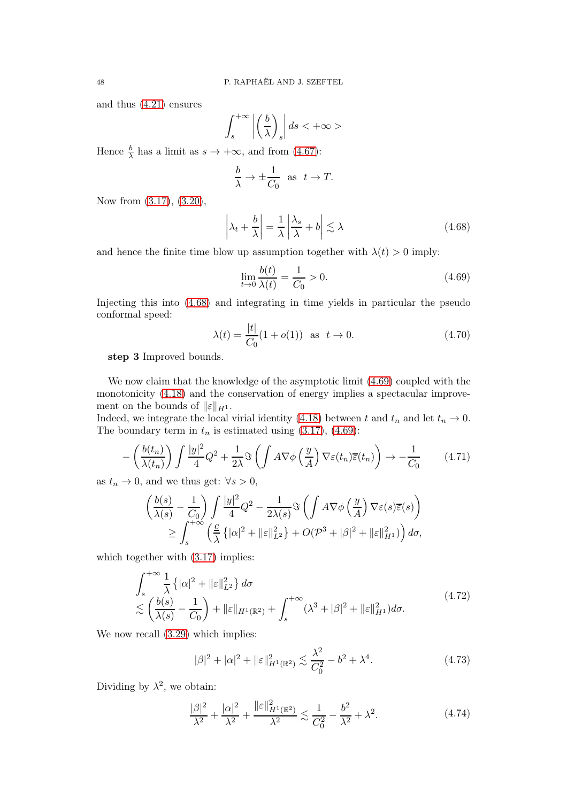and thus [\(4.21\)](#page-38-2) ensures

$$
\int_{s}^{+\infty} \left| \left( \frac{b}{\lambda} \right)_{s} \right| ds < +\infty>
$$

Hence  $\frac{b}{\lambda}$  has a limit as  $s \to +\infty$ , and from [\(4.67\)](#page-46-1):

$$
\frac{b}{\lambda} \to \pm \frac{1}{C_0} \text{ as } t \to T.
$$

Now from [\(3.17\)](#page-17-0), [\(3.20\)](#page-17-1),

<span id="page-47-0"></span>
$$
\left|\lambda_t + \frac{b}{\lambda}\right| = \frac{1}{\lambda} \left|\frac{\lambda_s}{\lambda} + b\right| \lesssim \lambda \tag{4.68}
$$

and hence the finite time blow up assumption together with  $\lambda(t) > 0$  imply:

<span id="page-47-1"></span>
$$
\lim_{t \to 0} \frac{b(t)}{\lambda(t)} = \frac{1}{C_0} > 0.
$$
\n(4.69)

Injecting this into [\(4.68\)](#page-47-0) and integrating in time yields in particular the pseudo conformal speed:

<span id="page-47-4"></span>
$$
\lambda(t) = \frac{|t|}{C_0} (1 + o(1)) \text{ as } t \to 0. \tag{4.70}
$$

step 3 Improved bounds.

We now claim that the knowledge of the asymptotic limit  $(4.69)$  coupled with the monotonicity [\(4.18\)](#page-37-2) and the conservation of energy implies a spectacular improvement on the bounds of  $\|\varepsilon\|_{H^1}$ .

Indeed, we integrate the local virial identity [\(4.18\)](#page-37-2) between t and  $t_n$  and let  $t_n \to 0$ . The boundary term in  $t_n$  is estimated using [\(3.17\)](#page-17-0), [\(4.69\)](#page-47-1):

$$
-\left(\frac{b(t_n)}{\lambda(t_n)}\right) \int \frac{|y|^2}{4} Q^2 + \frac{1}{2\lambda} \Im \left(\int A \nabla \phi \left(\frac{y}{A}\right) \nabla \varepsilon(t_n) \overline{\varepsilon}(t_n)\right) \to -\frac{1}{C_0} \tag{4.71}
$$

as  $t_n \to 0$ , and we thus get:  $\forall s > 0$ ,

$$
\begin{aligned}\n&\left(\frac{b(s)}{\lambda(s)} - \frac{1}{C_0}\right) \int \frac{|y|^2}{4} Q^2 - \frac{1}{2\lambda(s)} \Im\left(\int A \nabla \phi\left(\frac{y}{A}\right) \nabla \varepsilon(s) \overline{\varepsilon}(s)\right) \\
&\geq \int_s^{+\infty} \left(\frac{c}{\lambda} \left\{|\alpha|^2 + \|\varepsilon\|_{L^2}^2\right\} + O(\mathcal{P}^3 + |\beta|^2 + \|\varepsilon\|_{H^1}^2)\right) d\sigma,\n\end{aligned}
$$

which together with  $(3.17)$  implies:

 $\overline{a}$ 

<span id="page-47-2"></span>
$$
\int_{s}^{+\infty} \frac{1}{\lambda} \left\{ |\alpha|^2 + ||\varepsilon||_{L^2}^2 \right\} d\sigma
$$
\n
$$
\lesssim \left( \frac{b(s)}{\lambda(s)} - \frac{1}{C_0} \right) + ||\varepsilon||_{H^1(\mathbb{R}^2)} + \int_{s}^{+\infty} (\lambda^3 + |\beta|^2 + ||\varepsilon||_{H^1}^2) d\sigma.
$$
\n
$$
(4.72)
$$

We now recall  $(3.29)$  which implies:

$$
|\beta|^2 + |\alpha|^2 + ||\varepsilon||_{H^1(\mathbb{R}^2)}^2 \lesssim \frac{\lambda^2}{C_0^2} - b^2 + \lambda^4. \tag{4.73}
$$

Dividing by  $\lambda^2$ , we obtain:

<span id="page-47-3"></span>
$$
\frac{|\beta|^2}{\lambda^2} + \frac{|\alpha|^2}{\lambda^2} + \frac{\|\varepsilon\|_{H^1(\mathbb{R}^2)}^2}{\lambda^2} \lesssim \frac{1}{C_0^2} - \frac{b^2}{\lambda^2} + \lambda^2.
$$
 (4.74)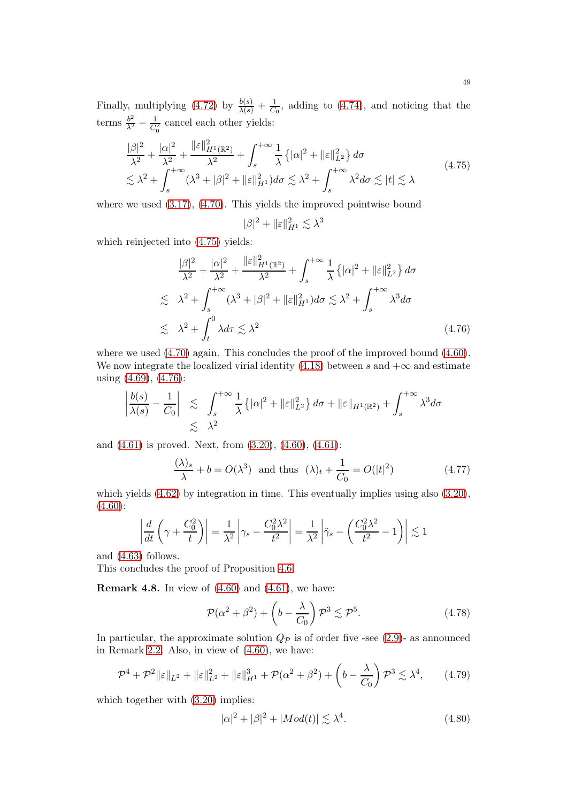Finally, multiplying  $(4.72)$  by  $\frac{b(s)}{\lambda(s)} + \frac{1}{C_0}$  $\frac{1}{C_0}$ , adding to [\(4.74\)](#page-47-3), and noticing that the terms  $\frac{b^2}{\lambda^2} - \frac{1}{C_0^2}$  cancel each other yields:

<span id="page-48-0"></span>
$$
\frac{|\beta|^2}{\lambda^2} + \frac{|\alpha|^2}{\lambda^2} + \frac{\|\varepsilon\|_{H^1(\mathbb{R}^2)}^2}{\lambda^2} + \int_s^{+\infty} \frac{1}{\lambda} \{|\alpha|^2 + \|\varepsilon\|_{L^2}^2\} d\sigma
$$
\n
$$
\lesssim \lambda^2 + \int_s^{+\infty} (\lambda^3 + |\beta|^2 + \|\varepsilon\|_{H^1}^2) d\sigma \lesssim \lambda^2 + \int_s^{+\infty} \lambda^2 d\sigma \lesssim |t| \lesssim \lambda
$$
\n(4.75)

where we used  $(3.17)$ ,  $(4.70)$ . This yields the improved pointwise bound

$$
|\beta|^2 + \|\varepsilon\|_{H^1}^2 \lesssim \lambda^3
$$

which reinjected into [\(4.75\)](#page-48-0) yields:

<span id="page-48-1"></span>
$$
\frac{|\beta|^2}{\lambda^2} + \frac{|\alpha|^2}{\lambda^2} + \frac{\|\varepsilon\|_{H^1(\mathbb{R}^2)}^2}{\lambda^2} + \int_s^{+\infty} \frac{1}{\lambda} \{|\alpha|^2 + \|\varepsilon\|_{L^2}^2\} d\sigma
$$
  
\n
$$
\lesssim \lambda^2 + \int_s^{+\infty} (\lambda^3 + |\beta|^2 + \|\varepsilon\|_{H^1}^2) d\sigma \lesssim \lambda^2 + \int_s^{+\infty} \lambda^3 d\sigma
$$
  
\n
$$
\lesssim \lambda^2 + \int_t^0 \lambda d\tau \lesssim \lambda^2
$$
\n(4.76)

where we used  $(4.70)$  again. This concludes the proof of the improved bound  $(4.60)$ . We now integrate the localized virial identity  $(4.18)$  between s and  $+\infty$  and estimate using [\(4.69\)](#page-47-1), [\(4.76\)](#page-48-1):

$$
\left|\frac{b(s)}{\lambda(s)} - \frac{1}{C_0}\right| \leq \int_s^{+\infty} \frac{1}{\lambda} \left\{ |\alpha|^2 + ||\varepsilon||_{L^2}^2 \right\} d\sigma + ||\varepsilon||_{H^1(\mathbb{R}^2)} + \int_s^{+\infty} \lambda^3 d\sigma
$$
  

$$
\leq \lambda^2
$$

and [\(4.61\)](#page-45-4) is proved. Next, from [\(3.20\)](#page-17-1), [\(4.60\)](#page-45-1), [\(4.61\)](#page-45-4):

$$
\frac{(\lambda)_s}{\lambda} + b = O(\lambda^3) \quad \text{and thus} \quad (\lambda)_t + \frac{1}{C_0} = O(|t|^2) \tag{4.77}
$$

which yields [\(4.62\)](#page-45-5) by integration in time. This eventually implies using also [\(3.20\)](#page-17-1),  $(4.60):$  $(4.60):$ 

$$
\left| \frac{d}{dt} \left( \gamma + \frac{C_0^2}{t} \right) \right| = \frac{1}{\lambda^2} \left| \gamma_s - \frac{C_0^2 \lambda^2}{t^2} \right| = \frac{1}{\lambda^2} \left| \tilde{\gamma}_s - \left( \frac{C_0^2 \lambda^2}{t^2} - 1 \right) \right| \lesssim 1
$$

and [\(4.63\)](#page-45-6) follows.

This concludes the proof of Proposition [4.6.](#page-45-2)

**Remark 4.8.** In view of  $(4.60)$  and  $(4.61)$ , we have:

$$
\mathcal{P}(\alpha^2 + \beta^2) + \left(b - \frac{\lambda}{C_0}\right)\mathcal{P}^3 \lesssim \mathcal{P}^5. \tag{4.78}
$$

In particular, the approximate solution  $Q_{\mathcal{P}}$  is of order five -see [\(2.9\)](#page-11-0)- as announced in Remark [2.2.](#page-11-1) Also, in view of [\(4.60\)](#page-45-1), we have:

$$
\mathcal{P}^4 + \mathcal{P}^2 \|\varepsilon\|_{L^2} + \|\varepsilon\|_{L^2}^2 + \|\varepsilon\|_{H^1}^3 + \mathcal{P}(\alpha^2 + \beta^2) + \left(b - \frac{\lambda}{C_0}\right) \mathcal{P}^3 \lesssim \lambda^4, \qquad (4.79)
$$

which together with  $(3.20)$  implies:

<span id="page-48-2"></span>
$$
|\alpha|^2 + |\beta|^2 + |Mod(t)| \lesssim \lambda^4. \tag{4.80}
$$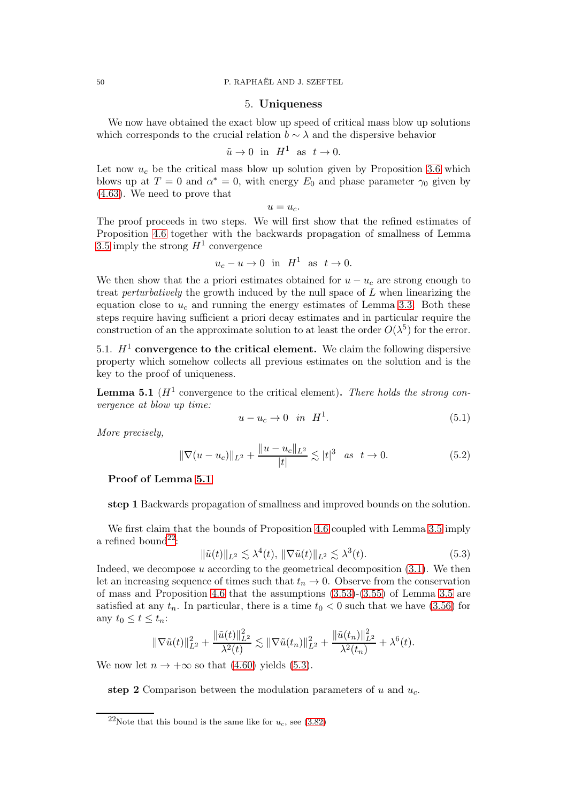#### 5. Uniqueness

We now have obtained the exact blow up speed of critical mass blow up solutions which corresponds to the crucial relation  $b \sim \lambda$  and the dispersive behavior

$$
\tilde{u} \to 0 \quad \text{in} \quad H^1 \quad \text{as} \quad t \to 0.
$$

Let now  $u_c$  be the critical mass blow up solution given by Proposition [3.6](#page-30-0) which blows up at  $T = 0$  and  $\alpha^* = 0$ , with energy  $E_0$  and phase parameter  $\gamma_0$  given by [\(4.63\)](#page-45-6). We need to prove that

$$
u=u_c.
$$

The proof proceeds in two steps. We will first show that the refined estimates of Proposition [4.6](#page-45-2) together with the backwards propagation of smallness of Lemma [3.5](#page-25-0) imply the strong  $H^1$  convergence

$$
u_c - u \to 0 \quad \text{in} \quad H^1 \quad \text{as} \quad t \to 0.
$$

We then show that the a priori estimates obtained for  $u - u_c$  are strong enough to treat *perturbatively* the growth induced by the null space of  $L$  when linearizing the equation close to  $u_c$  and running the energy estimates of Lemma [3.3.](#page-21-2) Both these steps require having sufficient a priori decay estimates and in particular require the construction of an the approximate solution to at least the order  $O(\lambda^5)$  for the error.

5.1.  $H^1$  convergence to the critical element. We claim the following dispersive property which somehow collects all previous estimates on the solution and is the key to the proof of uniqueness.

<span id="page-49-0"></span>**Lemma 5.1** ( $H^1$  convergence to the critical element). There holds the strong convergence at blow up time:

$$
u - u_c \to 0 \quad \text{in} \quad H^1. \tag{5.1}
$$

More precisely,

<span id="page-49-3"></span>
$$
\|\nabla(u - u_c)\|_{L^2} + \frac{\|u - u_c\|_{L^2}}{|t|} \lesssim |t|^3 \quad \text{as} \quad t \to 0. \tag{5.2}
$$

#### Proof of Lemma [5.1](#page-49-0)

step 1 Backwards propagation of smallness and improved bounds on the solution.

We first claim that the bounds of Proposition [4.6](#page-45-2) coupled with Lemma [3.5](#page-25-0) imply a refined bound<sup>[22](#page-49-1)</sup>:

<span id="page-49-2"></span>
$$
\|\tilde{u}(t)\|_{L^2} \lesssim \lambda^4(t), \|\nabla \tilde{u}(t)\|_{L^2} \lesssim \lambda^3(t). \tag{5.3}
$$

Indeed, we decompose u according to the geometrical decomposition  $(3.1)$ . We then let an increasing sequence of times such that  $t_n \to 0$ . Observe from the conservation of mass and Proposition [4.6](#page-45-2) that the assumptions [\(3.53\)](#page-25-1)-[\(3.55\)](#page-25-2) of Lemma [3.5](#page-25-0) are satisfied at any  $t_n$ . In particular, there is a time  $t_0 < 0$  such that we have [\(3.56\)](#page-25-3) for any  $t_0 \leq t \leq t_n$ :

$$
\|\nabla \tilde{u}(t)\|_{L^2}^2 + \frac{\|\tilde{u}(t)\|_{L^2}^2}{\lambda^2(t)} \lesssim \|\nabla \tilde{u}(t_n)\|_{L^2}^2 + \frac{\|\tilde{u}(t_n)\|_{L^2}^2}{\lambda^2(t_n)} + \lambda^6(t).
$$

We now let  $n \to +\infty$  so that [\(4.60\)](#page-45-1) yields [\(5.3\)](#page-49-2).

step 2 Comparison between the modulation parameters of u and  $u_c$ .

<span id="page-49-1"></span><sup>&</sup>lt;sup>22</sup>Note that this bound is the same like for  $u_c$ , see [\(3.82\)](#page-30-1)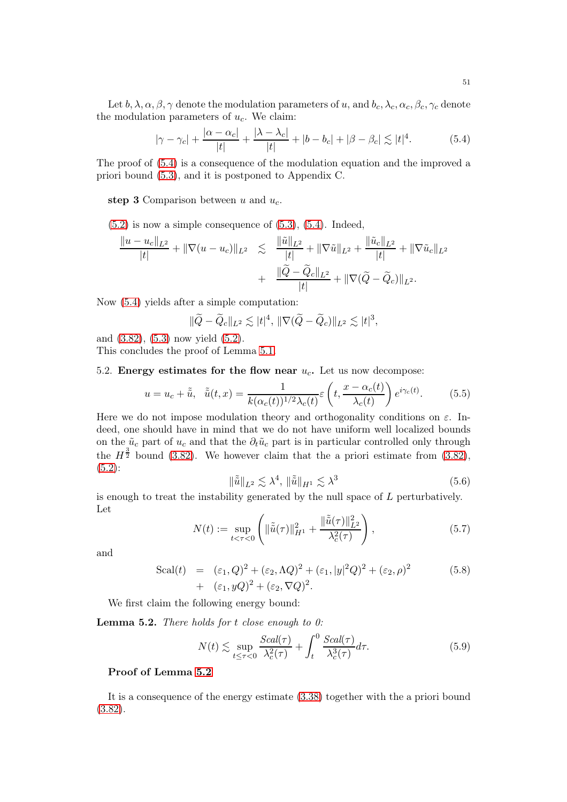Let  $b, \lambda, \alpha, \beta, \gamma$  denote the modulation parameters of u, and  $b_c, \lambda_c, \alpha_c, \beta_c, \gamma_c$  denote the modulation parameters of  $u_c$ . We claim:

<span id="page-50-0"></span>
$$
|\gamma - \gamma_c| + \frac{|\alpha - \alpha_c|}{|t|} + \frac{|\lambda - \lambda_c|}{|t|} + |b - b_c| + |\beta - \beta_c| \lesssim |t|^4.
$$
 (5.4)

The proof of [\(5.4\)](#page-50-0) is a consequence of the modulation equation and the improved a priori bound [\(5.3\)](#page-49-2), and it is postponed to Appendix C.

step 3 Comparison between u and  $u_c$ .

 $(5.2)$  is now a simple consequence of  $(5.3)$ ,  $(5.4)$ . Indeed,

$$
\frac{\|u - u_c\|_{L^2}}{|t|} + \|\nabla(u - u_c)\|_{L^2} \leq \frac{\|\tilde{u}\|_{L^2}}{|t|} + \|\nabla \tilde{u}\|_{L^2} + \frac{\|\tilde{u}_c\|_{L^2}}{|t|} + \|\nabla \tilde{u}_c\|_{L^2} + \frac{\|\tilde{Q} - \tilde{Q}_c\|_{L^2}}{|t|} + \|\nabla(\tilde{Q} - \tilde{Q}_c)\|_{L^2}.
$$

Now [\(5.4\)](#page-50-0) yields after a simple computation:

$$
\|\widetilde{Q}-\widetilde{Q}_c\|_{L^2}\lesssim |t|^4,\ \|\nabla(\widetilde{Q}-\widetilde{Q}_c)\|_{L^2}\lesssim |t|^3,
$$

and [\(3.82\)](#page-30-1), [\(5.3\)](#page-49-2) now yield [\(5.2\)](#page-49-3).

This concludes the proof of Lemma [5.1.](#page-49-0)

## 5.2. Energy estimates for the flow near  $u_c$ . Let us now decompose:

$$
u = u_c + \tilde{\tilde{u}}, \quad \tilde{\tilde{u}}(t, x) = \frac{1}{k(\alpha_c(t))^{1/2} \lambda_c(t)} \varepsilon \left( t, \frac{x - \alpha_c(t)}{\lambda_c(t)} \right) e^{i\gamma_c(t)}.
$$
 (5.5)

Here we do not impose modulation theory and orthogonality conditions on  $\varepsilon$ . Indeed, one should have in mind that we do not have uniform well localized bounds on the  $\tilde{u}_c$  part of  $u_c$  and that the  $\partial_t \tilde{u}_c$  part is in particular controlled only through the  $H^{\frac{3}{2}}$  bound [\(3.82\)](#page-30-1). We however claim that the a priori estimate from (3.82), [\(5.2\)](#page-49-3):

<span id="page-50-2"></span>
$$
\|\tilde{\tilde{u}}\|_{L^2} \lesssim \lambda^4, \|\tilde{\tilde{u}}\|_{H^1} \lesssim \lambda^3 \tag{5.6}
$$

is enough to treat the instability generated by the null space of  $L$  perturbatively. Let

<span id="page-50-4"></span>
$$
N(t) := \sup_{t < \tau < 0} \left( \|\tilde{\tilde{u}}(\tau)\|_{H^1}^2 + \frac{\|\tilde{\tilde{u}}(\tau)\|_{L^2}^2}{\lambda_c^2(\tau)} \right),\tag{5.7}
$$

and

Scal(t) = 
$$
(\epsilon_1, Q)^2 + (\epsilon_2, \Lambda Q)^2 + (\epsilon_1, |y|^2 Q)^2 + (\epsilon_2, \rho)^2
$$
 (5.8)  
+  $(\epsilon_1, yQ)^2 + (\epsilon_2, \nabla Q)^2$ .

We first claim the following energy bound:

<span id="page-50-1"></span>**Lemma 5.2.** There holds for  $t$  close enough to  $0$ :

<span id="page-50-3"></span>
$$
N(t) \lesssim \sup_{t \le \tau < 0} \frac{Scal(\tau)}{\lambda_c^2(\tau)} + \int_t^0 \frac{Scal(\tau)}{\lambda_c^3(\tau)} d\tau. \tag{5.9}
$$

## Proof of Lemma [5.2](#page-50-1)

It is a consequence of the energy estimate [\(3.38\)](#page-21-0) together with the a priori bound [\(3.82\)](#page-30-1).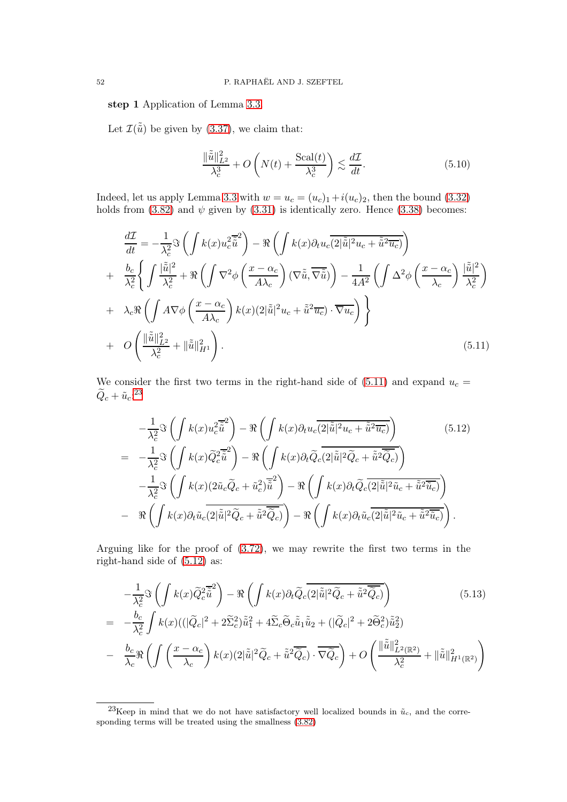step 1 Application of Lemma [3.3.](#page-21-2)

Let  $\mathcal{I}(\tilde{\tilde{u}})$  be given by [\(3.37\)](#page-21-3), we claim that:

<span id="page-51-3"></span>
$$
\frac{\|\tilde{\tilde{u}}\|_{L^2}^2}{\lambda_c^3} + O\left(N(t) + \frac{\text{Scal}(t)}{\lambda_c^3}\right) \lesssim \frac{d\mathcal{I}}{dt}.\tag{5.10}
$$

Indeed, let us apply Lemma [3.3](#page-21-2) with  $w = u_c = (u_c)_1 + i(u_c)_2$ , then the bound [\(3.32\)](#page-20-1) holds from [\(3.82\)](#page-30-1) and  $\psi$  given by [\(3.31\)](#page-20-2) is identically zero. Hence [\(3.38\)](#page-21-0) becomes:

<span id="page-51-0"></span>
$$
\frac{d\mathcal{I}}{dt} = -\frac{1}{\lambda_c^2} \Im \left( \int k(x) u_c^2 \overline{\tilde{u}}^2 \right) - \Re \left( \int k(x) \partial_t u_c \overline{\langle 2 | \tilde{u} |^2 u_c + \tilde{u}^2 u_c \rangle} \right) \n+ \frac{b_c}{\lambda_c^2} \left\{ \int \frac{|\tilde{u}|^2}{\lambda_c^2} + \Re \left( \int \nabla^2 \phi \left( \frac{x - \alpha_c}{A \lambda_c} \right) (\nabla \tilde{u}, \overline{\nabla \tilde{u}}) \right) - \frac{1}{4A^2} \left( \int \Delta^2 \phi \left( \frac{x - \alpha_c}{\lambda_c} \right) \frac{|\tilde{u}|^2}{\lambda_c^2} \right) \n+ \lambda_c \Re \left( \int A \nabla \phi \left( \frac{x - \alpha_c}{A \lambda_c} \right) k(x) (2|\tilde{u}|^2 u_c + \tilde{u}^2 \overline{u_c}) \cdot \overline{\nabla u_c} \right) \right\} \n+ O \left( \frac{\|\tilde{\tilde{u}}\|_{L^2}^2}{\lambda_c^2} + \|\tilde{\tilde{u}}\|_{H^1}^2 \right). \tag{5.11}
$$

We consider the first two terms in the right-hand side of  $(5.11)$  and expand  $u_c =$  $\widetilde{Q}_c + \widetilde{u}_c$ :<sup>[23](#page-51-1)</sup>

<span id="page-51-2"></span>
$$
-\frac{1}{\lambda_c^2} \Im \left( \int k(x) u_c^2 \overline{\tilde{u}}^2 \right) - \Re \left( \int k(x) \partial_t u_c \overline{\overline{2}|\tilde{u}|^2 u_c + \tilde{u}^2 \overline{u_c}} \right) \qquad (5.12)
$$
  
= 
$$
-\frac{1}{\lambda_c^2} \Im \left( \int k(x) \widetilde{Q}_c^2 \overline{\tilde{u}}^2 \right) - \Re \left( \int k(x) \partial_t \widetilde{Q}_c \overline{\overline{2}|\tilde{u}|^2 \widetilde{Q}_c + \tilde{u}^2 \widetilde{Q}_c} \right) \qquad (5.12)
$$

$$
-\frac{1}{\lambda_c^2} \Im \left( \int k(x) (2 \tilde{u}_c \widetilde{Q}_c + \tilde{u}_c^2) \overline{\tilde{u}}^2 \right) - \Re \left( \int k(x) \partial_t \widetilde{Q}_c \overline{\overline{2}|\tilde{u}|^2 \tilde{u}_c + \tilde{u}^2 \overline{\tilde{u}_c}} \right) \qquad (5.12)
$$

$$
-\Re \left( \int k(x) \partial_t \tilde{u}_c \overline{\overline{2}|\tilde{u}|^2 \widetilde{Q}_c + \tilde{u}^2 \overline{\tilde{Q}_c}} \right) - \Re \left( \int k(x) \partial_t \tilde{u}_c \overline{\overline{2}|\tilde{u}|^2 \tilde{u}_c + \tilde{u}^2 \overline{\tilde{u}_c}} \right).
$$

Arguing like for the proof of [\(3.72\)](#page-27-0), we may rewrite the first two terms in the right-hand side of [\(5.12\)](#page-51-2) as:

$$
-\frac{1}{\lambda_c^2} \Im \left( \int k(x) \tilde{Q}_c^2 \tilde{\tilde{u}}^2 \right) - \Re \left( \int k(x) \partial_t \tilde{Q}_c \overline{(2|\tilde{u}|^2 \tilde{Q}_c + \tilde{u}^2 \tilde{Q}_c)} \right) \tag{5.13}
$$
  

$$
= -\frac{b_c}{\lambda_c^2} \int k(x) (|\tilde{Q}_c|^2 + 2 \tilde{\Sigma}_c^2) \tilde{\tilde{u}}_1^2 + 4 \tilde{\Sigma}_c \tilde{\Theta}_c \tilde{\tilde{u}}_1 \tilde{\tilde{u}}_2 + (|\tilde{Q}_c|^2 + 2 \tilde{\Theta}_c^2) \tilde{\tilde{u}}_2^2)
$$
  

$$
- \frac{b_c}{\lambda_c} \Re \left( \int \left( \frac{x - \alpha_c}{\lambda_c} \right) k(x) (2|\tilde{\tilde{u}}|^2 \tilde{Q}_c + \tilde{\tilde{u}}^2 \overline{\tilde{Q}_c}) \cdot \overline{\nabla \tilde{Q}_c} \right) + O \left( \frac{\|\tilde{\tilde{u}}\|_{L^2(\mathbb{R}^2)}^2}{\lambda_c^2} + \|\tilde{\tilde{u}}\|_{H^1(\mathbb{R}^2)}^2 \right)
$$

<span id="page-51-1"></span><sup>&</sup>lt;sup>23</sup>Keep in mind that we do not have satisfactory well localized bounds in  $\tilde{u}_c$ , and the corresponding terms will be treated using the smallness [\(3.82\)](#page-30-1)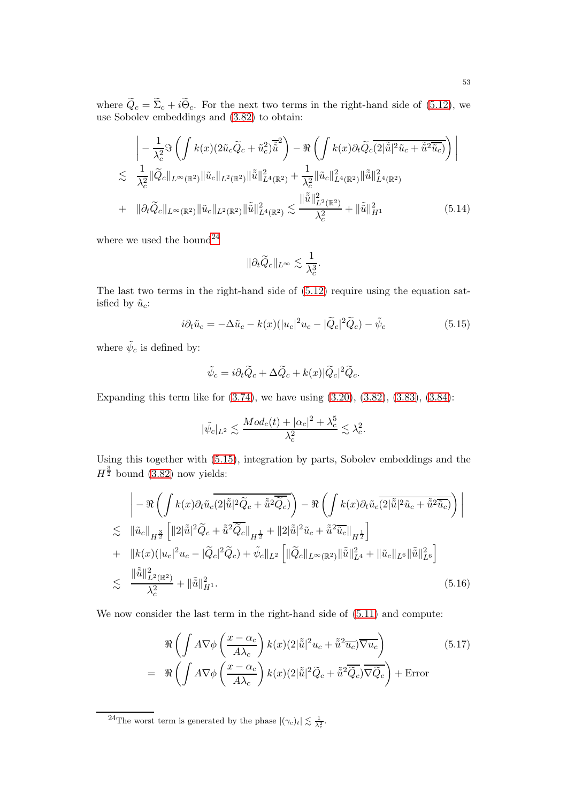where  $Q_c = \Sigma_c + i\Theta_c$ . For the next two terms in the right-hand side of [\(5.12\)](#page-51-2), we use Sobolev embeddings and [\(3.82\)](#page-30-1) to obtain:

<span id="page-52-2"></span>
$$
\left| -\frac{1}{\lambda_c^2} \Im \left( \int k(x) (2\tilde{u}_c \widetilde{Q}_c + \tilde{u}_c^2) \overline{\tilde{u}}^2 \right) - \Re \left( \int k(x) \partial_t \widetilde{Q}_c \overline{(2|\tilde{\tilde{u}}|^2 \tilde{u}_c + \tilde{\tilde{u}}^2 \overline{\tilde{u}_c})} \right) \right|
$$
  
\n
$$
\lesssim \frac{1}{\lambda_c^2} \|\widetilde{Q}_c\|_{L^\infty(\mathbb{R}^2)} \|\tilde{u}_c\|_{L^2(\mathbb{R}^2)} \|\tilde{\tilde{u}}\|_{L^4(\mathbb{R}^2)}^2 + \frac{1}{\lambda_c^2} \|\tilde{u}_c\|_{L^4(\mathbb{R}^2)}^2 \|\tilde{\tilde{u}}\|_{L^4(\mathbb{R}^2)}^2
$$
  
\n+ 
$$
\|\partial_t \widetilde{Q}_c\|_{L^\infty(\mathbb{R}^2)} \|\tilde{u}_c\|_{L^2(\mathbb{R}^2)} \|\tilde{\tilde{u}}\|_{L^4(\mathbb{R}^2)}^2 \lesssim \frac{\|\tilde{\tilde{u}}\|_{L^2(\mathbb{R}^2)}^2}{\lambda_c^2} + \|\tilde{\tilde{u}}\|_{H^1}^2
$$
(5.14)

where we used the bound  $24$ 

$$
\|\partial_t \widetilde{Q}_c\|_{L^\infty} \lesssim \frac{1}{\lambda_c^3}.
$$

The last two terms in the right-hand side of [\(5.12\)](#page-51-2) require using the equation satisfied by  $\tilde{u}_c$ :

<span id="page-52-1"></span>
$$
i\partial_t \tilde{u}_c = -\Delta \tilde{u}_c - k(x)(|u_c|^2 u_c - |\tilde{Q}_c|^2 \tilde{Q}_c) - \tilde{\psi}_c
$$
\n(5.15)

where  $\tilde{\psi}_c$  is defined by:

$$
\tilde{\psi}_c = i\partial_t \tilde{Q}_c + \Delta \tilde{Q}_c + k(x)|\tilde{Q}_c|^2 \tilde{Q}_c.
$$

Expanding this term like for [\(3.74\)](#page-29-0), we have using [\(3.20\)](#page-17-1), [\(3.82\)](#page-30-1), [\(3.83\)](#page-30-2), [\(3.84\)](#page-30-3):

$$
|\tilde{\psi_c}|_{L^2} \lesssim \frac{Mod_c(t) + |\alpha_c|^2 + \lambda_c^5}{\lambda_c^2} \lesssim \lambda_c^2.
$$

Using this together with [\(5.15\)](#page-52-1), integration by parts, Sobolev embeddings and the  $H^{\frac{3}{2}}$  bound [\(3.82\)](#page-30-1) now yields:

<span id="page-52-3"></span>
$$
\begin{split}\n&\Big|-\Re\left(\int k(x)\partial_t \tilde{u}_c\overline{(2|\tilde{\tilde{u}}|^2\tilde{Q}_c+\tilde{\tilde{u}}^2\overline{\tilde{Q}_c})}\right)-\Re\left(\int k(x)\partial_t \tilde{u}_c\overline{(2|\tilde{\tilde{u}}|^2\tilde{u}_c+\tilde{\tilde{u}}^2\overline{\tilde{u}_c})}\right)\Big| \\
&\lesssim \|\tilde{u}_c\|_{H^{\frac{3}{2}}}\left[\|2|\tilde{\tilde{u}}|^2\tilde{Q}_c+\tilde{\tilde{u}}^2\overline{\tilde{Q}_c}\|_{H^{\frac{1}{2}}}+\|2|\tilde{\tilde{u}}|^2\tilde{u}_c+\tilde{\tilde{u}}^2\overline{\tilde{u}_c}\|_{H^{\frac{1}{2}}}\right] \\
&+\|k(x)(|u_c|^2u_c-|\tilde{Q}_c|^2\tilde{Q}_c)+\tilde{\psi}_c\|_{L^2}\left[\|\tilde{Q}_c\|_{L^\infty(\mathbb{R}^2)}\|\tilde{\tilde{u}}\|_{L^4}^2+\|\tilde{u}_c\|_{L^6}\|\tilde{\tilde{u}}\|_{L^6}^2\right] \\
&\lesssim \frac{\|\tilde{\tilde{u}}\|_{L^2(\mathbb{R}^2)}^2}{\lambda_c^2}+\|\tilde{\tilde{u}}\|_{H^1}^2.\n\end{split} \tag{5.16}
$$

We now consider the last term in the right-hand side of  $(5.11)$  and compute:

$$
\Re\left(\int A\nabla\phi\left(\frac{x-\alpha_c}{A\lambda_c}\right)k(x)(2|\tilde{\tilde{u}}|^2u_c + \tilde{\tilde{u}}^2\overline{u_c})\overline{\nabla u_c}\right) = \Re\left(\int A\nabla\phi\left(\frac{x-\alpha_c}{A\lambda_c}\right)k(x)(2|\tilde{\tilde{u}}|^2\widetilde{Q}_c + \tilde{\tilde{u}}^2\overline{\widetilde{Q}_c})\overline{\nabla \widetilde{Q}_c}\right) + \text{Error}
$$
\n(5.17)

<span id="page-52-0"></span><sup>24</sup>The worst term is generated by the phase  $|(\gamma_c)_t| \lesssim \frac{1}{\lambda_c^2}$ .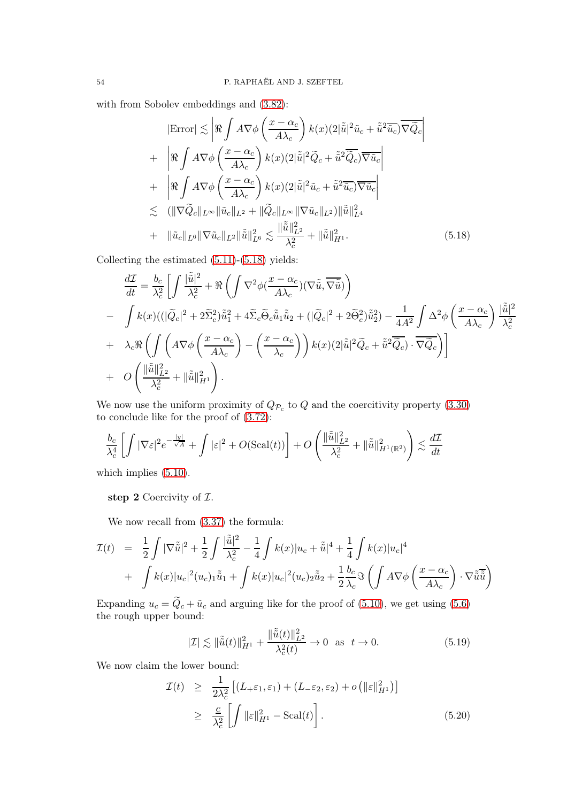with from Sobolev embeddings and [\(3.82\)](#page-30-1):

<span id="page-53-0"></span>
$$
|\text{Error}| \lesssim \left| \Re \int A \nabla \phi \left( \frac{x - \alpha_c}{A \lambda_c} \right) k(x) (2|\tilde{\tilde{u}}|^2 \tilde{u}_c + \tilde{\tilde{u}}^2 \overline{\tilde{u}_c}) \overline{\nabla \tilde{Q}_c} \right|
$$
  
+ 
$$
\left| \Re \int A \nabla \phi \left( \frac{x - \alpha_c}{A \lambda_c} \right) k(x) (2|\tilde{\tilde{u}}|^2 \tilde{Q}_c + \tilde{\tilde{u}}^2 \overline{\tilde{Q}_c}) \overline{\nabla \tilde{u}_c} \right|
$$
  
+ 
$$
\left| \Re \int A \nabla \phi \left( \frac{x - \alpha_c}{A \lambda_c} \right) k(x) (2|\tilde{\tilde{u}}|^2 \tilde{u}_c + \tilde{\tilde{u}}^2 \overline{\tilde{u}_c}) \overline{\nabla \tilde{u}_c} \right|
$$
  

$$
\lesssim (\|\nabla \tilde{Q}_c\|_{L^\infty} \|\tilde{u}_c\|_{L^2} + \|\tilde{Q}_c\|_{L^\infty} \|\nabla \tilde{u}_c\|_{L^2}) \|\tilde{\tilde{u}}\|_{L^4}^2
$$
  
+ 
$$
\|\tilde{u}_c\|_{L^6} \|\nabla \tilde{u}_c\|_{L^2} \|\tilde{\tilde{u}}\|_{L^6}^2 \lesssim \frac{\|\tilde{\tilde{u}}\|_{L^2}^2}{\lambda_c^2} + \|\tilde{\tilde{u}}\|_{H^1}^2.
$$
 (5.18)

Collecting the estimated [\(5.11\)](#page-51-0)-[\(5.18\)](#page-53-0) yields:

$$
\frac{d\mathcal{I}}{dt} = \frac{b_c}{\lambda_c^2} \left[ \int \frac{|\tilde{\tilde{u}}|^2}{\lambda_c^2} + \Re \left( \int \nabla^2 \phi \left( \frac{x - \alpha_c}{A \lambda_c} \right) (\nabla \tilde{\tilde{u}}, \overline{\nabla \tilde{\tilde{u}}} ) \right) \right]
$$
\n
$$
- \int k(x) \left( (\vert \tilde{Q}_c \vert^2 + 2 \widetilde{\Sigma}_c^2) \tilde{\tilde{u}}_1^2 + 4 \widetilde{\Sigma}_c \widetilde{\Theta}_c \tilde{\tilde{u}}_1 \tilde{\tilde{u}}_2 + (\vert \tilde{Q}_c \vert^2 + 2 \widetilde{\Theta}_c^2) \tilde{\tilde{u}}_2^2 \right) - \frac{1}{4A^2} \int \Delta^2 \phi \left( \frac{x - \alpha_c}{A \lambda_c} \right) \frac{|\tilde{\tilde{u}}|^2}{\lambda_c^2}
$$
\n
$$
+ \lambda_c \Re \left( \int \left( A \nabla \phi \left( \frac{x - \alpha_c}{A \lambda_c} \right) - \left( \frac{x - \alpha_c}{\lambda_c} \right) \right) k(x) (2\vert \tilde{\tilde{u}} \vert^2 \widetilde{Q}_c + \tilde{\tilde{u}}^2 \overline{\widetilde{Q}_c}) \cdot \overline{\nabla \widetilde{Q}_c} \right) \right]
$$
\n
$$
+ O \left( \frac{\Vert \tilde{\tilde{u}} \Vert_{L^2}^2}{\lambda_c^2} + \Vert \tilde{\tilde{u}} \Vert_{H^1}^2 \right).
$$

We now use the uniform proximity of  $Q_{\mathcal{P}_c}$  to  $Q$  and the coercitivity property [\(3.30\)](#page-19-1) to conclude like for the proof of [\(3.72\)](#page-27-0):

$$
\frac{b_c}{\lambda_c^4} \left[ \int |\nabla \varepsilon|^2 e^{-\frac{|y|}{\sqrt{A}}} + \int |\varepsilon|^2 + O(\text{Scal}(t)) \right] + O\left( \frac{\|\tilde{\tilde{u}}\|_{L^2}^2}{\lambda_c^2} + \|\tilde{\tilde{u}}\|_{H^1(\mathbb{R}^2)}^2 \right) \lesssim \frac{d\mathcal{I}}{dt}
$$

which implies  $(5.10)$ .

step 2 Coercivity of  $\mathcal{I}$ .

We now recall from [\(3.37\)](#page-21-3) the formula:

$$
\mathcal{I}(t) = \frac{1}{2} \int |\nabla \tilde{\tilde{u}}|^2 + \frac{1}{2} \int \frac{|\tilde{\tilde{u}}|^2}{\lambda_c^2} - \frac{1}{4} \int k(x) |u_c + \tilde{\tilde{u}}|^4 + \frac{1}{4} \int k(x) |u_c|^4
$$
  
+ 
$$
\int k(x) |u_c|^2 (u_c)_1 \tilde{\tilde{u}}_1 + \int k(x) |u_c|^2 (u_c)_2 \tilde{\tilde{u}}_2 + \frac{1}{2} \frac{b_c}{\lambda_c} \Im \left( \int A \nabla \phi \left( \frac{x - \alpha_c}{A \lambda_c} \right) \cdot \nabla \tilde{\tilde{u}} \tilde{\tilde{u}} \right)
$$

Expanding  $u_c = \tilde{Q}_c + \tilde{u}_c$  and arguing like for the proof of [\(5.10\)](#page-51-3), we get using [\(5.6\)](#page-50-2) the rough upper bound:

<span id="page-53-1"></span>
$$
|\mathcal{I}| \lesssim \|\tilde{\tilde{u}}(t)\|_{H^1}^2 + \frac{\|\tilde{\tilde{u}}(t)\|_{L^2}^2}{\lambda_c^2(t)} \to 0 \quad \text{as} \quad t \to 0. \tag{5.19}
$$

We now claim the lower bound:

<span id="page-53-2"></span>
$$
\mathcal{I}(t) \geq \frac{1}{2\lambda_c^2} \left[ (L_+\varepsilon_1, \varepsilon_1) + (L_-\varepsilon_2, \varepsilon_2) + o\left( \|\varepsilon\|_{H^1}^2 \right) \right]
$$
\n
$$
\geq \frac{c}{\lambda_c^2} \left[ \int \|\varepsilon\|_{H^1}^2 - \text{Scal}(t) \right]. \tag{5.20}
$$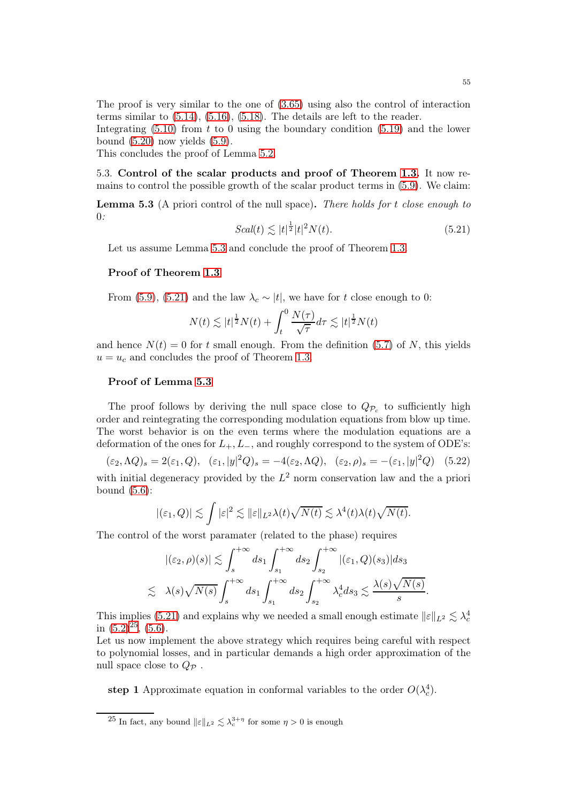The proof is very similar to the one of [\(3.65\)](#page-26-0) using also the control of interaction terms similar to [\(5.14\)](#page-52-2), [\(5.16\)](#page-52-3), [\(5.18\)](#page-53-0). The details are left to the reader.

Integrating  $(5.10)$  from t to 0 using the boundary condition  $(5.19)$  and the lower bound  $(5.20)$  now yields  $(5.9)$ .

This concludes the proof of Lemma [5.2.](#page-50-1)

5.3. Control of the scalar products and proof of Theorem [1.3.](#page-3-0) It now remains to control the possible growth of the scalar product terms in [\(5.9\)](#page-50-3). We claim:

<span id="page-54-0"></span>**Lemma 5.3** (A priori control of the null space). There holds for  $t$  close enough to 0:

<span id="page-54-1"></span>
$$
Scal(t) \lesssim |t|^{\frac{1}{2}}|t|^2 N(t). \tag{5.21}
$$

Let us assume Lemma [5.3](#page-54-0) and conclude the proof of Theorem [1.3.](#page-3-0)

#### Proof of Theorem [1.3](#page-3-0)

From [\(5.9\)](#page-50-3), [\(5.21\)](#page-54-1) and the law  $\lambda_c \sim |t|$ , we have for t close enough to 0:

$$
N(t) \lesssim |t|^{\frac{1}{2}} N(t) + \int_t^0 \frac{N(\tau)}{\sqrt{\tau}} d\tau \lesssim |t|^{\frac{1}{2}} N(t)
$$

and hence  $N(t) = 0$  for t small enough. From the definition [\(5.7\)](#page-50-4) of N, this yields  $u = u_c$  and concludes the proof of Theorem [1.3.](#page-3-0)

#### Proof of Lemma [5.3](#page-54-0)

The proof follows by deriving the null space close to  $Q_{\mathcal{P}_c}$  to sufficiently high order and reintegrating the corresponding modulation equations from blow up time. The worst behavior is on the even terms where the modulation equations are a deformation of the ones for  $L_+, L_-,$  and roughly correspond to the system of ODE's:

 $(\varepsilon_2, \Lambda Q)_s = 2(\varepsilon_1, Q), \quad (\varepsilon_1, |y|^2 Q)_s = -4(\varepsilon_2, \Lambda Q), \quad (\varepsilon_2, \rho)_s = -(\varepsilon_1, |y|^2 Q) \quad (5.22)$ 

with initial degeneracy provided by the  $L^2$  norm conservation law and the a priori bound  $(5.6)$ :

$$
|(\varepsilon_1,Q)| \lesssim \int |\varepsilon|^2 \lesssim \|\varepsilon\|_{L^2} \lambda(t) \sqrt{N(t)} \lesssim \lambda^4(t)\lambda(t) \sqrt{N(t)}.
$$

The control of the worst paramater (related to the phase) requires Z <sup>+</sup><sup>∞</sup>

$$
\begin{aligned} |(\varepsilon_2,\rho)(s)|&\lesssim \int_s^{+\infty}ds_1\int_{s_1}^{+\infty}ds_2\int_{s_2}^{+\infty}|(\varepsilon_1,Q)(s_3)|ds_3\\ &\lesssim \lambda(s)\sqrt{N(s)}\int_s^{+\infty}ds_1\int_{s_1}^{+\infty}ds_2\int_{s_2}^{+\infty}\lambda_c^4ds_3\lesssim \frac{\lambda(s)\sqrt{N(s)}}{s}. \end{aligned}
$$

This implies [\(5.21\)](#page-54-1) and explains why we needed a small enough estimate  $||\varepsilon||_{L^2} \lesssim \lambda_c^4$ in  $(5.2)^{\overline{25}}$  $(5.2)^{\overline{25}}$  $(5.2)^{\overline{25}}$ ,  $(5.\overline{6})$ .

Let us now implement the above strategy which requires being careful with respect to polynomial losses, and in particular demands a high order approximation of the null space close to  $Q_{\mathcal{P}}$ .

step 1 Approximate equation in conformal variables to the order  $O(\lambda_c^4)$ .

<span id="page-54-2"></span><sup>&</sup>lt;sup>25</sup> In fact, any bound  $\|\varepsilon\|_{L^2} \lesssim \lambda_c^{3+\eta}$  for some  $\eta > 0$  is enough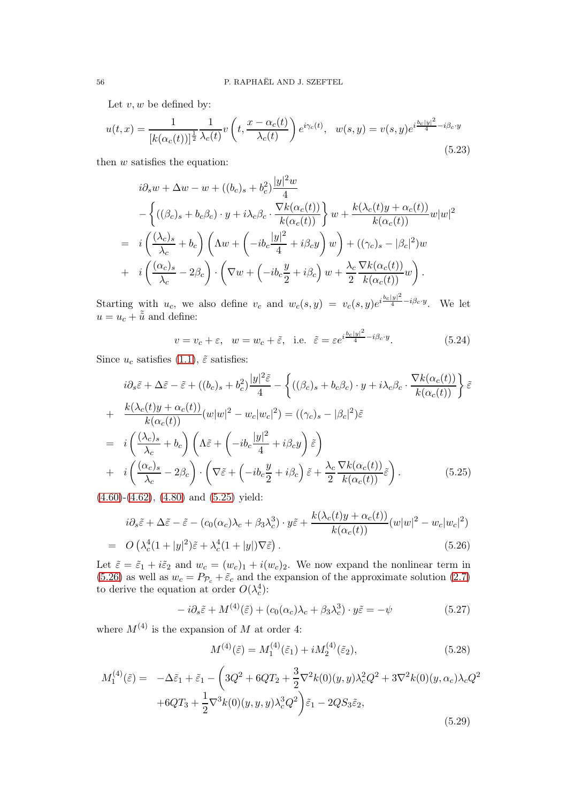Let  $v, w$  be defined by:

$$
u(t,x) = \frac{1}{[k(\alpha_c(t))]^{\frac{1}{2}}} \frac{1}{\lambda_c(t)} v\left(t, \frac{x - \alpha_c(t)}{\lambda_c(t)}\right) e^{i\gamma_c(t)}, \ \ w(s,y) = v(s,y) e^{i\frac{b_c|y|^2}{4} - i\beta_c \cdot y}
$$
\n(5.23)

then  $w$  satisfies the equation:

$$
i\partial_s w + \Delta w - w + ((b_c)_s + b_c^2) \frac{|y|^2 w}{4}
$$
  
- 
$$
\left\{ ((\beta_c)_s + b_c \beta_c) \cdot y + i \lambda_c \beta_c \cdot \frac{\nabla k(\alpha_c(t))}{k(\alpha_c(t))} \right\} w + \frac{k(\lambda_c(t)y + \alpha_c(t))}{k(\alpha_c(t))} w|w|^2
$$
  
= 
$$
i \left( \frac{(\lambda_c)_s}{\lambda_c} + b_c \right) \left( \Lambda w + \left( -ib_c \frac{|y|^2}{4} + i \beta_c y \right) w \right) + ((\gamma_c)_s - |\beta_c|^2) w
$$
  
+ 
$$
i \left( \frac{(\alpha_c)_s}{\lambda_c} - 2\beta_c \right) \cdot \left( \nabla w + \left( -ib_c \frac{y}{2} + i \beta_c \right) w + \frac{\lambda_c}{2} \frac{\nabla k(\alpha_c(t))}{k(\alpha_c(t))} w \right).
$$

Starting with  $u_c$ , we also define  $v_c$  and  $w_c(s, y) = v_c(s, y)e^{i\frac{b_c|y|^2}{4} - i\beta_c \cdot y}$ . We let  $u = u_c + \tilde{\tilde{u}}$  and define:

<span id="page-55-3"></span>
$$
v = v_c + \varepsilon
$$
,  $w = w_c + \tilde{\varepsilon}$ , i.e.  $\tilde{\varepsilon} = \varepsilon e^{i\frac{b_c|y|^2}{4} - i\beta_c \cdot y}$ . (5.24)

Since  $u_c$  satisfies [\(1.1\)](#page-0-0),  $\tilde{\varepsilon}$  satisfies:

<span id="page-55-0"></span>
$$
i\partial_s \tilde{\varepsilon} + \Delta \tilde{\varepsilon} - \tilde{\varepsilon} + ((b_c)_s + b_c^2) \frac{|y|^2 \tilde{\varepsilon}}{4} - \left\{ ((\beta_c)_s + b_c \beta_c) \cdot y + i\lambda_c \beta_c \cdot \frac{\nabla k(\alpha_c(t))}{k(\alpha_c(t))} \right\} \tilde{\varepsilon}
$$
  
+ 
$$
\frac{k(\lambda_c(t)y + \alpha_c(t))}{k(\alpha_c(t))} (w|w|^2 - w_c|w_c|^2) = ((\gamma_c)_s - |\beta_c|^2) \tilde{\varepsilon}
$$
  
= 
$$
i \left( \frac{(\lambda_c)_s}{\lambda_c} + b_c \right) \left( \Lambda \tilde{\varepsilon} + \left( -ib_c \frac{|y|^2}{4} + i\beta_c y \right) \tilde{\varepsilon} \right)
$$
  
+ 
$$
i \left( \frac{(\alpha_c)_s}{\lambda_c} - 2\beta_c \right) \cdot \left( \nabla \tilde{\varepsilon} + \left( -ib_c \frac{y}{2} + i\beta_c \right) \tilde{\varepsilon} + \frac{\lambda_c}{2} \frac{\nabla k(\alpha_c(t))}{k(\alpha_c(t))} \tilde{\varepsilon} \right).
$$
(5.25)

[\(4.60\)](#page-45-1)-[\(4.62\)](#page-45-5), [\(4.80\)](#page-48-2) and [\(5.25\)](#page-55-0) yield:

<span id="page-55-1"></span>
$$
i\partial_s \tilde{\varepsilon} + \Delta \tilde{\varepsilon} - \tilde{\varepsilon} - (c_0(\alpha_c)\lambda_c + \beta_3 \lambda_c^3) \cdot y \tilde{\varepsilon} + \frac{k(\lambda_c(t)y + \alpha_c(t))}{k(\alpha_c(t))}(w|w|^2 - w_c|w_c|^2)
$$
  
=  $O\left(\lambda_c^4(1+|y|^2)\tilde{\varepsilon} + \lambda_c^4(1+|y|)\nabla \tilde{\varepsilon}\right).$  (5.26)

Let  $\tilde{\varepsilon} = \tilde{\varepsilon}_1 + i\tilde{\varepsilon}_2$  and  $w_c = (w_c)_1 + i(w_c)_2$ . We now expand the nonlinear term in [\(5.26\)](#page-55-1) as well as  $w_c = P_{\mathcal{P}_c} + \tilde{\varepsilon}_c$  and the expansion of the approximate solution [\(2.7\)](#page-11-2) to derive the equation at order  $O(\lambda_c^4)$ :

<span id="page-55-2"></span>
$$
-i\partial_s \tilde{\varepsilon} + M^{(4)}(\tilde{\varepsilon}) + (c_0(\alpha_c)\lambda_c + \beta_3 \lambda_c^3) \cdot y\tilde{\varepsilon} = -\psi \tag{5.27}
$$

where  $M^{(4)}$  is the expansion of M at order 4:

<span id="page-55-4"></span>
$$
M^{(4)}(\tilde{\varepsilon}) = M_1^{(4)}(\tilde{\varepsilon}_1) + i M_2^{(4)}(\tilde{\varepsilon}_2), \tag{5.28}
$$

<span id="page-55-5"></span>
$$
M_1^{(4)}(\tilde{\varepsilon}) = -\Delta \tilde{\varepsilon}_1 + \tilde{\varepsilon}_1 - \left( 3Q^2 + 6QT_2 + \frac{3}{2} \nabla^2 k(0)(y, y) \lambda_c^2 Q^2 + 3 \nabla^2 k(0)(y, \alpha_c) \lambda_c Q^2 + 6QT_3 + \frac{1}{2} \nabla^3 k(0)(y, y, y) \lambda_c^3 Q^2 \right) \tilde{\varepsilon}_1 - 2QS_3 \tilde{\varepsilon}_2,
$$
\n(5.29)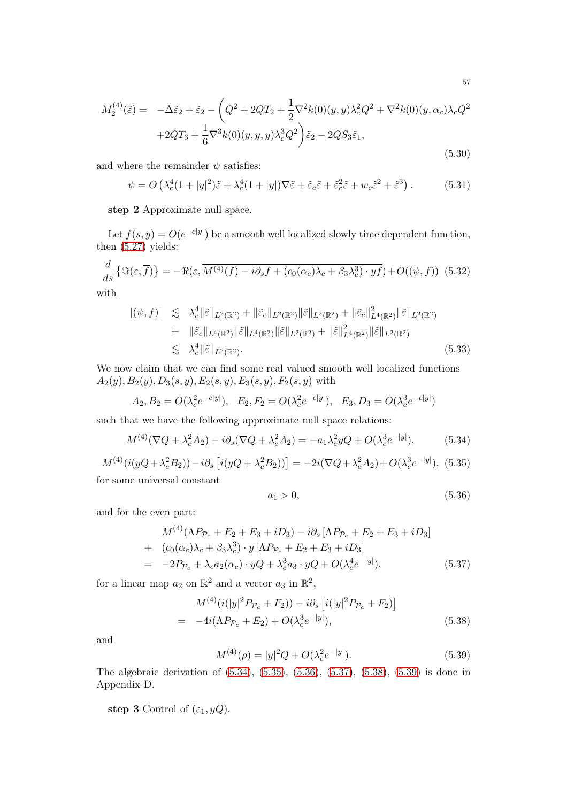$$
^{57}
$$

<span id="page-56-8"></span>
$$
M_2^{(4)}(\tilde{\varepsilon}) = -\Delta \tilde{\varepsilon}_2 + \tilde{\varepsilon}_2 - \left(Q^2 + 2QT_2 + \frac{1}{2}\nabla^2 k(0)(y, y)\lambda_c^2 Q^2 + \nabla^2 k(0)(y, \alpha_c)\lambda_c Q^2 + 2QT_3 + \frac{1}{6}\nabla^3 k(0)(y, y, y)\lambda_c^3 Q^2\right)\tilde{\varepsilon}_2 - 2QS_3\tilde{\varepsilon}_1,
$$
\n(5.30)

and where the remainder  $\psi$  satisfies:

$$
\psi = O\left(\lambda_c^4 (1+|y|^2)\tilde{\varepsilon} + \lambda_c^4 (1+|y|)\nabla \tilde{\varepsilon} + \tilde{\varepsilon}_c \tilde{\varepsilon} + \tilde{\varepsilon}_c^2 \tilde{\varepsilon} + w_c \tilde{\varepsilon}^2 + \tilde{\varepsilon}^3\right). \tag{5.31}
$$

step 2 Approximate null space.

Let  $f(s, y) = O(e^{-c|y|})$  be a smooth well localized slowly time dependent function, then [\(5.27\)](#page-55-2) yields:

<span id="page-56-7"></span>
$$
\frac{d}{ds}\left\{\Im(\varepsilon,\overline{f})\right\} = -\Re(\varepsilon,\overline{M^{(4)}(f) - i\partial_s f + (c_0(\alpha_c)\lambda_c + \beta_3\lambda_c^3) \cdot yf}) + O((\psi,f)) \tag{5.32}
$$
\nwith

with

<span id="page-56-6"></span>
$$
\begin{split} |(\psi, f)| &\lesssim \lambda_c^4 \|\tilde{\varepsilon}\|_{L^2(\mathbb{R}^2)} + \|\tilde{\varepsilon}_c\|_{L^2(\mathbb{R}^2)} \|\tilde{\varepsilon}\|_{L^2(\mathbb{R}^2)} + \|\tilde{\varepsilon}_c\|_{L^4(\mathbb{R}^2)}^2 \|\tilde{\varepsilon}\|_{L^2(\mathbb{R}^2)} \\ &+ \|\tilde{\varepsilon}_c\|_{L^4(\mathbb{R}^2)} \|\tilde{\varepsilon}\|_{L^4(\mathbb{R}^2)} \|\tilde{\varepsilon}\|_{L^2(\mathbb{R}^2)} + \|\tilde{\varepsilon}\|_{L^4(\mathbb{R}^2)}^2 \|\tilde{\varepsilon}\|_{L^2(\mathbb{R}^2)} \\ &\lesssim \lambda_c^4 \|\tilde{\varepsilon}\|_{L^2(\mathbb{R}^2)}. \end{split} \tag{5.33}
$$

We now claim that we can find some real valued smooth well localized functions  $A_2(y), B_2(y), D_3(s, y), E_2(s, y), E_3(s, y), F_2(s, y)$  with

$$
A_2, B_2 = O(\lambda_c^2 e^{-c|y|}), E_2, F_2 = O(\lambda_c^2 e^{-c|y|}), E_3, D_3 = O(\lambda_c^3 e^{-c|y|})
$$

such that we have the following approximate null space relations:

<span id="page-56-0"></span>
$$
M^{(4)}(\nabla Q + \lambda_c^2 A_2) - i \partial_s (\nabla Q + \lambda_c^2 A_2) = -a_1 \lambda_c^2 y Q + O(\lambda_c^3 e^{-|y|}), \tag{5.34}
$$

<span id="page-56-1"></span>
$$
M^{(4)}(i(yQ + \lambda_c^2 B_2)) - i\partial_s [i(yQ + \lambda_c^2 B_2))] = -2i(\nabla Q + \lambda_c^2 A_2) + O(\lambda_c^3 e^{-|y|}),
$$
(5.35)

for some universal constant

<span id="page-56-2"></span>
$$
a_1 > 0,\tag{5.36}
$$

and for the even part:

<span id="page-56-3"></span>
$$
M^{(4)}(\Lambda P_{\mathcal{P}_c} + E_2 + E_3 + iD_3) - i\partial_s [\Lambda P_{\mathcal{P}_c} + E_2 + E_3 + iD_3]
$$
  
+  $(c_0(\alpha_c)\lambda_c + \beta_3\lambda_c^3) \cdot y [\Lambda P_{\mathcal{P}_c} + E_2 + E_3 + iD_3]$   
=  $-2P_{\mathcal{P}_c} + \lambda_c a_2(\alpha_c) \cdot yQ + \lambda_c^3 a_3 \cdot yQ + O(\lambda_c^4 e^{-|y|}),$  (5.37)

for a linear map  $a_2$  on  $\mathbb{R}^2$  and a vector  $a_3$  in  $\mathbb{R}^2$ ,

<span id="page-56-4"></span>
$$
M^{(4)}(i(|y|^2 P_{\mathcal{P}_c} + F_2)) - i\partial_s [i(|y|^2 P_{\mathcal{P}_c} + F_2)]
$$
  
=  $-4i(\Lambda P_{\mathcal{P}_c} + E_2) + O(\lambda_c^3 e^{-|y|}),$  (5.38)

and

<span id="page-56-5"></span>
$$
M^{(4)}(\rho) = |y|^2 Q + O(\lambda_c^2 e^{-|y|}).
$$
\n(5.39)

The algebraic derivation of [\(5.34\)](#page-56-0), [\(5.35\)](#page-56-1), [\(5.36\)](#page-56-2), [\(5.37\)](#page-56-3), [\(5.38\)](#page-56-4), [\(5.39\)](#page-56-5) is done in Appendix D.

step 3 Control of  $(\varepsilon_1, yQ)$ .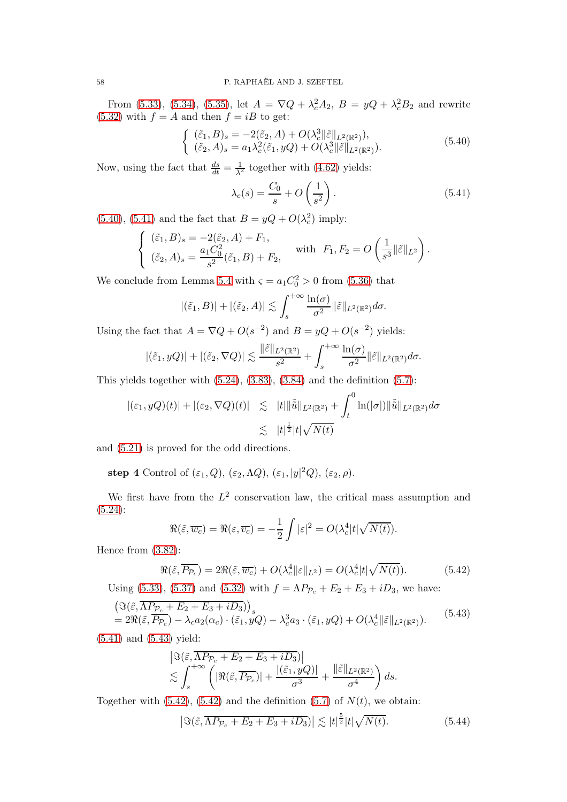From [\(5.33\)](#page-56-6), [\(5.34\)](#page-56-0), [\(5.35\)](#page-56-1), let  $A = \nabla Q + \lambda_c^2 A_2$ ,  $B = yQ + \lambda_c^2 B_2$  and rewrite [\(5.32\)](#page-56-7) with  $f = A$  and then  $f = iB$  to get:

<span id="page-57-0"></span>
$$
\begin{cases} (\tilde{\varepsilon}_1, B)_s = -2(\tilde{\varepsilon}_2, A) + O(\lambda_c^3 \|\tilde{\varepsilon}\|_{L^2(\mathbb{R}^2)}), \\ (\tilde{\varepsilon}_2, A)_s = a_1 \lambda_c^2(\tilde{\varepsilon}_1, yQ) + O(\lambda_c^3 \|\tilde{\varepsilon}\|_{L^2(\mathbb{R}^2)}). \end{cases}
$$
(5.40)

Now, using the fact that  $\frac{ds}{dt} = \frac{1}{\lambda^2}$  together with [\(4.62\)](#page-45-5) yields:

<span id="page-57-1"></span>
$$
\lambda_c(s) = \frac{C_0}{s} + O\left(\frac{1}{s^2}\right). \tag{5.41}
$$

[\(5.40\)](#page-57-0), [\(5.41\)](#page-57-1) and the fact that  $B = yQ + O(\lambda_c^2)$  imply:

$$
\begin{cases}\n(\tilde{\varepsilon}_1, B)_s = -2(\tilde{\varepsilon}_2, A) + F_1, \\
(\tilde{\varepsilon}_2, A)_s = \frac{a_1 C_0^2}{s^2}(\tilde{\varepsilon}_1, B) + F_2, \n\end{cases}
$$
 with  $F_1, F_2 = O\left(\frac{1}{s^3} ||\tilde{\varepsilon}||_{L^2}\right)$ .

We conclude from Lemma [5.4](#page-62-0) with  $\varsigma = a_1 C_0^2 > 0$  from [\(5.36\)](#page-56-2) that

$$
|(\tilde{\varepsilon}_1, B)| + |(\tilde{\varepsilon}_2, A)| \lesssim \int_s^{+\infty} \frac{\ln(\sigma)}{\sigma^2} ||\tilde{\varepsilon}||_{L^2(\mathbb{R}^2)} d\sigma.
$$

Using the fact that  $A = \nabla Q + O(s^{-2})$  and  $B = yQ + O(s^{-2})$  yields:

$$
|(\tilde{\varepsilon}_1, yQ)| + |(\tilde{\varepsilon}_2, \nabla Q)| \lesssim \frac{\|\tilde{\varepsilon}\|_{L^2(\mathbb{R}^2)}}{s^2} + \int_s^{+\infty} \frac{\ln(\sigma)}{\sigma^2} \|\tilde{\varepsilon}\|_{L^2(\mathbb{R}^2)} d\sigma.
$$

This yields together with  $(5.24)$ ,  $(3.83)$ ,  $(3.84)$  and the definition  $(5.7)$ :

$$
|(\varepsilon_1, yQ)(t)| + |(\varepsilon_2, \nabla Q)(t)| \leq |t| \|\tilde{\tilde{u}}\|_{L^2(\mathbb{R}^2)} + \int_t^0 \ln(|\sigma|) \|\tilde{\tilde{u}}\|_{L^2(\mathbb{R}^2)} d\sigma
$$
  

$$
\lesssim |t|^{\frac{1}{2}} |t| \sqrt{N(t)}
$$

and [\(5.21\)](#page-54-1) is proved for the odd directions.

step 4 Control of  $(\varepsilon_1, Q)$ ,  $(\varepsilon_2, \Lambda Q)$ ,  $(\varepsilon_1, |y|^2 Q)$ ,  $(\varepsilon_2, \rho)$ .

We first have from the  $L^2$  conservation law, the critical mass assumption and [\(5.24\)](#page-55-3):

$$
\Re(\tilde{\varepsilon}, \overline{w_c}) = \Re(\varepsilon, \overline{v_c}) = -\frac{1}{2} \int |\varepsilon|^2 = O(\lambda_c^4 |t| \sqrt{N(t)}).
$$

Hence from [\(3.82\)](#page-30-1):

<span id="page-57-3"></span>
$$
\Re(\tilde{\varepsilon}, \overline{P_{\mathcal{P}_c}}) = 2\Re(\tilde{\varepsilon}, \overline{w_c}) + O(\lambda_c^4 \|\varepsilon\|_{L^2}) = O(\lambda_c^4 |t| \sqrt{N(t)}). \tag{5.42}
$$

Using [\(5.33\)](#page-56-6), [\(5.37\)](#page-56-3) and [\(5.32\)](#page-56-7) with  $f = \Lambda P_{\mathcal{P}_c} + E_2 + E_3 + iD_3$ , we have:

<span id="page-57-2"></span>
$$
\begin{split} & \left( \Im(\tilde{\varepsilon}, \overline{\Lambda P_{\mathcal{P}_c} + E_2 + E_3 + i D_3}) \right)_s \\ &= 2\Re(\tilde{\varepsilon}, \overline{P_{\mathcal{P}_c}}) - \lambda_c a_2(\alpha_c) \cdot (\tilde{\varepsilon}_1, yQ) - \lambda_c^3 a_3 \cdot (\tilde{\varepsilon}_1, yQ) + O(\lambda_c^4 \|\tilde{\varepsilon}\|_{L^2(\mathbb{R}^2)}). \end{split} \tag{5.43}
$$

[\(5.41\)](#page-57-1) and [\(5.43\)](#page-57-2) yield:

$$
\begin{aligned} &\left|\Im(\tilde{\varepsilon},\overline{\Lambda P_{\mathcal{P}_c}+E_2+E_3+iD_3})\right|\\ &\lesssim \int_s^{+\infty}\left(|\Re(\tilde{\varepsilon},\overline{P_{\mathcal{P}_c}})|+\frac{|(\tilde{\varepsilon}_1,yQ)|}{\sigma^3}+\frac{\|\tilde{\varepsilon}\|_{L^2(\mathbb{R}^2)}}{\sigma^4}\right)ds.\end{aligned}
$$

Together with  $(5.42)$ ,  $(5.42)$  and the definition  $(5.7)$  of  $N(t)$ , we obtain:

<span id="page-57-4"></span>
$$
\left| \Im(\tilde{\varepsilon}, \overline{\Lambda P_{\mathcal{P}_c} + E_2 + E_3 + i D_3}) \right| \lesssim |t|^{\frac{5}{2}} |t| \sqrt{N(t)}.
$$
 (5.44)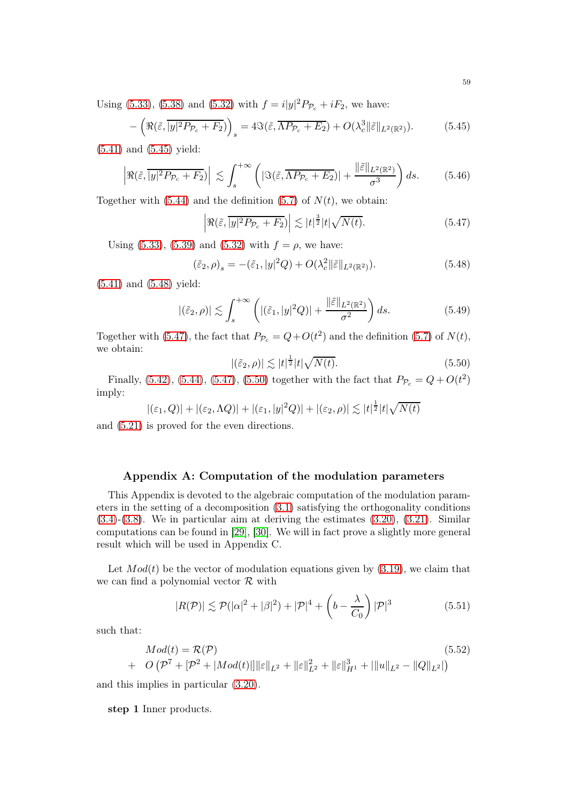Using [\(5.33\)](#page-56-6), [\(5.38\)](#page-56-4) and [\(5.32\)](#page-56-7) with  $f = i|y|^2 P_{\mathcal{P}_c} + iF_2$ , we have:

<span id="page-58-0"></span>
$$
-\left(\Re(\tilde{\varepsilon},\overline{|y|^2P_{\mathcal{P}_c}+F_2})\right)_s = 4\Im(\tilde{\varepsilon},\overline{\Lambda P_{\mathcal{P}_c}+E_2}) + O(\lambda_c^3\|\tilde{\varepsilon}\|_{L^2(\mathbb{R}^2)}).
$$
(5.45)

[\(5.41\)](#page-57-1) and [\(5.45\)](#page-58-0) yield:

$$
\left| \Re(\tilde{\varepsilon}, \overline{|y|^2 P_{\mathcal{P}_c} + F_2}) \right| \lesssim \int_s^{+\infty} \left( |\Im(\tilde{\varepsilon}, \overline{\Lambda P_{\mathcal{P}_c} + E_2})| + \frac{\|\tilde{\varepsilon}\|_{L^2(\mathbb{R}^2)}}{\sigma^3} \right) ds. \tag{5.46}
$$

Together with  $(5.44)$  and the definition  $(5.7)$  of  $N(t)$ , we obtain:

<span id="page-58-2"></span>
$$
\left| \Re(\tilde{\varepsilon}, \overline{|y|^2 P_{\mathcal{P}_c} + F_2}) \right| \lesssim |t|^{\frac{3}{2}} |t| \sqrt{N(t)}.
$$
 (5.47)

Using [\(5.33\)](#page-56-6), [\(5.39\)](#page-56-5) and [\(5.32\)](#page-56-7) with  $f = \rho$ , we have:

<span id="page-58-1"></span>
$$
(\tilde{\varepsilon}_2, \rho)_s = -(\tilde{\varepsilon}_1, |y|^2 Q) + O(\lambda_c^2 \|\tilde{\varepsilon}\|_{L^2(\mathbb{R}^2)}).
$$
\n(5.48)

[\(5.41\)](#page-57-1) and [\(5.48\)](#page-58-1) yield:

$$
|(\tilde{\varepsilon}_2, \rho)| \lesssim \int_s^{+\infty} \left( |(\tilde{\varepsilon}_1, |y|^2 Q)| + \frac{\|\tilde{\varepsilon}\|_{L^2(\mathbb{R}^2)}}{\sigma^2} \right) ds. \tag{5.49}
$$

Together with [\(5.47\)](#page-58-2), the fact that  $P_{\mathcal{P}_c} = Q + O(t^2)$  and the definition [\(5.7\)](#page-50-4) of  $N(t)$ , we obtain:

<span id="page-58-3"></span>
$$
|(\tilde{\varepsilon}_2, \rho)| \lesssim |t|^{\frac{1}{2}} |t| \sqrt{N(t)}.
$$
\n(5.50)

Finally, [\(5.42\)](#page-57-3), [\(5.44\)](#page-57-4), [\(5.47\)](#page-58-2), [\(5.50\)](#page-58-3) together with the fact that  $P_{\mathcal{P}_c} = Q + O(t^2)$ imply:

$$
|(\varepsilon_1, Q)| + |(\varepsilon_2, \Lambda Q)| + |(\varepsilon_1, |y|^2 Q)| + |(\varepsilon_2, \rho)| \lesssim |t|^{\frac{1}{2}} |t| \sqrt{N(t)}
$$

and [\(5.21\)](#page-54-1) is proved for the even directions.

# Appendix A: Computation of the modulation parameters

This Appendix is devoted to the algebraic computation of the modulation parameters in the setting of a decomposition [\(3.1\)](#page-15-1) satisfying the orthogonality conditions [\(3.4\)](#page-16-0)-[\(3.8\)](#page-16-1). We in particular aim at deriving the estimates [\(3.20\)](#page-17-1), [\(3.21\)](#page-17-5). Similar computations can be found in [\[29\]](#page-72-4), [\[30\]](#page-72-5). We will in fact prove a slightly more general result which will be used in Appendix C.

Let  $Mod(t)$  be the vector of modulation equations given by [\(3.19\)](#page-17-6), we claim that we can find a polynomial vector  $\mathcal R$  with

<span id="page-58-4"></span>
$$
|R(\mathcal{P})| \lesssim \mathcal{P}(|\alpha|^2 + |\beta|^2) + |\mathcal{P}|^4 + \left(b - \frac{\lambda}{C_0}\right)|\mathcal{P}|^3 \tag{5.51}
$$

such that:

<span id="page-58-5"></span>
$$
Mod(t) = \mathcal{R}(\mathcal{P})
$$
\n
$$
+ O\left(\mathcal{P}^{7} + [\mathcal{P}^{2} + |Mod(t)|] \|\varepsilon\|_{L^{2}} + \|\varepsilon\|_{L^{2}}^{2} + \|\varepsilon\|_{H^{1}}^{3} + \|\|u\|_{L^{2}} - \|Q\|_{L^{2}}|\right)
$$
\n(5.52)

and this implies in particular [\(3.20\)](#page-17-1).

step 1 Inner products.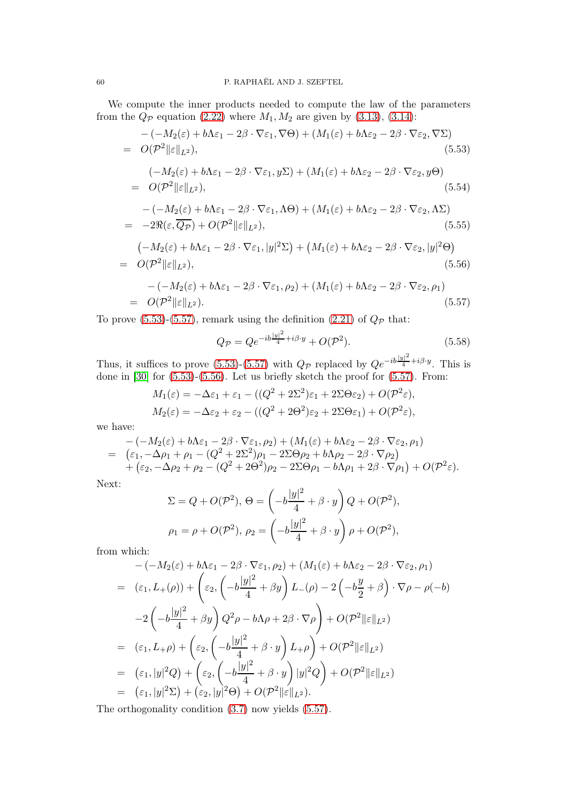We compute the inner products needed to compute the law of the parameters from the  $Q_{\mathcal{P}}$  equation [\(2.22\)](#page-14-0) where  $M_1, M_2$  are given by [\(3.13\)](#page-17-7), [\(3.14\)](#page-17-8):

<span id="page-59-0"></span>
$$
-(-M_2(\varepsilon) + b\Lambda \varepsilon_1 - 2\beta \cdot \nabla \varepsilon_1, \nabla \Theta) + (M_1(\varepsilon) + b\Lambda \varepsilon_2 - 2\beta \cdot \nabla \varepsilon_2, \nabla \Sigma)
$$
  
=  $O(\mathcal{P}^2 ||\varepsilon||_{L^2}),$  (5.53)  
 $(-M_2(\varepsilon) + b\Lambda \varepsilon_1 - 2\beta \cdot \nabla \varepsilon_1, y\Sigma) + (M_1(\varepsilon) + b\Lambda \varepsilon_2 - 2\beta \cdot \nabla \varepsilon_2, y\Theta)$ 

<span id="page-59-4"></span>
$$
= O(\mathcal{P}^2 ||\varepsilon||_{L^2}), \qquad (5.54)
$$

<span id="page-59-3"></span>
$$
-(-M_2(\varepsilon) + b\Lambda \varepsilon_1 - 2\beta \cdot \nabla \varepsilon_1, \Lambda \Theta) + (M_1(\varepsilon) + b\Lambda \varepsilon_2 - 2\beta \cdot \nabla \varepsilon_2, \Lambda \Sigma)
$$
  
= -2\Re(\varepsilon, \overline{Q\_P}) + O(\mathcal{P}^2 ||\varepsilon||\_{L^2}), (5.55)

<span id="page-59-2"></span>
$$
\begin{aligned} & \left( -M_2(\varepsilon) + b\Lambda \varepsilon_1 - 2\beta \cdot \nabla \varepsilon_1, |y|^2 \Sigma \right) + \left( M_1(\varepsilon) + b\Lambda \varepsilon_2 - 2\beta \cdot \nabla \varepsilon_2, |y|^2 \Theta \right) \\ &= O(\mathcal{P}^2 \|\varepsilon\|_{L^2}), \end{aligned} \tag{5.56}
$$

<span id="page-59-1"></span>
$$
-(-M_2(\varepsilon) + b\Lambda \varepsilon_1 - 2\beta \cdot \nabla \varepsilon_1, \rho_2) + (M_1(\varepsilon) + b\Lambda \varepsilon_2 - 2\beta \cdot \nabla \varepsilon_2, \rho_1)
$$
  
=  $O(\mathcal{P}^2 ||\varepsilon||_{L^2}).$  (5.57)

To prove [\(5.53\)](#page-59-0)-[\(5.57\)](#page-59-1), remark using the definition [\(2.21\)](#page-13-0) of  $Q_{\mathcal{P}}$  that:

$$
Q_{\mathcal{P}} = Q e^{-ib\frac{|y|^2}{4} + i\beta \cdot y} + O(\mathcal{P}^2).
$$
 (5.58)

Thus, it suffices to prove [\(5.53\)](#page-59-0)-[\(5.57\)](#page-59-1) with  $Q_{\mathcal{P}}$  replaced by  $Qe^{-ib\frac{|y|^2}{4}+i\beta\cdot y}$ . This is done in [\[30\]](#page-72-5) for [\(5.53\)](#page-59-0)-[\(5.56\)](#page-59-2). Let us briefly sketch the proof for [\(5.57\)](#page-59-1). From:

$$
M_1(\varepsilon) = -\Delta\varepsilon_1 + \varepsilon_1 - ((Q^2 + 2\Sigma^2)\varepsilon_1 + 2\Sigma\Theta\varepsilon_2) + O(\mathcal{P}^2\varepsilon),
$$
  
\n
$$
M_2(\varepsilon) = -\Delta\varepsilon_2 + \varepsilon_2 - ((Q^2 + 2\Theta^2)\varepsilon_2 + 2\Sigma\Theta\varepsilon_1) + O(\mathcal{P}^2\varepsilon),
$$

we have:

$$
-(-M_2(\varepsilon) + b\Lambda\varepsilon_1 - 2\beta \cdot \nabla\varepsilon_1, \rho_2) + (M_1(\varepsilon) + b\Lambda\varepsilon_2 - 2\beta \cdot \nabla\varepsilon_2, \rho_1)
$$
  
= 
$$
(\varepsilon_1, -\Delta\rho_1 + \rho_1 - (Q^2 + 2\Sigma^2)\rho_1 - 2\Sigma\Theta\rho_2 + b\Lambda\rho_2 - 2\beta \cdot \nabla\rho_2)
$$

$$
+ (\varepsilon_2, -\Delta\rho_2 + \rho_2 - (Q^2 + 2\Theta^2)\rho_2 - 2\Sigma\Theta\rho_1 - b\Lambda\rho_1 + 2\beta \cdot \nabla\rho_1) + O(\mathcal{P}^2\varepsilon).
$$

Next:

$$
\Sigma = Q + O(\mathcal{P}^2), \Theta = \left(-b\frac{|y|^2}{4} + \beta \cdot y\right)Q + O(\mathcal{P}^2),
$$
  

$$
\rho_1 = \rho + O(\mathcal{P}^2), \ \rho_2 = \left(-b\frac{|y|^2}{4} + \beta \cdot y\right)\rho + O(\mathcal{P}^2),
$$

from which:

$$
-(-M_2(\varepsilon) + b\Lambda \varepsilon_1 - 2\beta \cdot \nabla \varepsilon_1, \rho_2) + (M_1(\varepsilon) + b\Lambda \varepsilon_2 - 2\beta \cdot \nabla \varepsilon_2, \rho_1)
$$
  
\n
$$
= (\varepsilon_1, L_+(\rho)) + \left(\varepsilon_2, \left(-b\frac{|y|^2}{4} + \beta y\right)L_-(\rho) - 2\left(-b\frac{y}{2} + \beta\right) \cdot \nabla \rho - \rho(-b)\right)
$$
  
\n
$$
-2\left(-b\frac{|y|^2}{4} + \beta y\right)Q^2\rho - b\Lambda \rho + 2\beta \cdot \nabla \rho\right) + O(\mathcal{P}^2 \|\varepsilon\|_{L^2})
$$
  
\n
$$
= (\varepsilon_1, L_+\rho) + \left(\varepsilon_2, \left(-b\frac{|y|^2}{4} + \beta \cdot y\right)L_+\rho\right) + O(\mathcal{P}^2 \|\varepsilon\|_{L^2})
$$
  
\n
$$
= (\varepsilon_1, |y|^2 Q) + \left(\varepsilon_2, \left(-b\frac{|y|^2}{4} + \beta \cdot y\right)|y|^2 Q\right) + O(\mathcal{P}^2 \|\varepsilon\|_{L^2})
$$
  
\n
$$
= (\varepsilon_1, |y|^2 \Sigma) + (\varepsilon_2, |y|^2 \Theta) + O(\mathcal{P}^2 \|\varepsilon\|_{L^2}).
$$

The orthogonality condition [\(3.7\)](#page-16-3) now yields [\(5.57\)](#page-59-1).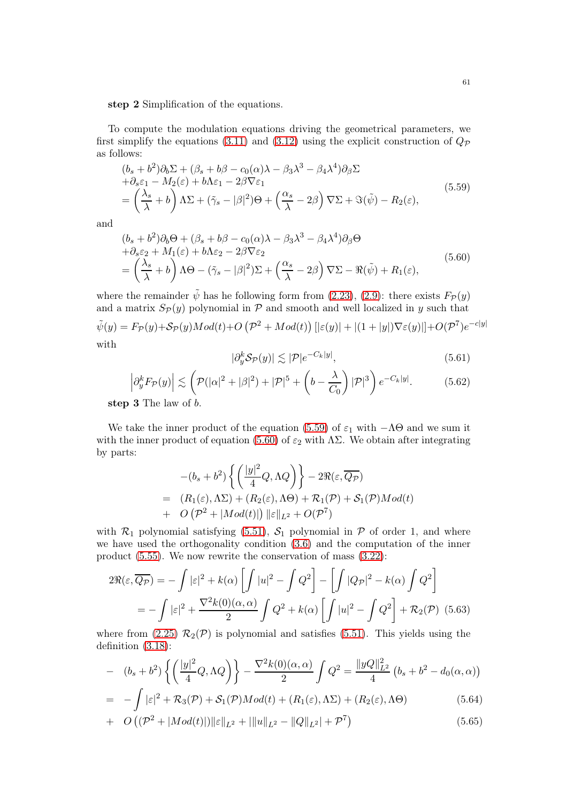step 2 Simplification of the equations.

To compute the modulation equations driving the geometrical parameters, we first simplify the equations [\(3.11\)](#page-16-4) and [\(3.12\)](#page-16-5) using the explicit construction of  $Q_{\mathcal{P}}$ as follows:

<span id="page-60-1"></span>
$$
(b_s + b^2)\partial_b \Sigma + (\beta_s + b\beta - c_0(\alpha)\lambda - \beta_3\lambda^3 - \beta_4\lambda^4)\partial_\beta \Sigma
$$
  
+ $\partial_s \varepsilon_1 - M_2(\varepsilon) + b\Lambda \varepsilon_1 - 2\beta \nabla \varepsilon_1$   
=  $\left(\frac{\lambda_s}{\lambda} + b\right) \Lambda \Sigma + (\tilde{\gamma}_s - |\beta|^2)\Theta + \left(\frac{\alpha_s}{\lambda} - 2\beta\right) \nabla \Sigma + \Im(\tilde{\psi}) - R_2(\varepsilon),$  (5.59)

and

<span id="page-60-2"></span>
$$
\begin{split} &\left(b_s+b^2\right)\partial_b\Theta+\left(\beta_s+b\beta-c_0(\alpha)\lambda-\beta_3\lambda^3-\beta_4\lambda^4\right)\partial_\beta\Theta\\ &+\partial_se_2+M_1(\varepsilon)+b\Lambda\varepsilon_2-2\beta\nabla\varepsilon_2\\ &=\left(\frac{\lambda_s}{\lambda}+b\right)\Lambda\Theta-(\tilde{\gamma}_s-|\beta|^2)\Sigma+\left(\frac{\alpha_s}{\lambda}-2\beta\right)\nabla\Sigma-\Re(\tilde{\psi})+R_1(\varepsilon),\end{split} \tag{5.60}
$$

where the remainder  $\tilde{\psi}$  has he following form from [\(2.23\)](#page-14-2), [\(2.9\)](#page-11-0): there exists  $F_{\mathcal{P}}(y)$ and a matrix  $S_{\mathcal{P}}(y)$  polynomial in  $\mathcal P$  and smooth and well localized in y such that

$$
\tilde{\psi}(y) = F_{\mathcal{P}}(y) + \mathcal{S}_{\mathcal{P}}(y)Mod(t) + O\left(\mathcal{P}^2 + Mod(t)\right) \left[|\varepsilon(y)| + |(1+|y|)\nabla \varepsilon(y)|\right] + O(\mathcal{P}^7)e^{-c|y|}
$$
\nwith

$$
|\partial_y^k \mathcal{S}_{\mathcal{P}}(y)| \lesssim |\mathcal{P}| e^{-C_k |y|},\tag{5.61}
$$

<span id="page-60-3"></span>
$$
\left| \partial_y^k F_{\mathcal{P}}(y) \right| \lesssim \left( \mathcal{P}(|\alpha|^2 + |\beta|^2) + |\mathcal{P}|^5 + \left( b - \frac{\lambda}{C_0} \right) |\mathcal{P}|^3 \right) e^{-C_k |y|}.
$$
 (5.62)

step 3 The law of b.

We take the inner product of the equation [\(5.59\)](#page-60-1) of  $\varepsilon_1$  with  $-\Lambda\Theta$  and we sum it with the inner product of equation [\(5.60\)](#page-60-2) of  $\varepsilon_2$  with  $\Lambda\Sigma$ . We obtain after integrating by parts:

$$
-(b_s+b^2)\left\{\left(\frac{|y|^2}{4}Q,\Lambda Q\right)\right\}-2\Re(\varepsilon,\overline{Q_P})
$$
  
=  $(R_1(\varepsilon),\Lambda\Sigma) + (R_2(\varepsilon),\Lambda\Theta) + \mathcal{R}_1(\mathcal{P}) + \mathcal{S}_1(\mathcal{P})Mod(t)$   
+  $O(\mathcal{P}^2 + |Mod(t)|) \|\varepsilon\|_{L^2} + O(\mathcal{P}^7)$ 

with  $\mathcal{R}_1$  polynomial satisfying [\(5.51\)](#page-58-4),  $\mathcal{S}_1$  polynomial in  $\mathcal P$  of order 1, and where we have used the orthogonality condition [\(3.6\)](#page-16-6) and the computation of the inner product [\(5.55\)](#page-59-3). We now rewrite the conservation of mass [\(3.22\)](#page-17-9):

<span id="page-60-4"></span>
$$
2\Re(\varepsilon, \overline{Q_{\mathcal{P}}}) = -\int |\varepsilon|^2 + k(\alpha) \left[ \int |u|^2 - \int Q^2 \right] - \left[ \int |Q_{\mathcal{P}}|^2 - k(\alpha) \int Q^2 \right]
$$

$$
= -\int |\varepsilon|^2 + \frac{\nabla^2 k(0)(\alpha, \alpha)}{2} \int Q^2 + k(\alpha) \left[ \int |u|^2 - \int Q^2 \right] + \mathcal{R}_2(\mathcal{P}) \tag{5.63}
$$

where from [\(2.25\)](#page-14-3)  $\mathcal{R}_2(\mathcal{P})$  is polynomial and satisfies [\(5.51\)](#page-58-4). This yields using the definition [\(3.18\)](#page-17-10):

<span id="page-60-0"></span>
$$
- (b_s + b^2) \left\{ \left( \frac{|y|^2}{4} Q, \Lambda Q \right) \right\} - \frac{\nabla^2 k(0)(\alpha, \alpha)}{2} \int Q^2 = \frac{\|yQ\|_{L^2}^2}{4} (b_s + b^2 - d_0(\alpha, \alpha))
$$

$$
= -\int |\varepsilon|^2 + \mathcal{R}_3(\mathcal{P}) + \mathcal{S}_1(\mathcal{P})Mod(t) + (R_1(\varepsilon), \Lambda\Sigma) + (R_2(\varepsilon), \Lambda\Theta) \tag{5.64}
$$

+ 
$$
O((\mathcal{P}^2 + |Mod(t)|)||\varepsilon||_{L^2} + |||u||_{L^2} - ||Q||_{L^2}| + \mathcal{P}^7)
$$
 (5.65)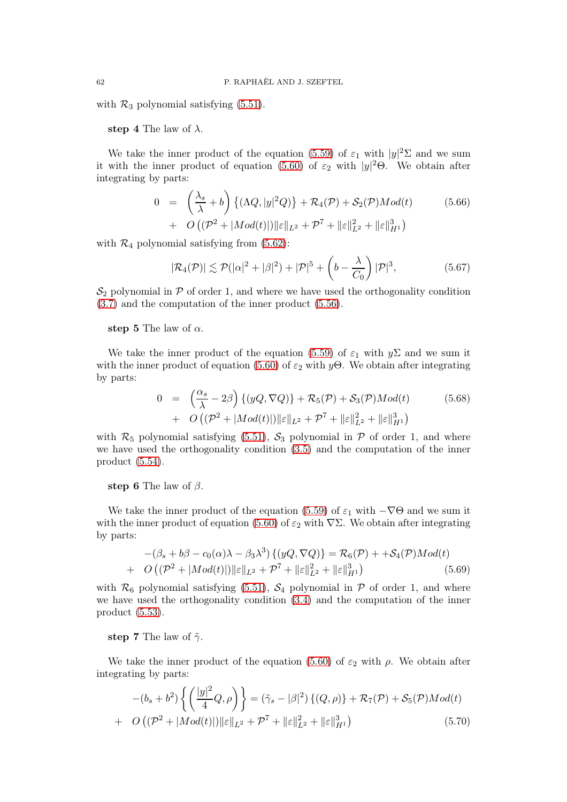with  $\mathcal{R}_3$  polynomial satisfying [\(5.51\)](#page-58-4).

step 4 The law of  $\lambda$ .

We take the inner product of the equation [\(5.59\)](#page-60-1) of  $\varepsilon_1$  with  $|y|^2\Sigma$  and we sum it with the inner product of equation [\(5.60\)](#page-60-2) of  $\varepsilon_2$  with  $|y|^2\Theta$ . We obtain after integrating by parts:

<span id="page-61-0"></span>
$$
0 = \left(\frac{\lambda_s}{\lambda} + b\right) \left\{ (\Lambda Q, |y|^2 Q) \right\} + \mathcal{R}_4(\mathcal{P}) + \mathcal{S}_2(\mathcal{P}) Mod(t) \tag{5.66}
$$
  
+  $O\left( (\mathcal{P}^2 + |Mod(t)|) \|\varepsilon\|_{L^2} + \mathcal{P}^7 + \|\varepsilon\|_{L^2}^2 + \|\varepsilon\|_{H^1}^3 \right)$ 

with  $\mathcal{R}_4$  polynomial satisfying from [\(5.62\)](#page-60-3):

<span id="page-61-4"></span>
$$
|\mathcal{R}_4(\mathcal{P})| \lesssim \mathcal{P}(|\alpha|^2 + |\beta|^2) + |\mathcal{P}|^5 + \left(b - \frac{\lambda}{C_0}\right)|\mathcal{P}|^3,
$$
\n(5.67)

 $\mathcal{S}_2$  polynomial in  $\mathcal P$  of order 1, and where we have used the orthogonality condition [\(3.7\)](#page-16-3) and the computation of the inner product [\(5.56\)](#page-59-2).

step 5 The law of  $\alpha$ .

We take the inner product of the equation [\(5.59\)](#page-60-1) of  $\varepsilon_1$  with  $y\Sigma$  and we sum it with the inner product of equation [\(5.60\)](#page-60-2) of  $\varepsilon_2$  with y $\Theta$ . We obtain after integrating by parts:

<span id="page-61-1"></span>
$$
0 = \left(\frac{\alpha_s}{\lambda} - 2\beta\right) \left\{ (yQ, \nabla Q) \right\} + \mathcal{R}_5(\mathcal{P}) + \mathcal{S}_3(\mathcal{P}) Mod(t) \tag{5.68}
$$
  
+  $O\left( (\mathcal{P}^2 + |Mod(t)|) \|\epsilon\|_{L^2} + \mathcal{P}^7 + \|\epsilon\|_{L^2}^2 + \|\epsilon\|_{H^1}^3 \right)$ 

with  $\mathcal{R}_5$  polynomial satisfying [\(5.51\)](#page-58-4),  $\mathcal{S}_3$  polynomial in  $\mathcal P$  of order 1, and where we have used the orthogonality condition [\(3.5\)](#page-16-7) and the computation of the inner product [\(5.54\)](#page-59-4).

step 6 The law of  $\beta$ .

We take the inner product of the equation [\(5.59\)](#page-60-1) of  $\varepsilon_1$  with  $-\nabla\Theta$  and we sum it with the inner product of equation [\(5.60\)](#page-60-2) of  $\varepsilon_2$  with  $\nabla\Sigma$ . We obtain after integrating by parts:

<span id="page-61-2"></span>
$$
-(\beta_s + b\beta - c_0(\alpha)\lambda - \beta_3\lambda^3) \{ (yQ, \nabla Q) \} = \mathcal{R}_6(\mathcal{P}) + +\mathcal{S}_4(\mathcal{P})Mod(t)
$$
  
+  $O((\mathcal{P}^2 + |Mod(t)|) \|\varepsilon\|_{L^2} + \mathcal{P}^7 + \|\varepsilon\|_{L^2}^2 + \|\varepsilon\|_{H^1}^3)$  (5.69)

with  $\mathcal{R}_6$  polynomial satisfying [\(5.51\)](#page-58-4),  $\mathcal{S}_4$  polynomial in  $\mathcal P$  of order 1, and where we have used the orthogonality condition [\(3.4\)](#page-16-0) and the computation of the inner product [\(5.53\)](#page-59-0).

step 7 The law of  $\tilde{\gamma}$ .

We take the inner product of the equation [\(5.60\)](#page-60-2) of  $\varepsilon_2$  with  $\rho$ . We obtain after integrating by parts:

<span id="page-61-3"></span>
$$
-(b_s+b^2)\left\{ \left(\frac{|y|^2}{4}Q,\rho\right)\right\} = (\tilde{\gamma}_s-|\beta|^2)\left\{(Q,\rho)\right\} + \mathcal{R}_7(\mathcal{P}) + \mathcal{S}_5(\mathcal{P})Mod(t) + O\left((\mathcal{P}^2+|Mod(t)|)\|\varepsilon\|_{L^2} + \mathcal{P}^7 + \|\varepsilon\|_{L^2}^2 + \|\varepsilon\|_{H^1}^3\right)
$$
(5.70)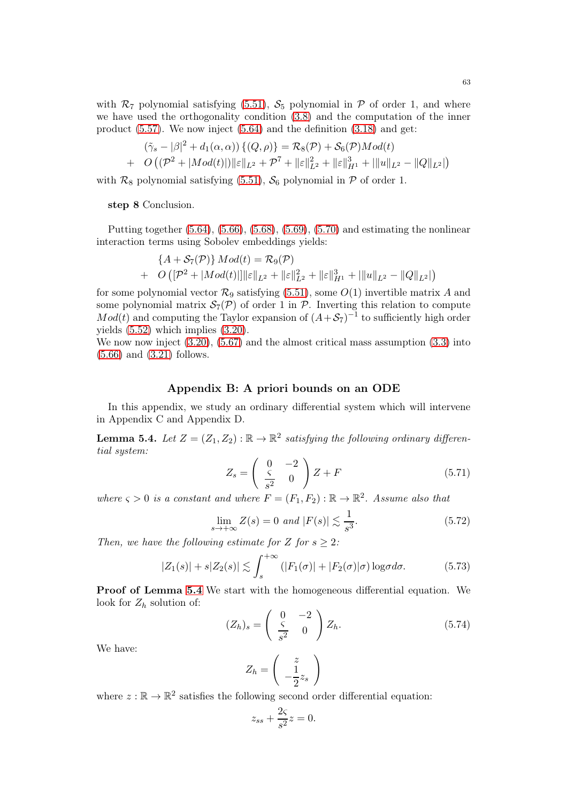with  $\mathcal{R}_7$  polynomial satisfying [\(5.51\)](#page-58-4),  $\mathcal{S}_5$  polynomial in P of order 1, and where we have used the orthogonality condition [\(3.8\)](#page-16-1) and the computation of the inner product  $(5.57)$ . We now inject  $(5.64)$  and the definition  $(3.18)$  and get:

$$
(\tilde{\gamma}_s - |\beta|^2 + d_1(\alpha, \alpha)) \{ (Q, \rho) \} = \mathcal{R}_8(\mathcal{P}) + \mathcal{S}_6(\mathcal{P}) Mod(t) + O\left( (\mathcal{P}^2 + |Mod(t)|) \|\varepsilon\|_{L^2} + \mathcal{P}^7 + \|\varepsilon\|_{L^2}^2 + \|\varepsilon\|_{H^1}^3 + |||u\|_{L^2} - ||Q||_{L^2}|\right)
$$

with  $\mathcal{R}_8$  polynomial satisfying [\(5.51\)](#page-58-4),  $\mathcal{S}_6$  polynomial in  $\mathcal P$  of order 1.

step 8 Conclusion.

Putting together  $(5.64)$ ,  $(5.66)$ ,  $(5.68)$ ,  $(5.69)$ ,  $(5.70)$  and estimating the nonlinear interaction terms using Sobolev embeddings yields:

$$
{A + \mathcal{S}_7(\mathcal{P})}{Mod(t)} = \mathcal{R}_9(\mathcal{P})
$$
  
+  $O([P^2 + |Mod(t)|]||\varepsilon||_{L^2} + ||\varepsilon||_{L^2}^2 + ||\varepsilon||_{H^1}^3 + |||u||_{L^2} - ||Q||_{L^2}|)$ 

for some polynomial vector  $\mathcal{R}_9$  satisfying [\(5.51\)](#page-58-4), some  $O(1)$  invertible matrix A and some polynomial matrix  $\mathcal{S}_7(\mathcal{P})$  of order 1 in  $\mathcal{P}$ . Inverting this relation to compute  $Mod(t)$  and computing the Taylor expansion of  $(A + S_7)^{-1}$  to sufficiently high order yields [\(5.52\)](#page-58-5) which implies [\(3.20\)](#page-17-1).

We now now inject  $(3.20)$ ,  $(5.67)$  and the almost critical mass assumption  $(3.3)$  into [\(5.66\)](#page-61-0) and [\(3.21\)](#page-17-5) follows.

### Appendix B: A priori bounds on an ODE

In this appendix, we study an ordinary differential system which will intervene in Appendix C and Appendix D.

<span id="page-62-0"></span>**Lemma 5.4.** Let  $Z = (Z_1, Z_2) : \mathbb{R} \to \mathbb{R}^2$  satisfying the following ordinary differential system:

<span id="page-62-2"></span>
$$
Z_s = \begin{pmatrix} 0 & -2 \\ \frac{\zeta}{s^2} & 0 \end{pmatrix} Z + F \tag{5.71}
$$

where  $\varsigma > 0$  is a constant and where  $F = (F_1, F_2) : \mathbb{R} \to \mathbb{R}^2$ . Assume also that

<span id="page-62-3"></span>
$$
\lim_{s \to +\infty} Z(s) = 0 \text{ and } |F(s)| \lesssim \frac{1}{s^3}.\tag{5.72}
$$

Then, we have the following estimate for Z for  $s \geq 2$ :

<span id="page-62-4"></span>
$$
|Z_1(s)| + s|Z_2(s)| \lesssim \int_s^{+\infty} (|F_1(\sigma)| + |F_2(\sigma)|\sigma) \log \sigma d\sigma.
$$
 (5.73)

Proof of Lemma [5.4](#page-62-0) We start with the homogeneous differential equation. We look for  $Z_h$  solution of:

<span id="page-62-1"></span>
$$
(Z_h)_s = \begin{pmatrix} 0 & -2 \\ \frac{\varsigma}{s^2} & 0 \end{pmatrix} Z_h.
$$
 (5.74)

We have:

$$
Z_h = \left(\begin{array}{c} z \\ -\frac{1}{2}z_s \end{array}\right)
$$

where  $z : \mathbb{R} \to \mathbb{R}^2$  satisfies the following second order differential equation:

$$
z_{ss} + \frac{2\varsigma}{s^2} z = 0.
$$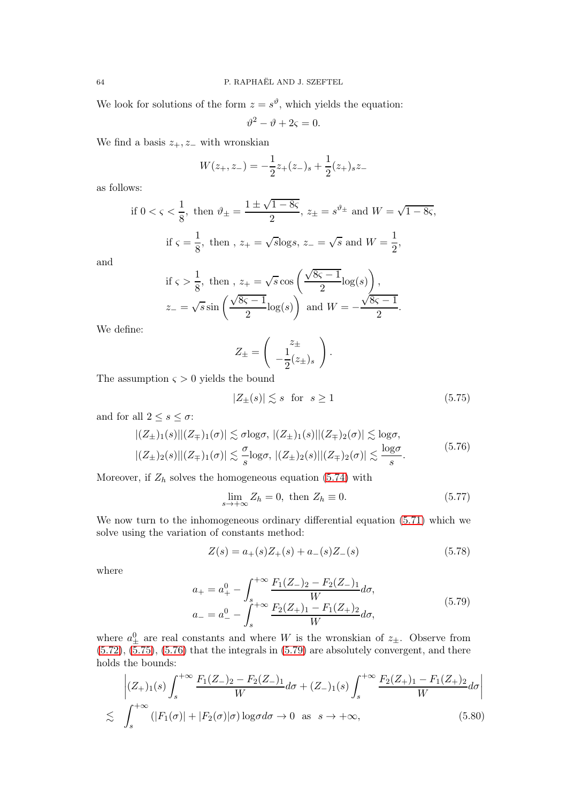We look for solutions of the form  $z = s^{\vartheta}$ , which yields the equation:

$$
\vartheta^2 - \vartheta + 2\varsigma = 0.
$$

We find a basis  $z_+, z_$  with wronskian

$$
W(z_{+}, z_{-}) = -\frac{1}{2}z_{+}(z_{-})_{s} + \frac{1}{2}(z_{+})_{s}z_{-}
$$

as follows:

if 
$$
0 < \varsigma < \frac{1}{8}
$$
, then  $\vartheta_{\pm} = \frac{1 \pm \sqrt{1 - 8\varsigma}}{2}$ ,  $z_{\pm} = s^{\vartheta_{\pm}}$  and  $W = \sqrt{1 - 8\varsigma}$ ,  
if  $\varsigma = \frac{1}{8}$ , then,  $z_{+} = \sqrt{s}\log s$ ,  $z_{-} = \sqrt{s}$  and  $W = \frac{1}{2}$ ,

and

if 
$$
\varsigma > \frac{1}{8}
$$
, then,  $z_+ = \sqrt{s} \cos\left(\frac{\sqrt{8\varsigma - 1}}{2} \log(s)\right)$ ,  
 $z_- = \sqrt{s} \sin\left(\frac{\sqrt{8\varsigma - 1}}{2} \log(s)\right)$  and  $W = -\frac{\sqrt{8\varsigma - 1}}{2}$ .

We define:

$$
Z_{\pm} = \begin{pmatrix} z_{\pm} \\ -\frac{1}{2}(z_{\pm})_s \end{pmatrix}.
$$

The assumption  $\varsigma > 0$  yields the bound

<span id="page-63-0"></span>
$$
|Z_{\pm}(s)| \lesssim s \quad \text{for} \quad s \ge 1 \tag{5.75}
$$

and for all  $2 \leq s \leq \sigma$ :

<span id="page-63-1"></span>
$$
\left| (Z_{\pm})_1(s) \right| (Z_{\mp})_1(\sigma) \leq \sigma \log \sigma, \quad \left| (Z_{\pm})_1(s) \right| (Z_{\mp})_2(\sigma) \leq \log \sigma,
$$
\n
$$
\left| (Z_{\pm})_2(s) \right| (Z_{\mp})_1(\sigma) \leq \frac{\sigma}{s} \log \sigma, \quad \left| (Z_{\pm})_2(s) \right| (Z_{\mp})_2(\sigma) \leq \frac{\log \sigma}{s}.
$$
\n
$$
(5.76)
$$

Moreover, if  $Z_h$  solves the homogeneous equation [\(5.74\)](#page-62-1) with

<span id="page-63-3"></span>
$$
\lim_{s \to +\infty} Z_h = 0, \text{ then } Z_h \equiv 0. \tag{5.77}
$$

We now turn to the inhomogeneous ordinary differential equation [\(5.71\)](#page-62-2) which we solve using the variation of constants method:

<span id="page-63-4"></span>
$$
Z(s) = a_{+}(s)Z_{+}(s) + a_{-}(s)Z_{-}(s)
$$
\n(5.78)

where

<span id="page-63-2"></span>
$$
a_{+} = a_{+}^{0} - \int_{s}^{+\infty} \frac{F_{1}(Z_{-})_{2} - F_{2}(Z_{-})_{1}}{W} d\sigma,
$$
  
\n
$$
a_{-} = a_{-}^{0} - \int_{s}^{+\infty} \frac{F_{2}(Z_{+})_{1} - F_{1}(Z_{+})_{2}}{W} d\sigma,
$$
\n(5.79)

where  $a_{\pm}^0$  are real constants and where W is the wronskian of  $z_{\pm}$ . Observe from  $(5.72), (5.75), (5.76)$  $(5.72), (5.75), (5.76)$  $(5.72), (5.75), (5.76)$  $(5.72), (5.75), (5.76)$  $(5.72), (5.75), (5.76)$  that the integrals in  $(5.79)$  are absolutely convergent, and there holds the bounds:

<span id="page-63-5"></span>
$$
\left| (Z_{+})_{1}(s) \int_{s}^{+\infty} \frac{F_{1}(Z_{-})_{2} - F_{2}(Z_{-})_{1}}{W} d\sigma + (Z_{-})_{1}(s) \int_{s}^{+\infty} \frac{F_{2}(Z_{+})_{1} - F_{1}(Z_{+})_{2}}{W} d\sigma \right|
$$
  

$$
\lesssim \int_{s}^{+\infty} (|F_{1}(\sigma)| + |F_{2}(\sigma)|\sigma) \log \sigma d\sigma \to 0 \text{ as } s \to +\infty,
$$
 (5.80)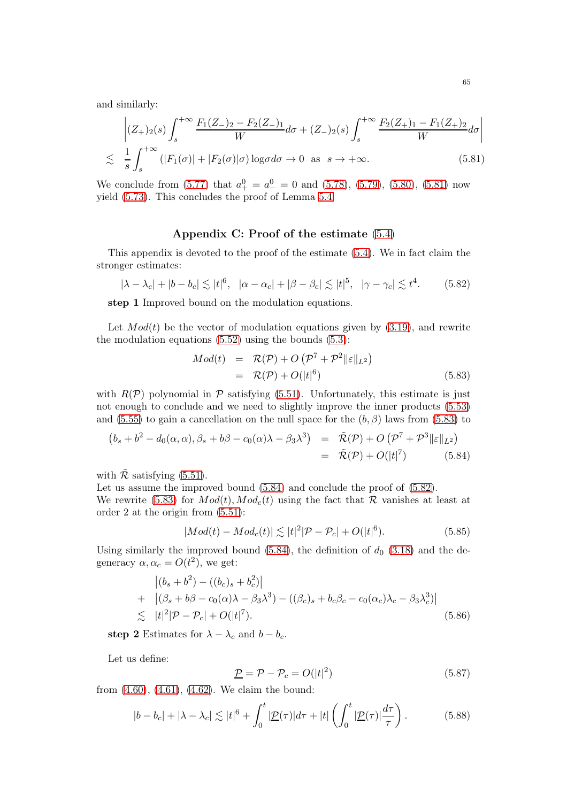and similarly:

<span id="page-64-0"></span>
$$
\left| (Z_{+})_{2}(s) \int_{s}^{+\infty} \frac{F_{1}(Z_{-})_{2} - F_{2}(Z_{-})_{1}}{W} d\sigma + (Z_{-})_{2}(s) \int_{s}^{+\infty} \frac{F_{2}(Z_{+})_{1} - F_{1}(Z_{+})_{2}}{W} d\sigma \right|
$$
  

$$
\lesssim \frac{1}{s} \int_{s}^{+\infty} (|F_{1}(\sigma)| + |F_{2}(\sigma)|\sigma) \log \sigma d\sigma \to 0 \text{ as } s \to +\infty.
$$
 (5.81)

We conclude from [\(5.77\)](#page-63-3) that  $a_+^0 = a_-^0 = 0$  and [\(5.78\)](#page-63-4), [\(5.79\)](#page-63-2), [\(5.80\)](#page-63-5), [\(5.81\)](#page-64-0) now yield [\(5.73\)](#page-62-4). This concludes the proof of Lemma [5.4.](#page-62-0)

## Appendix C: Proof of the estimate [\(5.4\)](#page-50-0)

This appendix is devoted to the proof of the estimate [\(5.4\)](#page-50-0). We in fact claim the stronger estimates:

<span id="page-64-3"></span>
$$
|\lambda - \lambda_c| + |b - b_c| \lesssim |t|^6, \quad |\alpha - \alpha_c| + |\beta - \beta_c| \lesssim |t|^5, \quad |\gamma - \gamma_c| \lesssim t^4. \tag{5.82}
$$

step 1 Improved bound on the modulation equations.

Let  $Mod(t)$  be the vector of modulation equations given by  $(3.19)$ , and rewrite the modulation equations  $(5.52)$  using the bounds  $(5.3)$ :

<span id="page-64-1"></span>
$$
Mod(t) = \mathcal{R}(\mathcal{P}) + O\left(\mathcal{P}^7 + \mathcal{P}^2 \|\varepsilon\|_{L^2}\right)
$$
  
=  $\mathcal{R}(\mathcal{P}) + O(|t|^6)$  (5.83)

with  $R(\mathcal{P})$  polynomial in  $\mathcal P$  satisfying [\(5.51\)](#page-58-4). Unfortunately, this estimate is just not enough to conclude and we need to slightly improve the inner products [\(5.53\)](#page-59-0) and [\(5.55\)](#page-59-3) to gain a cancellation on the null space for the  $(b, \beta)$  laws from [\(5.83\)](#page-64-1) to

<span id="page-64-2"></span>
$$
(b_s+b^2-d_0(\alpha,\alpha),\beta_s+b\beta-c_0(\alpha)\lambda-\beta_3\lambda^3) = \tilde{\mathcal{R}}(\mathcal{P})+O(\mathcal{P}^7+\mathcal{P}^3||\varepsilon||_{L^2})
$$
  
=  $\tilde{\mathcal{R}}(\mathcal{P})+O(|t|^7)$  (5.84)

with  $\tilde{\mathcal{R}}$  satisfying [\(5.51\)](#page-58-4).

Let us assume the improved bound  $(5.84)$  and conclude the proof of  $(5.82)$ .

We rewrite [\(5.83\)](#page-64-1) for  $Mod(t)$ ,  $Mod_c(t)$  using the fact that R vanishes at least at order 2 at the origin from [\(5.51\)](#page-58-4):

<span id="page-64-4"></span>
$$
|Mod(t) - Mod_c(t)| \lesssim |t|^2 |\mathcal{P} - \mathcal{P}_c| + O(|t|^6).
$$
 (5.85)

Using similarly the improved bound [\(5.84\)](#page-64-2), the definition of  $d_0$  [\(3.18\)](#page-17-10) and the degeneracy  $\alpha, \alpha_c = O(t^2)$ , we get:

<span id="page-64-5"></span>
$$
\begin{aligned} \left| (b_s + b^2) - ((b_c)_s + b_c^2) \right| \\ + \quad & |(\beta_s + b\beta - c_0(\alpha)\lambda - \beta_3\lambda^3) - ((\beta_c)_s + b_c\beta_c - c_0(\alpha_c)\lambda_c - \beta_3\lambda_c^3) | \\ \lesssim \quad & |t|^2 |\mathcal{P} - \mathcal{P}_c| + O(|t|^7). \end{aligned} \tag{5.86}
$$

step 2 Estimates for  $\lambda - \lambda_c$  and  $b - b_c$ .

Let us define:

<span id="page-64-7"></span>
$$
\underline{\mathcal{P}} = \mathcal{P} - \mathcal{P}_c = O(|t|^2) \tag{5.87}
$$

from [\(4.60\)](#page-45-1), [\(4.61\)](#page-45-4), [\(4.62\)](#page-45-5). We claim the bound:

<span id="page-64-6"></span>
$$
|b - b_c| + |\lambda - \lambda_c| \lesssim |t|^6 + \int_0^t |\underline{\mathcal{P}}(\tau)| d\tau + |t| \left( \int_0^t |\underline{\mathcal{P}}(\tau)| \frac{d\tau}{\tau} \right). \tag{5.88}
$$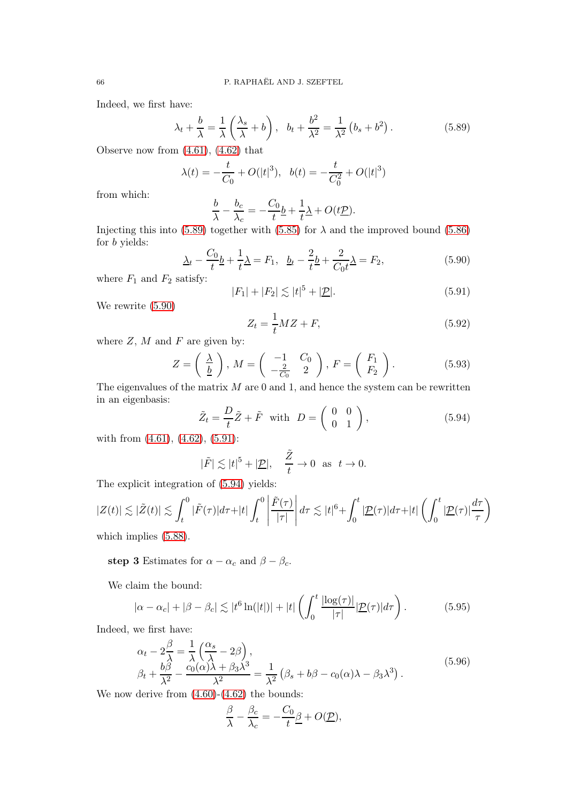Indeed, we first have:

<span id="page-65-0"></span>
$$
\lambda_t + \frac{b}{\lambda} = \frac{1}{\lambda} \left( \frac{\lambda_s}{\lambda} + b \right), \quad b_t + \frac{b^2}{\lambda^2} = \frac{1}{\lambda^2} \left( b_s + b^2 \right). \tag{5.89}
$$

Observe now from [\(4.61\)](#page-45-4), [\(4.62\)](#page-45-5) that

$$
\lambda(t) = -\frac{t}{C_0} + O(|t|^3), \quad b(t) = -\frac{t}{C_0^2} + O(|t|^3)
$$

from which:

$$
\frac{b}{\lambda} - \frac{b_c}{\lambda_c} = -\frac{C_0}{t} \underline{b} + \frac{1}{t} \underline{\lambda} + O(t \underline{\mathcal{P}}).
$$

Injecting this into [\(5.89\)](#page-65-0) together with [\(5.85\)](#page-64-4) for  $\lambda$  and the improved bound [\(5.86\)](#page-64-5) for b yields:

<span id="page-65-1"></span>
$$
\Delta_t - \frac{C_0}{t} \underline{b} + \frac{1}{t} \Delta = F_1, \ \ \underline{b}_t - \frac{2}{t} \underline{b} + \frac{2}{C_0 t} \Delta = F_2,\tag{5.90}
$$

where  $F_1$  and  $F_2$  satisfy:

<span id="page-65-2"></span>
$$
|F_1| + |F_2| \lesssim |t|^5 + |\underline{\mathcal{P}}|.\tag{5.91}
$$

We rewrite [\(5.90\)](#page-65-1)

$$
Z_t = \frac{1}{t} M Z + F,\tag{5.92}
$$

where  $Z$ ,  $M$  and  $F$  are given by:

$$
Z = \left(\frac{\lambda}{\underline{b}}\right), M = \left(\begin{array}{cc} -1 & C_0 \\ -\frac{2}{C_0} & 2 \end{array}\right), F = \left(\begin{array}{c} F_1 \\ F_2 \end{array}\right).
$$
 (5.93)

The eigenvalues of the matrix  $M$  are 0 and 1, and hence the system can be rewritten in an eigenbasis:

<span id="page-65-3"></span>
$$
\tilde{Z}_t = \frac{D}{t}\tilde{Z} + \tilde{F} \quad \text{with} \quad D = \left(\begin{array}{cc} 0 & 0\\ 0 & 1 \end{array}\right),\tag{5.94}
$$

with from  $(4.61)$ ,  $(4.62)$ ,  $(5.91)$ :

$$
|\tilde{F}| \lesssim |t|^5 + |\underline{\mathcal{P}}|, \quad \frac{\tilde{Z}}{t} \to 0 \quad \text{as} \quad t \to 0.
$$

The explicit integration of [\(5.94\)](#page-65-3) yields:

$$
|Z(t)| \lesssim |\tilde{Z}(t)| \lesssim \int_t^0 |\tilde{F}(\tau)| d\tau + |t| \int_t^0 \left| \frac{\tilde{F}(\tau)}{|\tau|} \right| d\tau \lesssim |t|^6 + \int_0^t |\underline{\mathcal{P}}(\tau)| d\tau + |t| \left( \int_0^t |\underline{\mathcal{P}}(\tau)| \frac{d\tau}{\tau} \right)
$$
\nwhich implies (5.88).

which implies [\(5.88\)](#page-64-6).

step 3 Estimates for  $\alpha - \alpha_c$  and  $\beta - \beta_c$ .

We claim the bound:

<span id="page-65-5"></span>
$$
|\alpha - \alpha_c| + |\beta - \beta_c| \lesssim |t^6 \ln(|t|)| + |t| \left( \int_0^t \frac{|\log(\tau)|}{|\tau|} |\underline{\mathcal{P}}(\tau)| d\tau \right). \tag{5.95}
$$

Indeed, we first have:

<span id="page-65-4"></span>
$$
\alpha_t - 2\frac{\beta}{\lambda} = \frac{1}{\lambda} \left( \frac{\alpha_s}{\lambda} - 2\beta \right), \n\beta_t + \frac{b\beta}{\lambda^2} - \frac{c_0(\alpha)\lambda + \beta_3\lambda^3}{\lambda^2} = \frac{1}{\lambda^2} \left( \beta_s + b\beta - c_0(\alpha)\lambda - \beta_3\lambda^3 \right).
$$
\n(5.96)

We now derive from  $(4.60)-(4.62)$  $(4.60)-(4.62)$  the bounds:

$$
\frac{\beta}{\lambda} - \frac{\beta_c}{\lambda_c} = -\frac{C_0}{t} \underline{\beta} + O(\underline{\mathcal{P}}),
$$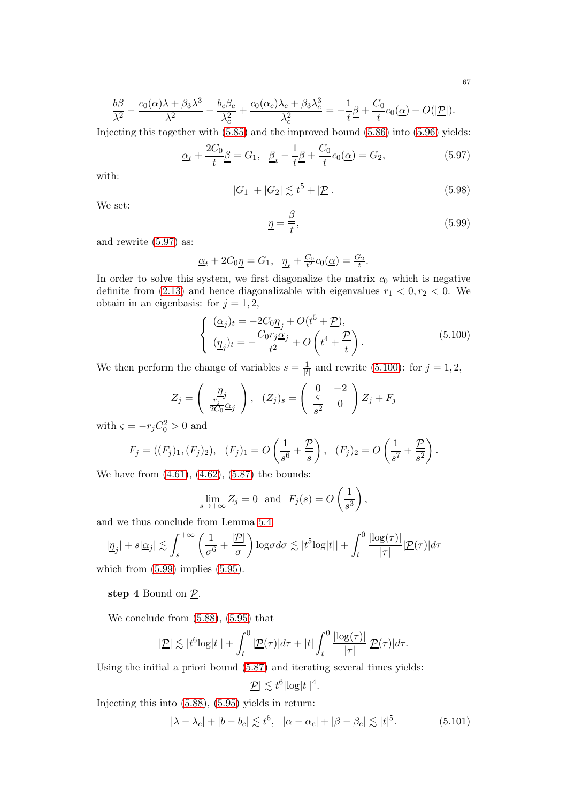$$
\frac{b\beta}{\lambda^2} - \frac{c_0(\alpha)\lambda + \beta_3\lambda^3}{\lambda^2} - \frac{b_c\beta_c}{\lambda_c^2} + \frac{c_0(\alpha_c)\lambda_c + \beta_3\lambda_c^3}{\lambda_c^2} = -\frac{1}{t}\underline{\beta} + \frac{C_0}{t}c_0(\underline{\alpha}) + O(|\underline{\mathcal{P}}|).
$$

Injecting this together with [\(5.85\)](#page-64-4) and the improved bound [\(5.86\)](#page-64-5) into [\(5.96\)](#page-65-4) yields:

<span id="page-66-0"></span>
$$
\underline{\alpha}_{t} + \frac{2C_{0}}{t} \underline{\beta} = G_{1}, \ \ \underline{\beta}_{t} - \frac{1}{t} \underline{\beta} + \frac{C_{0}}{t} c_{0}(\underline{\alpha}) = G_{2}, \tag{5.97}
$$

with:

$$
|G_1| + |G_2| \lesssim t^5 + |\mathcal{D}|.\tag{5.98}
$$

We set:

<span id="page-66-2"></span>
$$
\underline{\eta} = \frac{\beta}{t},\tag{5.99}
$$

and rewrite [\(5.97\)](#page-66-0) as:

$$
\underline{\alpha}_t + 2C_0 \underline{\eta} = G_1, \quad \underline{\eta}_t + \frac{C_0}{t^2} c_0(\underline{\alpha}) = \frac{G_2}{t}.
$$

In order to solve this system, we first diagonalize the matrix  $c_0$  which is negative definite from [\(2.13\)](#page-12-0) and hence diagonalizable with eigenvalues  $r_1 < 0, r_2 < 0$ . We obtain in an eigenbasis: for  $j = 1, 2$ ,

<span id="page-66-1"></span>
$$
\begin{cases}\n(\underline{\alpha}_j)_t = -2C_0 \underline{\eta}_j + O(t^5 + \underline{P}),\\ \n(\underline{\eta}_j)_t = -\frac{C_0 r_j \underline{\alpha}_j}{t^2} + O\left(t^4 + \frac{\underline{P}}{t}\right).\n\end{cases}
$$
\n(5.100)

We then perform the change of variables  $s = \frac{1}{k}$  $\frac{1}{|t|}$  and rewrite [\(5.100\)](#page-66-1): for  $j = 1, 2$ ,

$$
Z_j = \begin{pmatrix} \frac{\eta_j}{\frac{r_j}{2C_0}\alpha_j} \end{pmatrix}, \ (Z_j)_s = \begin{pmatrix} 0 & -2 \\ \frac{\zeta}{s^2} & 0 \end{pmatrix} Z_j + F_j
$$

with  $\varsigma = -r_j C_0^2 > 0$  and

$$
F_j = ((F_j)_1, (F_j)_2), \quad (F_j)_1 = O\left(\frac{1}{s^6} + \frac{P}{s}\right), \quad (F_j)_2 = O\left(\frac{1}{s^7} + \frac{P}{s^2}\right).
$$

We have from [\(4.61\)](#page-45-4), [\(4.62\)](#page-45-5), [\(5.87\)](#page-64-7) the bounds:

$$
\lim_{s \to +\infty} Z_j = 0 \text{ and } F_j(s) = O\left(\frac{1}{s^3}\right),
$$

and we thus conclude from Lemma [5.4:](#page-62-0)

$$
|\underline{\eta}_j| + s|\underline{\alpha}_j| \lesssim \int_s^{+\infty} \left(\frac{1}{\sigma^6} + \frac{|\underline{\mathcal{P}}|}{\sigma}\right) \log \sigma d\sigma \lesssim |t^5 \log|t| + \int_t^0 \frac{|\log(\tau)|}{|\tau|} |\underline{\mathcal{P}}(\tau)| d\tau
$$

which from  $(5.99)$  implies  $(5.95)$ .

## step 4 Bound on  $\underline{\mathcal{P}}$ .

We conclude from [\(5.88\)](#page-64-6), [\(5.95\)](#page-65-5) that

$$
|\underline{\mathcal{P}}| \lesssim |t^6 \log|t|| + \int_t^0 |\underline{\mathcal{P}}(\tau)| d\tau + |t| \int_t^0 \frac{|\log(\tau)|}{|\tau|} |\underline{\mathcal{P}}(\tau)| d\tau.
$$

Using the initial a priori bound [\(5.87\)](#page-64-7) and iterating several times yields:

$$
|\underline{\mathcal{P}}| \lesssim t^6 |\log|t||^4.
$$

Injecting this into [\(5.88\)](#page-64-6), [\(5.95\)](#page-65-5) yields in return:

<span id="page-66-3"></span>
$$
|\lambda - \lambda_c| + |b - b_c| \lesssim t^6, \quad |\alpha - \alpha_c| + |\beta - \beta_c| \lesssim |t|^5. \tag{5.101}
$$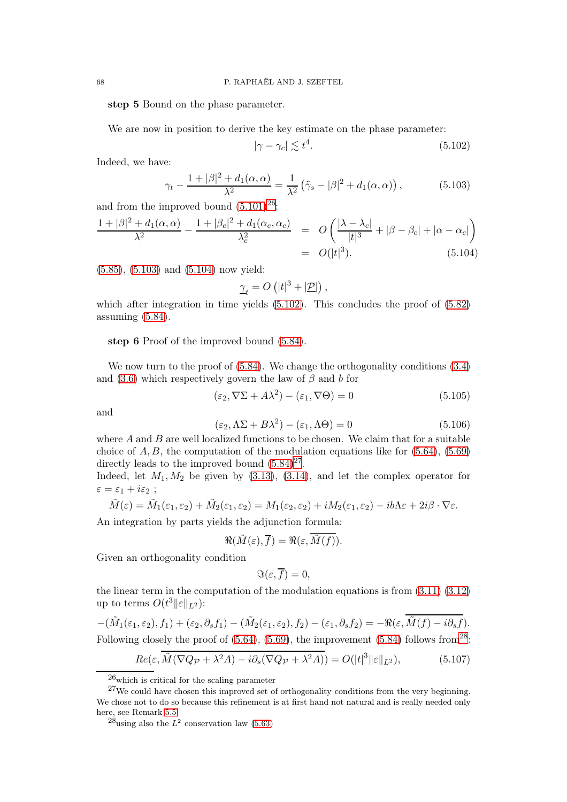step 5 Bound on the phase parameter.

We are now in position to derive the key estimate on the phase parameter:

<span id="page-67-3"></span>
$$
|\gamma - \gamma_c| \lesssim t^4. \tag{5.102}
$$

Indeed, we have:

<span id="page-67-1"></span>
$$
\gamma_t - \frac{1+|\beta|^2 + d_1(\alpha, \alpha)}{\lambda^2} = \frac{1}{\lambda^2} \left( \tilde{\gamma}_s - |\beta|^2 + d_1(\alpha, \alpha) \right),\tag{5.103}
$$

and from the improved bound  $(5.101)^{26}$  $(5.101)^{26}$  $(5.101)^{26}$ :

<span id="page-67-2"></span>
$$
\frac{1+|\beta|^2+d_1(\alpha,\alpha)}{\lambda^2} - \frac{1+|\beta_c|^2+d_1(\alpha_c,\alpha_c)}{\lambda_c^2} = O\left(\frac{|\lambda-\lambda_c|}{|t|^3}+|\beta-\beta_c|+|\alpha-\alpha_c|\right)
$$
  
=  $O(|t|^3).$  (5.104)

[\(5.85\)](#page-64-4), [\(5.103\)](#page-67-1) and [\(5.104\)](#page-67-2) now yield:

$$
\underline{\gamma}_t = O\left(|t|^3 + |\underline{\mathcal{P}}|\right),\,
$$

which after integration in time yields  $(5.102)$ . This concludes the proof of  $(5.82)$ assuming [\(5.84\)](#page-64-2).

step 6 Proof of the improved bound [\(5.84\)](#page-64-2).

We now turn to the proof of  $(5.84)$ . We change the orthogonality conditions  $(3.4)$ and [\(3.6\)](#page-16-6) which respectively govern the law of  $\beta$  and b for

<span id="page-67-7"></span>
$$
(\varepsilon_2, \nabla \Sigma + A\lambda^2) - (\varepsilon_1, \nabla \Theta) = 0 \tag{5.105}
$$

and

<span id="page-67-8"></span>
$$
(\varepsilon_2, \Lambda\Sigma + B\lambda^2) - (\varepsilon_1, \Lambda\Theta) = 0
$$
\n(5.106)

where  $A$  and  $B$  are well localized functions to be chosen. We claim that for a suitable choice of  $A, B$ , the computation of the modulation equations like for  $(5.64)$ ,  $(5.69)$ directly leads to the improved bound  $(5.84)^{27}$  $(5.84)^{27}$  $(5.84)^{27}$ .

Indeed, let  $M_1, M_2$  be given by  $(3.13), (3.14),$  $(3.13), (3.14),$  $(3.13), (3.14),$  and let the complex operator for  $\varepsilon = \varepsilon_1 + i\varepsilon_2$ ;

$$
\tilde{M}(\varepsilon) = \tilde{M}_1(\varepsilon_1, \varepsilon_2) + \tilde{M}_2(\varepsilon_1, \varepsilon_2) = M_1(\varepsilon_2, \varepsilon_2) + iM_2(\varepsilon_1, \varepsilon_2) - ib\Lambda\varepsilon + 2i\beta \cdot \nabla\varepsilon.
$$

An integration by parts yields the adjunction formula:

$$
\Re(\tilde{M}(\varepsilon),\overline{f})=\Re(\varepsilon,\tilde{M}(f)).
$$

Given an orthogonality condition

$$
\Im(\varepsilon,\overline{f})=0,
$$

the linear term in the computation of the modulation equations is from [\(3.11\)](#page-16-4) [\(3.12\)](#page-16-5) up to terms  $O(t^3||\varepsilon||_{L^2})$ :

$$
-(\tilde{M}_1(\varepsilon_1, \varepsilon_2), f_1) + (\varepsilon_2, \partial_s f_1) - (\tilde{M}_2(\varepsilon_1, \varepsilon_2), f_2) - (\varepsilon_1, \partial_s f_2) = -\Re(\varepsilon, \overline{M}(f) - i\partial_s f).
$$
  
Following closely the proof of (5.64), (5.69), the improvement (5.84) follows from<sup>28</sup>:

<span id="page-67-6"></span>
$$
\underline{Re(\varepsilon, \overline{M}(\nabla Q_{\mathcal{P}} + \lambda^2 A) - i\partial_s(\nabla Q_{\mathcal{P}} + \lambda^2 A))} = O(|t|^3 ||\varepsilon||_{L^2}),\tag{5.107}
$$

<span id="page-67-0"></span><sup>26</sup>which is critical for the scaling parameter

<span id="page-67-4"></span> $27$ We could have chosen this improved set of orthogonality conditions from the very beginning. We chose not to do so because this refinement is at first hand not natural and is really needed only here, see Remark [5.5.](#page-69-0)

<span id="page-67-5"></span> $^{28}$ using also the  $L^2$  conservation law [\(5.63\)](#page-60-4)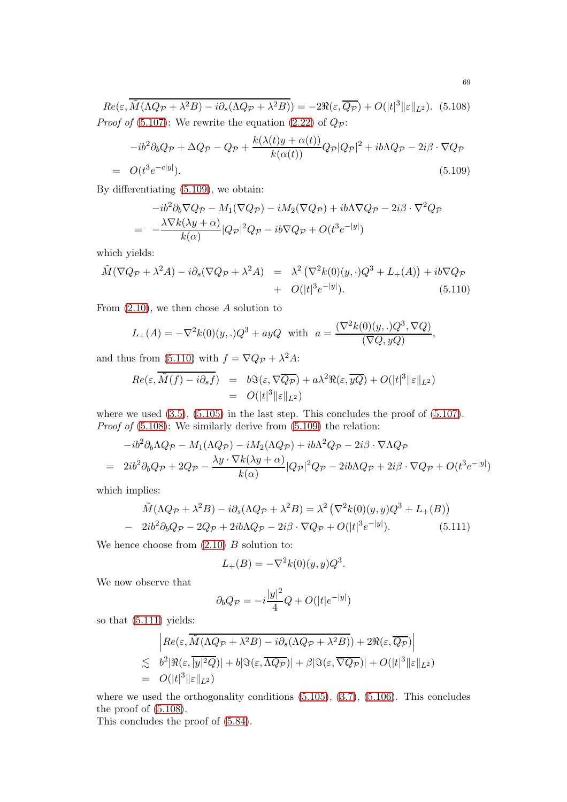<span id="page-68-2"></span> $Re(\varepsilon, \tilde{M}(\Lambda Q_{\mathcal{P}} + \lambda^2 B) - i \partial_s (\Lambda Q_{\mathcal{P}} + \lambda^2 B)) = -2 \Re(\varepsilon, \overline{Q_{\mathcal{P}}}) + O(|t|^3 ||\varepsilon||_{L^2}).$  (5.108) *Proof of* [\(5.107\)](#page-67-6): We rewrite the equation [\(2.22\)](#page-14-0) of  $Q_p$ :

<span id="page-68-0"></span>
$$
-ib^{2}\partial_{b}Q_{\mathcal{P}} + \Delta Q_{\mathcal{P}} - Q_{\mathcal{P}} + \frac{k(\lambda(t)y + \alpha(t))}{k(\alpha(t))}Q_{\mathcal{P}}|Q_{\mathcal{P}}|^{2} + ib\Lambda Q_{\mathcal{P}} - 2i\beta \cdot \nabla Q_{\mathcal{P}}
$$
  

$$
O(t^{3}e^{-c|y|}). \tag{5.109}
$$

By differentiating [\(5.109\)](#page-68-0), we obtain:

$$
-ib^2\partial_b \nabla Q_{\mathcal{P}} - M_1(\nabla Q_{\mathcal{P}}) - iM_2(\nabla Q_{\mathcal{P}}) + ib\Lambda \nabla Q_{\mathcal{P}} - 2i\beta \cdot \nabla^2 Q_{\mathcal{P}}
$$
  
= 
$$
-\frac{\lambda \nabla k(\lambda y + \alpha)}{k(\alpha)} |Q_{\mathcal{P}}|^2 Q_{\mathcal{P}} - ib \nabla Q_{\mathcal{P}} + O(t^3 e^{-|y|})
$$

which yields:

 $=$ 

<span id="page-68-1"></span>
$$
\tilde{M}(\nabla Q_{\mathcal{P}} + \lambda^2 A) - i\partial_s(\nabla Q_{\mathcal{P}} + \lambda^2 A) = \lambda^2 (\nabla^2 k(0)(y, \cdot)Q^3 + L_+(A)) + ib\nabla Q_{\mathcal{P}} \n+ O(|t|^3 e^{-|y|}).
$$
\n(5.110)

From  $(2.10)$ , we then chose A solution to

$$
L_{+}(A) = -\nabla^{2}k(0)(y,.)Q^{3} + ayQ \text{ with } a = \frac{(\nabla^{2}k(0)(y,.)Q^{3}, \nabla Q)}{(\nabla Q, yQ)},
$$

and thus from [\(5.110\)](#page-68-1) with  $f = \nabla Q_{\mathcal{P}} + \lambda^2 A$ :

$$
Re(\varepsilon, \overline{\tilde{M}(f) - i\partial_s f}) = b\Im(\varepsilon, \nabla \overline{Q_P}) + a\lambda^2 \Re(\varepsilon, \overline{yQ}) + O(|t|^3 ||\varepsilon||_{L^2})
$$
  
=  $O(|t|^3 ||\varepsilon||_{L^2})$ 

where we used  $(3.5)$ ,  $(5.105)$  in the last step. This concludes the proof of  $(5.107)$ . Proof of  $(5.108)$ : We similarly derive from  $(5.109)$  the relation:

$$
-ib^2\partial_b\Lambda Q_{\mathcal{P}} - M_1(\Lambda Q_{\mathcal{P}}) - iM_2(\Lambda Q_{\mathcal{P}}) + ib\Lambda^2 Q_{\mathcal{P}} - 2i\beta \cdot \nabla \Lambda Q_{\mathcal{P}}
$$
  
= 
$$
2ib^2\partial_b Q_{\mathcal{P}} + 2Q_{\mathcal{P}} - \frac{\lambda y \cdot \nabla k(\lambda y + \alpha)}{k(\alpha)} |Q_{\mathcal{P}}|^2 Q_{\mathcal{P}} - 2ib\Lambda Q_{\mathcal{P}} + 2i\beta \cdot \nabla Q_{\mathcal{P}} + O(t^3 e^{-|y|})
$$

which implies:

<span id="page-68-3"></span>
$$
\tilde{M}(\Lambda Q_{\mathcal{P}} + \lambda^2 B) - i \partial_s (\Lambda Q_{\mathcal{P}} + \lambda^2 B) = \lambda^2 (\nabla^2 k(0)(y, y) Q^3 + L_+(B))
$$
  
- 2*ib*<sup>2</sup> $\partial_b Q_{\mathcal{P}} - 2Q_{\mathcal{P}} + 2ib\Lambda Q_{\mathcal{P}} - 2i\beta \cdot \nabla Q_{\mathcal{P}} + O(|t|^3 e^{-|y|}). \tag{5.111}$ 

We hence choose from  $(2.10)$  B solution to:

$$
L_{+}(B) = -\nabla^{2}k(0)(y, y)Q^{3}.
$$

We now observe that

$$
\partial_b Q_{\mathcal{P}} = -i \frac{|y|^2}{4} Q + O(|t|e^{-|y|})
$$

so that [\(5.111\)](#page-68-3) yields:

$$
\begin{aligned}\n& \left| Re(\varepsilon, \overline{\tilde{M}(\Lambda Q_{\mathcal{P}} + \lambda^2 B) - i \partial_s (\Lambda Q_{\mathcal{P}} + \lambda^2 B))} + 2 \Re(\varepsilon, \overline{Q_{\mathcal{P}}}) \right| \\
&\lesssim b^2 |\Re(\varepsilon, \overline{|y|^2 Q})| + b |\Im(\varepsilon, \overline{\Lambda Q_{\mathcal{P}}})| + \beta |\Im(\varepsilon, \overline{\nabla Q_{\mathcal{P}}})| + O(|t|^3 \|\varepsilon\|_{L^2}) \\
&= O(|t|^3 \|\varepsilon\|_{L^2})\n\end{aligned}
$$

where we used the orthogonality conditions  $(5.105)$ ,  $(3.7)$ ,  $(5.106)$ . This concludes the proof of [\(5.108\)](#page-68-2).

This concludes the proof of [\(5.84\)](#page-64-2).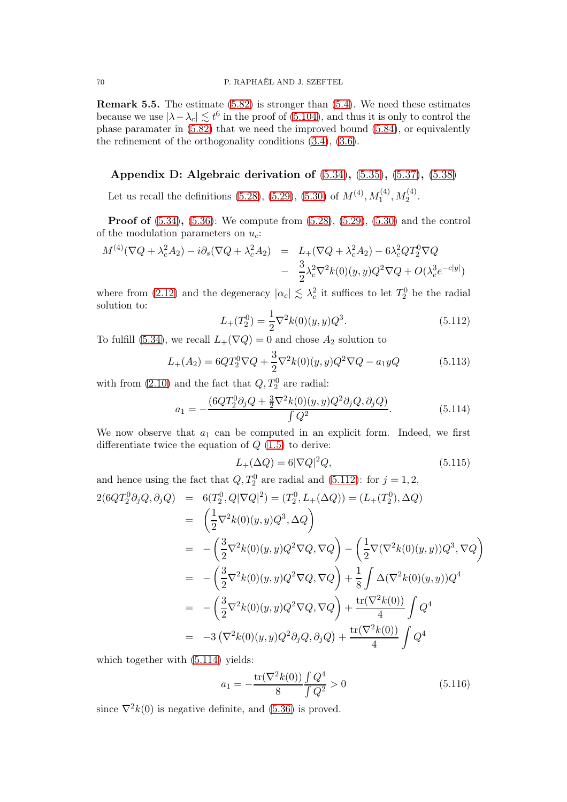<span id="page-69-0"></span>Remark 5.5. The estimate [\(5.82\)](#page-64-3) is stronger than [\(5.4\)](#page-50-0). We need these estimates because we use  $|\lambda - \lambda_c| \lesssim t^6$  in the proof of [\(5.104\)](#page-67-2), and thus it is only to control the phase paramater in [\(5.82\)](#page-64-3) that we need the improved bound [\(5.84\)](#page-64-2), or equivalently the refinement of the orthogonality conditions [\(3.4\)](#page-16-0), [\(3.6\)](#page-16-6).

## Appendix D: Algebraic derivation of [\(5.34\)](#page-56-0), [\(5.35\)](#page-56-1), [\(5.37\)](#page-56-3), [\(5.38\)](#page-56-4)

Let us recall the definitions [\(5.28\)](#page-55-4), [\(5.29\)](#page-55-5), [\(5.30\)](#page-56-8) of  $M^{(4)}$ ,  $M_1^{(4)}$ ,  $M_2^{(4)}$ .

Proof of [\(5.34\)](#page-56-0), [\(5.36\)](#page-56-2): We compute from [\(5.28\)](#page-55-4), [\(5.29\)](#page-55-5), [\(5.30\)](#page-56-8) and the control of the modulation parameters on  $u_c$ :

$$
M^{(4)}(\nabla Q + \lambda_c^2 A_2) - i \partial_s (\nabla Q + \lambda_c^2 A_2) = L_+(\nabla Q + \lambda_c^2 A_2) - 6\lambda_c^2 Q T_2^0 \nabla Q - \frac{3}{2} \lambda_c^2 \nabla^2 k(0)(y, y) Q^2 \nabla Q + O(\lambda_c^3 e^{-c|y|})
$$

where from [\(2.12\)](#page-11-4) and the degeneracy  $|\alpha_c| \lesssim \lambda_c^2$  it suffices to let  $T_2^0$  be the radial solution to:

<span id="page-69-1"></span>
$$
L_{+}(T_{2}^{0}) = \frac{1}{2}\nabla^{2}k(0)(y, y)Q^{3}.
$$
\n(5.112)

To fulfill [\(5.34\)](#page-56-0), we recall  $L_{+}(\nabla Q) = 0$  and chose  $A_2$  solution to

<span id="page-69-3"></span>
$$
L_{+}(A_{2}) = 6QT_{2}^{0}\nabla Q + \frac{3}{2}\nabla^{2}k(0)(y, y)Q^{2}\nabla Q - a_{1}yQ
$$
\n(5.113)

with from  $(2.10)$  and the fact that  $Q, T_2^0$  are radial:

<span id="page-69-2"></span>
$$
a_1 = -\frac{(6QT_2^0 \partial_j Q + \frac{3}{2}\nabla^2 k(0)(y, y)Q^2 \partial_j Q, \partial_j Q)}{\int Q^2}.
$$
\n(5.114)

We now observe that  $a_1$  can be computed in an explicit form. Indeed, we first differentiate twice the equation of  $Q(1.5)$  $Q(1.5)$  to derive:

$$
L_{+}(\Delta Q) = 6|\nabla Q|^{2}Q, \qquad (5.115)
$$

and hence using the fact that  $Q, T_2^0$  are radial and [\(5.112\)](#page-69-1): for  $j = 1, 2$ ,

$$
2(6QT_2^0 \partial_j Q, \partial_j Q) = 6(T_2^0, Q|\nabla Q|^2) = (T_2^0, L_+(\Delta Q)) = (L_+(T_2^0), \Delta Q)
$$
  
\n
$$
= \left(\frac{1}{2}\nabla^2 k(0)(y, y)Q^3, \Delta Q\right)
$$
  
\n
$$
= -\left(\frac{3}{2}\nabla^2 k(0)(y, y)Q^2 \nabla Q, \nabla Q\right) - \left(\frac{1}{2}\nabla(\nabla^2 k(0)(y, y))Q^3, \nabla Q\right)
$$
  
\n
$$
= -\left(\frac{3}{2}\nabla^2 k(0)(y, y)Q^2 \nabla Q, \nabla Q\right) + \frac{1}{8}\int \Delta(\nabla^2 k(0)(y, y))Q^4
$$
  
\n
$$
= -\left(\frac{3}{2}\nabla^2 k(0)(y, y)Q^2 \nabla Q, \nabla Q\right) + \frac{\text{tr}(\nabla^2 k(0))}{4}\int Q^4
$$
  
\n
$$
= -3(\nabla^2 k(0)(y, y)Q^2 \partial_j Q, \partial_j Q) + \frac{\text{tr}(\nabla^2 k(0))}{4}\int Q^4
$$

which together with  $(5.114)$  yields:

$$
a_1 = -\frac{\text{tr}(\nabla^2 k(0))}{8} \frac{\int Q^4}{\int Q^2} > 0
$$
\n(5.116)

since  $\nabla^2 k(0)$  is negative definite, and [\(5.36\)](#page-56-2) is proved.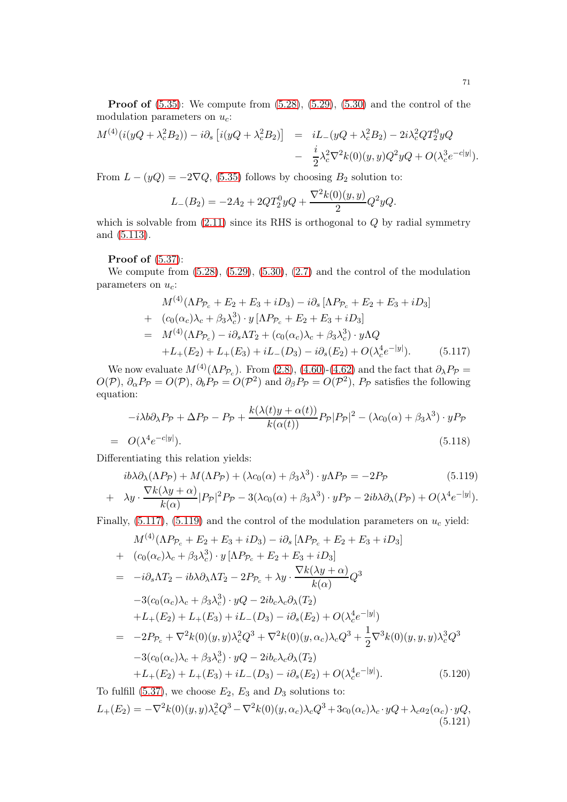**Proof of**  $(5.35)$ : We compute from  $(5.28)$ ,  $(5.29)$ ,  $(5.30)$  and the control of the modulation parameters on  $u_c$ :

$$
M^{(4)}(i(yQ + \lambda_c^2 B_2)) - i\partial_s [i(yQ + \lambda_c^2 B_2)] = iL_-(yQ + \lambda_c^2 B_2) - 2i\lambda_c^2 Q T_2^0 yQ
$$
  

$$
- \frac{i}{2} \lambda_c^2 \nabla^2 k(0)(y, y) Q^2 yQ + O(\lambda_c^3 e^{-c|y|}).
$$

From  $L - (yQ) = -2\nabla Q$ , [\(5.35\)](#page-56-1) follows by choosing  $B_2$  solution to:

$$
L_{-}(B_2) = -2A_2 + 2QT_2^0yQ + \frac{\nabla^2 k(0)(y, y)}{2}Q^2yQ.
$$

which is solvable from  $(2.11)$  since its RHS is orthogonal to  $Q$  by radial symmetry and [\(5.113\)](#page-69-3).

### Proof of [\(5.37\)](#page-56-3):

We compute from  $(5.28)$ ,  $(5.29)$ ,  $(5.30)$ ,  $(2.7)$  and the control of the modulation parameters on  $u_c$ :

<span id="page-70-0"></span>
$$
M^{(4)}(\Lambda P_{\mathcal{P}_c} + E_2 + E_3 + iD_3) - i\partial_s [\Lambda P_{\mathcal{P}_c} + E_2 + E_3 + iD_3]
$$
  
+  $(c_0(\alpha_c)\lambda_c + \beta_3\lambda_c^3) \cdot y [\Lambda P_{\mathcal{P}_c} + E_2 + E_3 + iD_3]$   
=  $M^{(4)}(\Lambda P_{\mathcal{P}_c}) - i\partial_s \Lambda T_2 + (c_0(\alpha_c)\lambda_c + \beta_3\lambda_c^3) \cdot y \Lambda Q$   
+  $L_+(E_2) + L_+(E_3) + iL_-(D_3) - i\partial_s(E_2) + O(\lambda_c^4 e^{-|y|}).$  (5.117)

We now evaluate  $M^{(4)}(\Lambda P_{\mathcal{P}_c})$ . From [\(2.8\)](#page-11-6), [\(4.60\)](#page-45-1)-[\(4.62\)](#page-45-5) and the fact that  $\partial_{\lambda}P_{\mathcal{P}}=$  $O(P)$ ,  $\partial_{\alpha}P_{\mathcal{P}} = O(\mathcal{P})$ ,  $\partial_bP_{\mathcal{P}} = O(\mathcal{P}^2)$  and  $\partial_{\beta}P_{\mathcal{P}} = O(\mathcal{P}^2)$ ,  $P_{\mathcal{P}}$  satisfies the following equation:

<span id="page-70-3"></span>
$$
-i\lambda b\partial_{\lambda}P_{\mathcal{P}} + \Delta P_{\mathcal{P}} - P_{\mathcal{P}} + \frac{k(\lambda(t)y + \alpha(t))}{k(\alpha(t))}P_{\mathcal{P}}|P_{\mathcal{P}}|^2 - (\lambda c_0(\alpha) + \beta_3\lambda^3) \cdot yP_{\mathcal{P}}
$$
  

$$
O(\lambda^4 e^{-c|y|}).
$$
 (5.118)

<span id="page-70-1"></span>Differentiating this relation yields:

 $=$ 

$$
ib\lambda \partial_{\lambda}(\Lambda P_{\mathcal{P}}) + M(\Lambda P_{\mathcal{P}}) + (\lambda c_0(\alpha) + \beta_3 \lambda^3) \cdot y\Lambda P_{\mathcal{P}} = -2P_{\mathcal{P}} \tag{5.119}
$$
  

$$
\lambda y \cdot \frac{\nabla k(\lambda y + \alpha)}{p_{\mathcal{P}}|^2 P_{\mathcal{P}} - 3(\lambda c_0(\alpha) + \beta_3 \lambda^3) \cdot yP_{\mathcal{P}} - 2ib\lambda \partial_{\lambda}(P_{\mathcal{P}}) + O(\lambda^4 e^{-|y|})}
$$

+ 
$$
\lambda y \cdot \frac{V \kappa(\lambda y + \alpha)}{k(\alpha)} |P_{\mathcal{P}}|^2 P_{\mathcal{P}} - 3(\lambda c_0(\alpha) + \beta_3 \lambda^3) \cdot y P_{\mathcal{P}} - 2ib \lambda \partial_{\lambda} (P_{\mathcal{P}}) + O(\lambda^4 e^{-|y|}).
$$

Finally,  $(5.117)$ ,  $(5.119)$  and the control of the modulation parameters on  $u_c$  yield:

$$
M^{(4)}(\Lambda P_{\mathcal{P}_c} + E_2 + E_3 + iD_3) - i\partial_s [\Lambda P_{\mathcal{P}_c} + E_2 + E_3 + iD_3]
$$
  
+  $(c_0(\alpha_c)\lambda_c + \beta_3\lambda_c^3) \cdot y [\Lambda P_{\mathcal{P}_c} + E_2 + E_3 + iD_3]$   
=  $-i\partial_s \Lambda T_2 - ib\lambda \partial_\lambda \Lambda T_2 - 2P_{\mathcal{P}_c} + \lambda y \cdot \frac{\nabla k(\lambda y + \alpha)}{k(\alpha)} Q^3$   
 $-3(c_0(\alpha_c)\lambda_c + \beta_3\lambda_c^3) \cdot yQ - 2ib_c\lambda_c \partial_\lambda(T_2)$   
 $+L_+(E_2) + L_+(E_3) + iL_-(D_3) - i\partial_s(E_2) + O(\lambda_c^4 e^{-|y|})$   
=  $-2P_{\mathcal{P}_c} + \nabla^2 k(0)(y, y)\lambda_c^2 Q^3 + \nabla^2 k(0)(y, \alpha_c)\lambda_c Q^3 + \frac{1}{2}\nabla^3 k(0)(y, y, y)\lambda_c^3 Q^3$   
 $-3(c_0(\alpha_c)\lambda_c + \beta_3\lambda_c^3) \cdot yQ - 2ib_c\lambda_c \partial_\lambda(T_2)$   
 $+L_+(E_2) + L_+(E_3) + iL_-(D_3) - i\partial_s(E_2) + O(\lambda_c^4 e^{-|y|}).$  (5.120)

<span id="page-70-2"></span>To fulfill [\(5.37\)](#page-56-3), we choose  $E_2, E_3$  and  $D_3$  solutions to:  $L_+(E_2) = -\nabla^2 k(0)(y, y)\lambda_c^2 Q^3 - \nabla^2 k(0)(y, \alpha_c)\lambda_c Q^3 + 3c_0(\alpha_c)\lambda_c \cdot yQ + \lambda_c a_2(\alpha_c) \cdot yQ,$ (5.121)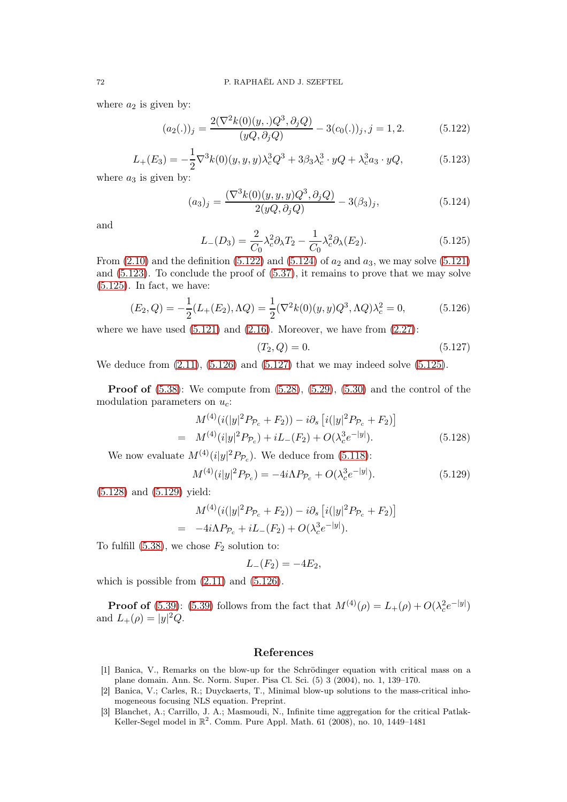where  $a_2$  is given by:

<span id="page-71-0"></span>
$$
(a_2(.))_j = \frac{2(\nabla^2 k(0)(y,.)Q^3, \partial_j Q)}{(yQ, \partial_j Q)} - 3(c_0(.))_j, j = 1, 2.
$$
 (5.122)

<span id="page-71-2"></span>
$$
L_{+}(E_3) = -\frac{1}{2}\nabla^3 k(0)(y, y, y)\lambda_c^3 Q^3 + 3\beta_3 \lambda_c^3 \cdot yQ + \lambda_c^3 a_3 \cdot yQ,\tag{5.123}
$$

where  $a_3$  is given by:

<span id="page-71-1"></span>
$$
(a_3)_j = \frac{(\nabla^3 k(0)(y, y, y)Q^3, \partial_j Q)}{2(yQ, \partial_j Q)} - 3(\beta_3)_j,
$$
(5.124)

and

<span id="page-71-3"></span>
$$
L_{-}(D_3) = \frac{2}{C_0} \lambda_c^2 \partial_{\lambda} T_2 - \frac{1}{C_0} \lambda_c^2 \partial_{\lambda} (E_2).
$$
 (5.125)

From  $(2.10)$  and the definition  $(5.122)$  and  $(5.124)$  of  $a_2$  and  $a_3$ , we may solve  $(5.121)$ and [\(5.123\)](#page-71-2). To conclude the proof of [\(5.37\)](#page-56-3), it remains to prove that we may solve  $(5.125)$ . In fact, we have:

<span id="page-71-4"></span>
$$
(E_2, Q) = -\frac{1}{2}(L_+(E_2), \Lambda Q) = \frac{1}{2}(\nabla^2 k(0)(y, y)Q^3, \Lambda Q)\lambda_c^2 = 0,
$$
\n(5.126)

where we have used  $(5.121)$  and  $(2.16)$ . Moreover, we have from  $(2.27)$ :

<span id="page-71-5"></span>
$$
(T_2, Q) = 0.\t\t(5.127)
$$

We deduce from  $(2.11)$ ,  $(5.126)$  and  $(5.127)$  that we may indeed solve  $(5.125)$ .

**Proof of**  $(5.38)$ : We compute from  $(5.28)$ ,  $(5.29)$ ,  $(5.30)$  and the control of the modulation parameters on  $u_c$ :

<span id="page-71-6"></span>
$$
M^{(4)}(i(|y|^2 P_{\mathcal{P}_c} + F_2)) - i\partial_s [i(|y|^2 P_{\mathcal{P}_c} + F_2)]
$$
  
= 
$$
M^{(4)}(i|y|^2 P_{\mathcal{P}_c}) + iL_{-}(F_2) + O(\lambda_c^3 e^{-|y|}).
$$
 (5.128)

We now evaluate  $M^{(4)}(i|y|^2 P_{\mathcal{P}_c})$ . We deduce from [\(5.118\)](#page-70-3):

<span id="page-71-7"></span>
$$
M^{(4)}(i|y|^2 P_{\mathcal{P}_c}) = -4i\Lambda P_{\mathcal{P}_c} + O(\lambda_c^3 e^{-|y|}).\tag{5.129}
$$

[\(5.128\)](#page-71-6) and [\(5.129\)](#page-71-7) yield:

$$
M^{(4)}(i(|y|^2 P_{\mathcal{P}_c} + F_2)) - i\partial_s [i(|y|^2 P_{\mathcal{P}_c} + F_2)]
$$
  
= -4i\Lambda P\_{\mathcal{P}\_c} + iL\_{-}(F\_2) + O(\lambda\_c^3 e^{-|y|}).

To fulfill  $(5.38)$ , we chose  $F_2$  solution to:

$$
L_{-}(F_2)=-4E_2,
$$

which is possible from  $(2.11)$  and  $(5.126)$ .

**Proof of** [\(5.39\)](#page-56-5): [\(5.39\)](#page-56-5) follows from the fact that  $M^{(4)}(\rho) = L_{+}(\rho) + O(\lambda_c^2 e^{-|y|})$ and  $L_{+}(\rho) = |y|^2 Q$ .

## References

- [1] Banica, V., Remarks on the blow-up for the Schrödinger equation with critical mass on a plane domain. Ann. Sc. Norm. Super. Pisa Cl. Sci. (5) 3 (2004), no. 1, 139–170.
- [2] Banica, V.; Carles, R.; Duyckaerts, T., Minimal blow-up solutions to the mass-critical inhomogeneous focusing NLS equation. Preprint.
- [3] Blanchet, A.; Carrillo, J. A.; Masmoudi, N., Infinite time aggregation for the critical Patlak-Keller-Segel model in  $\mathbb{R}^2$ . Comm. Pure Appl. Math. 61 (2008), no. 10, 1449-1481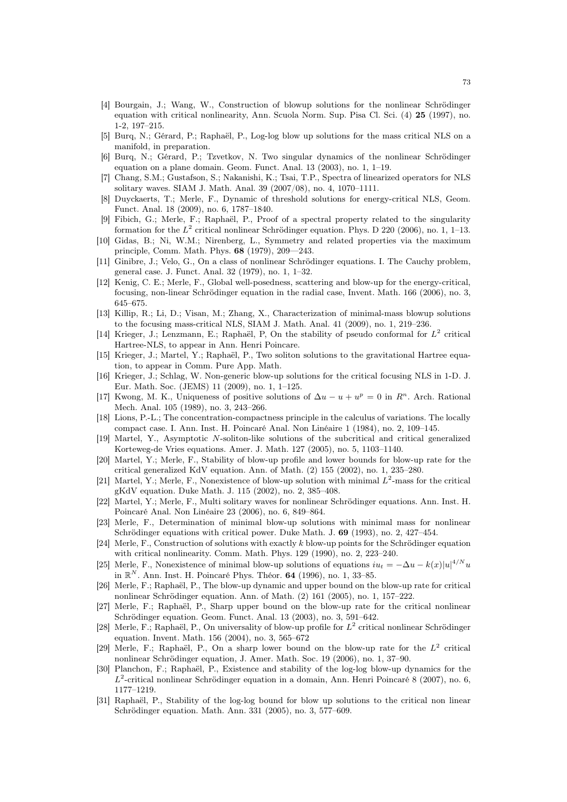- [4] Bourgain, J.; Wang, W., Construction of blowup solutions for the nonlinear Schrödinger equation with critical nonlinearity, Ann. Scuola Norm. Sup. Pisa Cl. Sci. (4) 25 (1997), no. 1-2, 197–215.
- [5] Burq, N.; Gérard, P.; Raphaël, P., Log-log blow up solutions for the mass critical NLS on a manifold, in preparation.
- [6] Burq, N.; Gérard, P.; Tzvetkov, N. Two singular dynamics of the nonlinear Schrödinger equation on a plane domain. Geom. Funct. Anal. 13 (2003), no. 1, 1–19.
- [7] Chang, S.M.; Gustafson, S.; Nakanishi, K.; Tsai, T.P., Spectra of linearized operators for NLS solitary waves. SIAM J. Math. Anal. 39 (2007/08), no. 4, 1070–1111.
- [8] Duyckaerts, T.; Merle, F., Dynamic of threshold solutions for energy-critical NLS, Geom. Funct. Anal. 18 (2009), no. 6, 1787–1840.
- [9] Fibich, G.; Merle, F.; Raphaël, P., Proof of a spectral property related to the singularity formation for the  $L^2$  critical nonlinear Schrödinger equation. Phys. D 220 (2006), no. 1, 1–13.
- [10] Gidas, B.; Ni, W.M.; Nirenberg, L., Symmetry and related properties via the maximum principle, Comm. Math. Phys. 68 (1979), 209—243.
- [11] Ginibre, J.; Velo, G., On a class of nonlinear Schrödinger equations. I. The Cauchy problem, general case. J. Funct. Anal. 32 (1979), no. 1, 1–32.
- [12] Kenig, C. E.; Merle, F., Global well-posedness, scattering and blow-up for the energy-critical, focusing, non-linear Schrödinger equation in the radial case, Invent. Math. 166 (2006), no. 3, 645–675.
- [13] Killip, R.; Li, D.; Visan, M.; Zhang, X., Characterization of minimal-mass blowup solutions to the focusing mass-critical NLS, SIAM J. Math. Anal. 41 (2009), no. 1, 219–236.
- [14] Krieger, J.; Lenzmann, E.; Raphaël, P, On the stability of pseudo conformal for  $L^2$  critical Hartree-NLS, to appear in Ann. Henri Poincare.
- [15] Krieger, J.; Martel, Y.; Raphaël, P., Two soliton solutions to the gravitational Hartree equation, to appear in Comm. Pure App. Math.
- [16] Krieger, J.; Schlag, W. Non-generic blow-up solutions for the critical focusing NLS in 1-D. J. Eur. Math. Soc. (JEMS) 11 (2009), no. 1, 1–125.
- [17] Kwong, M. K., Uniqueness of positive solutions of  $\Delta u u + u^p = 0$  in  $\mathbb{R}^n$ . Arch. Rational Mech. Anal. 105 (1989), no. 3, 243–266.
- [18] Lions, P.-L.; The concentration-compactness principle in the calculus of variations. The locally compact case. I. Ann. Inst. H. Poincaré Anal. Non Linéaire 1 (1984), no. 2, 109–145.
- [19] Martel, Y., Asymptotic N-soliton-like solutions of the subcritical and critical generalized Korteweg-de Vries equations. Amer. J. Math. 127 (2005), no. 5, 1103–1140.
- [20] Martel, Y.; Merle, F., Stability of blow-up profile and lower bounds for blow-up rate for the critical generalized KdV equation. Ann. of Math. (2) 155 (2002), no. 1, 235–280.
- [21] Martel, Y.; Merle, F., Nonexistence of blow-up solution with minimal  $L^2$ -mass for the critical gKdV equation. Duke Math. J. 115 (2002), no. 2, 385–408.
- [22] Martel, Y.; Merle, F., Multi solitary waves for nonlinear Schrödinger equations. Ann. Inst. H. Poincaré Anal. Non Linéaire 23 (2006), no. 6, 849–864.
- [23] Merle, F., Determination of minimal blow-up solutions with minimal mass for nonlinear Schrödinger equations with critical power. Duke Math. J. 69 (1993), no. 2, 427–454.
- [24] Merle, F., Construction of solutions with exactly k blow-up points for the Schrödinger equation with critical nonlinearity. Comm. Math. Phys. 129 (1990), no. 2, 223–240.
- [25] Merle, F., Nonexistence of minimal blow-up solutions of equations  $iu_t = -\Delta u k(x)|u|^{4/N}u$ in  $\mathbb{R}^N$ . Ann. Inst. H. Poincaré Phys. Théor. **64** (1996), no. 1, 33–85.
- [26] Merle, F.; Raphaël, P., The blow-up dynamic and upper bound on the blow-up rate for critical nonlinear Schrödinger equation. Ann. of Math. (2) 161 (2005), no. 1, 157–222.
- [27] Merle, F.; Raphaël, P., Sharp upper bound on the blow-up rate for the critical nonlinear Schrödinger equation. Geom. Funct. Anal. 13 (2003), no. 3, 591–642.
- [28] Merle, F.; Raphaël, P., On universality of blow-up profile for  $L^2$  critical nonlinear Schrödinger equation. Invent. Math. 156 (2004), no. 3, 565–672
- [29] Merle, F.; Raphaël, P., On a sharp lower bound on the blow-up rate for the  $L^2$  critical nonlinear Schrödinger equation, J. Amer. Math. Soc. 19 (2006), no. 1, 37–90.
- [30] Planchon, F.; Raphaël, P., Existence and stability of the log-log blow-up dynamics for the  $L^2$ -critical nonlinear Schrödinger equation in a domain, Ann. Henri Poincaré 8 (2007), no. 6, 1177–1219.
- [31] Raphaël, P., Stability of the log-log bound for blow up solutions to the critical non linear Schrödinger equation. Math. Ann. 331 (2005), no. 3, 577–609.